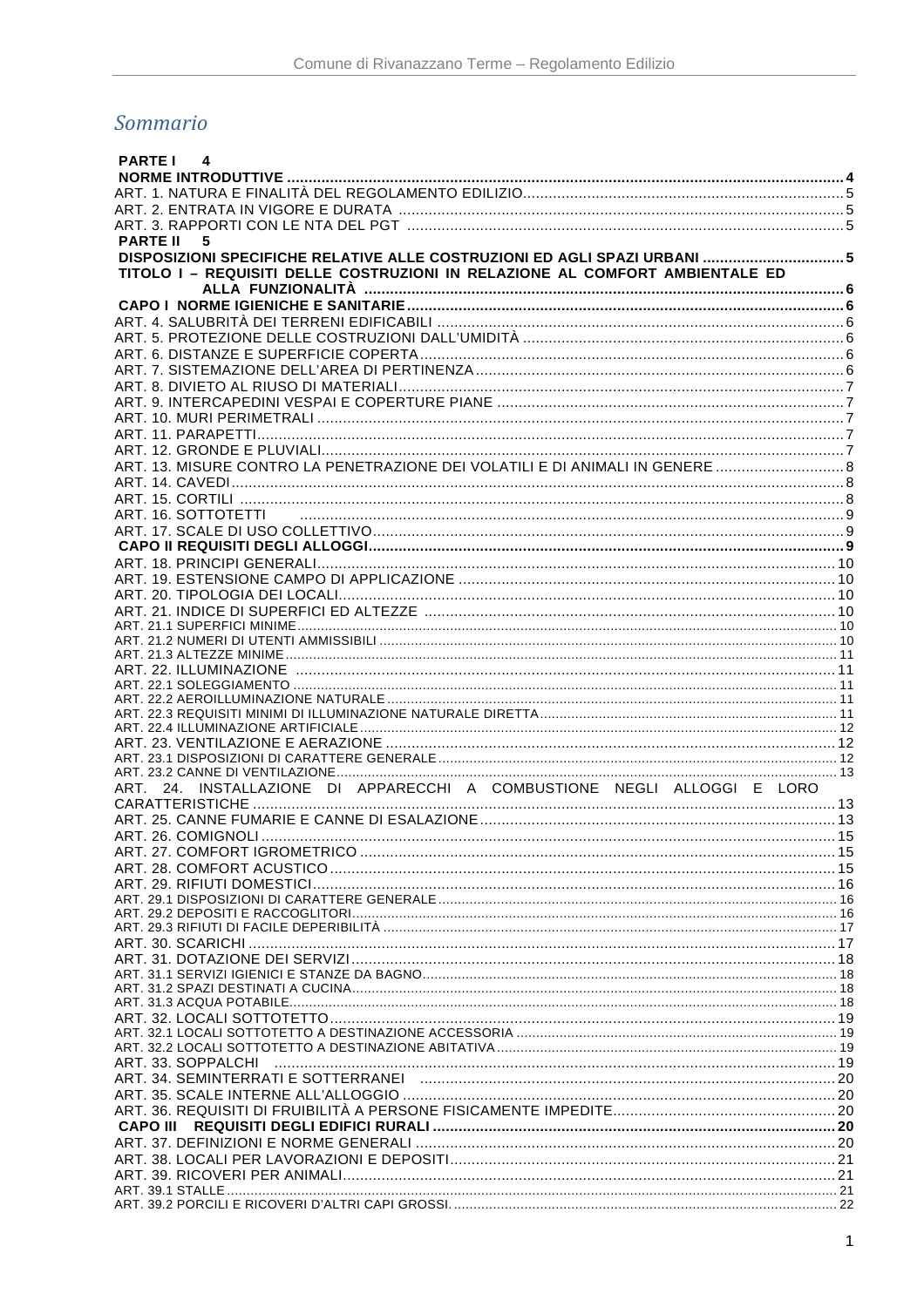# Sommario

| 4<br><b>PARTE I</b>                                                          |  |
|------------------------------------------------------------------------------|--|
|                                                                              |  |
|                                                                              |  |
|                                                                              |  |
|                                                                              |  |
| <b>PARTE II</b><br>5                                                         |  |
|                                                                              |  |
| TITOLO I - REQUISITI DELLE COSTRUZIONI IN RELAZIONE AL COMFORT AMBIENTALE ED |  |
|                                                                              |  |
|                                                                              |  |
|                                                                              |  |
|                                                                              |  |
|                                                                              |  |
|                                                                              |  |
|                                                                              |  |
|                                                                              |  |
|                                                                              |  |
|                                                                              |  |
|                                                                              |  |
|                                                                              |  |
|                                                                              |  |
|                                                                              |  |
|                                                                              |  |
|                                                                              |  |
|                                                                              |  |
|                                                                              |  |
|                                                                              |  |
|                                                                              |  |
|                                                                              |  |
|                                                                              |  |
|                                                                              |  |
|                                                                              |  |
|                                                                              |  |
|                                                                              |  |
|                                                                              |  |
|                                                                              |  |
|                                                                              |  |
|                                                                              |  |
|                                                                              |  |
|                                                                              |  |
| ART. 24. INSTALLAZIONE DI APPARECCHI A COMBUSTIONE NEGLI ALLOGGI E LORO      |  |
|                                                                              |  |
|                                                                              |  |
|                                                                              |  |
|                                                                              |  |
|                                                                              |  |
|                                                                              |  |
|                                                                              |  |
|                                                                              |  |
|                                                                              |  |
|                                                                              |  |
|                                                                              |  |
|                                                                              |  |
|                                                                              |  |
|                                                                              |  |
|                                                                              |  |
|                                                                              |  |
|                                                                              |  |
|                                                                              |  |
|                                                                              |  |
|                                                                              |  |
|                                                                              |  |
|                                                                              |  |
|                                                                              |  |
|                                                                              |  |
|                                                                              |  |
|                                                                              |  |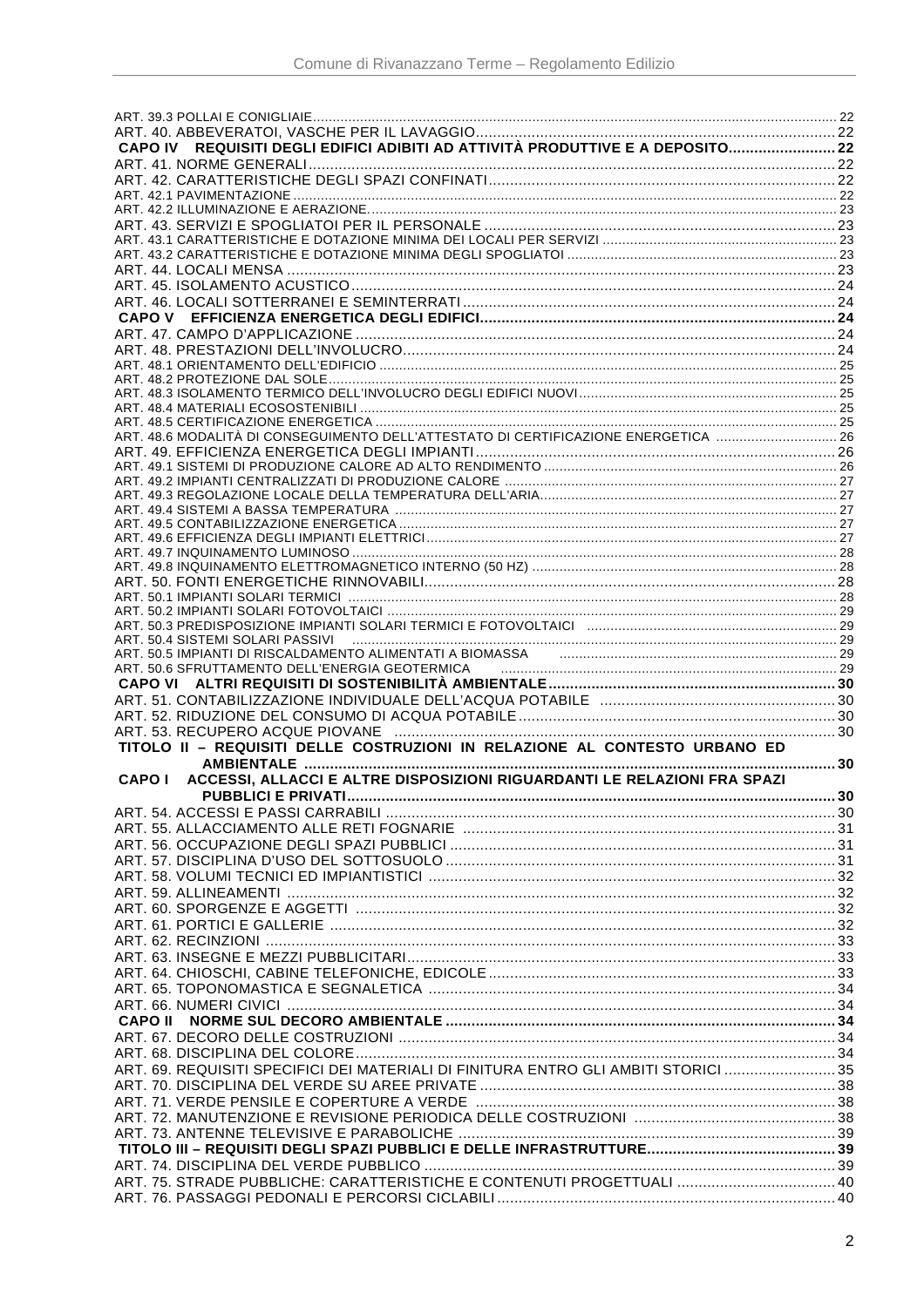| ART. 48.6 MODALITÀ DI CONSEGUIMENTO DELL'ATTESTATO DI CERTIFICAZIONE ENERGETICA          |  |
|------------------------------------------------------------------------------------------|--|
|                                                                                          |  |
|                                                                                          |  |
|                                                                                          |  |
|                                                                                          |  |
|                                                                                          |  |
|                                                                                          |  |
|                                                                                          |  |
|                                                                                          |  |
|                                                                                          |  |
|                                                                                          |  |
|                                                                                          |  |
|                                                                                          |  |
|                                                                                          |  |
|                                                                                          |  |
|                                                                                          |  |
| ART. 50.6 SFRUTTAMENTO DELL'ENERGIA GEOTERMICA                                           |  |
|                                                                                          |  |
|                                                                                          |  |
|                                                                                          |  |
| TITOLO II - REQUISITI DELLE COSTRUZIONI IN RELAZIONE AL CONTESTO URBANO ED               |  |
|                                                                                          |  |
|                                                                                          |  |
| ACCESSI, ALLACCI E ALTRE DISPOSIZIONI RIGUARDANTI LE RELAZIONI FRA SPAZI<br><b>CAPOI</b> |  |
|                                                                                          |  |
|                                                                                          |  |
|                                                                                          |  |
|                                                                                          |  |
|                                                                                          |  |
|                                                                                          |  |
|                                                                                          |  |
|                                                                                          |  |
|                                                                                          |  |
|                                                                                          |  |
|                                                                                          |  |
|                                                                                          |  |
|                                                                                          |  |
|                                                                                          |  |
| <b>CAPO II</b>                                                                           |  |
|                                                                                          |  |
|                                                                                          |  |
| ART. 69. REQUISITI SPECIFICI DEI MATERIALI DI FINITURA ENTRO GLI AMBITI STORICI  35      |  |
|                                                                                          |  |
|                                                                                          |  |
|                                                                                          |  |
|                                                                                          |  |
|                                                                                          |  |
|                                                                                          |  |
|                                                                                          |  |
|                                                                                          |  |
| ART. 75. STRADE PUBBLICHE: CARATTERISTICHE E CONTENUTI PROGETTUALI  40                   |  |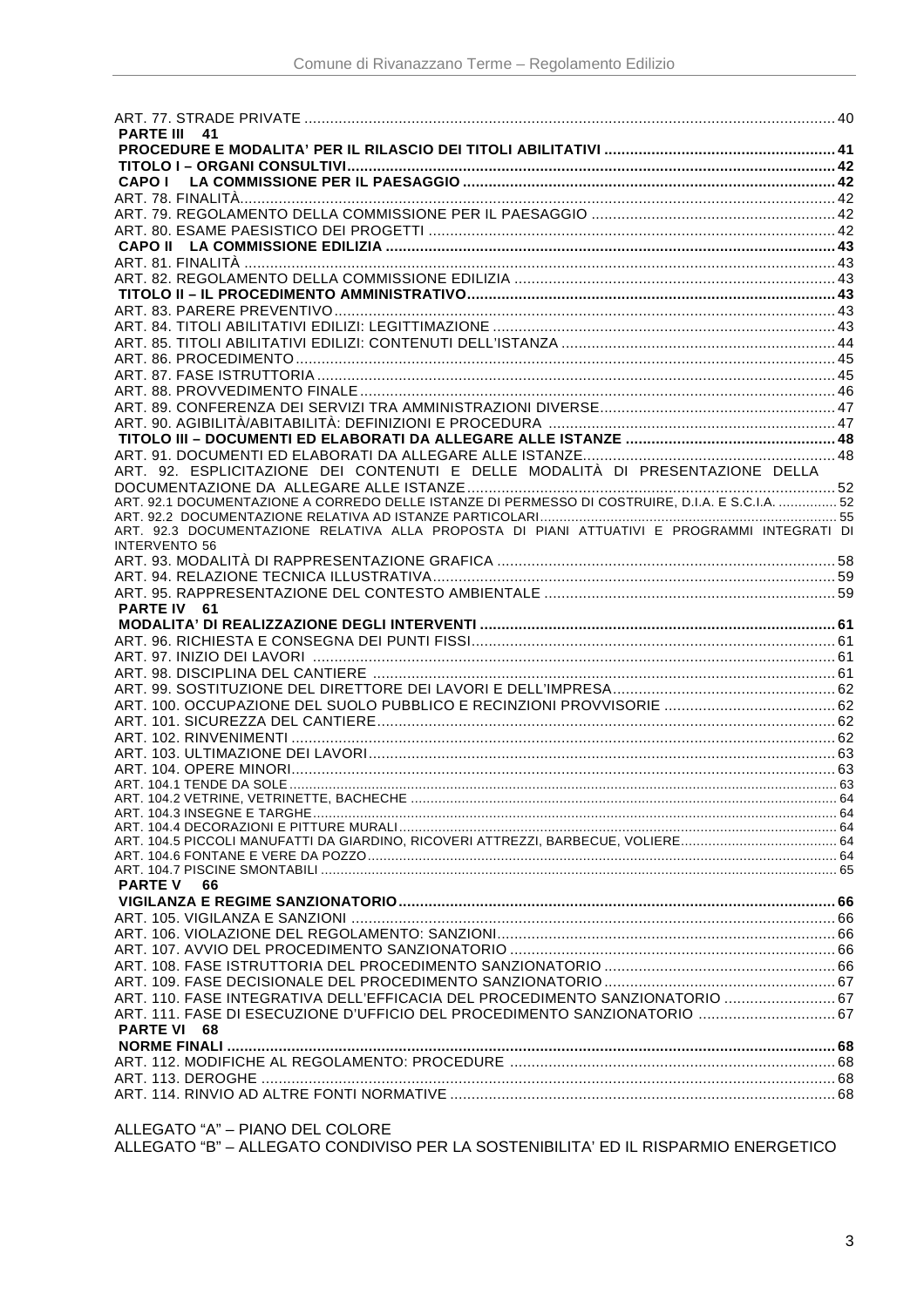| PARTE III 41                                                                                                                                              |  |
|-----------------------------------------------------------------------------------------------------------------------------------------------------------|--|
|                                                                                                                                                           |  |
|                                                                                                                                                           |  |
| <b>CAPOI</b>                                                                                                                                              |  |
|                                                                                                                                                           |  |
|                                                                                                                                                           |  |
|                                                                                                                                                           |  |
|                                                                                                                                                           |  |
|                                                                                                                                                           |  |
|                                                                                                                                                           |  |
|                                                                                                                                                           |  |
|                                                                                                                                                           |  |
|                                                                                                                                                           |  |
|                                                                                                                                                           |  |
|                                                                                                                                                           |  |
|                                                                                                                                                           |  |
|                                                                                                                                                           |  |
|                                                                                                                                                           |  |
|                                                                                                                                                           |  |
|                                                                                                                                                           |  |
| ART. 92. ESPLICITAZIONE DEI CONTENUTI E DELLE MODALITÀ DI PRESENTAZIONE DELLA                                                                             |  |
|                                                                                                                                                           |  |
| ART. 92.1 DOCUMENTAZIONE A CORREDO DELLE ISTANZE DI PERMESSO DI COSTRUIRE, D.I.A. E S.C.I.A. 52                                                           |  |
|                                                                                                                                                           |  |
| ART. 92.3 DOCUMENTAZIONE RELATIVA ALLA PROPOSTA DI PIANI ATTUATIVI E PROGRAMMI INTEGRATI DI                                                               |  |
| <b>INTERVENTO 56</b>                                                                                                                                      |  |
|                                                                                                                                                           |  |
|                                                                                                                                                           |  |
|                                                                                                                                                           |  |
| PARTE IV 61                                                                                                                                               |  |
|                                                                                                                                                           |  |
|                                                                                                                                                           |  |
|                                                                                                                                                           |  |
|                                                                                                                                                           |  |
|                                                                                                                                                           |  |
|                                                                                                                                                           |  |
|                                                                                                                                                           |  |
|                                                                                                                                                           |  |
|                                                                                                                                                           |  |
|                                                                                                                                                           |  |
|                                                                                                                                                           |  |
|                                                                                                                                                           |  |
|                                                                                                                                                           |  |
|                                                                                                                                                           |  |
|                                                                                                                                                           |  |
|                                                                                                                                                           |  |
|                                                                                                                                                           |  |
| <b>PARTE V</b><br>66                                                                                                                                      |  |
|                                                                                                                                                           |  |
|                                                                                                                                                           |  |
|                                                                                                                                                           |  |
|                                                                                                                                                           |  |
|                                                                                                                                                           |  |
|                                                                                                                                                           |  |
| ART. 110. FASE INTEGRATIVA DELL'EFFICACIA DEL PROCEDIMENTO SANZIONATORIO  67<br>ART. 111. FASE DI ESECUZIONE D'UFFICIO DEL PROCEDIMENTO SANZIONATORIO  67 |  |
| PARTE VI 68                                                                                                                                               |  |
|                                                                                                                                                           |  |
|                                                                                                                                                           |  |
|                                                                                                                                                           |  |
|                                                                                                                                                           |  |

ALLEGATO "A" – PIANO DEL COLORE

ALLEGATO "B" – ALLEGATO CONDIVISO PER LA SOSTENIBILITA' ED IL RISPARMIO ENERGETICO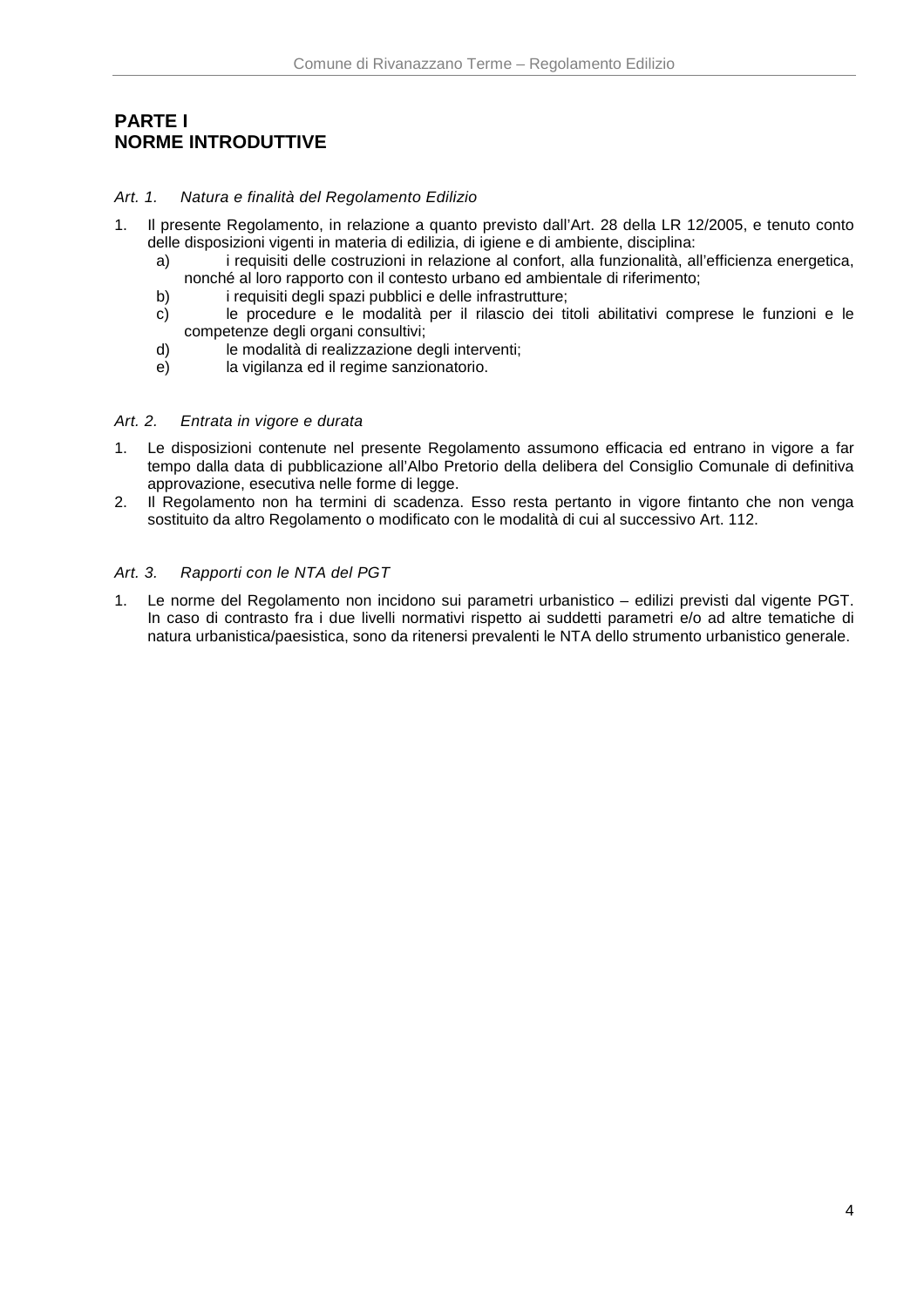# **PARTE I NORME INTRODUTTIVE**

### Art. 1. Natura e finalità del Regolamento Edilizio

- 1. Il presente Regolamento, in relazione a quanto previsto dall'Art. 28 della LR 12/2005, e tenuto conto delle disposizioni vigenti in materia di edilizia, di igiene e di ambiente, disciplina:
	- a) i requisiti delle costruzioni in relazione al confort, alla funzionalità, all'efficienza energetica, nonché al loro rapporto con il contesto urbano ed ambientale di riferimento;
	- b) i requisiti degli spazi pubblici e delle infrastrutture;
	- c) le procedure e le modalità per il rilascio dei titoli abilitativi comprese le funzioni e le competenze degli organi consultivi;
	- d) le modalità di realizzazione degli interventi;
	- e) la vigilanza ed il regime sanzionatorio.

### Art. 2. Entrata in vigore e durata

- 1. Le disposizioni contenute nel presente Regolamento assumono efficacia ed entrano in vigore a far tempo dalla data di pubblicazione all'Albo Pretorio della delibera del Consiglio Comunale di definitiva approvazione, esecutiva nelle forme di legge.
- 2. Il Regolamento non ha termini di scadenza. Esso resta pertanto in vigore fintanto che non venga sostituito da altro Regolamento o modificato con le modalità di cui al successivo Art. 112.

### Art. 3. Rapporti con le NTA del PGT

1. Le norme del Regolamento non incidono sui parametri urbanistico – edilizi previsti dal vigente PGT. In caso di contrasto fra i due livelli normativi rispetto ai suddetti parametri e/o ad altre tematiche di natura urbanistica/paesistica, sono da ritenersi prevalenti le NTA dello strumento urbanistico generale.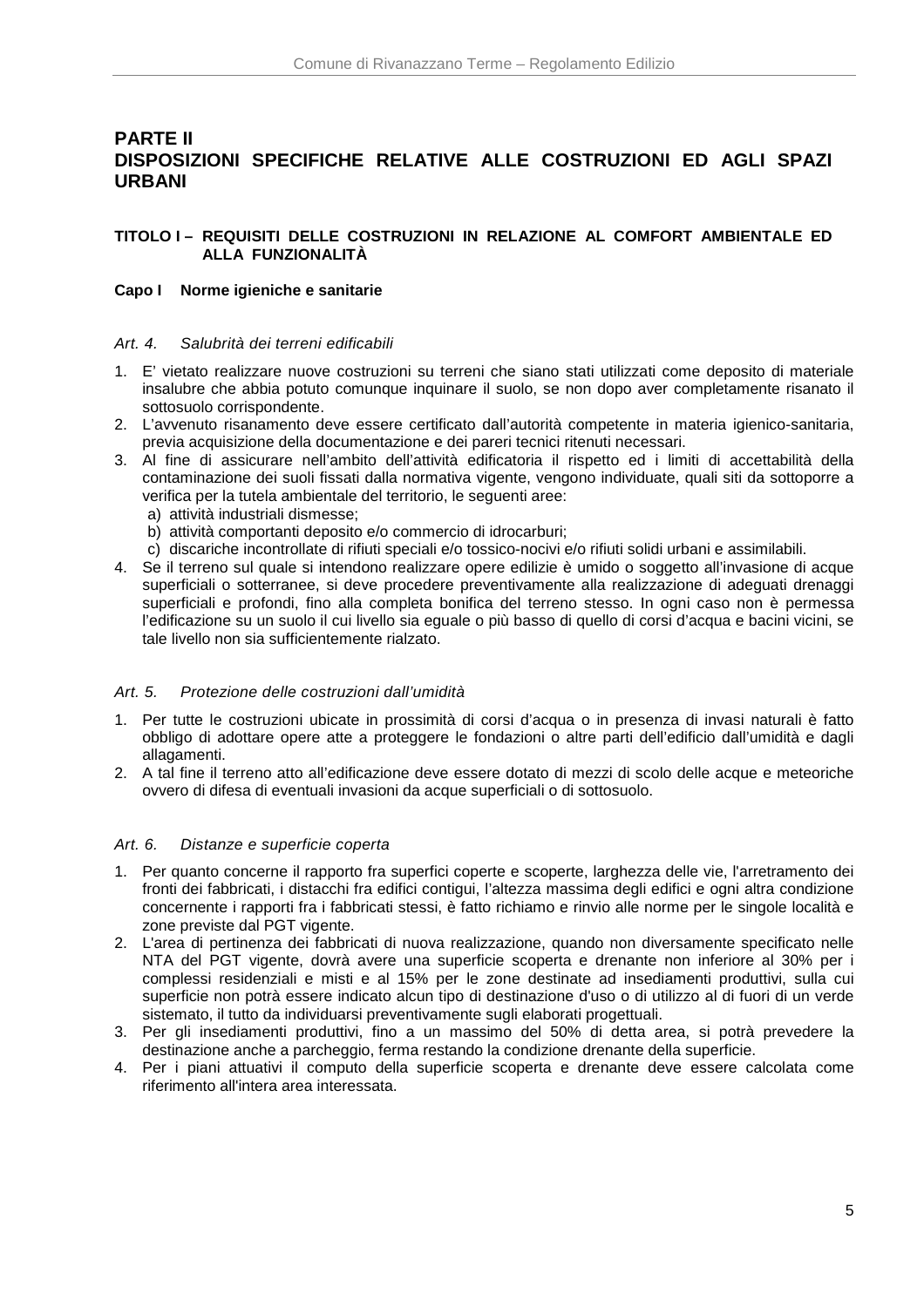# **PARTE II DISPOSIZIONI SPECIFICHE RELATIVE ALLE COSTRUZIONI ED AGLI SPAZI URBANI**

## **TITOLO I – REQUISITI DELLE COSTRUZIONI IN RELAZIONE AL COMFORT AMBIENTALE ED ALLA FUNZIONALITÀ**

### **Capo I Norme igieniche e sanitarie**

#### Art. 4. Salubrità dei terreni edificabili

- 1. E' vietato realizzare nuove costruzioni su terreni che siano stati utilizzati come deposito di materiale insalubre che abbia potuto comunque inquinare il suolo, se non dopo aver completamente risanato il sottosuolo corrispondente.
- 2. L'avvenuto risanamento deve essere certificato dall'autorità competente in materia igienico-sanitaria, previa acquisizione della documentazione e dei pareri tecnici ritenuti necessari.
- 3. Al fine di assicurare nell'ambito dell'attività edificatoria il rispetto ed i limiti di accettabilità della contaminazione dei suoli fissati dalla normativa vigente, vengono individuate, quali siti da sottoporre a verifica per la tutela ambientale del territorio, le seguenti aree:
	- a) attività industriali dismesse;
	- b) attività comportanti deposito e/o commercio di idrocarburi;
	- c) discariche incontrollate di rifiuti speciali e/o tossico-nocivi e/o rifiuti solidi urbani e assimilabili.
- 4. Se il terreno sul quale si intendono realizzare opere edilizie è umido o soggetto all'invasione di acque superficiali o sotterranee, si deve procedere preventivamente alla realizzazione di adeguati drenaggi superficiali e profondi, fino alla completa bonifica del terreno stesso. In ogni caso non è permessa l'edificazione su un suolo il cui livello sia eguale o più basso di quello di corsi d'acqua e bacini vicini, se tale livello non sia sufficientemente rialzato.

### Art. 5. Protezione delle costruzioni dall'umidità

- 1. Per tutte le costruzioni ubicate in prossimità di corsi d'acqua o in presenza di invasi naturali è fatto obbligo di adottare opere atte a proteggere le fondazioni o altre parti dell'edificio dall'umidità e dagli allagamenti.
- 2. A tal fine il terreno atto all'edificazione deve essere dotato di mezzi di scolo delle acque e meteoriche ovvero di difesa di eventuali invasioni da acque superficiali o di sottosuolo.

### Art. 6. Distanze e superficie coperta

- 1. Per quanto concerne il rapporto fra superfici coperte e scoperte, larghezza delle vie, l'arretramento dei fronti dei fabbricati, i distacchi fra edifici contigui, l'altezza massima degli edifici e ogni altra condizione concernente i rapporti fra i fabbricati stessi, è fatto richiamo e rinvio alle norme per le singole località e zone previste dal PGT vigente.
- 2. L'area di pertinenza dei fabbricati di nuova realizzazione, quando non diversamente specificato nelle NTA del PGT vigente, dovrà avere una superficie scoperta e drenante non inferiore al 30% per i complessi residenziali e misti e al 15% per le zone destinate ad insediamenti produttivi, sulla cui superficie non potrà essere indicato alcun tipo di destinazione d'uso o di utilizzo al di fuori di un verde sistemato, il tutto da individuarsi preventivamente sugli elaborati progettuali.
- 3. Per gli insediamenti produttivi, fino a un massimo del 50% di detta area, si potrà prevedere la destinazione anche a parcheggio, ferma restando la condizione drenante della superficie.
- 4. Per i piani attuativi il computo della superficie scoperta e drenante deve essere calcolata come riferimento all'intera area interessata.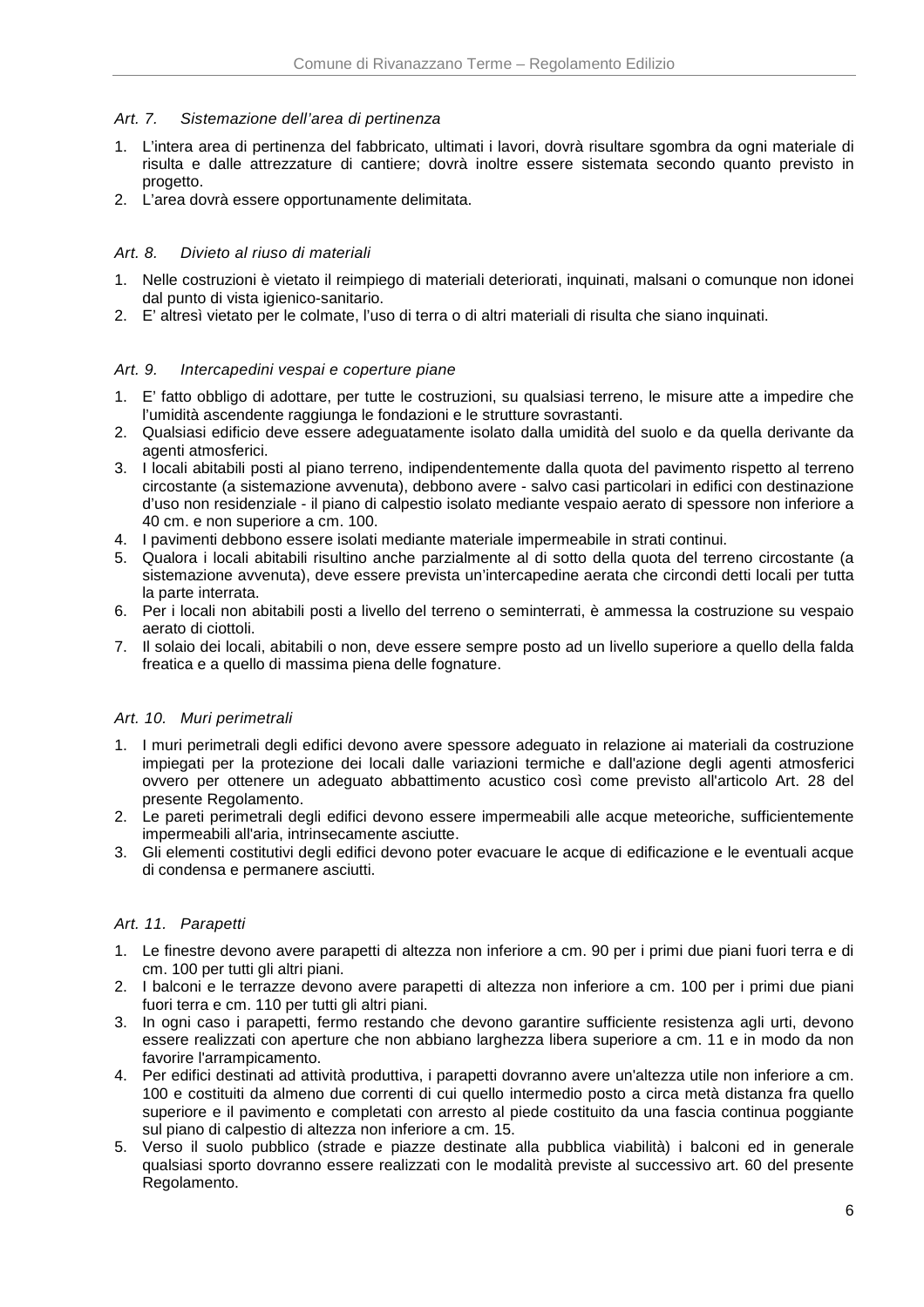### Art. 7. Sistemazione dell'area di pertinenza

- 1. L'intera area di pertinenza del fabbricato, ultimati i lavori, dovrà risultare sgombra da ogni materiale di risulta e dalle attrezzature di cantiere; dovrà inoltre essere sistemata secondo quanto previsto in progetto.
- 2. L'area dovrà essere opportunamente delimitata.

# Art. 8. Divieto al riuso di materiali

- 1. Nelle costruzioni è vietato il reimpiego di materiali deteriorati, inquinati, malsani o comunque non idonei dal punto di vista igienico-sanitario.
- 2. E' altresì vietato per le colmate, l'uso di terra o di altri materiali di risulta che siano inquinati.

# Art. 9. Intercapedini vespai e coperture piane

- 1. E' fatto obbligo di adottare, per tutte le costruzioni, su qualsiasi terreno, le misure atte a impedire che l'umidità ascendente raggiunga le fondazioni e le strutture sovrastanti.
- 2. Qualsiasi edificio deve essere adeguatamente isolato dalla umidità del suolo e da quella derivante da agenti atmosferici.
- 3. I locali abitabili posti al piano terreno, indipendentemente dalla quota del pavimento rispetto al terreno circostante (a sistemazione avvenuta), debbono avere - salvo casi particolari in edifici con destinazione d'uso non residenziale - il piano di calpestio isolato mediante vespaio aerato di spessore non inferiore a 40 cm. e non superiore a cm. 100.
- 4. I pavimenti debbono essere isolati mediante materiale impermeabile in strati continui.
- 5. Qualora i locali abitabili risultino anche parzialmente al di sotto della quota del terreno circostante (a sistemazione avvenuta), deve essere prevista un'intercapedine aerata che circondi detti locali per tutta la parte interrata.
- 6. Per i locali non abitabili posti a livello del terreno o seminterrati, è ammessa la costruzione su vespaio aerato di ciottoli.
- 7. Il solaio dei locali, abitabili o non, deve essere sempre posto ad un livello superiore a quello della falda freatica e a quello di massima piena delle fognature.

### Art. 10. Muri perimetrali

- 1. I muri perimetrali degli edifici devono avere spessore adeguato in relazione ai materiali da costruzione impiegati per la protezione dei locali dalle variazioni termiche e dall'azione degli agenti atmosferici ovvero per ottenere un adeguato abbattimento acustico così come previsto all'articolo Art. 28 del presente Regolamento.
- 2. Le pareti perimetrali degli edifici devono essere impermeabili alle acque meteoriche, sufficientemente impermeabili all'aria, intrinsecamente asciutte.
- 3. Gli elementi costitutivi degli edifici devono poter evacuare le acque di edificazione e le eventuali acque di condensa e permanere asciutti.

# Art. 11. Parapetti

- 1. Le finestre devono avere parapetti di altezza non inferiore a cm. 90 per i primi due piani fuori terra e di cm. 100 per tutti gli altri piani.
- 2. I balconi e le terrazze devono avere parapetti di altezza non inferiore a cm. 100 per i primi due piani fuori terra e cm. 110 per tutti gli altri piani.
- 3. In ogni caso i parapetti, fermo restando che devono garantire sufficiente resistenza agli urti, devono essere realizzati con aperture che non abbiano larghezza libera superiore a cm. 11 e in modo da non favorire l'arrampicamento.
- 4. Per edifici destinati ad attività produttiva, i parapetti dovranno avere un'altezza utile non inferiore a cm. 100 e costituiti da almeno due correnti di cui quello intermedio posto a circa metà distanza fra quello superiore e il pavimento e completati con arresto al piede costituito da una fascia continua poggiante sul piano di calpestio di altezza non inferiore a cm. 15.
- 5. Verso il suolo pubblico (strade e piazze destinate alla pubblica viabilità) i balconi ed in generale qualsiasi sporto dovranno essere realizzati con le modalità previste al successivo art. 60 del presente Regolamento.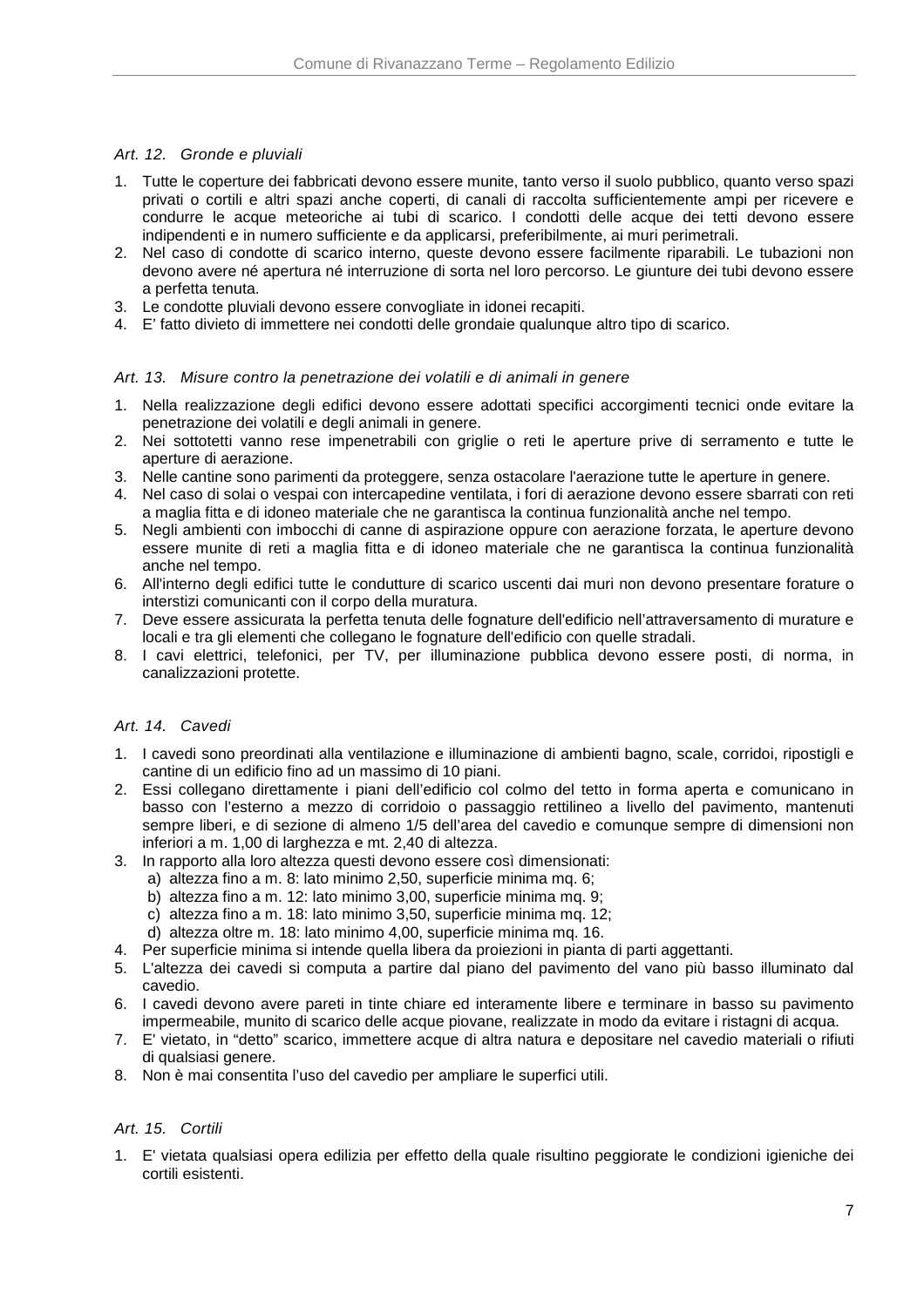### Art. 12. Gronde e pluviali

- 1. Tutte le coperture dei fabbricati devono essere munite, tanto verso il suolo pubblico, quanto verso spazi privati o cortili e altri spazi anche coperti, di canali di raccolta sufficientemente ampi per ricevere e condurre le acque meteoriche ai tubi di scarico. I condotti delle acque dei tetti devono essere indipendenti e in numero sufficiente e da applicarsi, preferibilmente, ai muri perimetrali.
- 2. Nel caso di condotte di scarico interno, queste devono essere facilmente riparabili. Le tubazioni non devono avere né apertura né interruzione di sorta nel loro percorso. Le giunture dei tubi devono essere a perfetta tenuta.
- 3. Le condotte pluviali devono essere convogliate in idonei recapiti.
- 4. E' fatto divieto di immettere nei condotti delle grondaie qualunque altro tipo di scarico.

### Art. 13. Misure contro la penetrazione dei volatili e di animali in genere

- 1. Nella realizzazione degli edifici devono essere adottati specifici accorgimenti tecnici onde evitare la penetrazione dei volatili e degli animali in genere.
- 2. Nei sottotetti vanno rese impenetrabili con griglie o reti le aperture prive di serramento e tutte le aperture di aerazione.
- 3. Nelle cantine sono parimenti da proteggere, senza ostacolare l'aerazione tutte le aperture in genere.
- 4. Nel caso di solai o vespai con intercapedine ventilata, i fori di aerazione devono essere sbarrati con reti a maglia fitta e di idoneo materiale che ne garantisca la continua funzionalità anche nel tempo.
- 5. Negli ambienti con imbocchi di canne di aspirazione oppure con aerazione forzata, le aperture devono essere munite di reti a maglia fitta e di idoneo materiale che ne garantisca la continua funzionalità anche nel tempo.
- 6. All'interno degli edifici tutte le condutture di scarico uscenti dai muri non devono presentare forature o interstizi comunicanti con il corpo della muratura.
- 7. Deve essere assicurata la perfetta tenuta delle fognature dell'edificio nell'attraversamento di murature e locali e tra gli elementi che collegano le fognature dell'edificio con quelle stradali.
- 8. I cavi elettrici, telefonici, per TV, per illuminazione pubblica devono essere posti, di norma, in canalizzazioni protette.

#### Art. 14. Cavedi

- 1. I cavedi sono preordinati alla ventilazione e illuminazione di ambienti bagno, scale, corridoi, ripostigli e cantine di un edificio fino ad un massimo di 10 piani.
- 2. Essi collegano direttamente i piani dell'edificio col colmo del tetto in forma aperta e comunicano in basso con l'esterno a mezzo di corridoio o passaggio rettilineo a livello del pavimento, mantenuti sempre liberi, e di sezione di almeno 1/5 dell'area del cavedio e comunque sempre di dimensioni non inferiori a m. 1,00 di larghezza e mt. 2,40 di altezza.
- 3. In rapporto alla loro altezza questi devono essere così dimensionati:
	- a) altezza fino a m. 8: lato minimo 2,50, superficie minima mq. 6;
	- b) altezza fino a m. 12: lato minimo 3,00, superficie minima mq. 9;
	- c) altezza fino a m. 18: lato minimo 3,50, superficie minima mq. 12;
	- d) altezza oltre m. 18: lato minimo 4,00, superficie minima mq. 16.
- 4. Per superficie minima si intende quella libera da proiezioni in pianta di parti aggettanti.
- 5. L'altezza dei cavedi si computa a partire dal piano del pavimento del vano più basso illuminato dal cavedio.
- 6. I cavedi devono avere pareti in tinte chiare ed interamente libere e terminare in basso su pavimento impermeabile, munito di scarico delle acque piovane, realizzate in modo da evitare i ristagni di acqua.
- 7. E' vietato, in "detto" scarico, immettere acque di altra natura e depositare nel cavedio materiali o rifiuti di qualsiasi genere.
- 8. Non è mai consentita l'uso del cavedio per ampliare le superfici utili.

### Art. 15. Cortili

1. E' vietata qualsiasi opera edilizia per effetto della quale risultino peggiorate le condizioni igieniche dei cortili esistenti.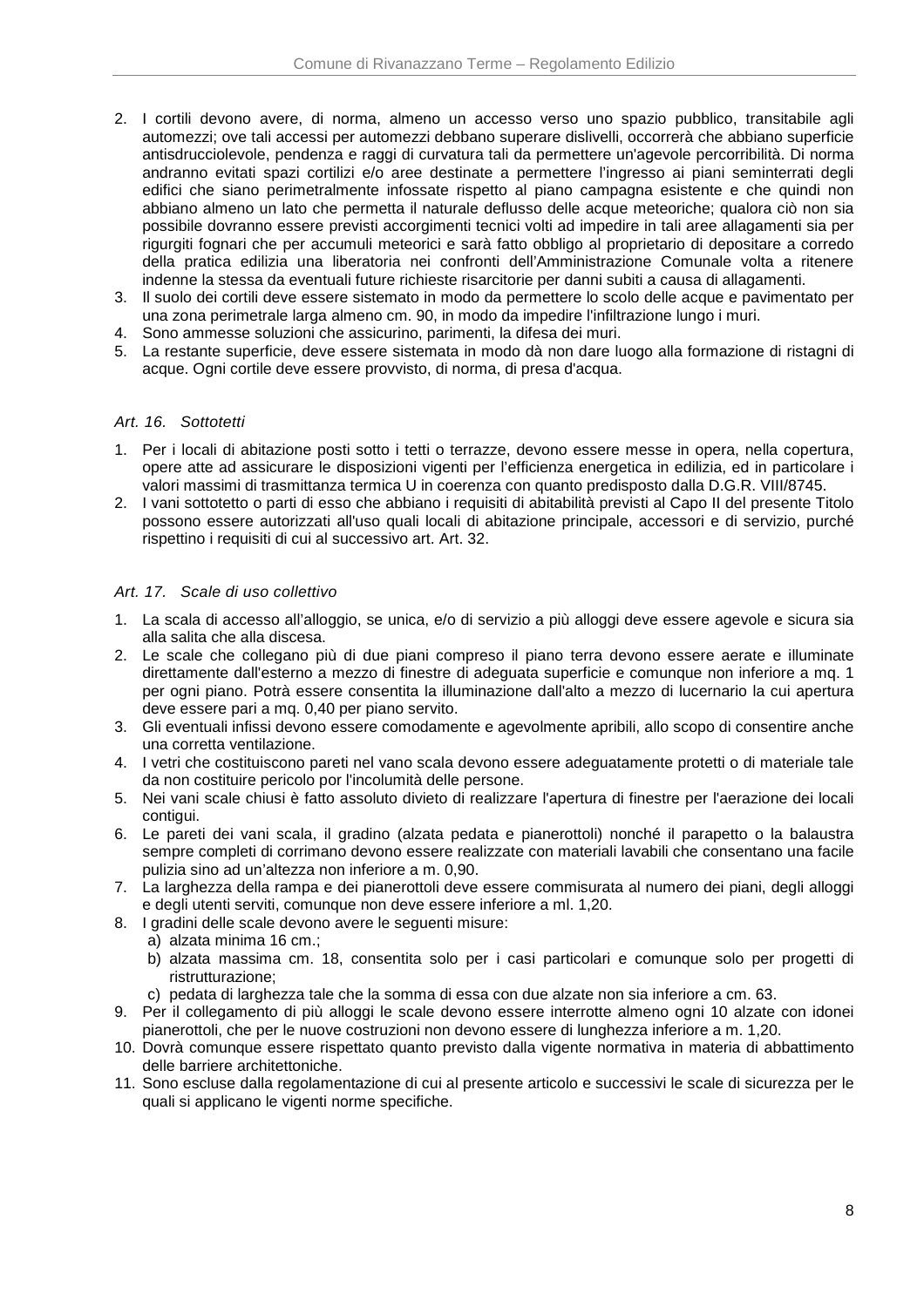- 2. I cortili devono avere, di norma, almeno un accesso verso uno spazio pubblico, transitabile agli automezzi; ove tali accessi per automezzi debbano superare dislivelli, occorrerà che abbiano superficie antisdrucciolevole, pendenza e raggi di curvatura tali da permettere un'agevole percorribilità. Di norma andranno evitati spazi cortilizi e/o aree destinate a permettere l'ingresso ai piani seminterrati degli edifici che siano perimetralmente infossate rispetto al piano campagna esistente e che quindi non abbiano almeno un lato che permetta il naturale deflusso delle acque meteoriche; qualora ciò non sia possibile dovranno essere previsti accorgimenti tecnici volti ad impedire in tali aree allagamenti sia per rigurgiti fognari che per accumuli meteorici e sarà fatto obbligo al proprietario di depositare a corredo della pratica edilizia una liberatoria nei confronti dell'Amministrazione Comunale volta a ritenere indenne la stessa da eventuali future richieste risarcitorie per danni subiti a causa di allagamenti.
- 3. Il suolo dei cortili deve essere sistemato in modo da permettere lo scolo delle acque e pavimentato per una zona perimetrale larga almeno cm. 90, in modo da impedire l'infiltrazione lungo i muri.
- 4. Sono ammesse soluzioni che assicurino, parimenti, la difesa dei muri.
- 5. La restante superficie, deve essere sistemata in modo dà non dare luogo alla formazione di ristagni di acque. Ogni cortile deve essere provvisto, di norma, di presa d'acqua.

### Art. 16. Sottotetti

- 1. Per i locali di abitazione posti sotto i tetti o terrazze, devono essere messe in opera, nella copertura, opere atte ad assicurare le disposizioni vigenti per l'efficienza energetica in edilizia, ed in particolare i valori massimi di trasmittanza termica U in coerenza con quanto predisposto dalla D.G.R. VIII/8745.
- 2. I vani sottotetto o parti di esso che abbiano i requisiti di abitabilità previsti al Capo II del presente Titolo possono essere autorizzati all'uso quali locali di abitazione principale, accessori e di servizio, purché rispettino i requisiti di cui al successivo art. Art. 32.

### Art. 17. Scale di uso collettivo

- 1. La scala di accesso all'alloggio, se unica, e/o di servizio a più alloggi deve essere agevole e sicura sia alla salita che alla discesa.
- 2. Le scale che collegano più di due piani compreso il piano terra devono essere aerate e illuminate direttamente dall'esterno a mezzo di finestre di adeguata superficie e comunque non inferiore a mq. 1 per ogni piano. Potrà essere consentita la illuminazione dall'alto a mezzo di lucernario la cui apertura deve essere pari a mq. 0,40 per piano servito.
- 3. Gli eventuali infissi devono essere comodamente e agevolmente apribili, allo scopo di consentire anche una corretta ventilazione.
- 4. I vetri che costituiscono pareti nel vano scala devono essere adeguatamente protetti o di materiale tale da non costituire pericolo por l'incolumità delle persone.
- 5. Nei vani scale chiusi è fatto assoluto divieto di realizzare l'apertura di finestre per l'aerazione dei locali contigui.
- 6. Le pareti dei vani scala, il gradino (alzata pedata e pianerottoli) nonché il parapetto o la balaustra sempre completi di corrimano devono essere realizzate con materiali lavabili che consentano una facile pulizia sino ad un'altezza non inferiore a m. 0,90.
- 7. La larghezza della rampa e dei pianerottoli deve essere commisurata al numero dei piani, degli alloggi e degli utenti serviti, comunque non deve essere inferiore a ml. 1,20.
- 8. I gradini delle scale devono avere le seguenti misure:
	- a) alzata minima 16 cm.;
	- b) alzata massima cm. 18, consentita solo per i casi particolari e comunque solo per progetti di ristrutturazione;
	- c) pedata di larghezza tale che la somma di essa con due alzate non sia inferiore a cm. 63.
- 9. Per il collegamento di più alloggi le scale devono essere interrotte almeno ogni 10 alzate con idonei pianerottoli, che per le nuove costruzioni non devono essere di lunghezza inferiore a m. 1,20.
- 10. Dovrà comunque essere rispettato quanto previsto dalla vigente normativa in materia di abbattimento delle barriere architettoniche.
- 11. Sono escluse dalla regolamentazione di cui al presente articolo e successivi le scale di sicurezza per le quali si applicano le vigenti norme specifiche.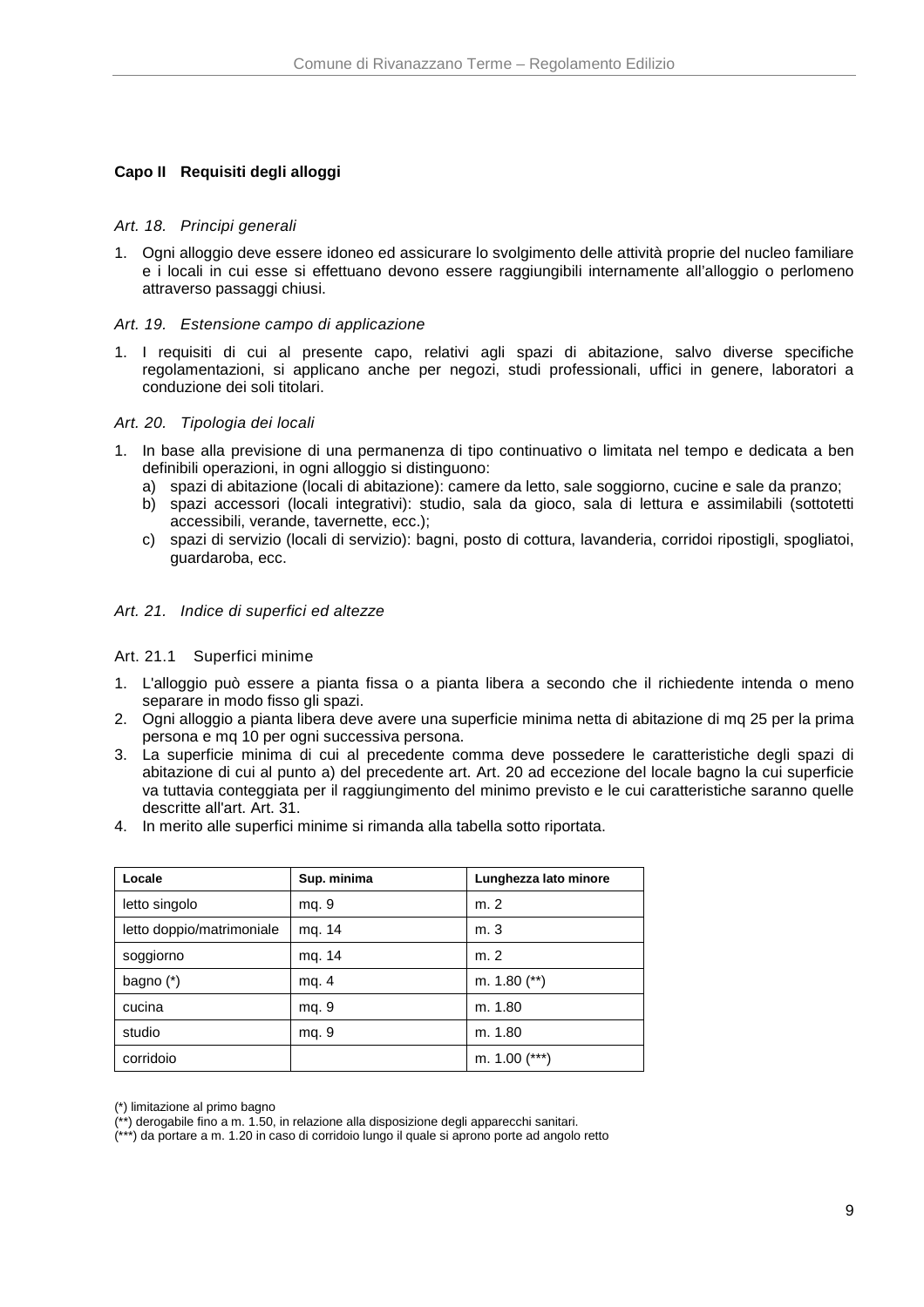# **Capo II Requisiti degli alloggi**

#### Art. 18. Principi generali

1. Ogni alloggio deve essere idoneo ed assicurare lo svolgimento delle attività proprie del nucleo familiare e i locali in cui esse si effettuano devono essere raggiungibili internamente all'alloggio o perlomeno attraverso passaggi chiusi.

### Art. 19. Estensione campo di applicazione

1. I requisiti di cui al presente capo, relativi agli spazi di abitazione, salvo diverse specifiche regolamentazioni, si applicano anche per negozi, studi professionali, uffici in genere, laboratori a conduzione dei soli titolari.

### Art. 20. Tipologia dei locali

- 1. In base alla previsione di una permanenza di tipo continuativo o limitata nel tempo e dedicata a ben definibili operazioni, in ogni alloggio si distinguono:
	- a) spazi di abitazione (locali di abitazione): camere da letto, sale soggiorno, cucine e sale da pranzo;
	- b) spazi accessori (locali integrativi): studio, sala da gioco, sala di lettura e assimilabili (sottotetti accessibili, verande, tavernette, ecc.);
	- c) spazi di servizio (locali di servizio): bagni, posto di cottura, lavanderia, corridoi ripostigli, spogliatoi, guardaroba, ecc.

### Art. 21. Indice di superfici ed altezze

### Art. 21.1 Superfici minime

- 1. L'alloggio può essere a pianta fissa o a pianta libera a secondo che il richiedente intenda o meno separare in modo fisso gli spazi.
- 2. Ogni alloggio a pianta libera deve avere una superficie minima netta di abitazione di mq 25 per la prima persona e mq 10 per ogni successiva persona.
- 3. La superficie minima di cui al precedente comma deve possedere le caratteristiche degli spazi di abitazione di cui al punto a) del precedente art. Art. 20 ad eccezione del locale bagno la cui superficie va tuttavia conteggiata per il raggiungimento del minimo previsto e le cui caratteristiche saranno quelle descritte all'art. Art. 31.
- 4. In merito alle superfici minime si rimanda alla tabella sotto riportata.

| Locale                    | Sup. minima | Lunghezza lato minore |
|---------------------------|-------------|-----------------------|
| letto singolo             | mg. 9       | m. 2                  |
| letto doppio/matrimoniale | mg. 14      | m. 3                  |
| soggiorno                 | mq. 14      | m.2                   |
| bagno $(*)$               | mg. 4       | m. $1.80$ (**)        |
| cucina                    | mg. 9       | m. 1.80               |
| studio                    | mg. 9       | m. 1.80               |
| corridoio                 |             | m. $1.00$ (***)       |

(\*) limitazione al primo bagno

(\*\*\*) da portare a m. 1.20 in caso di corridoio lungo il quale si aprono porte ad angolo retto

 $^{*}$ ) derogabile fino a m. 1.50, in relazione alla disposizione degli apparecchi sanitari.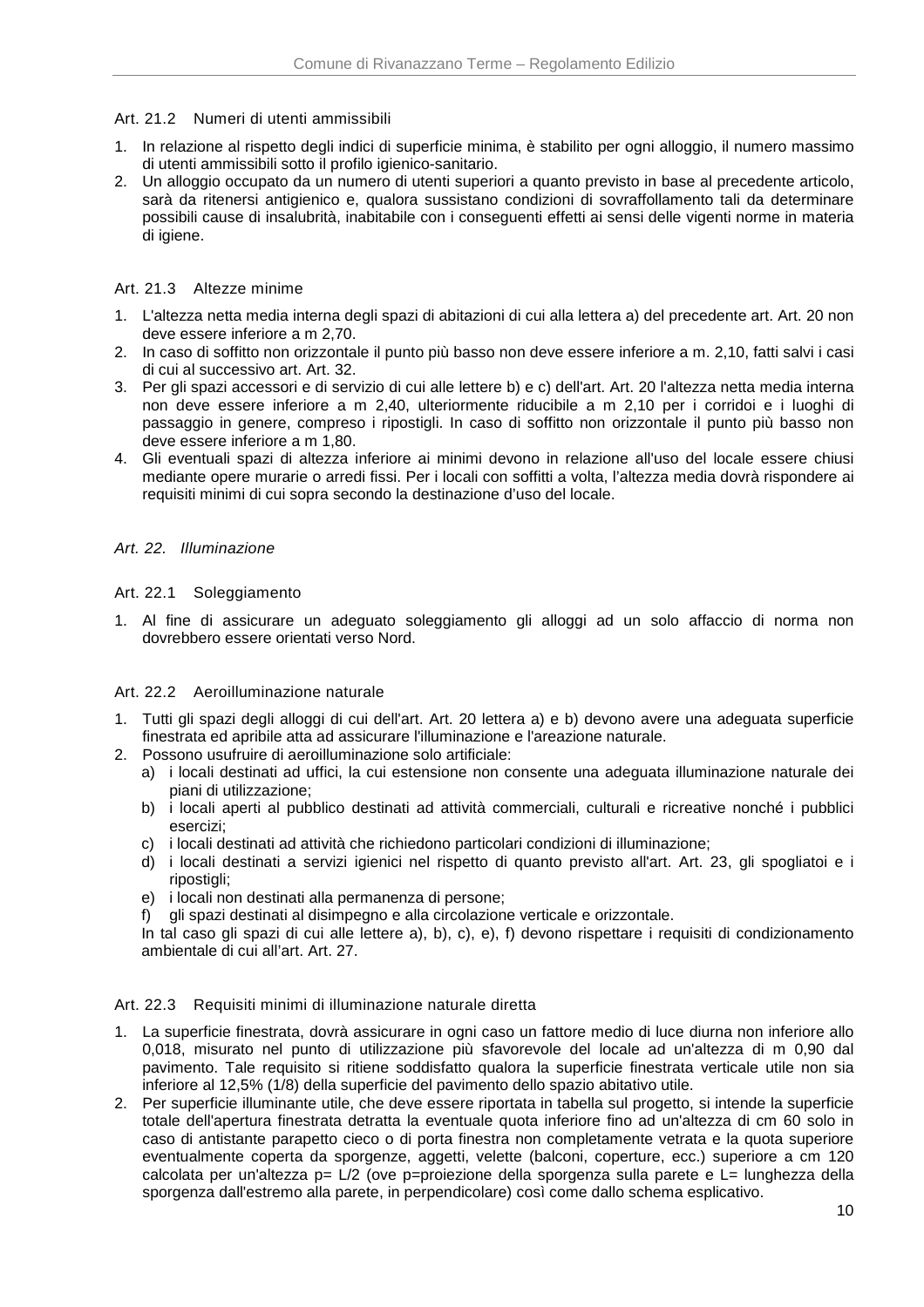### Art. 21.2 Numeri di utenti ammissibili

- 1. In relazione al rispetto degli indici di superficie minima, è stabilito per ogni alloggio, il numero massimo di utenti ammissibili sotto il profilo igienico-sanitario.
- 2. Un alloggio occupato da un numero di utenti superiori a quanto previsto in base al precedente articolo, sarà da ritenersi antigienico e, qualora sussistano condizioni di sovraffollamento tali da determinare possibili cause di insalubrità, inabitabile con i conseguenti effetti ai sensi delle vigenti norme in materia di igiene.

### Art. 21.3 Altezze minime

- 1. L'altezza netta media interna degli spazi di abitazioni di cui alla lettera a) del precedente art. Art. 20 non deve essere inferiore a m 2,70.
- 2. In caso di soffitto non orizzontale il punto più basso non deve essere inferiore a m. 2,10, fatti salvi i casi di cui al successivo art. Art. 32.
- 3. Per gli spazi accessori e di servizio di cui alle lettere b) e c) dell'art. Art. 20 l'altezza netta media interna non deve essere inferiore a m 2,40, ulteriormente riducibile a m 2,10 per i corridoi e i luoghi di passaggio in genere, compreso i ripostigli. In caso di soffitto non orizzontale il punto più basso non deve essere inferiore a m 1,80.
- 4. Gli eventuali spazi di altezza inferiore ai minimi devono in relazione all'uso del locale essere chiusi mediante opere murarie o arredi fissi. Per i locali con soffitti a volta, l'altezza media dovrà rispondere ai requisiti minimi di cui sopra secondo la destinazione d'uso del locale.

### Art. 22. Illuminazione

### Art. 22.1 Soleggiamento

1. Al fine di assicurare un adeguato soleggiamento gli alloggi ad un solo affaccio di norma non dovrebbero essere orientati verso Nord.

### Art. 22.2 Aeroilluminazione naturale

- 1. Tutti gli spazi degli alloggi di cui dell'art. Art. 20 lettera a) e b) devono avere una adeguata superficie finestrata ed apribile atta ad assicurare l'illuminazione e l'areazione naturale.
- 2. Possono usufruire di aeroilluminazione solo artificiale:
	- a) i locali destinati ad uffici, la cui estensione non consente una adeguata illuminazione naturale dei piani di utilizzazione;
	- b) i locali aperti al pubblico destinati ad attività commerciali, culturali e ricreative nonché i pubblici esercizi;
	- c) i locali destinati ad attività che richiedono particolari condizioni di illuminazione;
	- d) i locali destinati a servizi igienici nel rispetto di quanto previsto all'art. Art. 23, gli spogliatoi e i ripostigli;
	- e) i locali non destinati alla permanenza di persone;
	- f) gli spazi destinati al disimpegno e alla circolazione verticale e orizzontale.

In tal caso gli spazi di cui alle lettere a), b), c), e), f) devono rispettare i requisiti di condizionamento ambientale di cui all'art. Art. 27.

#### Art. 22.3 Requisiti minimi di illuminazione naturale diretta

- 1. La superficie finestrata, dovrà assicurare in ogni caso un fattore medio di luce diurna non inferiore allo 0,018, misurato nel punto di utilizzazione più sfavorevole del locale ad un'altezza di m 0,90 dal pavimento. Tale requisito si ritiene soddisfatto qualora la superficie finestrata verticale utile non sia inferiore al 12,5% (1/8) della superficie del pavimento dello spazio abitativo utile.
- 2. Per superficie illuminante utile, che deve essere riportata in tabella sul progetto, si intende la superficie totale dell'apertura finestrata detratta la eventuale quota inferiore fino ad un'altezza di cm 60 solo in caso di antistante parapetto cieco o di porta finestra non completamente vetrata e la quota superiore eventualmente coperta da sporgenze, aggetti, velette (balconi, coperture, ecc.) superiore a cm 120 calcolata per un'altezza p= L/2 (ove p=proiezione della sporgenza sulla parete e L= lunghezza della sporgenza dall'estremo alla parete, in perpendicolare) così come dallo schema esplicativo.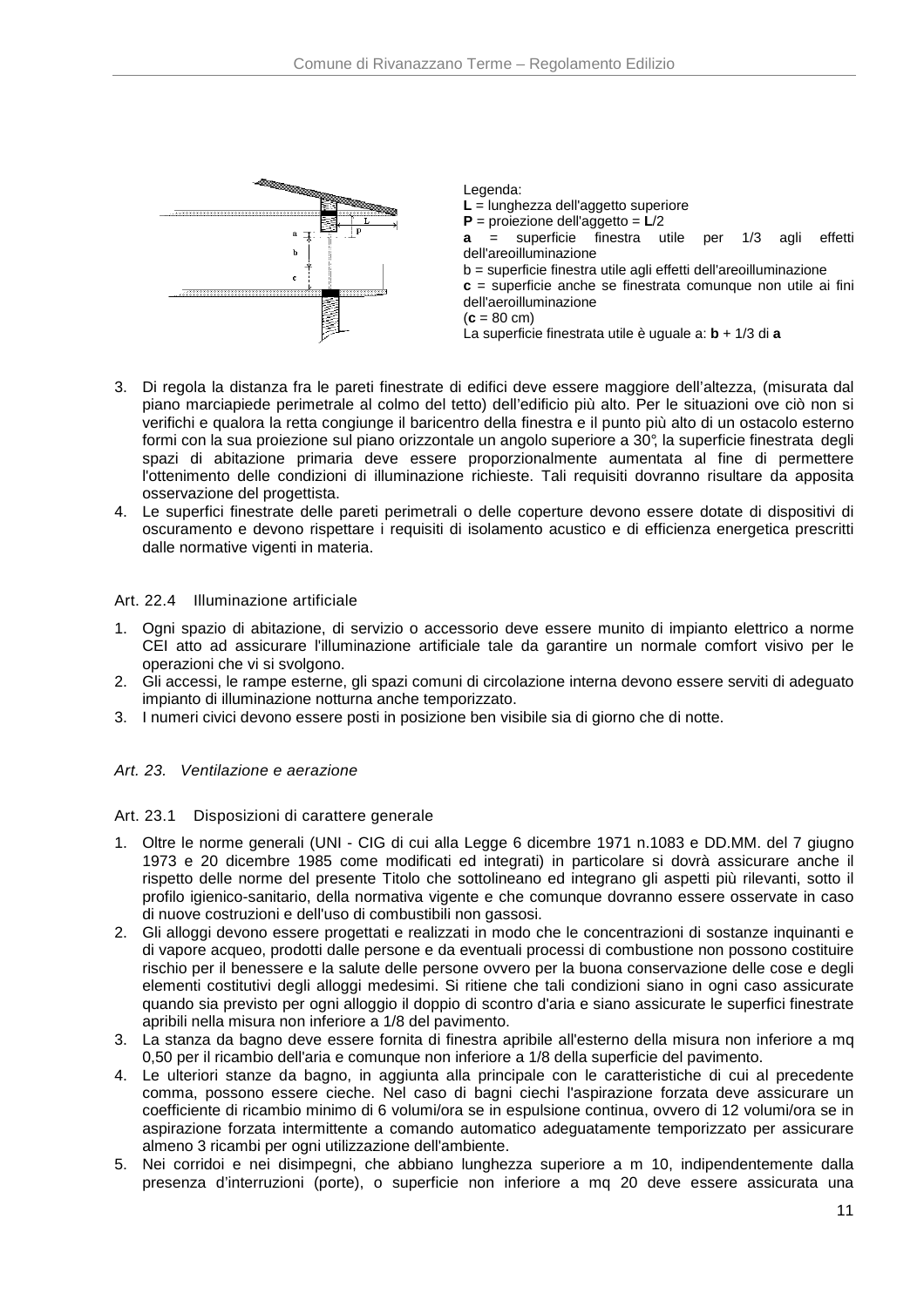

Legenda: **L** = lunghezza dell'aggetto superiore **P** = proiezione dell'aggetto = **L**/2 **a** = superficie finestra utile per 1/3 agli effetti dell'areoilluminazione b = superficie finestra utile agli effetti dell'areoilluminazione **c** = superficie anche se finestrata comunque non utile ai fini dell'aeroilluminazione  $(c = 80 \text{ cm})$ La superficie finestrata utile è uguale a: **b** + 1/3 di **a**

- 3. Di regola la distanza fra le pareti finestrate di edifici deve essere maggiore dell'altezza, (misurata dal piano marciapiede perimetrale al colmo del tetto) dell'edificio più alto. Per le situazioni ove ciò non si verifichi e qualora la retta congiunge il baricentro della finestra e il punto più alto di un ostacolo esterno formi con la sua proiezione sul piano orizzontale un angolo superiore a 30°, la superficie finestrata degli spazi di abitazione primaria deve essere proporzionalmente aumentata al fine di permettere l'ottenimento delle condizioni di illuminazione richieste. Tali requisiti dovranno risultare da apposita osservazione del progettista.
- 4. Le superfici finestrate delle pareti perimetrali o delle coperture devono essere dotate di dispositivi di oscuramento e devono rispettare i requisiti di isolamento acustico e di efficienza energetica prescritti dalle normative vigenti in materia.

### Art. 22.4 Illuminazione artificiale

- 1. Ogni spazio di abitazione, di servizio o accessorio deve essere munito di impianto elettrico a norme CEI atto ad assicurare l'illuminazione artificiale tale da garantire un normale comfort visivo per le operazioni che vi si svolgono.
- 2. Gli accessi, le rampe esterne, gli spazi comuni di circolazione interna devono essere serviti di adeguato impianto di illuminazione notturna anche temporizzato.
- 3. I numeri civici devono essere posti in posizione ben visibile sia di giorno che di notte.

### Art. 23. Ventilazione e aerazione

#### Art. 23.1 Disposizioni di carattere generale

- 1. Oltre le norme generali (UNI CIG di cui alla Legge 6 dicembre 1971 n.1083 e DD.MM. del 7 giugno 1973 e 20 dicembre 1985 come modificati ed integrati) in particolare si dovrà assicurare anche il rispetto delle norme del presente Titolo che sottolineano ed integrano gli aspetti più rilevanti, sotto il profilo igienico-sanitario, della normativa vigente e che comunque dovranno essere osservate in caso di nuove costruzioni e dell'uso di combustibili non gassosi.
- 2. Gli alloggi devono essere progettati e realizzati in modo che le concentrazioni di sostanze inquinanti e di vapore acqueo, prodotti dalle persone e da eventuali processi di combustione non possono costituire rischio per il benessere e la salute delle persone ovvero per la buona conservazione delle cose e degli elementi costitutivi degli alloggi medesimi. Si ritiene che tali condizioni siano in ogni caso assicurate quando sia previsto per ogni alloggio il doppio di scontro d'aria e siano assicurate le superfici finestrate apribili nella misura non inferiore a 1/8 del pavimento.
- 3. La stanza da bagno deve essere fornita di finestra apribile all'esterno della misura non inferiore a mq 0,50 per il ricambio dell'aria e comunque non inferiore a 1/8 della superficie del pavimento.
- 4. Le ulteriori stanze da bagno, in aggiunta alla principale con le caratteristiche di cui al precedente comma, possono essere cieche. Nel caso di bagni ciechi l'aspirazione forzata deve assicurare un coefficiente di ricambio minimo di 6 volumi/ora se in espulsione continua, ovvero di 12 volumi/ora se in aspirazione forzata intermittente a comando automatico adeguatamente temporizzato per assicurare almeno 3 ricambi per ogni utilizzazione dell'ambiente.
- 5. Nei corridoi e nei disimpegni, che abbiano lunghezza superiore a m 10, indipendentemente dalla presenza d'interruzioni (porte), o superficie non inferiore a mq 20 deve essere assicurata una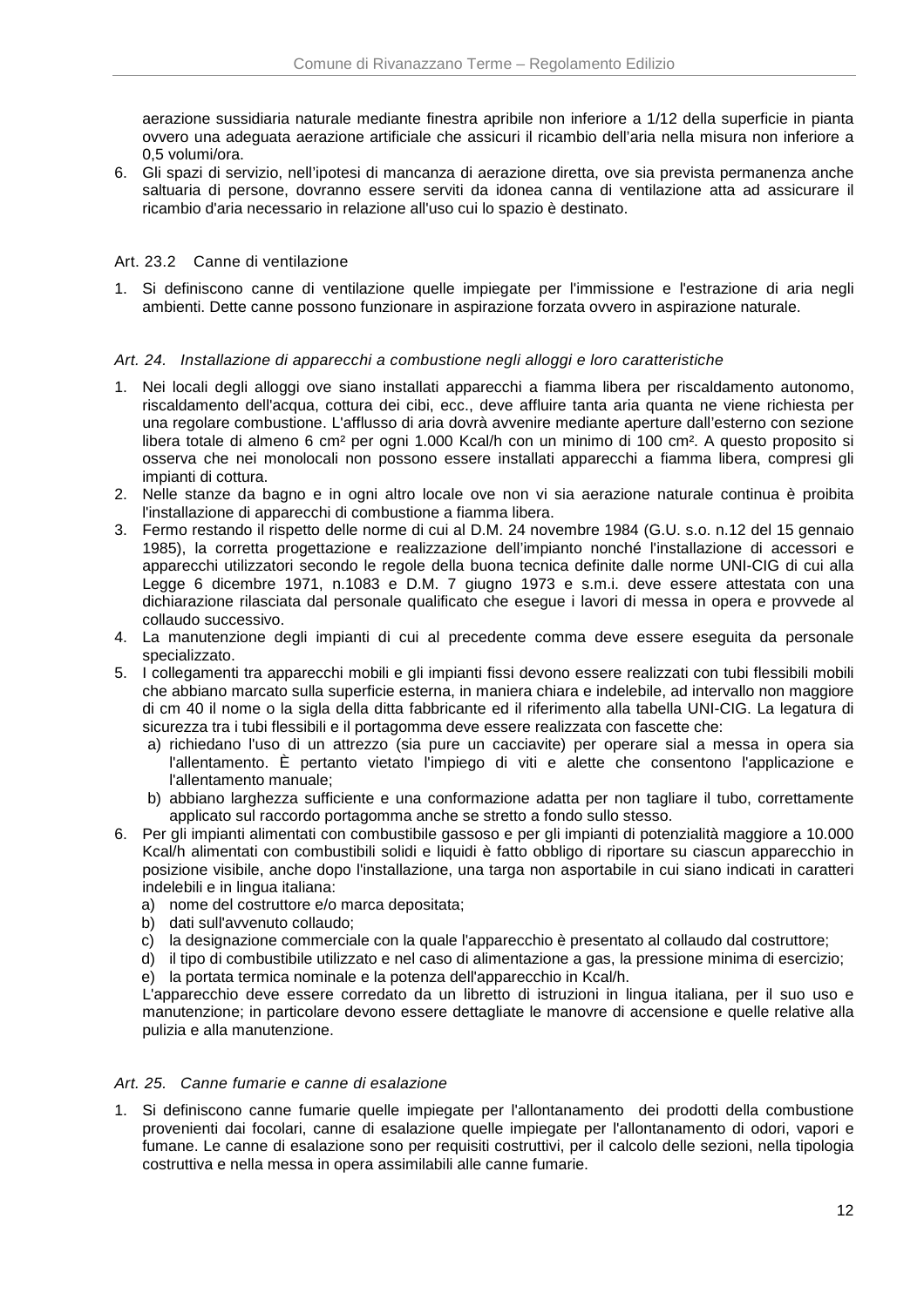aerazione sussidiaria naturale mediante finestra apribile non inferiore a 1/12 della superficie in pianta ovvero una adeguata aerazione artificiale che assicuri il ricambio dell'aria nella misura non inferiore a 0,5 volumi/ora.

6. Gli spazi di servizio, nell'ipotesi di mancanza di aerazione diretta, ove sia prevista permanenza anche saltuaria di persone, dovranno essere serviti da idonea canna di ventilazione atta ad assicurare il ricambio d'aria necessario in relazione all'uso cui lo spazio è destinato.

### Art. 23.2 Canne di ventilazione

1. Si definiscono canne di ventilazione quelle impiegate per l'immissione e l'estrazione di aria negli ambienti. Dette canne possono funzionare in aspirazione forzata ovvero in aspirazione naturale.

### Art. 24. Installazione di apparecchi a combustione negli alloggi e loro caratteristiche

- 1. Nei locali degli alloggi ove siano installati apparecchi a fiamma libera per riscaldamento autonomo, riscaldamento dell'acqua, cottura dei cibi, ecc., deve affluire tanta aria quanta ne viene richiesta per una regolare combustione. L'afflusso di aria dovrà avvenire mediante aperture dall'esterno con sezione libera totale di almeno 6 cm² per ogni 1.000 Kcal/h con un minimo di 100 cm². A questo proposito si osserva che nei monolocali non possono essere installati apparecchi a fiamma libera, compresi gli impianti di cottura.
- 2. Nelle stanze da bagno e in ogni altro locale ove non vi sia aerazione naturale continua è proibita l'installazione di apparecchi di combustione a fiamma libera.
- 3. Fermo restando il rispetto delle norme di cui al D.M. 24 novembre 1984 (G.U. s.o. n.12 del 15 gennaio 1985), la corretta progettazione e realizzazione dell'impianto nonché l'installazione di accessori e apparecchi utilizzatori secondo le regole della buona tecnica definite dalle norme UNI-CIG di cui alla Legge 6 dicembre 1971, n.1083 e D.M. 7 giugno 1973 e s.m.i. deve essere attestata con una dichiarazione rilasciata dal personale qualificato che esegue i lavori di messa in opera e provvede al collaudo successivo.
- 4. La manutenzione degli impianti di cui al precedente comma deve essere eseguita da personale specializzato.
- 5. I collegamenti tra apparecchi mobili e gli impianti fissi devono essere realizzati con tubi flessibili mobili che abbiano marcato sulla superficie esterna, in maniera chiara e indelebile, ad intervallo non maggiore di cm 40 il nome o la sigla della ditta fabbricante ed il riferimento alla tabella UNI-CIG. La legatura di sicurezza tra i tubi flessibili e il portagomma deve essere realizzata con fascette che:
	- a) richiedano l'uso di un attrezzo (sia pure un cacciavite) per operare sial a messa in opera sia l'allentamento. È pertanto vietato l'impiego di viti e alette che consentono l'applicazione e l'allentamento manuale;
	- b) abbiano larghezza sufficiente e una conformazione adatta per non tagliare il tubo, correttamente applicato sul raccordo portagomma anche se stretto a fondo sullo stesso.
- 6. Per gli impianti alimentati con combustibile gassoso e per gli impianti di potenzialità maggiore a 10.000 Kcal/h alimentati con combustibili solidi e liquidi è fatto obbligo di riportare su ciascun apparecchio in posizione visibile, anche dopo l'installazione, una targa non asportabile in cui siano indicati in caratteri indelebili e in lingua italiana:
	- a) nome del costruttore e/o marca depositata;
	- b) dati sull'avvenuto collaudo;
	- c) la designazione commerciale con la quale l'apparecchio è presentato al collaudo dal costruttore;
	- d) il tipo di combustibile utilizzato e nel caso di alimentazione a gas, la pressione minima di esercizio;
	- e) la portata termica nominale e la potenza dell'apparecchio in Kcal/h.

L'apparecchio deve essere corredato da un libretto di istruzioni in lingua italiana, per il suo uso e manutenzione; in particolare devono essere dettagliate le manovre di accensione e quelle relative alla pulizia e alla manutenzione.

### Art. 25. Canne fumarie e canne di esalazione

1. Si definiscono canne fumarie quelle impiegate per l'allontanamento dei prodotti della combustione provenienti dai focolari, canne di esalazione quelle impiegate per l'allontanamento di odori, vapori e fumane. Le canne di esalazione sono per requisiti costruttivi, per il calcolo delle sezioni, nella tipologia costruttiva e nella messa in opera assimilabili alle canne fumarie.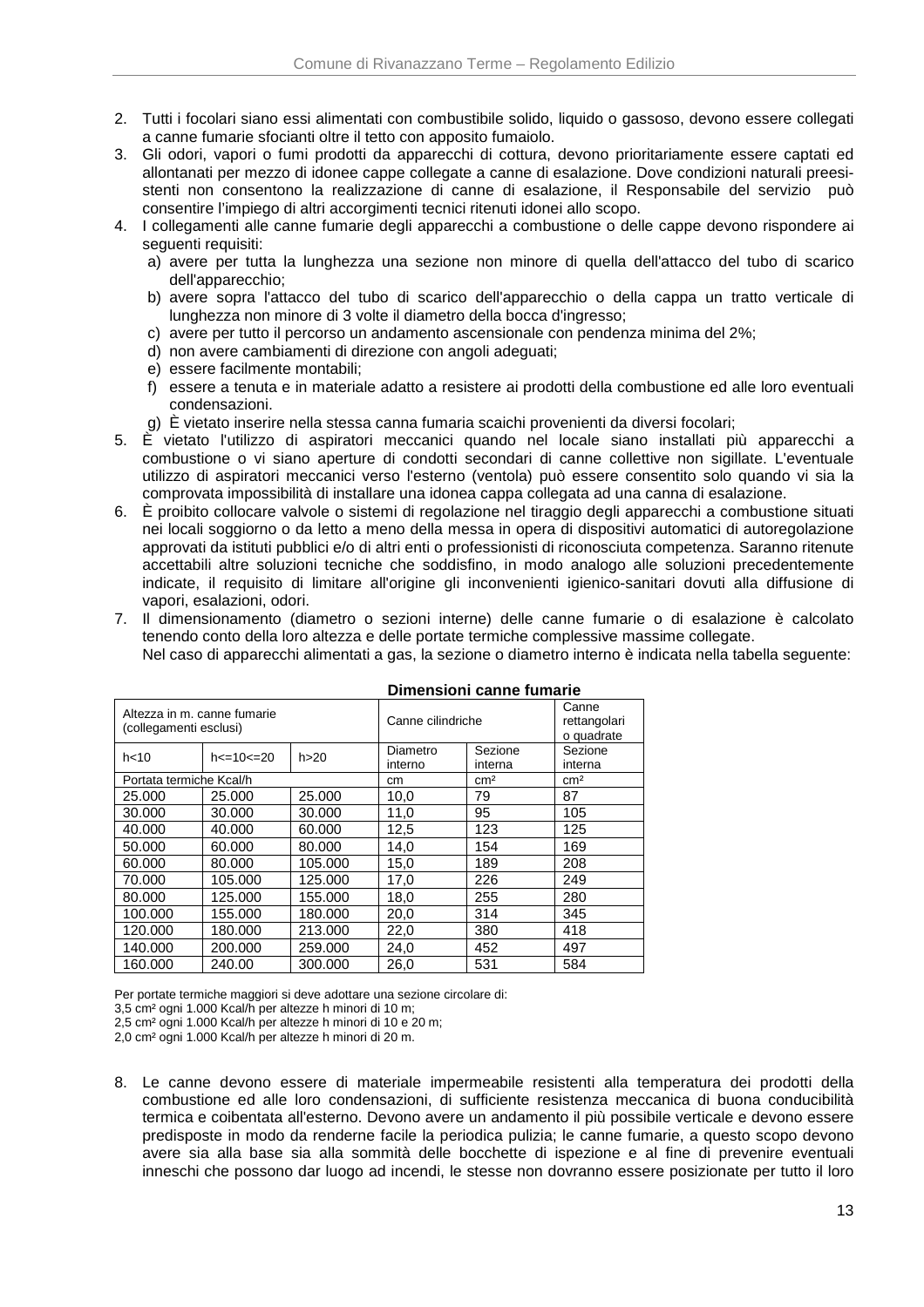- 2. Tutti i focolari siano essi alimentati con combustibile solido, liquido o gassoso, devono essere collegati a canne fumarie sfocianti oltre il tetto con apposito fumaiolo.
- 3. Gli odori, vapori o fumi prodotti da apparecchi di cottura, devono prioritariamente essere captati ed allontanati per mezzo di idonee cappe collegate a canne di esalazione. Dove condizioni naturali preesistenti non consentono la realizzazione di canne di esalazione, il Responsabile del servizio può consentire l'impiego di altri accorgimenti tecnici ritenuti idonei allo scopo.
- 4. I collegamenti alle canne fumarie degli apparecchi a combustione o delle cappe devono rispondere ai seguenti requisiti:
	- a) avere per tutta la lunghezza una sezione non minore di quella dell'attacco del tubo di scarico dell'apparecchio;
	- b) avere sopra l'attacco del tubo di scarico dell'apparecchio o della cappa un tratto verticale di lunghezza non minore di 3 volte il diametro della bocca d'ingresso;
	- c) avere per tutto il percorso un andamento ascensionale con pendenza minima del 2%;
	- d) non avere cambiamenti di direzione con angoli adeguati;
	- e) essere facilmente montabili;
	- f) essere a tenuta e in materiale adatto a resistere ai prodotti della combustione ed alle loro eventuali condensazioni.
	- g) È vietato inserire nella stessa canna fumaria scaichi provenienti da diversi focolari;
- 5. È vietato l'utilizzo di aspiratori meccanici quando nel locale siano installati più apparecchi a combustione o vi siano aperture di condotti secondari di canne collettive non sigillate. L'eventuale utilizzo di aspiratori meccanici verso l'esterno (ventola) può essere consentito solo quando vi sia la comprovata impossibilità di installare una idonea cappa collegata ad una canna di esalazione.
- 6. È proibito collocare valvole o sistemi di regolazione nel tiraggio degli apparecchi a combustione situati nei locali soggiorno o da letto a meno della messa in opera di dispositivi automatici di autoregolazione approvati da istituti pubblici e/o di altri enti o professionisti di riconosciuta competenza. Saranno ritenute accettabili altre soluzioni tecniche che soddisfino, in modo analogo alle soluzioni precedentemente indicate, il requisito di limitare all'origine gli inconvenienti igienico-sanitari dovuti alla diffusione di vapori, esalazioni, odori.
- 7. Il dimensionamento (diametro o sezioni interne) delle canne fumarie o di esalazione è calcolato tenendo conto della loro altezza e delle portate termiche complessive massime collegate. Nel caso di apparecchi alimentati a gas, la sezione o diametro interno è indicata nella tabella seguente:

|                                                       |                   |         |                     | Pliliensionii canne funiane |                                     |
|-------------------------------------------------------|-------------------|---------|---------------------|-----------------------------|-------------------------------------|
| Altezza in m. canne fumarie<br>(collegamenti esclusi) |                   |         | Canne cilindriche   |                             | Canne<br>rettangolari<br>o quadrate |
| h<10                                                  | $h < = 10 < = 20$ | h > 20  | Diametro<br>interno | Sezione<br>interna          |                                     |
| Portata termiche Kcal/h                               |                   |         | cm                  | cm <sup>2</sup>             | cm <sup>2</sup>                     |
| 25,000                                                | 25,000            | 25,000  | 10,0                | 79                          | 87                                  |
| 30,000                                                | 30.000            | 30.000  | 11,0                | 95                          | 105                                 |
| 40.000                                                | 40.000            | 60.000  | 12,5                | 123                         | 125                                 |
| 50,000                                                | 60.000            | 80.000  | 14,0                | 154                         | 169                                 |
| 60,000                                                | 80.000            | 105.000 | 15,0                | 189                         | 208                                 |
| 70.000                                                | 105.000           | 125.000 | 17,0                | 226                         | 249                                 |
| 80,000                                                | 125.000           | 155.000 | 18,0                | 255                         | 280                                 |
| 100.000                                               | 155.000           | 180,000 | 20,0                | 314                         | 345                                 |
| 120.000                                               | 180,000           | 213.000 | 22,0                | 380                         | 418                                 |
| 140.000                                               | 200.000           | 259.000 | 24,0                | 452                         | 497                                 |
| 160,000                                               | 240.00            | 300.000 | 26,0                | 531                         | 584                                 |

#### **Dimensioni canne fumarie**

Per portate termiche maggiori si deve adottare una sezione circolare di:

3,5 cm² ogni 1.000 Kcal/h per altezze h minori di 10 m;

2,5 cm² ogni 1.000 Kcal/h per altezze h minori di 10 e 20 m;

2,0 cm² ogni 1.000 Kcal/h per altezze h minori di 20 m.

8. Le canne devono essere di materiale impermeabile resistenti alla temperatura dei prodotti della combustione ed alle loro condensazioni, di sufficiente resistenza meccanica di buona conducibilità termica e coibentata all'esterno. Devono avere un andamento il più possibile verticale e devono essere predisposte in modo da renderne facile la periodica pulizia; le canne fumarie, a questo scopo devono avere sia alla base sia alla sommità delle bocchette di ispezione e al fine di prevenire eventuali inneschi che possono dar luogo ad incendi, le stesse non dovranno essere posizionate per tutto il loro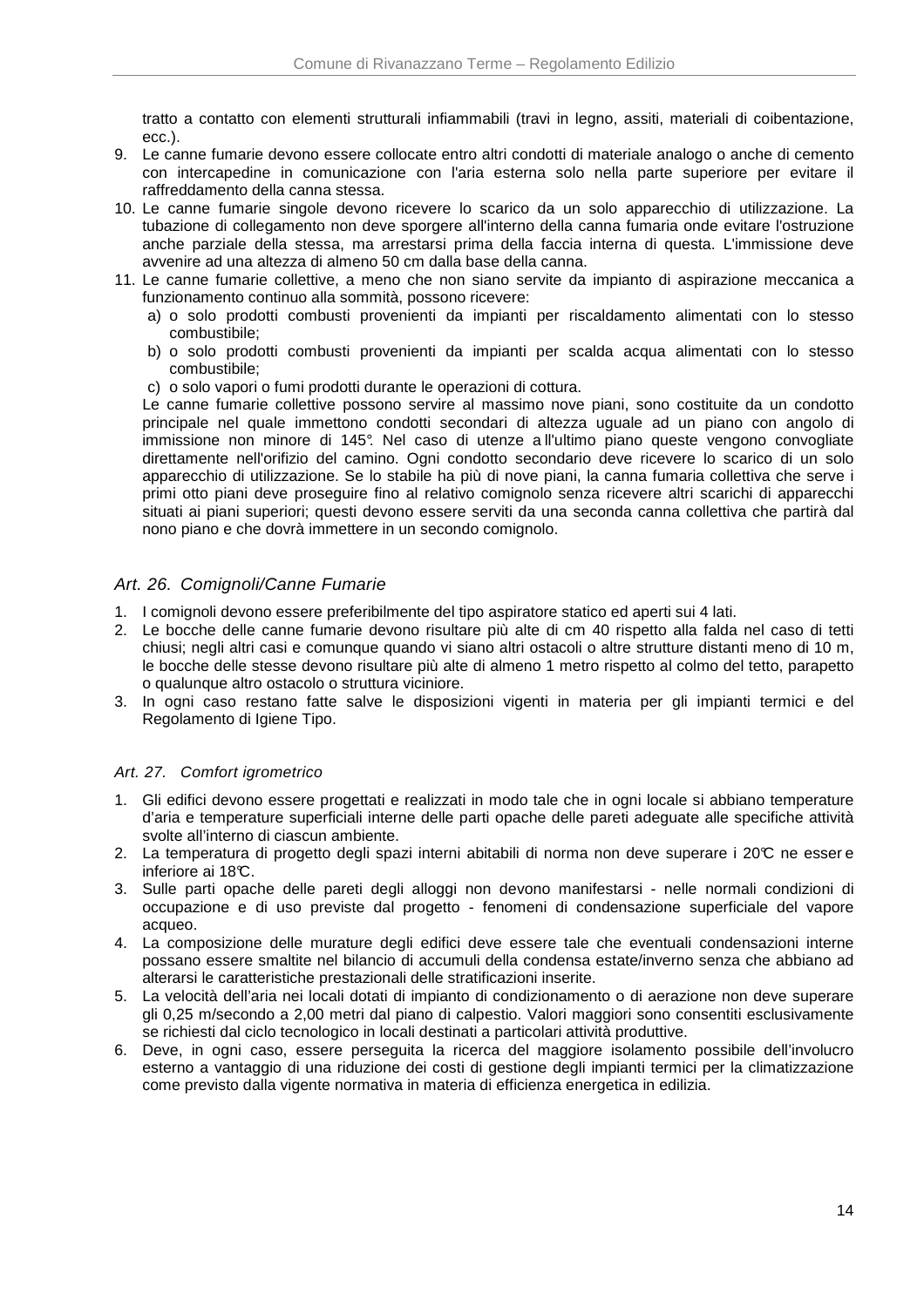tratto a contatto con elementi strutturali infiammabili (travi in legno, assiti, materiali di coibentazione, ecc.).

- 9. Le canne fumarie devono essere collocate entro altri condotti di materiale analogo o anche di cemento con intercapedine in comunicazione con l'aria esterna solo nella parte superiore per evitare il raffreddamento della canna stessa.
- 10. Le canne fumarie singole devono ricevere lo scarico da un solo apparecchio di utilizzazione. La tubazione di collegamento non deve sporgere all'interno della canna fumaria onde evitare l'ostruzione anche parziale della stessa, ma arrestarsi prima della faccia interna di questa. L'immissione deve avvenire ad una altezza di almeno 50 cm dalla base della canna.
- 11. Le canne fumarie collettive, a meno che non siano servite da impianto di aspirazione meccanica a funzionamento continuo alla sommità, possono ricevere:
	- a) o solo prodotti combusti provenienti da impianti per riscaldamento alimentati con lo stesso combustibile;
	- b) o solo prodotti combusti provenienti da impianti per scalda acqua alimentati con lo stesso combustibile;
	- c) o solo vapori o fumi prodotti durante le operazioni di cottura.

Le canne fumarie collettive possono servire al massimo nove piani, sono costituite da un condotto principale nel quale immettono condotti secondari di altezza uguale ad un piano con angolo di immissione non minore di 145°. Nel caso di utenze a ll'ultimo piano queste vengono convogliate direttamente nell'orifizio del camino. Ogni condotto secondario deve ricevere lo scarico di un solo apparecchio di utilizzazione. Se lo stabile ha più di nove piani, la canna fumaria collettiva che serve i primi otto piani deve proseguire fino al relativo comignolo senza ricevere altri scarichi di apparecchi situati ai piani superiori; questi devono essere serviti da una seconda canna collettiva che partirà dal nono piano e che dovrà immettere in un secondo comignolo.

# Art. 26. Comignoli/Canne Fumarie

- 1. I comignoli devono essere preferibilmente del tipo aspiratore statico ed aperti sui 4 lati.
- 2. Le bocche delle canne fumarie devono risultare più alte di cm 40 rispetto alla falda nel caso di tetti chiusi; negli altri casi e comunque quando vi siano altri ostacoli o altre strutture distanti meno di 10 m, le bocche delle stesse devono risultare più alte di almeno 1 metro rispetto al colmo del tetto, parapetto o qualunque altro ostacolo o struttura viciniore.
- 3. In ogni caso restano fatte salve le disposizioni vigenti in materia per gli impianti termici e del Regolamento di Igiene Tipo.

### Art. 27. Comfort igrometrico

- 1. Gli edifici devono essere progettati e realizzati in modo tale che in ogni locale si abbiano temperature d'aria e temperature superficiali interne delle parti opache delle pareti adeguate alle specifiche attività svolte all'interno di ciascun ambiente.
- 2. La temperatura di progetto degli spazi interni abitabili di norma non deve superare i 20°C ne esser e inferiore ai 18<sup>°</sup>C.
- 3. Sulle parti opache delle pareti degli alloggi non devono manifestarsi nelle normali condizioni di occupazione e di uso previste dal progetto - fenomeni di condensazione superficiale del vapore acqueo.
- 4. La composizione delle murature degli edifici deve essere tale che eventuali condensazioni interne possano essere smaltite nel bilancio di accumuli della condensa estate/inverno senza che abbiano ad alterarsi le caratteristiche prestazionali delle stratificazioni inserite.
- 5. La velocità dell'aria nei locali dotati di impianto di condizionamento o di aerazione non deve superare gli 0,25 m/secondo a 2,00 metri dal piano di calpestio. Valori maggiori sono consentiti esclusivamente se richiesti dal ciclo tecnologico in locali destinati a particolari attività produttive.
- 6. Deve, in ogni caso, essere perseguita la ricerca del maggiore isolamento possibile dell'involucro esterno a vantaggio di una riduzione dei costi di gestione degli impianti termici per la climatizzazione come previsto dalla vigente normativa in materia di efficienza energetica in edilizia.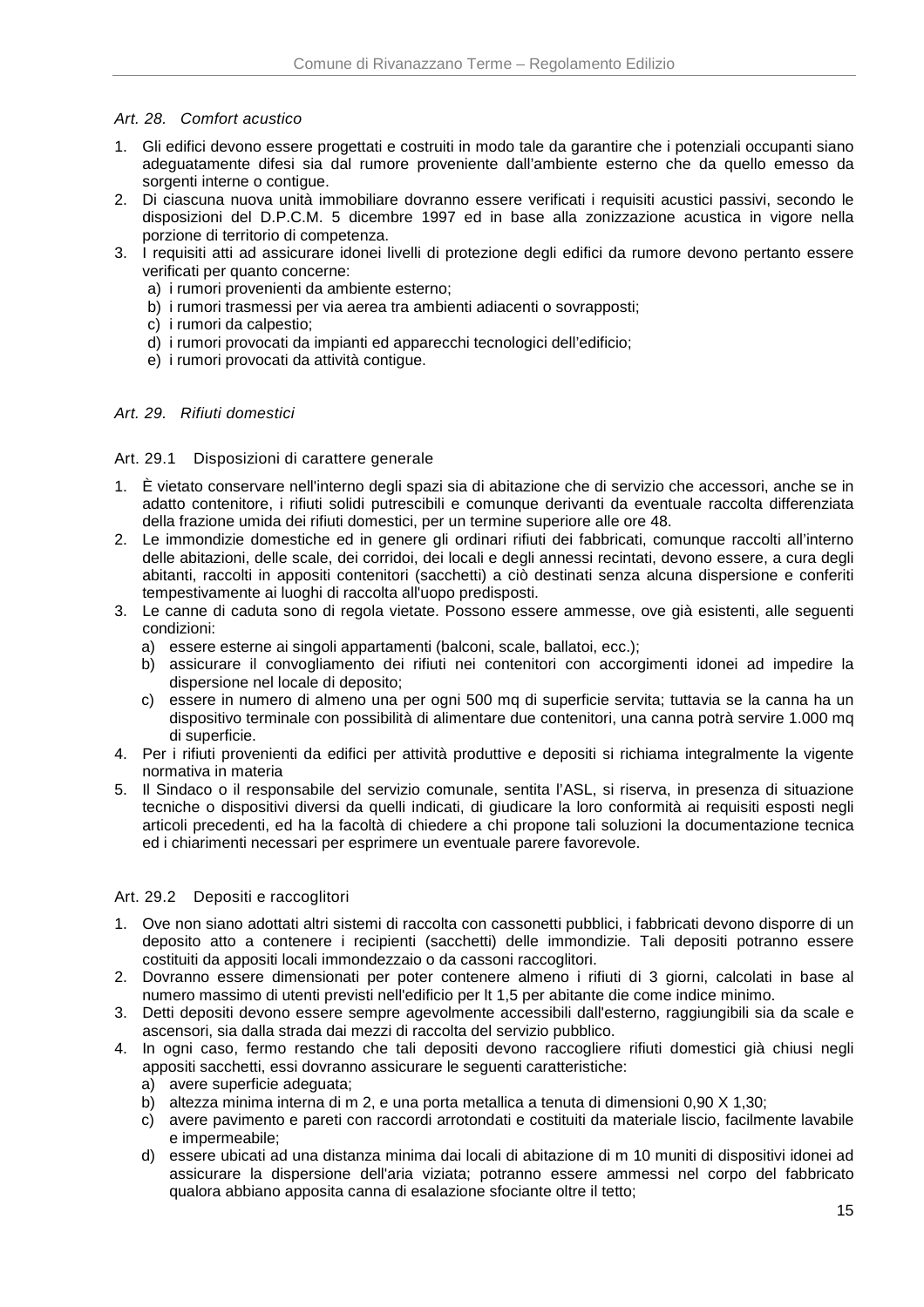### Art. 28. Comfort acustico

- 1. Gli edifici devono essere progettati e costruiti in modo tale da garantire che i potenziali occupanti siano adeguatamente difesi sia dal rumore proveniente dall'ambiente esterno che da quello emesso da sorgenti interne o contigue.
- 2. Di ciascuna nuova unità immobiliare dovranno essere verificati i requisiti acustici passivi, secondo le disposizioni del D.P.C.M. 5 dicembre 1997 ed in base alla zonizzazione acustica in vigore nella porzione di territorio di competenza.
- 3. I requisiti atti ad assicurare idonei livelli di protezione degli edifici da rumore devono pertanto essere verificati per quanto concerne:
	- a) i rumori provenienti da ambiente esterno;
	- b) i rumori trasmessi per via aerea tra ambienti adiacenti o sovrapposti;
	- c) i rumori da calpestio;
	- d) i rumori provocati da impianti ed apparecchi tecnologici dell'edificio;
	- e) i rumori provocati da attività contigue.

### Art. 29. Rifiuti domestici

### Art. 29.1 Disposizioni di carattere generale

- 1. È vietato conservare nell'interno degli spazi sia di abitazione che di servizio che accessori, anche se in adatto contenitore, i rifiuti solidi putrescibili e comunque derivanti da eventuale raccolta differenziata della frazione umida dei rifiuti domestici, per un termine superiore alle ore 48.
- 2. Le immondizie domestiche ed in genere gli ordinari rifiuti dei fabbricati, comunque raccolti all'interno delle abitazioni, delle scale, dei corridoi, dei locali e degli annessi recintati, devono essere, a cura degli abitanti, raccolti in appositi contenitori (sacchetti) a ciò destinati senza alcuna dispersione e conferiti tempestivamente ai luoghi di raccolta all'uopo predisposti.
- 3. Le canne di caduta sono di regola vietate. Possono essere ammesse, ove già esistenti, alle seguenti condizioni:
	- a) essere esterne ai singoli appartamenti (balconi, scale, ballatoi, ecc.);
	- b) assicurare il convogliamento dei rifiuti nei contenitori con accorgimenti idonei ad impedire la dispersione nel locale di deposito;
	- c) essere in numero di almeno una per ogni 500 mq di superficie servita; tuttavia se la canna ha un dispositivo terminale con possibilità di alimentare due contenitori, una canna potrà servire 1.000 mq di superficie.
- 4. Per i rifiuti provenienti da edifici per attività produttive e depositi si richiama integralmente la vigente normativa in materia
- 5. Il Sindaco o il responsabile del servizio comunale, sentita l'ASL, si riserva, in presenza di situazione tecniche o dispositivi diversi da quelli indicati, di giudicare la loro conformità ai requisiti esposti negli articoli precedenti, ed ha la facoltà di chiedere a chi propone tali soluzioni la documentazione tecnica ed i chiarimenti necessari per esprimere un eventuale parere favorevole.

### Art. 29.2 Depositi e raccoglitori

- 1. Ove non siano adottati altri sistemi di raccolta con cassonetti pubblici, i fabbricati devono disporre di un deposito atto a contenere i recipienti (sacchetti) delle immondizie. Tali depositi potranno essere costituiti da appositi locali immondezzaio o da cassoni raccoglitori.
- 2. Dovranno essere dimensionati per poter contenere almeno i rifiuti di 3 giorni, calcolati in base al numero massimo di utenti previsti nell'edificio per lt 1,5 per abitante die come indice minimo.
- 3. Detti depositi devono essere sempre agevolmente accessibili dall'esterno, raggiungibili sia da scale e ascensori, sia dalla strada dai mezzi di raccolta del servizio pubblico.
- 4. In ogni caso, fermo restando che tali depositi devono raccogliere rifiuti domestici già chiusi negli appositi sacchetti, essi dovranno assicurare le seguenti caratteristiche:
	- a) avere superficie adeguata;
	- b) altezza minima interna di m 2, e una porta metallica a tenuta di dimensioni 0,90 X 1,30;
	- c) avere pavimento e pareti con raccordi arrotondati e costituiti da materiale liscio, facilmente lavabile e impermeabile;
	- d) essere ubicati ad una distanza minima dai locali di abitazione di m 10 muniti di dispositivi idonei ad assicurare la dispersione dell'aria viziata; potranno essere ammessi nel corpo del fabbricato qualora abbiano apposita canna di esalazione sfociante oltre il tetto;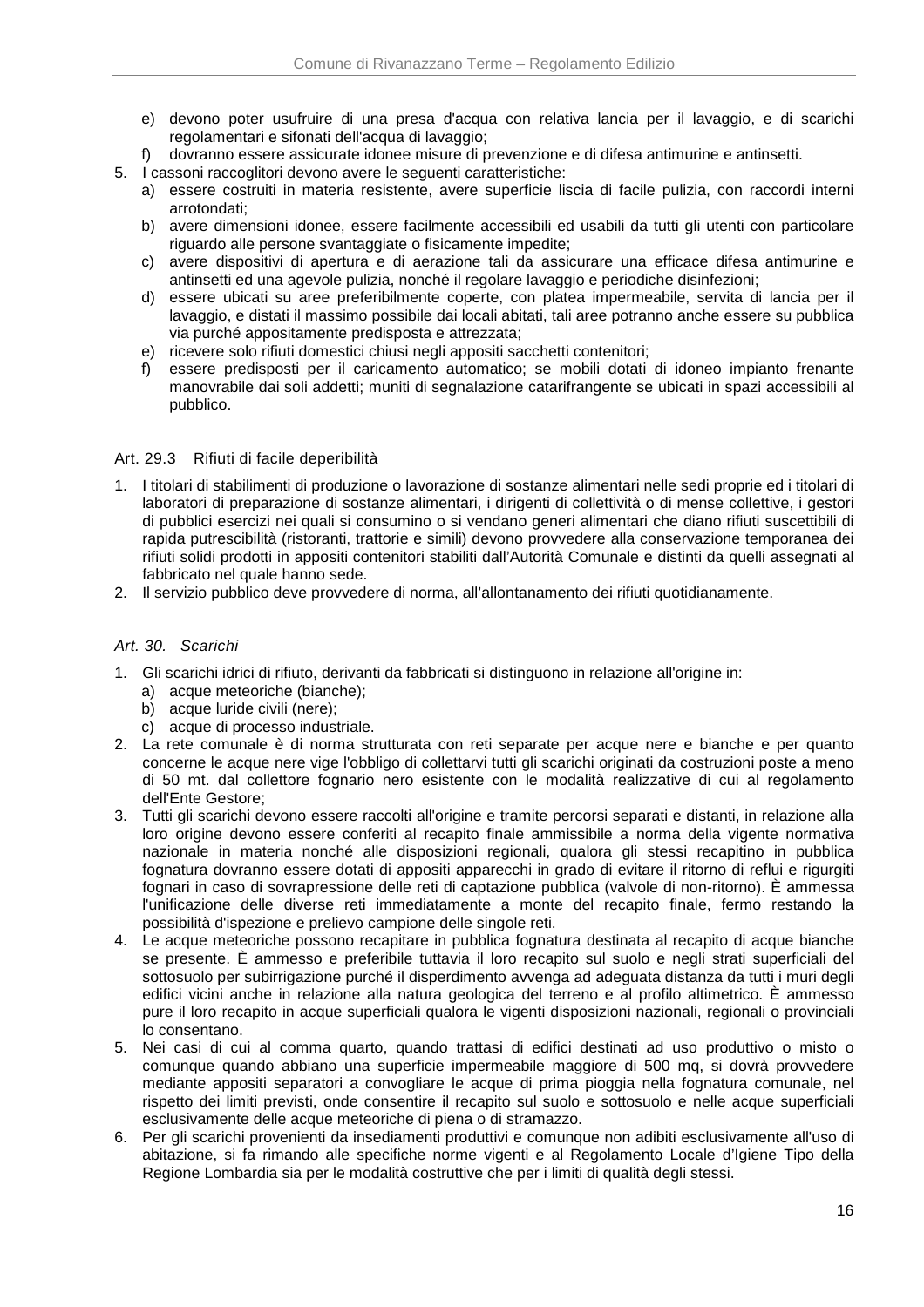- e) devono poter usufruire di una presa d'acqua con relativa lancia per il lavaggio, e di scarichi regolamentari e sifonati dell'acqua di lavaggio:
- f) dovranno essere assicurate idonee misure di prevenzione e di difesa antimurine e antinsetti.
- 5. I cassoni raccoglitori devono avere le seguenti caratteristiche:
	- a) essere costruiti in materia resistente, avere superficie liscia di facile pulizia, con raccordi interni arrotondati;
	- b) avere dimensioni idonee, essere facilmente accessibili ed usabili da tutti gli utenti con particolare riguardo alle persone svantaggiate o fisicamente impedite;
	- c) avere dispositivi di apertura e di aerazione tali da assicurare una efficace difesa antimurine e antinsetti ed una agevole pulizia, nonché il regolare lavaggio e periodiche disinfezioni;
	- d) essere ubicati su aree preferibilmente coperte, con platea impermeabile, servita di lancia per il lavaggio, e distati il massimo possibile dai locali abitati, tali aree potranno anche essere su pubblica via purché appositamente predisposta e attrezzata;
	- e) ricevere solo rifiuti domestici chiusi negli appositi sacchetti contenitori;
	- f) essere predisposti per il caricamento automatico; se mobili dotati di idoneo impianto frenante manovrabile dai soli addetti; muniti di segnalazione catarifrangente se ubicati in spazi accessibili al pubblico.

### Art. 29.3 Rifiuti di facile deperibilità

- 1. I titolari di stabilimenti di produzione o lavorazione di sostanze alimentari nelle sedi proprie ed i titolari di laboratori di preparazione di sostanze alimentari, i dirigenti di collettività o di mense collettive, i gestori di pubblici esercizi nei quali si consumino o si vendano generi alimentari che diano rifiuti suscettibili di rapida putrescibilità (ristoranti, trattorie e simili) devono provvedere alla conservazione temporanea dei rifiuti solidi prodotti in appositi contenitori stabiliti dall'Autorità Comunale e distinti da quelli assegnati al fabbricato nel quale hanno sede.
- 2. Il servizio pubblico deve provvedere di norma, all'allontanamento dei rifiuti quotidianamente.

### Art. 30. Scarichi

- 1. Gli scarichi idrici di rifiuto, derivanti da fabbricati si distinguono in relazione all'origine in:
	- a) acque meteoriche (bianche);
	- b) acque luride civili (nere);
	- c) acque di processo industriale.
- 2. La rete comunale è di norma strutturata con reti separate per acque nere e bianche e per quanto concerne le acque nere vige l'obbligo di collettarvi tutti gli scarichi originati da costruzioni poste a meno di 50 mt. dal collettore fognario nero esistente con le modalità realizzative di cui al regolamento dell'Ente Gestore;
- 3. Tutti gli scarichi devono essere raccolti all'origine e tramite percorsi separati e distanti, in relazione alla loro origine devono essere conferiti al recapito finale ammissibile a norma della vigente normativa nazionale in materia nonché alle disposizioni regionali, qualora gli stessi recapitino in pubblica fognatura dovranno essere dotati di appositi apparecchi in grado di evitare il ritorno di reflui e rigurgiti fognari in caso di sovrapressione delle reti di captazione pubblica (valvole di non-ritorno). È ammessa l'unificazione delle diverse reti immediatamente a monte del recapito finale, fermo restando la possibilità d'ispezione e prelievo campione delle singole reti.
- 4. Le acque meteoriche possono recapitare in pubblica fognatura destinata al recapito di acque bianche se presente. È ammesso e preferibile tuttavia il loro recapito sul suolo e negli strati superficiali del sottosuolo per subirrigazione purché il disperdimento avvenga ad adeguata distanza da tutti i muri degli edifici vicini anche in relazione alla natura geologica del terreno e al profilo altimetrico. È ammesso pure il loro recapito in acque superficiali qualora le vigenti disposizioni nazionali, regionali o provinciali lo consentano.
- 5. Nei casi di cui al comma quarto, quando trattasi di edifici destinati ad uso produttivo o misto o comunque quando abbiano una superficie impermeabile maggiore di 500 mq, si dovrà provvedere mediante appositi separatori a convogliare le acque di prima pioggia nella fognatura comunale, nel rispetto dei limiti previsti, onde consentire il recapito sul suolo e sottosuolo e nelle acque superficiali esclusivamente delle acque meteoriche di piena o di stramazzo.
- 6. Per gli scarichi provenienti da insediamenti produttivi e comunque non adibiti esclusivamente all'uso di abitazione, si fa rimando alle specifiche norme vigenti e al Regolamento Locale d'Igiene Tipo della Regione Lombardia sia per le modalità costruttive che per i limiti di qualità degli stessi.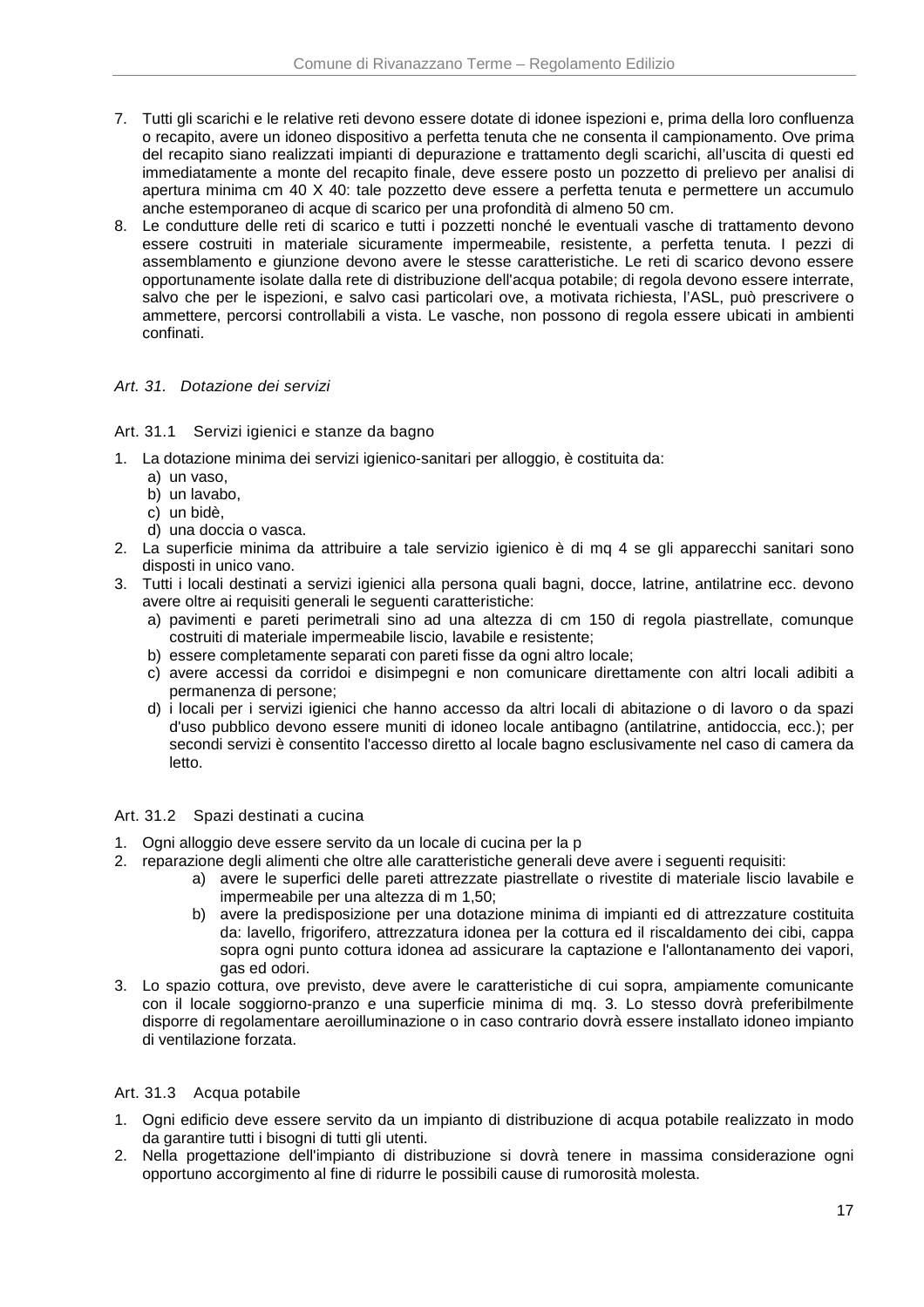- 7. Tutti gli scarichi e le relative reti devono essere dotate di idonee ispezioni e, prima della loro confluenza o recapito, avere un idoneo dispositivo a perfetta tenuta che ne consenta il campionamento. Ove prima del recapito siano realizzati impianti di depurazione e trattamento degli scarichi, all'uscita di questi ed immediatamente a monte del recapito finale, deve essere posto un pozzetto di prelievo per analisi di apertura minima cm 40 X 40: tale pozzetto deve essere a perfetta tenuta e permettere un accumulo anche estemporaneo di acque di scarico per una profondità di almeno 50 cm.
- 8. Le condutture delle reti di scarico e tutti i pozzetti nonché le eventuali vasche di trattamento devono essere costruiti in materiale sicuramente impermeabile, resistente, a perfetta tenuta. I pezzi di assemblamento e giunzione devono avere le stesse caratteristiche. Le reti di scarico devono essere opportunamente isolate dalla rete di distribuzione dell'acqua potabile; di regola devono essere interrate, salvo che per le ispezioni, e salvo casi particolari ove, a motivata richiesta, l'ASL, può prescrivere o ammettere, percorsi controllabili a vista. Le vasche, non possono di regola essere ubicati in ambienti confinati.

# Art. 31. Dotazione dei servizi

### Art. 31.1 Servizi igienici e stanze da bagno

- 1. La dotazione minima dei servizi igienico-sanitari per alloggio, è costituita da:
	- a) un vaso,
	- b) un lavabo,
	- c) un bidè,
	- d) una doccia o vasca.
- 2. La superficie minima da attribuire a tale servizio igienico è di mq 4 se gli apparecchi sanitari sono disposti in unico vano.
- 3. Tutti i locali destinati a servizi igienici alla persona quali bagni, docce, latrine, antilatrine ecc. devono avere oltre ai requisiti generali le seguenti caratteristiche:
	- a) pavimenti e pareti perimetrali sino ad una altezza di cm 150 di regola piastrellate, comunque costruiti di materiale impermeabile liscio, lavabile e resistente;
	- b) essere completamente separati con pareti fisse da ogni altro locale;
	- c) avere accessi da corridoi e disimpegni e non comunicare direttamente con altri locali adibiti a permanenza di persone;
	- d) i locali per i servizi igienici che hanno accesso da altri locali di abitazione o di lavoro o da spazi d'uso pubblico devono essere muniti di idoneo locale antibagno (antilatrine, antidoccia, ecc.); per secondi servizi è consentito l'accesso diretto al locale bagno esclusivamente nel caso di camera da letto.

### Art. 31.2 Spazi destinati a cucina

- 1. Ogni alloggio deve essere servito da un locale di cucina per la p
- 2. reparazione degli alimenti che oltre alle caratteristiche generali deve avere i seguenti requisiti:
	- a) avere le superfici delle pareti attrezzate piastrellate o rivestite di materiale liscio lavabile e impermeabile per una altezza di m 1,50;
	- b) avere la predisposizione per una dotazione minima di impianti ed di attrezzature costituita da: lavello, frigorifero, attrezzatura idonea per la cottura ed il riscaldamento dei cibi, cappa sopra ogni punto cottura idonea ad assicurare la captazione e l'allontanamento dei vapori, gas ed odori.
- 3. Lo spazio cottura, ove previsto, deve avere le caratteristiche di cui sopra, ampiamente comunicante con il locale soggiorno-pranzo e una superficie minima di mq. 3. Lo stesso dovrà preferibilmente disporre di regolamentare aeroilluminazione o in caso contrario dovrà essere installato idoneo impianto di ventilazione forzata.

# Art. 31.3 Acqua potabile

- 1. Ogni edificio deve essere servito da un impianto di distribuzione di acqua potabile realizzato in modo da garantire tutti i bisogni di tutti gli utenti.
- 2. Nella progettazione dell'impianto di distribuzione si dovrà tenere in massima considerazione ogni opportuno accorgimento al fine di ridurre le possibili cause di rumorosità molesta.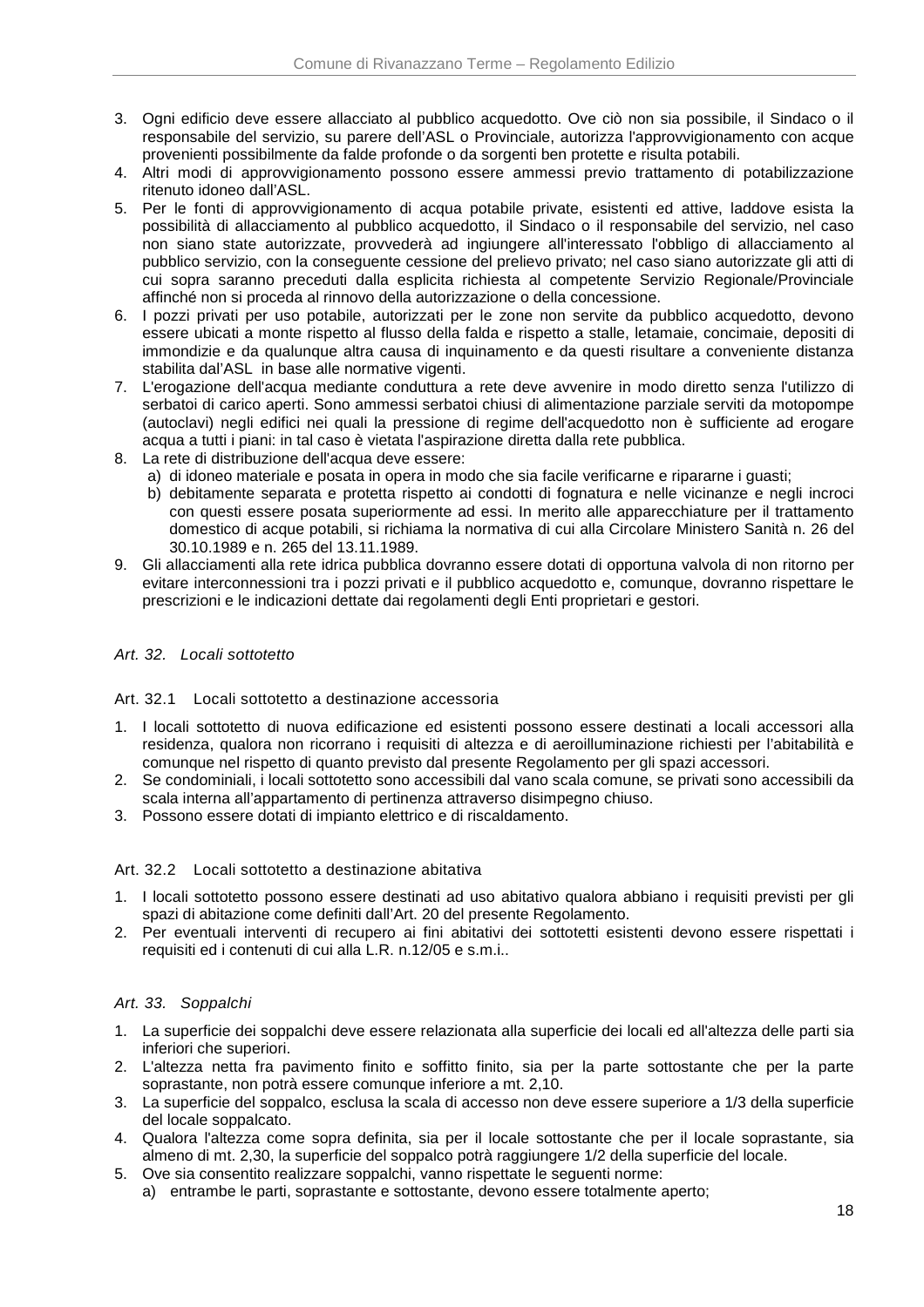- 3. Ogni edificio deve essere allacciato al pubblico acquedotto. Ove ciò non sia possibile, il Sindaco o il responsabile del servizio, su parere dell'ASL o Provinciale, autorizza l'approvvigionamento con acque provenienti possibilmente da falde profonde o da sorgenti ben protette e risulta potabili.
- 4. Altri modi di approvvigionamento possono essere ammessi previo trattamento di potabilizzazione ritenuto idoneo dall'ASL.
- 5. Per le fonti di approvvigionamento di acqua potabile private, esistenti ed attive, laddove esista la possibilità di allacciamento al pubblico acquedotto, il Sindaco o il responsabile del servizio, nel caso non siano state autorizzate, provvederà ad ingiungere all'interessato l'obbligo di allacciamento al pubblico servizio, con la conseguente cessione del prelievo privato; nel caso siano autorizzate gli atti di cui sopra saranno preceduti dalla esplicita richiesta al competente Servizio Regionale/Provinciale affinché non si proceda al rinnovo della autorizzazione o della concessione.
- 6. I pozzi privati per uso potabile, autorizzati per le zone non servite da pubblico acquedotto, devono essere ubicati a monte rispetto al flusso della falda e rispetto a stalle, letamaie, concimaie, depositi di immondizie e da qualunque altra causa di inquinamento e da questi risultare a conveniente distanza stabilita dal'ASL in base alle normative vigenti.
- 7. L'erogazione dell'acqua mediante conduttura a rete deve avvenire in modo diretto senza l'utilizzo di serbatoi di carico aperti. Sono ammessi serbatoi chiusi di alimentazione parziale serviti da motopompe (autoclavi) negli edifici nei quali la pressione di regime dell'acquedotto non è sufficiente ad erogare acqua a tutti i piani: in tal caso è vietata l'aspirazione diretta dalla rete pubblica.
- 8. La rete di distribuzione dell'acqua deve essere:
	- a) di idoneo materiale e posata in opera in modo che sia facile verificarne e ripararne i guasti;
	- b) debitamente separata e protetta rispetto ai condotti di fognatura e nelle vicinanze e negli incroci con questi essere posata superiormente ad essi. In merito alle apparecchiature per il trattamento domestico di acque potabili, si richiama la normativa di cui alla Circolare Ministero Sanità n. 26 del 30.10.1989 e n. 265 del 13.11.1989.
- 9. Gli allacciamenti alla rete idrica pubblica dovranno essere dotati di opportuna valvola di non ritorno per evitare interconnessioni tra i pozzi privati e il pubblico acquedotto e, comunque, dovranno rispettare le prescrizioni e le indicazioni dettate dai regolamenti degli Enti proprietari e gestori.

## Art. 32. Locali sottotetto

### Art. 32.1 Locali sottotetto a destinazione accessoria

- 1. I locali sottotetto di nuova edificazione ed esistenti possono essere destinati a locali accessori alla residenza, qualora non ricorrano i requisiti di altezza e di aeroilluminazione richiesti per l'abitabilità e comunque nel rispetto di quanto previsto dal presente Regolamento per gli spazi accessori.
- 2. Se condominiali, i locali sottotetto sono accessibili dal vano scala comune, se privati sono accessibili da scala interna all'appartamento di pertinenza attraverso disimpegno chiuso.
- 3. Possono essere dotati di impianto elettrico e di riscaldamento.

### Art. 32.2 Locali sottotetto a destinazione abitativa

- 1. I locali sottotetto possono essere destinati ad uso abitativo qualora abbiano i requisiti previsti per gli spazi di abitazione come definiti dall'Art. 20 del presente Regolamento.
- 2. Per eventuali interventi di recupero ai fini abitativi dei sottotetti esistenti devono essere rispettati i requisiti ed i contenuti di cui alla L.R. n.12/05 e s.m.i..

### Art. 33. Soppalchi

- 1. La superficie dei soppalchi deve essere relazionata alla superficie dei locali ed all'altezza delle parti sia inferiori che superiori.
- 2. L'altezza netta fra pavimento finito e soffitto finito, sia per la parte sottostante che per la parte soprastante, non potrà essere comunque inferiore a mt. 2,10.
- 3. La superficie del soppalco, esclusa la scala di accesso non deve essere superiore a 1/3 della superficie del locale soppalcato.
- 4. Qualora l'altezza come sopra definita, sia per il locale sottostante che per il locale soprastante, sia almeno di mt. 2,30, la superficie del soppalco potrà raggiungere 1/2 della superficie del locale.
- 5. Ove sia consentito realizzare soppalchi, vanno rispettate le seguenti norme:
	- a) entrambe le parti, soprastante e sottostante, devono essere totalmente aperto;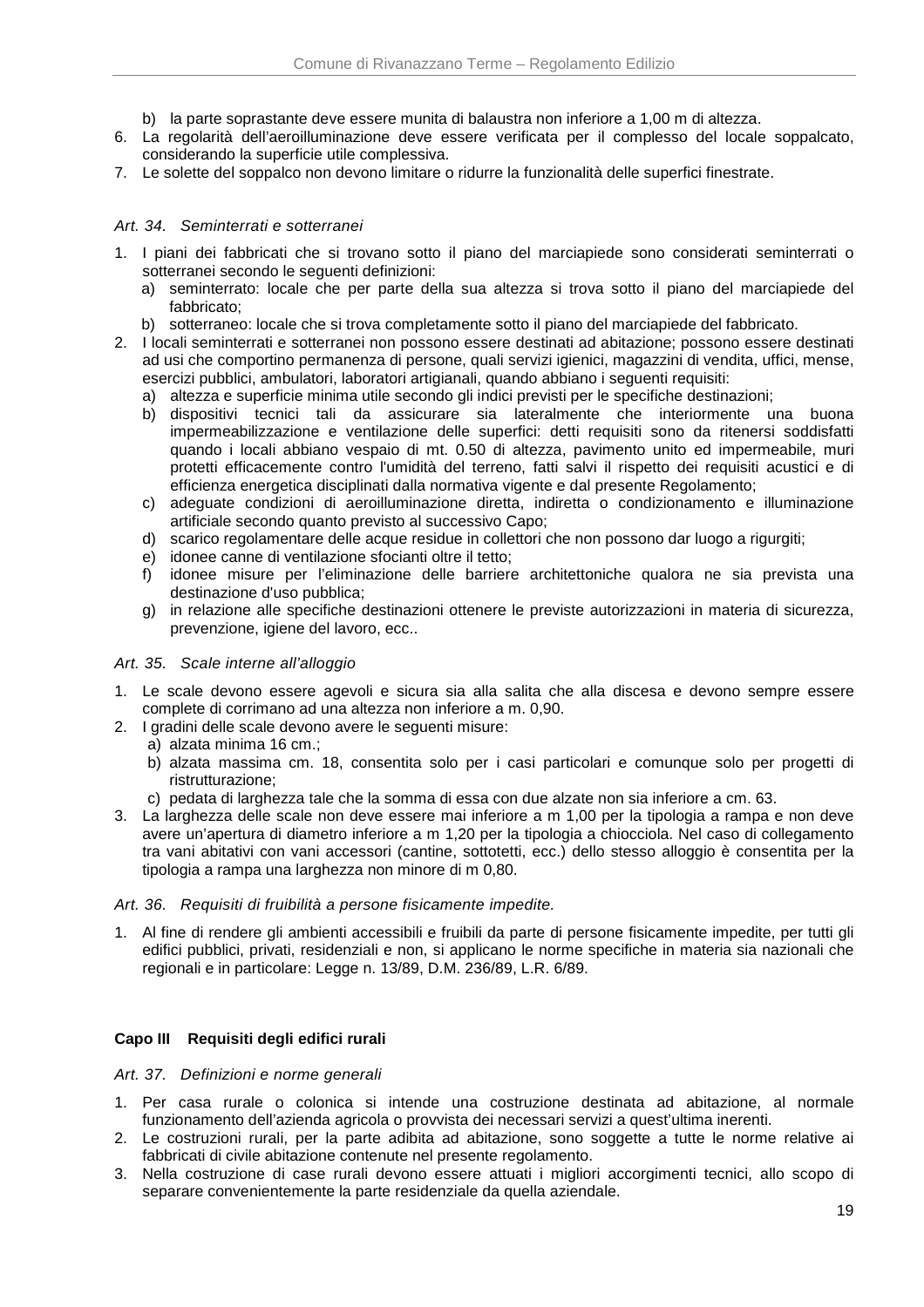- b) la parte soprastante deve essere munita di balaustra non inferiore a 1,00 m di altezza.
- 6. La regolarità dell'aeroilluminazione deve essere verificata per il complesso del locale soppalcato, considerando la superficie utile complessiva.
- 7. Le solette del soppalco non devono limitare o ridurre la funzionalità delle superfici finestrate.

### Art. 34. Seminterrati e sotterranei

- 1. I piani dei fabbricati che si trovano sotto il piano del marciapiede sono considerati seminterrati o sotterranei secondo le seguenti definizioni:
	- a) seminterrato: locale che per parte della sua altezza si trova sotto il piano del marciapiede del fabbricato;
	- b) sotterraneo: locale che si trova completamente sotto il piano del marciapiede del fabbricato.
- 2. I locali seminterrati e sotterranei non possono essere destinati ad abitazione; possono essere destinati ad usi che comportino permanenza di persone, quali servizi igienici, magazzini di vendita, uffici, mense, esercizi pubblici, ambulatori, laboratori artigianali, quando abbiano i seguenti requisiti:
	- a) altezza e superficie minima utile secondo gli indici previsti per le specifiche destinazioni;
	- b) dispositivi tecnici tali da assicurare sia lateralmente che interiormente una buona impermeabilizzazione e ventilazione delle superfici: detti requisiti sono da ritenersi soddisfatti quando i locali abbiano vespaio di mt. 0.50 di altezza, pavimento unito ed impermeabile, muri protetti efficacemente contro l'umidità del terreno, fatti salvi il rispetto dei requisiti acustici e di efficienza energetica disciplinati dalla normativa vigente e dal presente Regolamento;
	- c) adeguate condizioni di aeroilluminazione diretta, indiretta o condizionamento e illuminazione artificiale secondo quanto previsto al successivo Capo;
	- d) scarico regolamentare delle acque residue in collettori che non possono dar luogo a rigurgiti;
	- e) idonee canne di ventilazione sfocianti oltre il tetto;
	- f) idonee misure per l'eliminazione delle barriere architettoniche qualora ne sia prevista una destinazione d'uso pubblica;
	- g) in relazione alle specifiche destinazioni ottenere le previste autorizzazioni in materia di sicurezza, prevenzione, igiene del lavoro, ecc..

#### Art. 35. Scale interne all'alloggio

- 1. Le scale devono essere agevoli e sicura sia alla salita che alla discesa e devono sempre essere complete di corrimano ad una altezza non inferiore a m. 0,90.
- 2. I gradini delle scale devono avere le seguenti misure:
	- a) alzata minima 16 cm.;
	- b) alzata massima cm. 18, consentita solo per i casi particolari e comunque solo per progetti di ristrutturazione;
	- c) pedata di larghezza tale che la somma di essa con due alzate non sia inferiore a cm. 63.
- 3. La larghezza delle scale non deve essere mai inferiore a m 1,00 per la tipologia a rampa e non deve avere un'apertura di diametro inferiore a m 1,20 per la tipologia a chiocciola. Nel caso di collegamento tra vani abitativi con vani accessori (cantine, sottotetti, ecc.) dello stesso alloggio è consentita per la tipologia a rampa una larghezza non minore di m 0,80.

#### Art. 36. Requisiti di fruibilità a persone fisicamente impedite.

1. Al fine di rendere gli ambienti accessibili e fruibili da parte di persone fisicamente impedite, per tutti gli edifici pubblici, privati, residenziali e non, si applicano le norme specifiche in materia sia nazionali che regionali e in particolare: Legge n. 13/89, D.M. 236/89, L.R. 6/89.

### **Capo III Requisiti degli edifici rurali**

#### Art. 37. Definizioni e norme generali

- 1. Per casa rurale o colonica si intende una costruzione destinata ad abitazione, al normale funzionamento dell'azienda agricola o provvista dei necessari servizi a quest'ultima inerenti.
- 2. Le costruzioni rurali, per la parte adibita ad abitazione, sono soggette a tutte le norme relative ai fabbricati di civile abitazione contenute nel presente regolamento.
- 3. Nella costruzione di case rurali devono essere attuati i migliori accorgimenti tecnici, allo scopo di separare convenientemente la parte residenziale da quella aziendale.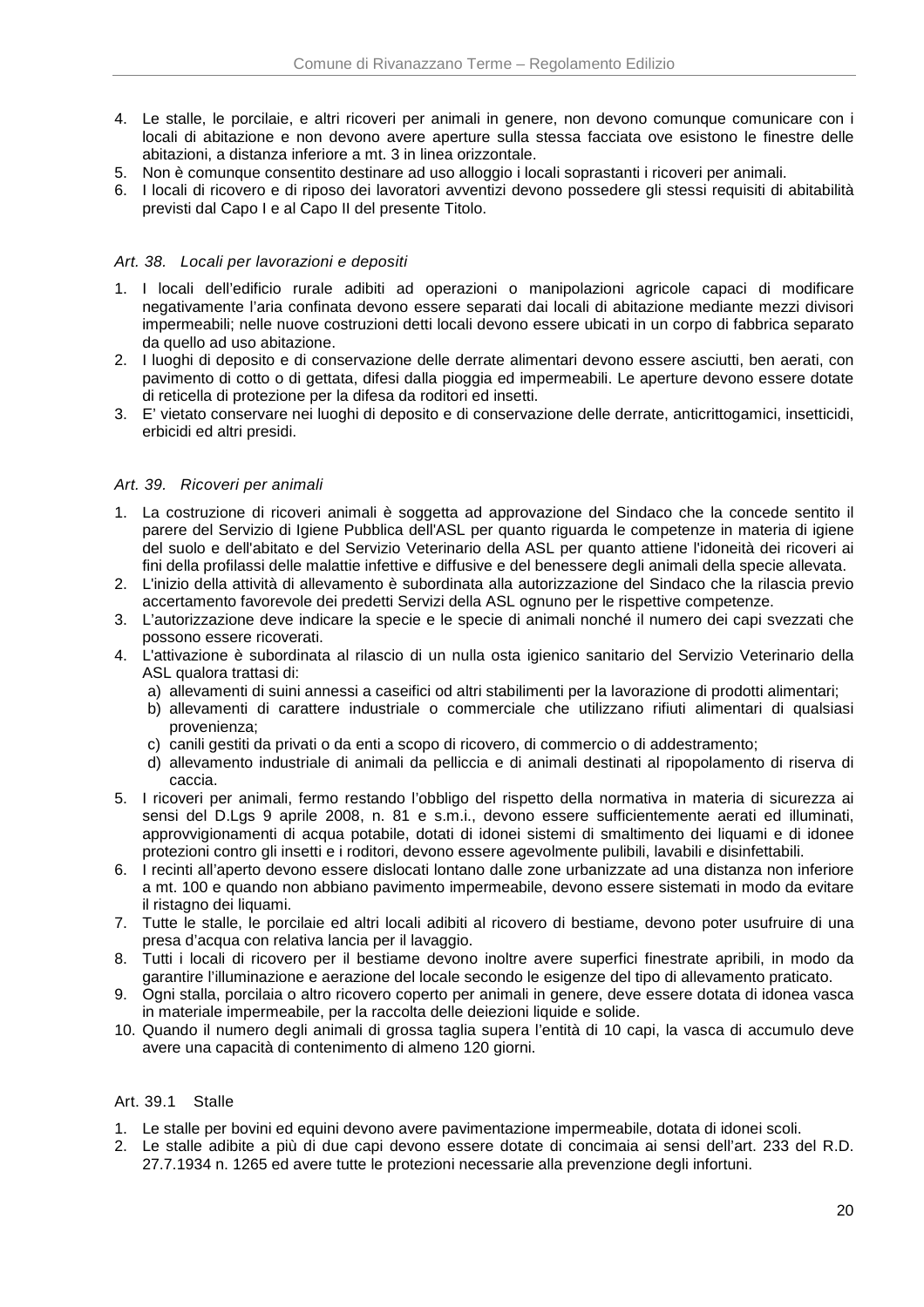- 4. Le stalle, le porcilaie, e altri ricoveri per animali in genere, non devono comunque comunicare con i locali di abitazione e non devono avere aperture sulla stessa facciata ove esistono le finestre delle abitazioni, a distanza inferiore a mt. 3 in linea orizzontale.
- 5. Non è comunque consentito destinare ad uso alloggio i locali soprastanti i ricoveri per animali.
- 6. I locali di ricovero e di riposo dei lavoratori avventizi devono possedere gli stessi requisiti di abitabilità previsti dal Capo I e al Capo II del presente Titolo.

## Art. 38. Locali per lavorazioni e depositi

- 1. I locali dell'edificio rurale adibiti ad operazioni o manipolazioni agricole capaci di modificare negativamente l'aria confinata devono essere separati dai locali di abitazione mediante mezzi divisori impermeabili; nelle nuove costruzioni detti locali devono essere ubicati in un corpo di fabbrica separato da quello ad uso abitazione.
- 2. I luoghi di deposito e di conservazione delle derrate alimentari devono essere asciutti, ben aerati, con pavimento di cotto o di gettata, difesi dalla pioggia ed impermeabili. Le aperture devono essere dotate di reticella di protezione per la difesa da roditori ed insetti.
- 3. E' vietato conservare nei luoghi di deposito e di conservazione delle derrate, anticrittogamici, insetticidi, erbicidi ed altri presidi.

# Art. 39. Ricoveri per animali

- 1. La costruzione di ricoveri animali è soggetta ad approvazione del Sindaco che la concede sentito il parere del Servizio di Igiene Pubblica dell'ASL per quanto riguarda le competenze in materia di igiene del suolo e dell'abitato e del Servizio Veterinario della ASL per quanto attiene l'idoneità dei ricoveri ai fini della profilassi delle malattie infettive e diffusive e del benessere degli animali della specie allevata.
- 2. L'inizio della attività di allevamento è subordinata alla autorizzazione del Sindaco che la rilascia previo accertamento favorevole dei predetti Servizi della ASL ognuno per le rispettive competenze.
- 3. L'autorizzazione deve indicare la specie e le specie di animali nonché il numero dei capi svezzati che possono essere ricoverati.
- 4. L'attivazione è subordinata al rilascio di un nulla osta igienico sanitario del Servizio Veterinario della ASL qualora trattasi di:
	- a) allevamenti di suini annessi a caseifici od altri stabilimenti per la lavorazione di prodotti alimentari;
	- b) allevamenti di carattere industriale o commerciale che utilizzano rifiuti alimentari di qualsiasi provenienza;
	- c) canili gestiti da privati o da enti a scopo di ricovero, di commercio o di addestramento;
	- d) allevamento industriale di animali da pelliccia e di animali destinati al ripopolamento di riserva di caccia.
- 5. I ricoveri per animali, fermo restando l'obbligo del rispetto della normativa in materia di sicurezza ai sensi del D.Lgs 9 aprile 2008, n. 81 e s.m.i., devono essere sufficientemente aerati ed illuminati, approvvigionamenti di acqua potabile, dotati di idonei sistemi di smaltimento dei liquami e di idonee protezioni contro gli insetti e i roditori, devono essere agevolmente pulibili, lavabili e disinfettabili.
- 6. I recinti all'aperto devono essere dislocati lontano dalle zone urbanizzate ad una distanza non inferiore a mt. 100 e quando non abbiano pavimento impermeabile, devono essere sistemati in modo da evitare il ristagno dei liquami.
- 7. Tutte le stalle, le porcilaie ed altri locali adibiti al ricovero di bestiame, devono poter usufruire di una presa d'acqua con relativa lancia per il lavaggio.
- 8. Tutti i locali di ricovero per il bestiame devono inoltre avere superfici finestrate apribili, in modo da garantire l'illuminazione e aerazione del locale secondo le esigenze del tipo di allevamento praticato.
- 9. Ogni stalla, porcilaia o altro ricovero coperto per animali in genere, deve essere dotata di idonea vasca in materiale impermeabile, per la raccolta delle deiezioni liquide e solide.
- 10. Quando il numero degli animali di grossa taglia supera l'entità di 10 capi, la vasca di accumulo deve avere una capacità di contenimento di almeno 120 giorni.

### Art. 39.1 Stalle

- 1. Le stalle per bovini ed equini devono avere pavimentazione impermeabile, dotata di idonei scoli.
- 2. Le stalle adibite a più di due capi devono essere dotate di concimaia ai sensi dell'art. 233 del R.D. 27.7.1934 n. 1265 ed avere tutte le protezioni necessarie alla prevenzione degli infortuni.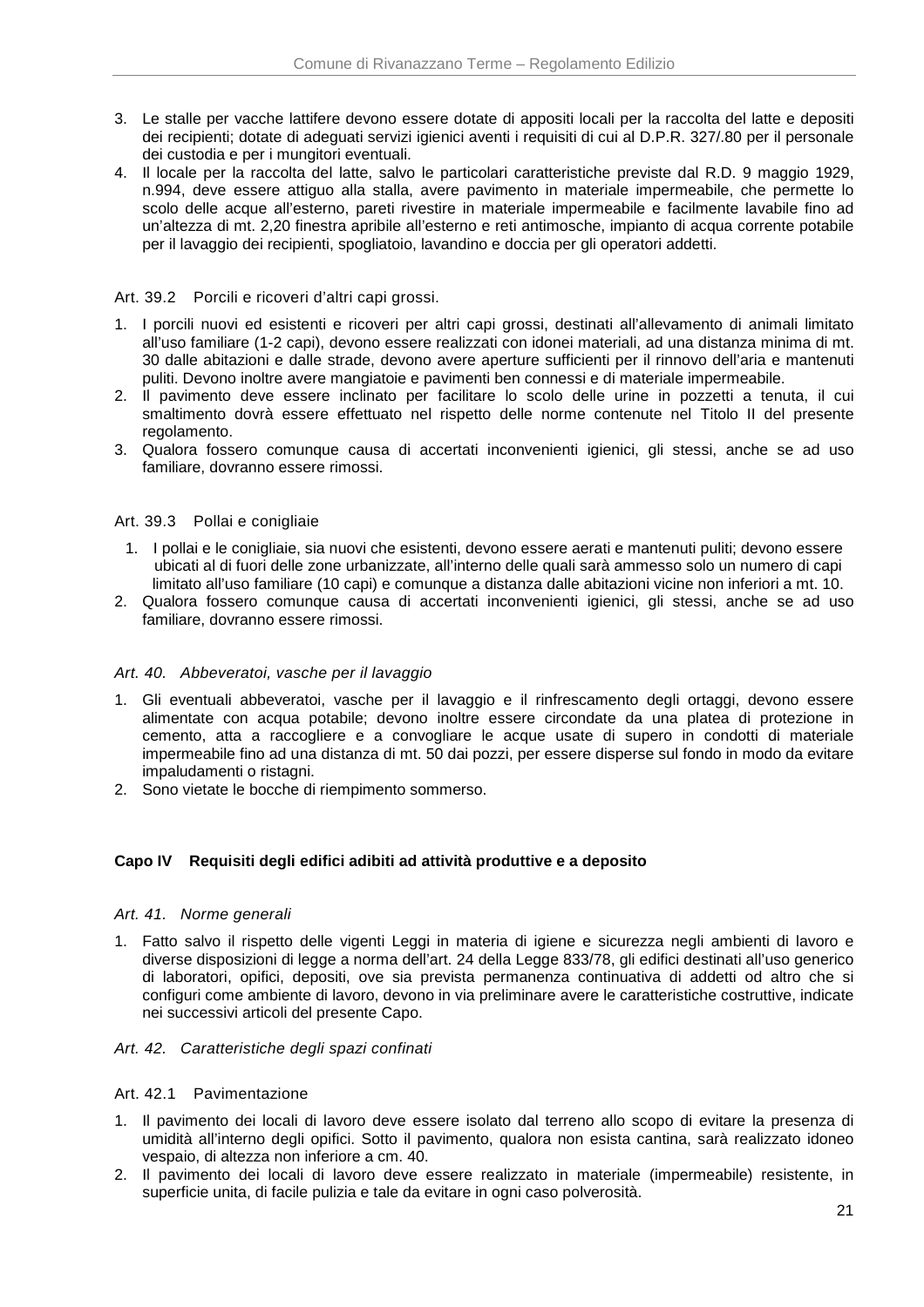- 3. Le stalle per vacche lattifere devono essere dotate di appositi locali per la raccolta del latte e depositi dei recipienti; dotate di adeguati servizi igienici aventi i requisiti di cui al D.P.R. 327/.80 per il personale dei custodia e per i mungitori eventuali.
- 4. Il locale per la raccolta del latte, salvo le particolari caratteristiche previste dal R.D. 9 maggio 1929, n.994, deve essere attiguo alla stalla, avere pavimento in materiale impermeabile, che permette lo scolo delle acque all'esterno, pareti rivestire in materiale impermeabile e facilmente lavabile fino ad un'altezza di mt. 2,20 finestra apribile all'esterno e reti antimosche, impianto di acqua corrente potabile per il lavaggio dei recipienti, spogliatoio, lavandino e doccia per gli operatori addetti.

### Art. 39.2 Porcili e ricoveri d'altri capi grossi.

- 1. I porcili nuovi ed esistenti e ricoveri per altri capi grossi, destinati all'allevamento di animali limitato all'uso familiare (1-2 capi), devono essere realizzati con idonei materiali, ad una distanza minima di mt. 30 dalle abitazioni e dalle strade, devono avere aperture sufficienti per il rinnovo dell'aria e mantenuti puliti. Devono inoltre avere mangiatoie e pavimenti ben connessi e di materiale impermeabile.
- 2. Il pavimento deve essere inclinato per facilitare lo scolo delle urine in pozzetti a tenuta, il cui smaltimento dovrà essere effettuato nel rispetto delle norme contenute nel Titolo II del presente regolamento.
- 3. Qualora fossero comunque causa di accertati inconvenienti igienici, gli stessi, anche se ad uso familiare, dovranno essere rimossi.

#### Art. 39.3 Pollai e conigliaie

- 1. I pollai e le conigliaie, sia nuovi che esistenti, devono essere aerati e mantenuti puliti; devono essere ubicati al di fuori delle zone urbanizzate, all'interno delle quali sarà ammesso solo un numero di capi limitato all'uso familiare (10 capi) e comunque a distanza dalle abitazioni vicine non inferiori a mt. 10.
- 2. Qualora fossero comunque causa di accertati inconvenienti igienici, gli stessi, anche se ad uso familiare, dovranno essere rimossi.

#### Art. 40. Abbeveratoi, vasche per il lavaggio

- 1. Gli eventuali abbeveratoi, vasche per il lavaggio e il rinfrescamento degli ortaggi, devono essere alimentate con acqua potabile; devono inoltre essere circondate da una platea di protezione in cemento, atta a raccogliere e a convogliare le acque usate di supero in condotti di materiale impermeabile fino ad una distanza di mt. 50 dai pozzi, per essere disperse sul fondo in modo da evitare impaludamenti o ristagni.
- 2. Sono vietate le bocche di riempimento sommerso.

### **Capo IV Requisiti degli edifici adibiti ad attività produttive e a deposito**

#### Art. 41. Norme generali

1. Fatto salvo il rispetto delle vigenti Leggi in materia di igiene e sicurezza negli ambienti di lavoro e diverse disposizioni di legge a norma dell'art. 24 della Legge 833/78, gli edifici destinati all'uso generico di laboratori, opifici, depositi, ove sia prevista permanenza continuativa di addetti od altro che si configuri come ambiente di lavoro, devono in via preliminare avere le caratteristiche costruttive, indicate nei successivi articoli del presente Capo.

#### Art. 42. Caratteristiche degli spazi confinati

#### Art. 42.1 Pavimentazione

- 1. Il pavimento dei locali di lavoro deve essere isolato dal terreno allo scopo di evitare la presenza di umidità all'interno degli opifici. Sotto il pavimento, qualora non esista cantina, sarà realizzato idoneo vespaio, di altezza non inferiore a cm. 40.
- 2. Il pavimento dei locali di lavoro deve essere realizzato in materiale (impermeabile) resistente, in superficie unita, di facile pulizia e tale da evitare in ogni caso polverosità.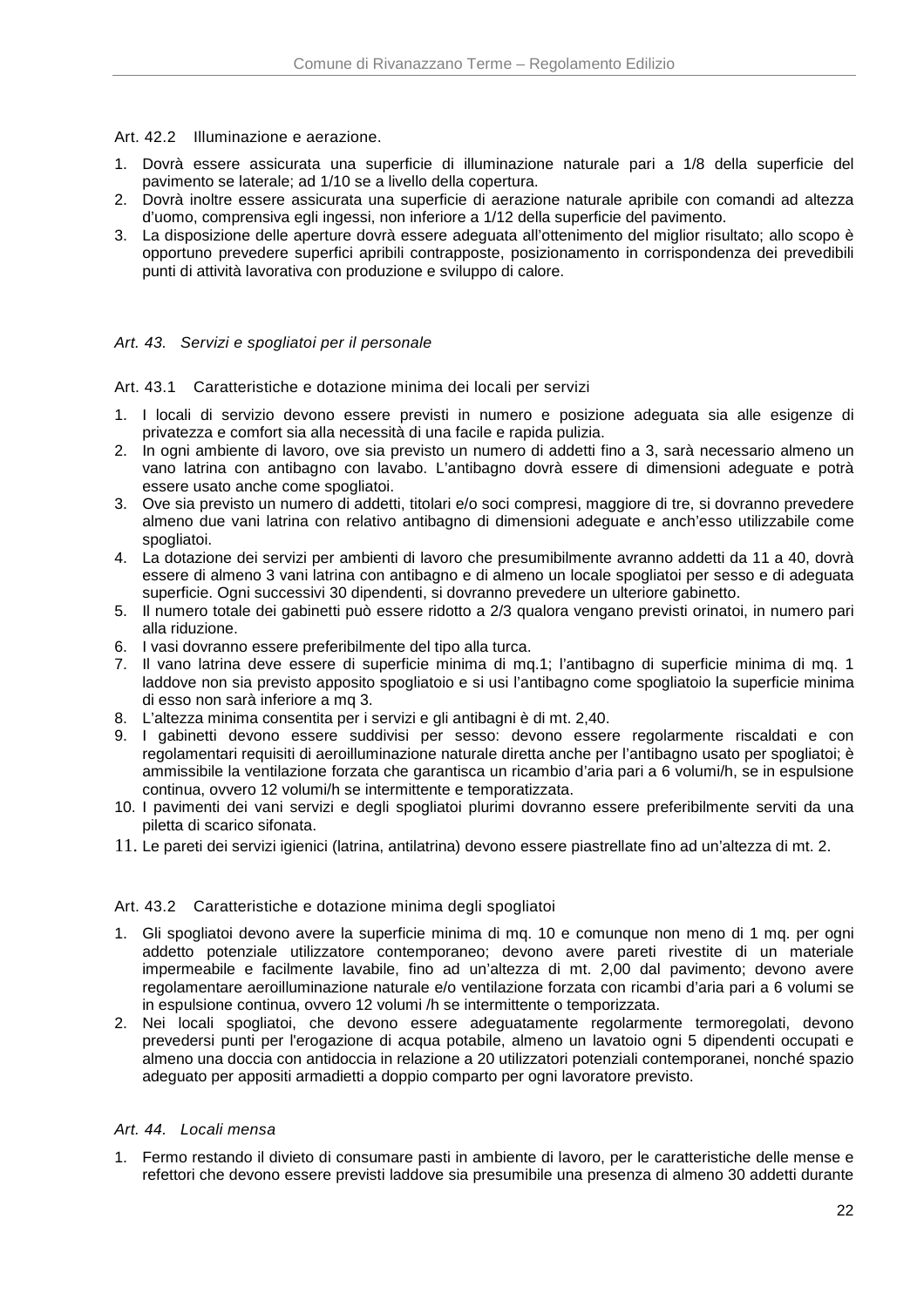### Art. 42.2 Illuminazione e aerazione.

- 1. Dovrà essere assicurata una superficie di illuminazione naturale pari a 1/8 della superficie del pavimento se laterale; ad 1/10 se a livello della copertura.
- 2. Dovrà inoltre essere assicurata una superficie di aerazione naturale apribile con comandi ad altezza d'uomo, comprensiva egli ingessi, non inferiore a 1/12 della superficie del pavimento.
- 3. La disposizione delle aperture dovrà essere adeguata all'ottenimento del miglior risultato; allo scopo è opportuno prevedere superfici apribili contrapposte, posizionamento in corrispondenza dei prevedibili punti di attività lavorativa con produzione e sviluppo di calore.

### Art. 43. Servizi e spogliatoi per il personale

### Art. 43.1 Caratteristiche e dotazione minima dei locali per servizi

- 1. I locali di servizio devono essere previsti in numero e posizione adeguata sia alle esigenze di privatezza e comfort sia alla necessità di una facile e rapida pulizia.
- 2. In ogni ambiente di lavoro, ove sia previsto un numero di addetti fino a 3, sarà necessario almeno un vano latrina con antibagno con lavabo. L'antibagno dovrà essere di dimensioni adeguate e potrà essere usato anche come spogliatoi.
- 3. Ove sia previsto un numero di addetti, titolari e/o soci compresi, maggiore di tre, si dovranno prevedere almeno due vani latrina con relativo antibagno di dimensioni adeguate e anch'esso utilizzabile come spogliatoi.
- 4. La dotazione dei servizi per ambienti di lavoro che presumibilmente avranno addetti da 11 a 40, dovrà essere di almeno 3 vani latrina con antibagno e di almeno un locale spogliatoi per sesso e di adeguata superficie. Ogni successivi 30 dipendenti, si dovranno prevedere un ulteriore gabinetto.
- 5. Il numero totale dei gabinetti può essere ridotto a 2/3 qualora vengano previsti orinatoi, in numero pari alla riduzione.
- 6. I vasi dovranno essere preferibilmente del tipo alla turca.
- 7. Il vano latrina deve essere di superficie minima di mq.1; l'antibagno di superficie minima di mq. 1 laddove non sia previsto apposito spogliatoio e si usi l'antibagno come spogliatoio la superficie minima di esso non sarà inferiore a mq 3.
- 8. L'altezza minima consentita per i servizi e gli antibagni è di mt. 2,40.
- 9. I gabinetti devono essere suddivisi per sesso: devono essere regolarmente riscaldati e con regolamentari requisiti di aeroilluminazione naturale diretta anche per l'antibagno usato per spogliatoi; è ammissibile la ventilazione forzata che garantisca un ricambio d'aria pari a 6 volumi/h, se in espulsione continua, ovvero 12 volumi/h se intermittente e temporatizzata.
- 10. I pavimenti dei vani servizi e degli spogliatoi plurimi dovranno essere preferibilmente serviti da una piletta di scarico sifonata.
- 11. Le pareti dei servizi igienici (latrina, antilatrina) devono essere piastrellate fino ad un'altezza di mt. 2.

### Art. 43.2 Caratteristiche e dotazione minima degli spogliatoi

- 1. Gli spogliatoi devono avere la superficie minima di mq. 10 e comunque non meno di 1 mq. per ogni addetto potenziale utilizzatore contemporaneo; devono avere pareti rivestite di un materiale impermeabile e facilmente lavabile, fino ad un'altezza di mt. 2,00 dal pavimento; devono avere regolamentare aeroilluminazione naturale e/o ventilazione forzata con ricambi d'aria pari a 6 volumi se in espulsione continua, ovvero 12 volumi /h se intermittente o temporizzata.
- 2. Nei locali spogliatoi, che devono essere adeguatamente regolarmente termoregolati, devono prevedersi punti per l'erogazione di acqua potabile, almeno un lavatoio ogni 5 dipendenti occupati e almeno una doccia con antidoccia in relazione a 20 utilizzatori potenziali contemporanei, nonché spazio adeguato per appositi armadietti a doppio comparto per ogni lavoratore previsto.

### Art. 44. Locali mensa

1. Fermo restando il divieto di consumare pasti in ambiente di lavoro, per le caratteristiche delle mense e refettori che devono essere previsti laddove sia presumibile una presenza di almeno 30 addetti durante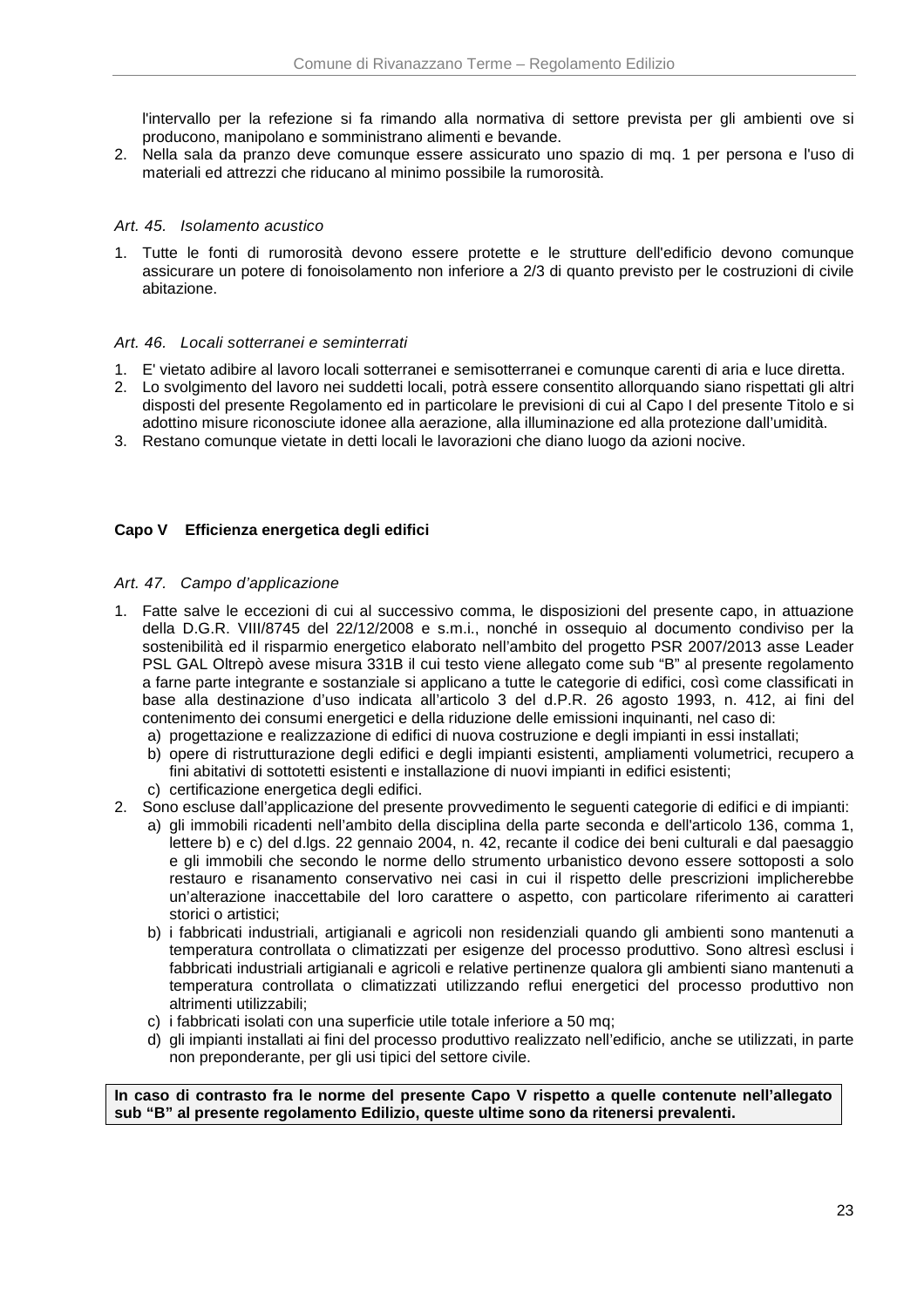l'intervallo per la refezione si fa rimando alla normativa di settore prevista per gli ambienti ove si producono, manipolano e somministrano alimenti e bevande.

2. Nella sala da pranzo deve comunque essere assicurato uno spazio di mq. 1 per persona e l'uso di materiali ed attrezzi che riducano al minimo possibile la rumorosità.

### Art. 45. Isolamento acustico

1. Tutte le fonti di rumorosità devono essere protette e le strutture dell'edificio devono comunque assicurare un potere di fonoisolamento non inferiore a 2/3 di quanto previsto per le costruzioni di civile abitazione.

### Art. 46. Locali sotterranei e seminterrati

- 1. E' vietato adibire al lavoro locali sotterranei e semisotterranei e comunque carenti di aria e luce diretta.
- 2. Lo svolgimento del lavoro nei suddetti locali, potrà essere consentito allorquando siano rispettati gli altri disposti del presente Regolamento ed in particolare le previsioni di cui al Capo I del presente Titolo e si adottino misure riconosciute idonee alla aerazione, alla illuminazione ed alla protezione dall'umidità.
- 3. Restano comunque vietate in detti locali le lavorazioni che diano luogo da azioni nocive.

### **Capo V Efficienza energetica degli edifici**

#### Art. 47. Campo d'applicazione

- 1. Fatte salve le eccezioni di cui al successivo comma, le disposizioni del presente capo, in attuazione della D.G.R. VIII/8745 del 22/12/2008 e s.m.i., nonché in ossequio al documento condiviso per la sostenibilità ed il risparmio energetico elaborato nell'ambito del progetto PSR 2007/2013 asse Leader PSL GAL Oltrepò avese misura 331B il cui testo viene allegato come sub "B" al presente regolamento a farne parte integrante e sostanziale si applicano a tutte le categorie di edifici, così come classificati in base alla destinazione d'uso indicata all'articolo 3 del d.P.R. 26 agosto 1993, n. 412, ai fini del contenimento dei consumi energetici e della riduzione delle emissioni inquinanti, nel caso di:
	- a) progettazione e realizzazione di edifici di nuova costruzione e degli impianti in essi installati;
	- b) opere di ristrutturazione degli edifici e degli impianti esistenti, ampliamenti volumetrici, recupero a fini abitativi di sottotetti esistenti e installazione di nuovi impianti in edifici esistenti;
	- c) certificazione energetica degli edifici.
- 2. Sono escluse dall'applicazione del presente provvedimento le seguenti categorie di edifici e di impianti:
	- a) gli immobili ricadenti nell'ambito della disciplina della parte seconda e dell'articolo 136, comma 1, lettere b) e c) del d.lgs. 22 gennaio 2004, n. 42, recante il codice dei beni culturali e dal paesaggio e gli immobili che secondo le norme dello strumento urbanistico devono essere sottoposti a solo restauro e risanamento conservativo nei casi in cui il rispetto delle prescrizioni implicherebbe un'alterazione inaccettabile del loro carattere o aspetto, con particolare riferimento ai caratteri storici o artistici;
	- b) i fabbricati industriali, artigianali e agricoli non residenziali quando gli ambienti sono mantenuti a temperatura controllata o climatizzati per esigenze del processo produttivo. Sono altresì esclusi i fabbricati industriali artigianali e agricoli e relative pertinenze qualora gli ambienti siano mantenuti a temperatura controllata o climatizzati utilizzando reflui energetici del processo produttivo non altrimenti utilizzabili;
	- c) i fabbricati isolati con una superficie utile totale inferiore a 50 mq;
	- d) gli impianti installati ai fini del processo produttivo realizzato nell'edificio, anche se utilizzati, in parte non preponderante, per gli usi tipici del settore civile.

**In caso di contrasto fra le norme del presente Capo V rispetto a quelle contenute nell'allegato sub "B" al presente regolamento Edilizio, queste ultime sono da ritenersi prevalenti.**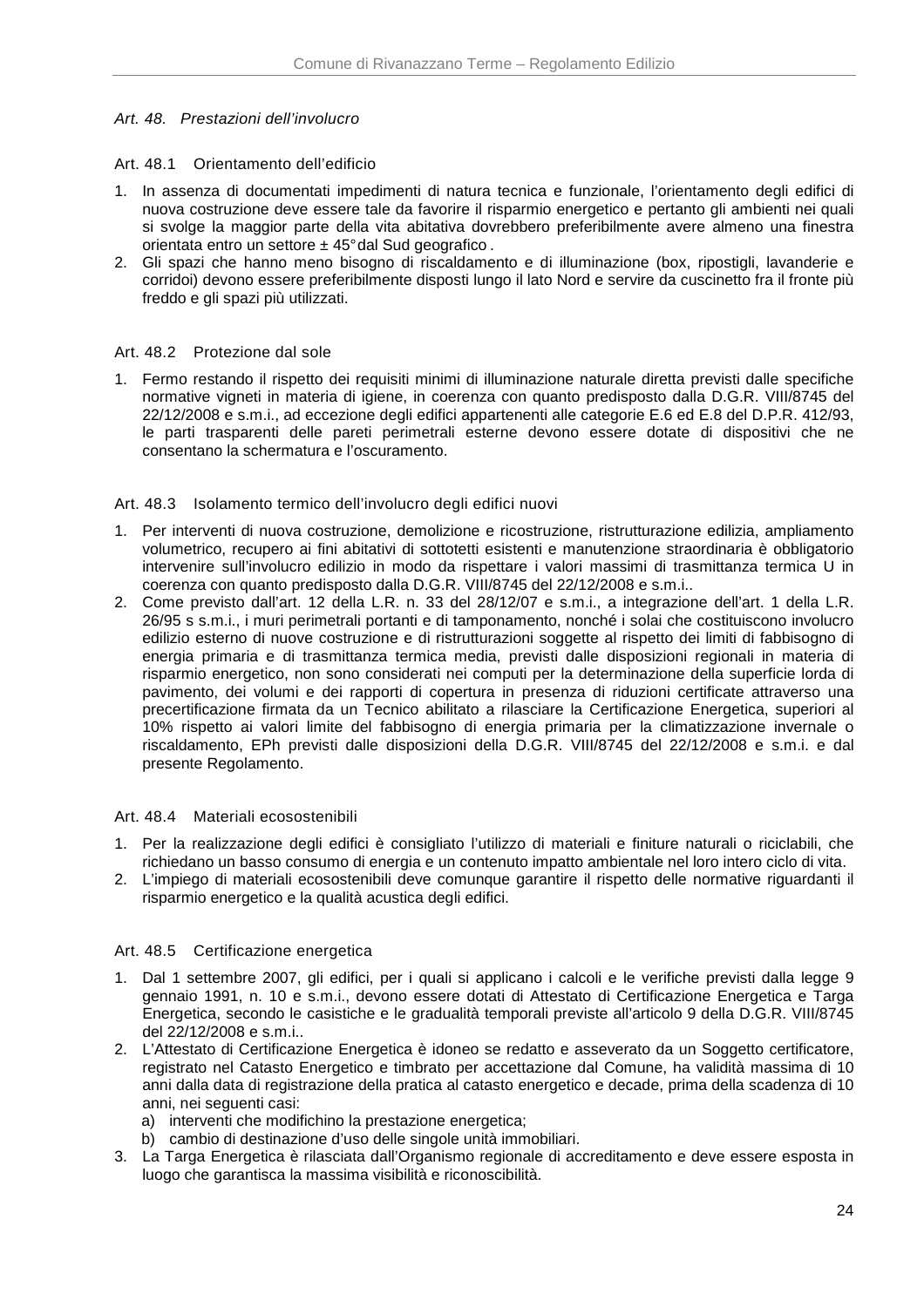### Art. 48. Prestazioni dell'involucro

### Art. 48.1 Orientamento dell'edificio

- 1. In assenza di documentati impedimenti di natura tecnica e funzionale, l'orientamento degli edifici di nuova costruzione deve essere tale da favorire il risparmio energetico e pertanto gli ambienti nei quali si svolge la maggior parte della vita abitativa dovrebbero preferibilmente avere almeno una finestra orientata entro un settore  $\pm$  45° dal Sud geografico.
- 2. Gli spazi che hanno meno bisogno di riscaldamento e di illuminazione (box, ripostigli, lavanderie e corridoi) devono essere preferibilmente disposti lungo il lato Nord e servire da cuscinetto fra il fronte più freddo e gli spazi più utilizzati.

### Art. 48.2 Protezione dal sole

1. Fermo restando il rispetto dei requisiti minimi di illuminazione naturale diretta previsti dalle specifiche normative vigneti in materia di igiene, in coerenza con quanto predisposto dalla D.G.R. VIII/8745 del 22/12/2008 e s.m.i., ad eccezione degli edifici appartenenti alle categorie E.6 ed E.8 del D.P.R. 412/93, le parti trasparenti delle pareti perimetrali esterne devono essere dotate di dispositivi che ne consentano la schermatura e l'oscuramento.

### Art. 48.3 Isolamento termico dell'involucro degli edifici nuovi

- 1. Per interventi di nuova costruzione, demolizione e ricostruzione, ristrutturazione edilizia, ampliamento volumetrico, recupero ai fini abitativi di sottotetti esistenti e manutenzione straordinaria è obbligatorio intervenire sull'involucro edilizio in modo da rispettare i valori massimi di trasmittanza termica U in coerenza con quanto predisposto dalla D.G.R. VIII/8745 del 22/12/2008 e s.m.i..
- 2. Come previsto dall'art. 12 della L.R. n. 33 del 28/12/07 e s.m.i., a integrazione dell'art. 1 della L.R. 26/95 s s.m.i., i muri perimetrali portanti e di tamponamento, nonché i solai che costituiscono involucro edilizio esterno di nuove costruzione e di ristrutturazioni soggette al rispetto dei limiti di fabbisogno di energia primaria e di trasmittanza termica media, previsti dalle disposizioni regionali in materia di risparmio energetico, non sono considerati nei computi per la determinazione della superficie lorda di pavimento, dei volumi e dei rapporti di copertura in presenza di riduzioni certificate attraverso una precertificazione firmata da un Tecnico abilitato a rilasciare la Certificazione Energetica, superiori al 10% rispetto ai valori limite del fabbisogno di energia primaria per la climatizzazione invernale o riscaldamento, EPh previsti dalle disposizioni della D.G.R. VIII/8745 del 22/12/2008 e s.m.i. e dal presente Regolamento.

#### Art. 48.4 Materiali ecosostenibili

- 1. Per la realizzazione degli edifici è consigliato l'utilizzo di materiali e finiture naturali o riciclabili, che richiedano un basso consumo di energia e un contenuto impatto ambientale nel loro intero ciclo di vita.
- 2. L'impiego di materiali ecosostenibili deve comunque garantire il rispetto delle normative riguardanti il risparmio energetico e la qualità acustica degli edifici.

#### Art. 48.5 Certificazione energetica

- 1. Dal 1 settembre 2007, gli edifici, per i quali si applicano i calcoli e le verifiche previsti dalla legge 9 gennaio 1991, n. 10 e s.m.i., devono essere dotati di Attestato di Certificazione Energetica e Targa Energetica, secondo le casistiche e le gradualità temporali previste all'articolo 9 della D.G.R. VIII/8745 del 22/12/2008 e s.m.i..
- 2. L'Attestato di Certificazione Energetica è idoneo se redatto e asseverato da un Soggetto certificatore, registrato nel Catasto Energetico e timbrato per accettazione dal Comune, ha validità massima di 10 anni dalla data di registrazione della pratica al catasto energetico e decade, prima della scadenza di 10 anni, nei seguenti casi:
	- a) interventi che modifichino la prestazione energetica;
	- b) cambio di destinazione d'uso delle singole unità immobiliari.
- 3. La Targa Energetica è rilasciata dall'Organismo regionale di accreditamento e deve essere esposta in luogo che garantisca la massima visibilità e riconoscibilità.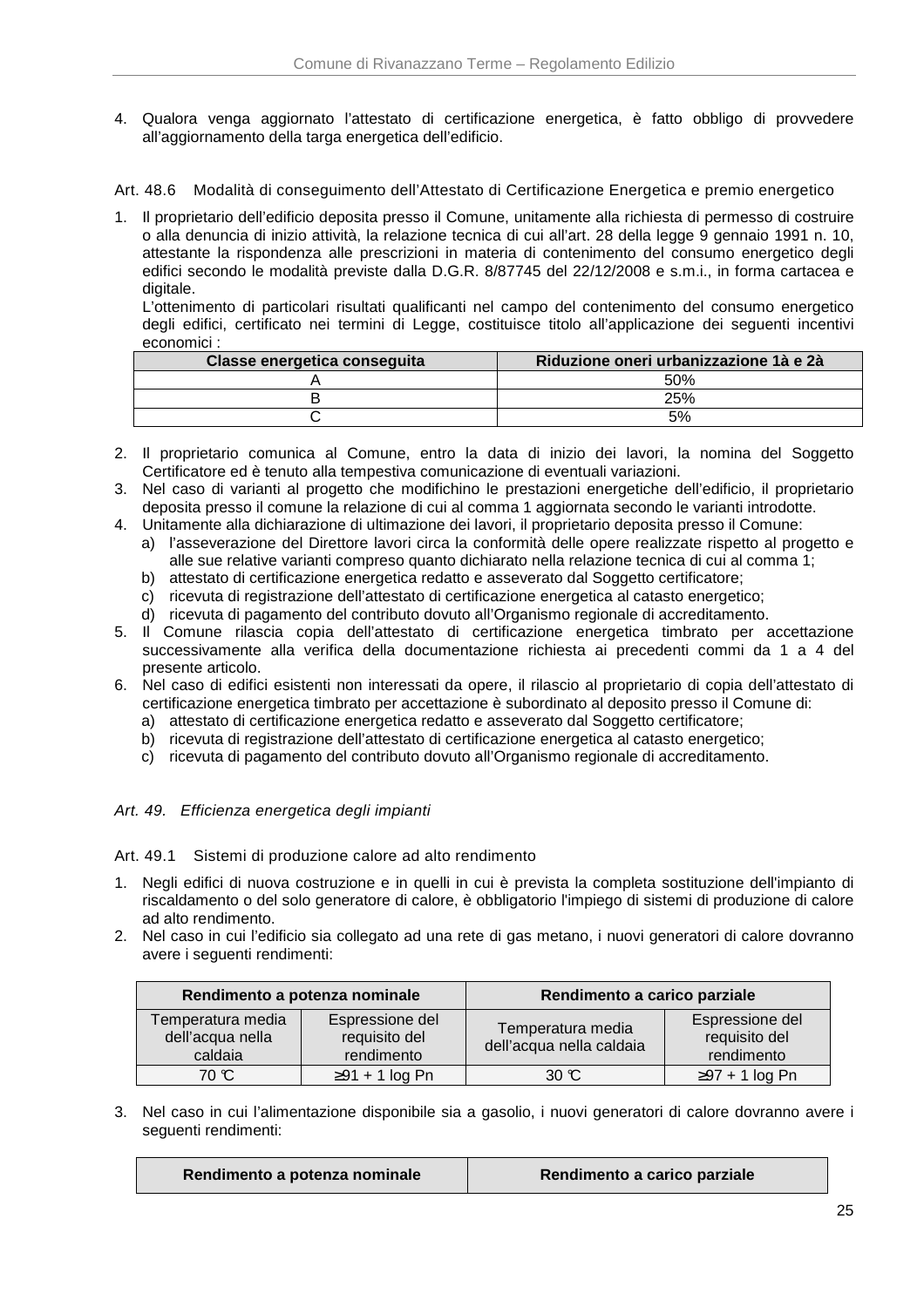4. Qualora venga aggiornato l'attestato di certificazione energetica, è fatto obbligo di provvedere all'aggiornamento della targa energetica dell'edificio.

Art. 48.6 Modalità di conseguimento dell'Attestato di Certificazione Energetica e premio energetico

1. Il proprietario dell'edificio deposita presso il Comune, unitamente alla richiesta di permesso di costruire o alla denuncia di inizio attività, la relazione tecnica di cui all'art. 28 della legge 9 gennaio 1991 n. 10, attestante la rispondenza alle prescrizioni in materia di contenimento del consumo energetico degli edifici secondo le modalità previste dalla D.G.R. 8/87745 del 22/12/2008 e s.m.i., in forma cartacea e digitale.

L'ottenimento di particolari risultati qualificanti nel campo del contenimento del consumo energetico degli edifici, certificato nei termini di Legge, costituisce titolo all'applicazione dei seguenti incentivi economici :

| Classe energetica conseguita | Riduzione oneri urbanizzazione 1à e 2à |
|------------------------------|----------------------------------------|
|                              | 50%                                    |
|                              | 25%                                    |
|                              | 5%                                     |

- 2. Il proprietario comunica al Comune, entro la data di inizio dei lavori, la nomina del Soggetto Certificatore ed è tenuto alla tempestiva comunicazione di eventuali variazioni.
- 3. Nel caso di varianti al progetto che modifichino le prestazioni energetiche dell'edificio, il proprietario deposita presso il comune la relazione di cui al comma 1 aggiornata secondo le varianti introdotte.
- 4. Unitamente alla dichiarazione di ultimazione dei lavori, il proprietario deposita presso il Comune:
	- a) l'asseverazione del Direttore lavori circa la conformità delle opere realizzate rispetto al progetto e alle sue relative varianti compreso quanto dichiarato nella relazione tecnica di cui al comma 1;
	- b) attestato di certificazione energetica redatto e asseverato dal Soggetto certificatore;
	- c) ricevuta di registrazione dell'attestato di certificazione energetica al catasto energetico;
	- d) ricevuta di pagamento del contributo dovuto all'Organismo regionale di accreditamento.
- 5. Il Comune rilascia copia dell'attestato di certificazione energetica timbrato per accettazione successivamente alla verifica della documentazione richiesta ai precedenti commi da 1 a 4 del presente articolo.
- 6. Nel caso di edifici esistenti non interessati da opere, il rilascio al proprietario di copia dell'attestato di certificazione energetica timbrato per accettazione è subordinato al deposito presso il Comune di:
	- a) attestato di certificazione energetica redatto e asseverato dal Soggetto certificatore;
	- b) ricevuta di registrazione dell'attestato di certificazione energetica al catasto energetico;
	- c) ricevuta di pagamento del contributo dovuto all'Organismo regionale di accreditamento.

### Art. 49. Efficienza energetica degli impianti

Art. 49.1 Sistemi di produzione calore ad alto rendimento

- 1. Negli edifici di nuova costruzione e in quelli in cui è prevista la completa sostituzione dell'impianto di riscaldamento o del solo generatore di calore, è obbligatorio l'impiego di sistemi di produzione di calore ad alto rendimento.
- 2. Nel caso in cui l'edificio sia collegato ad una rete di gas metano, i nuovi generatori di calore dovranno avere i seguenti rendimenti:

|                                                  | Rendimento a potenza nominale                  | Rendimento a carico parziale                  |                                                |
|--------------------------------------------------|------------------------------------------------|-----------------------------------------------|------------------------------------------------|
| Temperatura media<br>dell'acqua nella<br>caldaia | Espressione del<br>requisito del<br>rendimento | Temperatura media<br>dell'acqua nella caldaia | Espressione del<br>requisito del<br>rendimento |
| 70 C                                             | $\geq$ 91 + 1 log Pn                           |                                               | $\geq$ 97 + 1 log Pn                           |

3. Nel caso in cui l'alimentazione disponibile sia a gasolio, i nuovi generatori di calore dovranno avere i seguenti rendimenti:

| Rendimento a potenza nominale | Rendimento a carico parziale |  |
|-------------------------------|------------------------------|--|
|-------------------------------|------------------------------|--|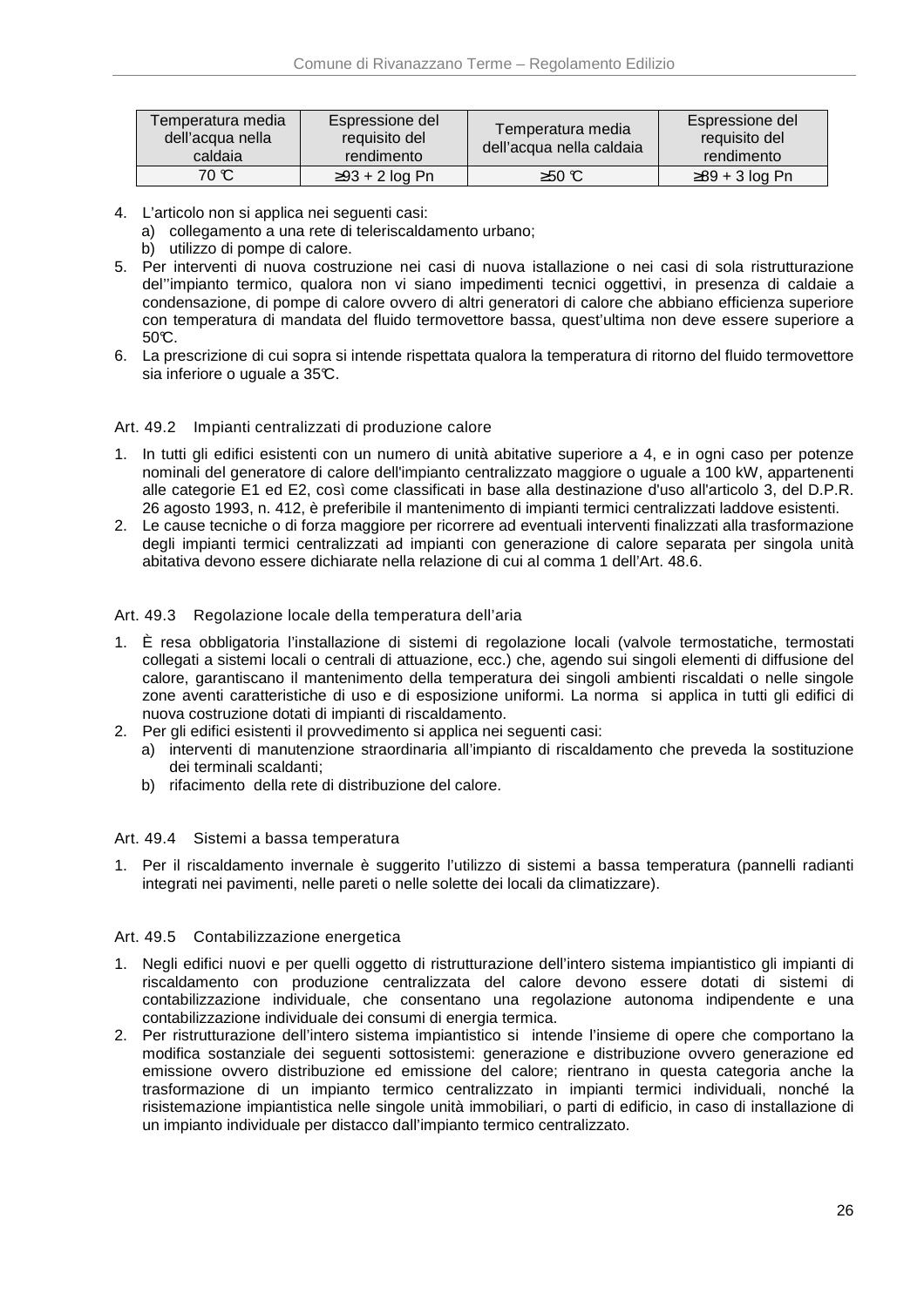| Temperatura media l<br>∖dell'acqua nella<br>caldaia | Espressione del<br>requisito del<br>rendimento | Temperatura media<br>dell'acqua nella caldaia | Espressione del<br>requisito del<br>rendimento |
|-----------------------------------------------------|------------------------------------------------|-----------------------------------------------|------------------------------------------------|
| 70 C                                                | $\geq$ 93 + 2 log Pn                           | $≥50$ ℃                                       | $\geq$ 89 + 3 log Pn                           |

4. L'articolo non si applica nei seguenti casi:

a) collegamento a una rete di teleriscaldamento urbano;

- b) utilizzo di pompe di calore.
- 5. Per interventi di nuova costruzione nei casi di nuova istallazione o nei casi di sola ristrutturazione del''impianto termico, qualora non vi siano impedimenti tecnici oggettivi, in presenza di caldaie a condensazione, di pompe di calore ovvero di altri generatori di calore che abbiano efficienza superiore con temperatura di mandata del fluido termovettore bassa, quest'ultima non deve essere superiore a  $50C$ .
- 6. La prescrizione di cui sopra si intende rispettata qualora la temperatura di ritorno del fluido termovettore sia inferiore o uguale a 35°C.

### Art. 49.2 Impianti centralizzati di produzione calore

- 1. In tutti gli edifici esistenti con un numero di unità abitative superiore a 4, e in ogni caso per potenze nominali del generatore di calore dell'impianto centralizzato maggiore o uguale a 100 kW, appartenenti alle categorie E1 ed E2, così come classificati in base alla destinazione d'uso all'articolo 3, del D.P.R. 26 agosto 1993, n. 412, è preferibile il mantenimento di impianti termici centralizzati laddove esistenti.
- 2. Le cause tecniche o di forza maggiore per ricorrere ad eventuali interventi finalizzati alla trasformazione degli impianti termici centralizzati ad impianti con generazione di calore separata per singola unità abitativa devono essere dichiarate nella relazione di cui al comma 1 dell'Art. 48.6.

### Art. 49.3 Regolazione locale della temperatura dell'aria

- 1. È resa obbligatoria l'installazione di sistemi di regolazione locali (valvole termostatiche, termostati collegati a sistemi locali o centrali di attuazione, ecc.) che, agendo sui singoli elementi di diffusione del calore, garantiscano il mantenimento della temperatura dei singoli ambienti riscaldati o nelle singole zone aventi caratteristiche di uso e di esposizione uniformi. La norma si applica in tutti gli edifici di nuova costruzione dotati di impianti di riscaldamento.
- 2. Per gli edifici esistenti il provvedimento si applica nei seguenti casi:
	- a) interventi di manutenzione straordinaria all'impianto di riscaldamento che preveda la sostituzione dei terminali scaldanti;
	- b) rifacimento della rete di distribuzione del calore.

### Art. 49.4 Sistemi a bassa temperatura

1. Per il riscaldamento invernale è suggerito l'utilizzo di sistemi a bassa temperatura (pannelli radianti integrati nei pavimenti, nelle pareti o nelle solette dei locali da climatizzare).

### Art. 49.5 Contabilizzazione energetica

- 1. Negli edifici nuovi e per quelli oggetto di ristrutturazione dell'intero sistema impiantistico gli impianti di riscaldamento con produzione centralizzata del calore devono essere dotati di sistemi di contabilizzazione individuale, che consentano una regolazione autonoma indipendente e una contabilizzazione individuale dei consumi di energia termica.
- 2. Per ristrutturazione dell'intero sistema impiantistico si intende l'insieme di opere che comportano la modifica sostanziale dei seguenti sottosistemi: generazione e distribuzione ovvero generazione ed emissione ovvero distribuzione ed emissione del calore; rientrano in questa categoria anche la trasformazione di un impianto termico centralizzato in impianti termici individuali, nonché la risistemazione impiantistica nelle singole unità immobiliari, o parti di edificio, in caso di installazione di un impianto individuale per distacco dall'impianto termico centralizzato.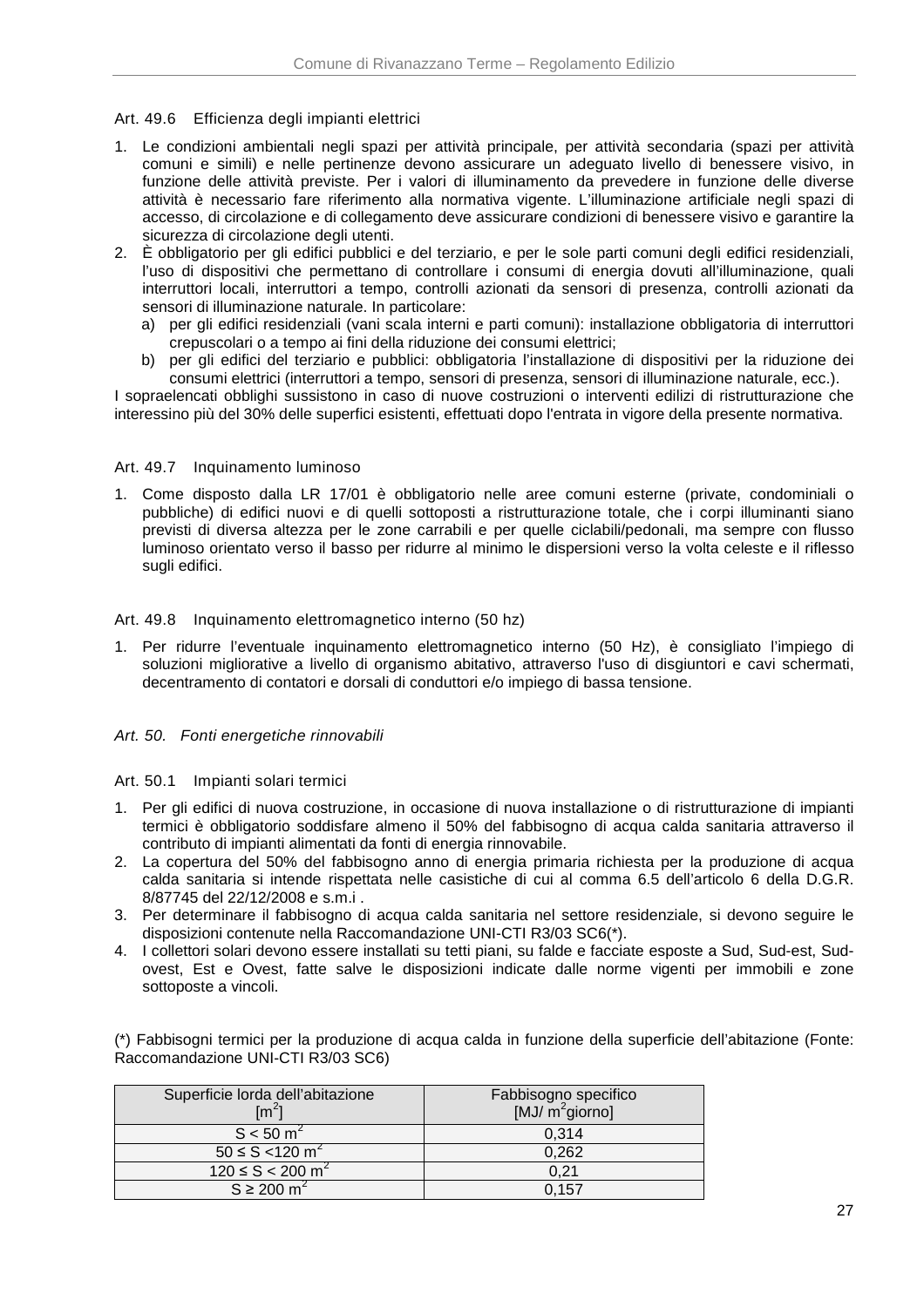### Art. 49.6 Efficienza degli impianti elettrici

- 1. Le condizioni ambientali negli spazi per attività principale, per attività secondaria (spazi per attività comuni e simili) e nelle pertinenze devono assicurare un adeguato livello di benessere visivo, in funzione delle attività previste. Per i valori di illuminamento da prevedere in funzione delle diverse attività è necessario fare riferimento alla normativa vigente. L'illuminazione artificiale negli spazi di accesso, di circolazione e di collegamento deve assicurare condizioni di benessere visivo e garantire la sicurezza di circolazione degli utenti.
- 2. È obbligatorio per gli edifici pubblici e del terziario, e per le sole parti comuni degli edifici residenziali, l'uso di dispositivi che permettano di controllare i consumi di energia dovuti all'illuminazione, quali interruttori locali, interruttori a tempo, controlli azionati da sensori di presenza, controlli azionati da sensori di illuminazione naturale. In particolare:
	- a) per gli edifici residenziali (vani scala interni e parti comuni): installazione obbligatoria di interruttori crepuscolari o a tempo ai fini della riduzione dei consumi elettrici;
	- b) per gli edifici del terziario e pubblici: obbligatoria l'installazione di dispositivi per la riduzione dei consumi elettrici (interruttori a tempo, sensori di presenza, sensori di illuminazione naturale, ecc.).

I sopraelencati obblighi sussistono in caso di nuove costruzioni o interventi edilizi di ristrutturazione che interessino più del 30% delle superfici esistenti, effettuati dopo l'entrata in vigore della presente normativa.

### Art. 49.7 Inquinamento luminoso

1. Come disposto dalla LR 17/01 è obbligatorio nelle aree comuni esterne (private, condominiali o pubbliche) di edifici nuovi e di quelli sottoposti a ristrutturazione totale, che i corpi illuminanti siano previsti di diversa altezza per le zone carrabili e per quelle ciclabili/pedonali, ma sempre con flusso luminoso orientato verso il basso per ridurre al minimo le dispersioni verso la volta celeste e il riflesso sugli edifici.

### Art. 49.8 Inquinamento elettromagnetico interno (50 hz)

1. Per ridurre l'eventuale inquinamento elettromagnetico interno (50 Hz), è consigliato l'impiego di soluzioni migliorative a livello di organismo abitativo, attraverso l'uso di disgiuntori e cavi schermati, decentramento di contatori e dorsali di conduttori e/o impiego di bassa tensione.

### Art. 50. Fonti energetiche rinnovabili

#### Art. 50.1 Impianti solari termici

- 1. Per gli edifici di nuova costruzione, in occasione di nuova installazione o di ristrutturazione di impianti termici è obbligatorio soddisfare almeno il 50% del fabbisogno di acqua calda sanitaria attraverso il contributo di impianti alimentati da fonti di energia rinnovabile.
- 2. La copertura del 50% del fabbisogno anno di energia primaria richiesta per la produzione di acqua calda sanitaria si intende rispettata nelle casistiche di cui al comma 6.5 dell'articolo 6 della D.G.R. 8/87745 del 22/12/2008 e s.m.i .
- 3. Per determinare il fabbisogno di acqua calda sanitaria nel settore residenziale, si devono seguire le disposizioni contenute nella Raccomandazione UNI-CTI R3/03 SC6(\*).
- 4. I collettori solari devono essere installati su tetti piani, su falde e facciate esposte a Sud, Sud-est, Sudovest, Est e Ovest, fatte salve le disposizioni indicate dalle norme vigenti per immobili e zone sottoposte a vincoli.

(\*) Fabbisogni termici per la produzione di acqua calda in funzione della superficie dell'abitazione (Fonte: Raccomandazione UNI-CTI R3/03 SC6)

| Superficie lorda dell'abitazione<br>$\text{Im}^2$ | Fabbisogno specifico<br>$[MJ/m^2$ giorno] |
|---------------------------------------------------|-------------------------------------------|
| $S < 50 \text{ m}^2$                              | 0.314                                     |
| $50 \le S < 120 \text{ m}^2$                      | 0,262                                     |
| $120 \le S < 200 \text{ m}^2$                     | 0.21                                      |
| $S \ge 200$ m <sup>2</sup>                        | 0.157                                     |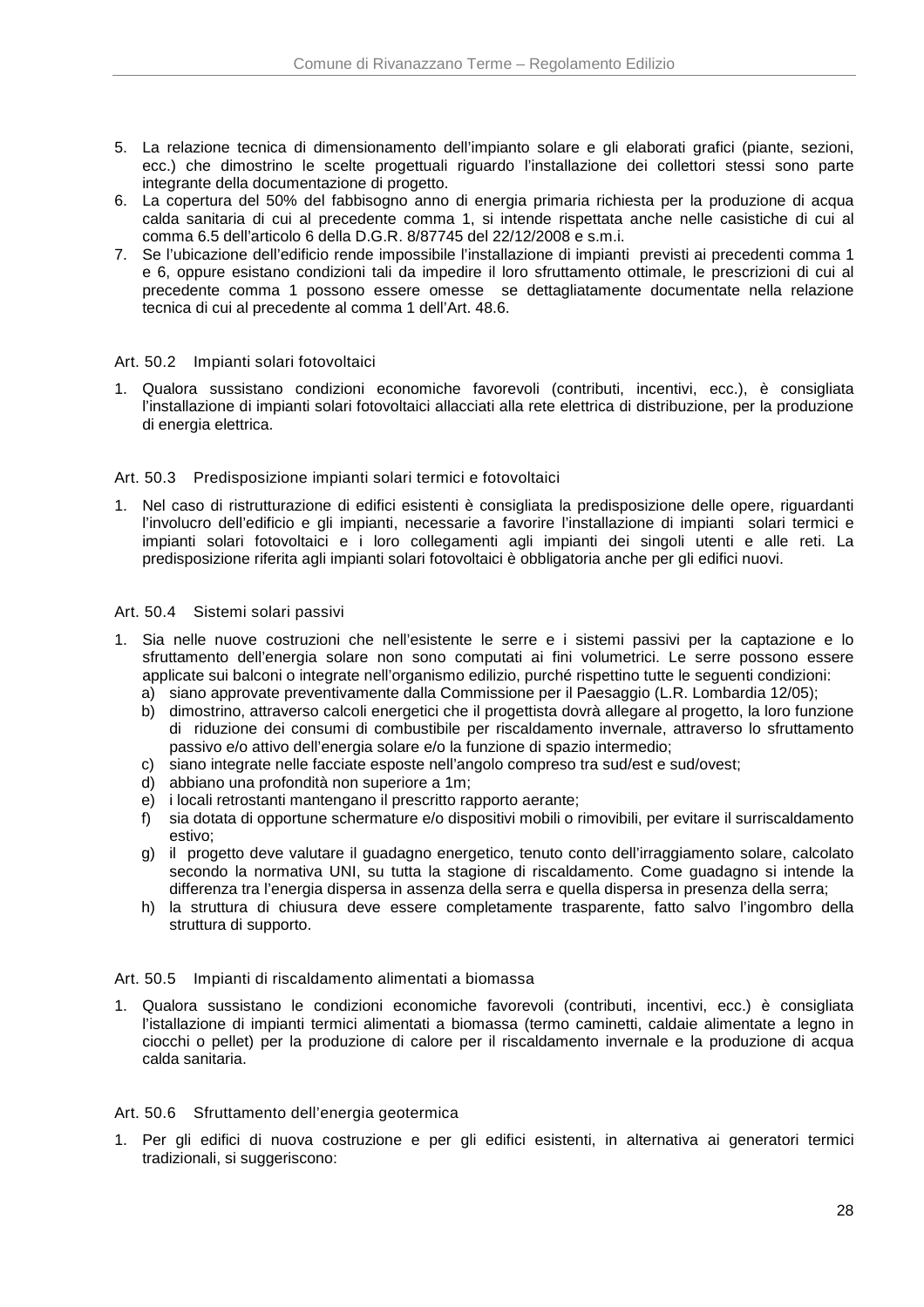- 5. La relazione tecnica di dimensionamento dell'impianto solare e gli elaborati grafici (piante, sezioni, ecc.) che dimostrino le scelte progettuali riguardo l'installazione dei collettori stessi sono parte integrante della documentazione di progetto.
- 6. La copertura del 50% del fabbisogno anno di energia primaria richiesta per la produzione di acqua calda sanitaria di cui al precedente comma 1, si intende rispettata anche nelle casistiche di cui al comma 6.5 dell'articolo 6 della D.G.R. 8/87745 del 22/12/2008 e s.m.i.
- 7. Se l'ubicazione dell'edificio rende impossibile l'installazione di impianti previsti ai precedenti comma 1 e 6, oppure esistano condizioni tali da impedire il loro sfruttamento ottimale, le prescrizioni di cui al precedente comma 1 possono essere omesse se dettagliatamente documentate nella relazione tecnica di cui al precedente al comma 1 dell'Art. 48.6.

### Art. 50.2 Impianti solari fotovoltaici

1. Qualora sussistano condizioni economiche favorevoli (contributi, incentivi, ecc.), è consigliata l'installazione di impianti solari fotovoltaici allacciati alla rete elettrica di distribuzione, per la produzione di energia elettrica.

### Art. 50.3 Predisposizione impianti solari termici e fotovoltaici

1. Nel caso di ristrutturazione di edifici esistenti è consigliata la predisposizione delle opere, riguardanti l'involucro dell'edificio e gli impianti, necessarie a favorire l'installazione di impianti solari termici e impianti solari fotovoltaici e i loro collegamenti agli impianti dei singoli utenti e alle reti. La predisposizione riferita agli impianti solari fotovoltaici è obbligatoria anche per gli edifici nuovi.

### Art. 50.4 Sistemi solari passivi

- 1. Sia nelle nuove costruzioni che nell'esistente le serre e i sistemi passivi per la captazione e lo sfruttamento dell'energia solare non sono computati ai fini volumetrici. Le serre possono essere applicate sui balconi o integrate nell'organismo edilizio, purché rispettino tutte le seguenti condizioni:
	- a) siano approvate preventivamente dalla Commissione per il Paesaggio (L.R. Lombardia 12/05);
	- b) dimostrino, attraverso calcoli energetici che il progettista dovrà allegare al progetto, la loro funzione di riduzione dei consumi di combustibile per riscaldamento invernale, attraverso lo sfruttamento passivo e/o attivo dell'energia solare e/o la funzione di spazio intermedio;
	- c) siano integrate nelle facciate esposte nell'angolo compreso tra sud/est e sud/ovest;
	- d) abbiano una profondità non superiore a 1m;
	- e) i locali retrostanti mantengano il prescritto rapporto aerante;
	- f) sia dotata di opportune schermature e/o dispositivi mobili o rimovibili, per evitare il surriscaldamento estivo;
	- g) il progetto deve valutare il guadagno energetico, tenuto conto dell'irraggiamento solare, calcolato secondo la normativa UNI, su tutta la stagione di riscaldamento. Come guadagno si intende la differenza tra l'energia dispersa in assenza della serra e quella dispersa in presenza della serra;
	- h) la struttura di chiusura deve essere completamente trasparente, fatto salvo l'ingombro della struttura di supporto.

#### Art. 50.5 Impianti di riscaldamento alimentati a biomassa

1. Qualora sussistano le condizioni economiche favorevoli (contributi, incentivi, ecc.) è consigliata l'istallazione di impianti termici alimentati a biomassa (termo caminetti, caldaie alimentate a legno in ciocchi o pellet) per la produzione di calore per il riscaldamento invernale e la produzione di acqua calda sanitaria.

#### Art. 50.6 Sfruttamento dell'energia geotermica

1. Per gli edifici di nuova costruzione e per gli edifici esistenti, in alternativa ai generatori termici tradizionali, si suggeriscono: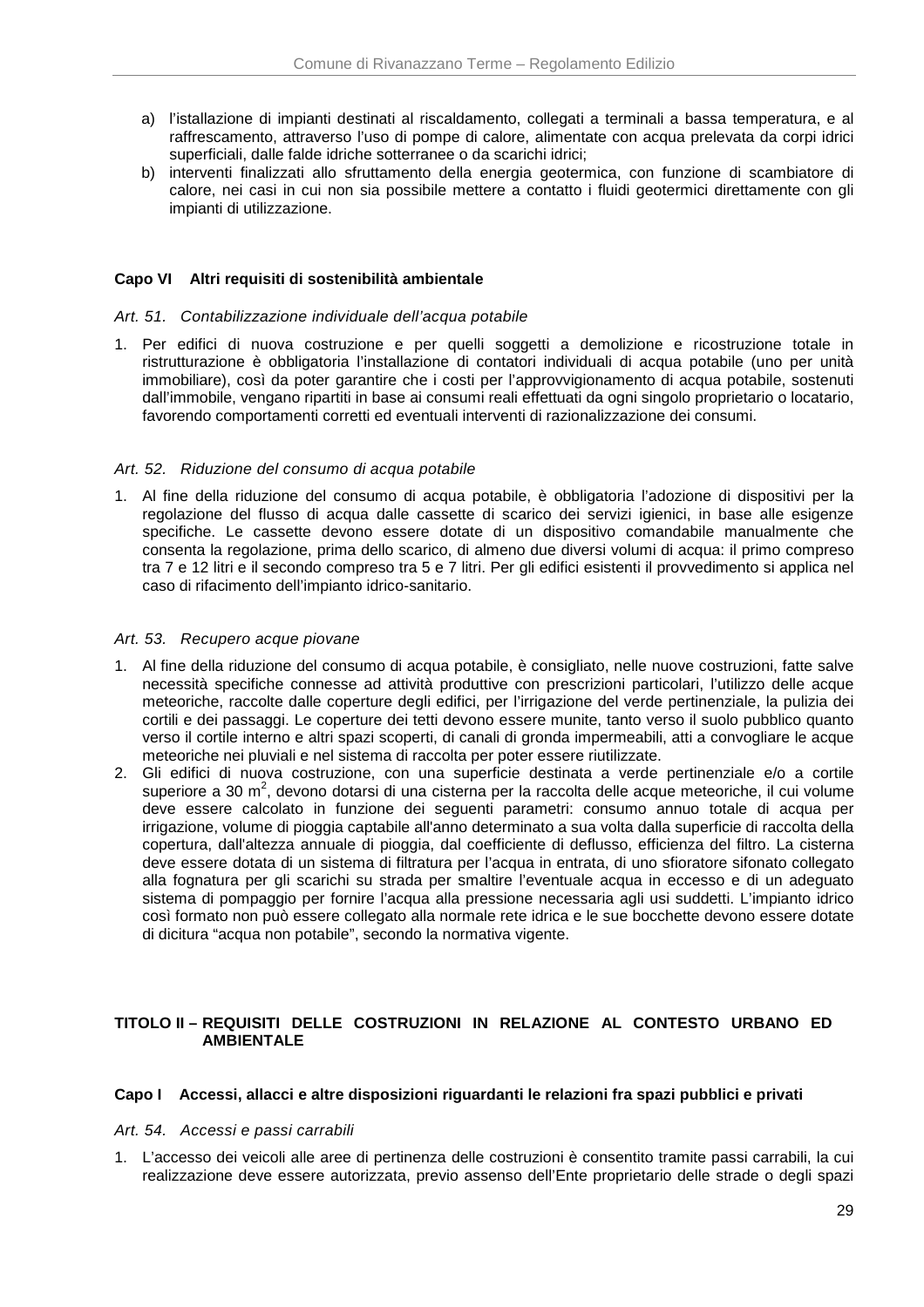- a) l'istallazione di impianti destinati al riscaldamento, collegati a terminali a bassa temperatura, e al raffrescamento, attraverso l'uso di pompe di calore, alimentate con acqua prelevata da corpi idrici superficiali, dalle falde idriche sotterranee o da scarichi idrici;
- b) interventi finalizzati allo sfruttamento della energia geotermica, con funzione di scambiatore di calore, nei casi in cui non sia possibile mettere a contatto i fluidi geotermici direttamente con gli impianti di utilizzazione.

### **Capo VI Altri requisiti di sostenibilità ambientale**

### Art. 51. Contabilizzazione individuale dell'acqua potabile

1. Per edifici di nuova costruzione e per quelli soggetti a demolizione e ricostruzione totale in ristrutturazione è obbligatoria l'installazione di contatori individuali di acqua potabile (uno per unità immobiliare), così da poter garantire che i costi per l'approvvigionamento di acqua potabile, sostenuti dall'immobile, vengano ripartiti in base ai consumi reali effettuati da ogni singolo proprietario o locatario, favorendo comportamenti corretti ed eventuali interventi di razionalizzazione dei consumi.

### Art. 52. Riduzione del consumo di acqua potabile

1. Al fine della riduzione del consumo di acqua potabile, è obbligatoria l'adozione di dispositivi per la regolazione del flusso di acqua dalle cassette di scarico dei servizi igienici, in base alle esigenze specifiche. Le cassette devono essere dotate di un dispositivo comandabile manualmente che consenta la regolazione, prima dello scarico, di almeno due diversi volumi di acqua: il primo compreso tra 7 e 12 litri e il secondo compreso tra 5 e 7 litri. Per gli edifici esistenti il provvedimento si applica nel caso di rifacimento dell'impianto idrico-sanitario.

### Art. 53. Recupero acque piovane

- 1. Al fine della riduzione del consumo di acqua potabile, è consigliato, nelle nuove costruzioni, fatte salve necessità specifiche connesse ad attività produttive con prescrizioni particolari, l'utilizzo delle acque meteoriche, raccolte dalle coperture degli edifici, per l'irrigazione del verde pertinenziale, la pulizia dei cortili e dei passaggi. Le coperture dei tetti devono essere munite, tanto verso il suolo pubblico quanto verso il cortile interno e altri spazi scoperti, di canali di gronda impermeabili, atti a convogliare le acque meteoriche nei pluviali e nel sistema di raccolta per poter essere riutilizzate.
- 2. Gli edifici di nuova costruzione, con una superficie destinata a verde pertinenziale e/o a cortile superiore a 30 m<sup>2</sup>, devono dotarsi di una cisterna per la raccolta delle acque meteoriche, il cui volume deve essere calcolato in funzione dei seguenti parametri: consumo annuo totale di acqua per irrigazione, volume di pioggia captabile all'anno determinato a sua volta dalla superficie di raccolta della copertura, dall'altezza annuale di pioggia, dal coefficiente di deflusso, efficienza del filtro. La cisterna deve essere dotata di un sistema di filtratura per l'acqua in entrata, di uno sfioratore sifonato collegato alla fognatura per gli scarichi su strada per smaltire l'eventuale acqua in eccesso e di un adeguato sistema di pompaggio per fornire l'acqua alla pressione necessaria agli usi suddetti. L'impianto idrico così formato non può essere collegato alla normale rete idrica e le sue bocchette devono essere dotate di dicitura "acqua non potabile", secondo la normativa vigente.

### **TITOLO II – REQUISITI DELLE COSTRUZIONI IN RELAZIONE AL CONTESTO URBANO ED AMBIENTALE**

### **Capo I Accessi, allacci e altre disposizioni riguardanti le relazioni fra spazi pubblici e privati**

#### Art. 54. Accessi e passi carrabili

1. L'accesso dei veicoli alle aree di pertinenza delle costruzioni è consentito tramite passi carrabili, la cui realizzazione deve essere autorizzata, previo assenso dell'Ente proprietario delle strade o degli spazi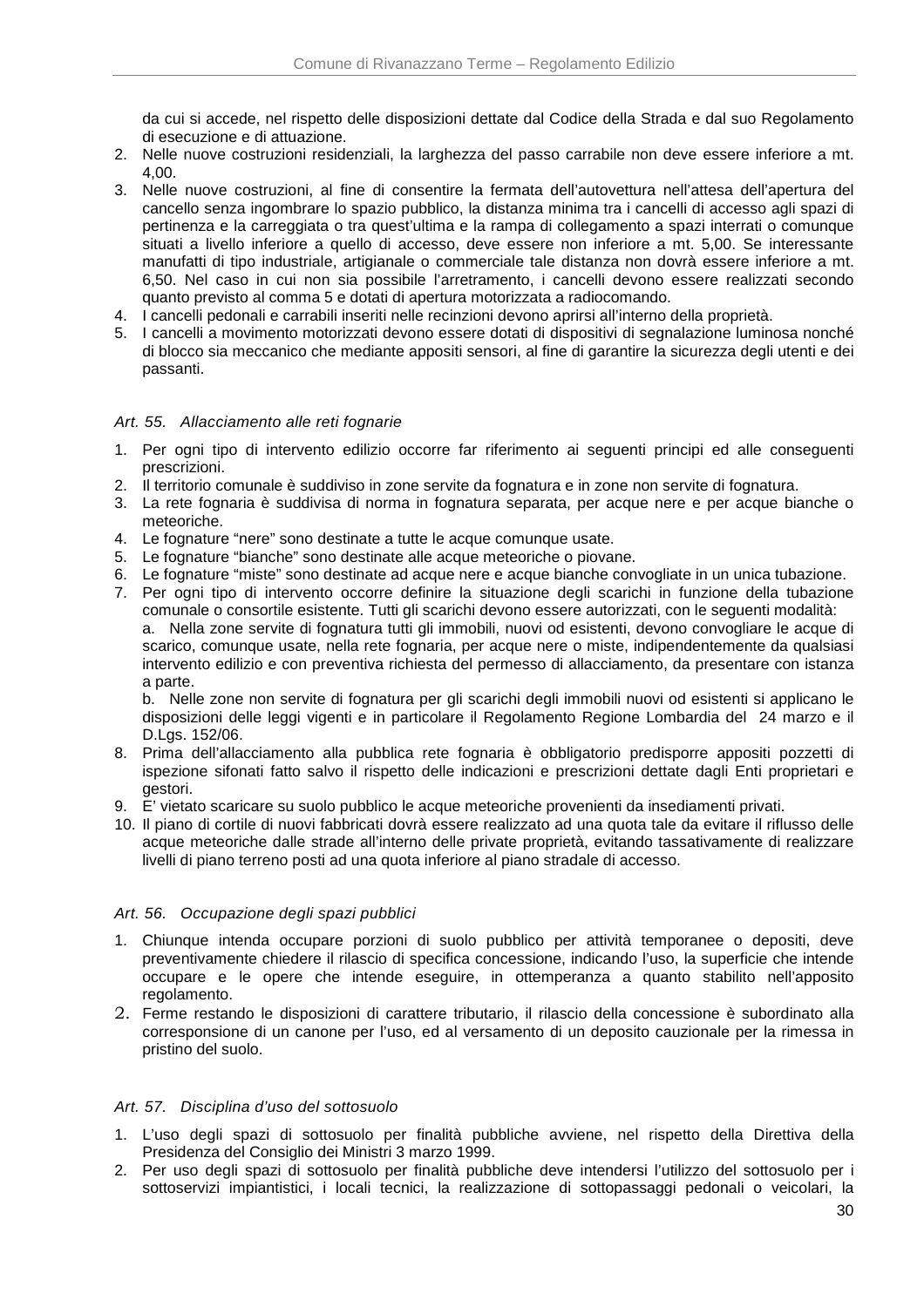da cui si accede, nel rispetto delle disposizioni dettate dal Codice della Strada e dal suo Regolamento di esecuzione e di attuazione.

- 2. Nelle nuove costruzioni residenziali, la larghezza del passo carrabile non deve essere inferiore a mt. 4,00.
- 3. Nelle nuove costruzioni, al fine di consentire la fermata dell'autovettura nell'attesa dell'apertura del cancello senza ingombrare lo spazio pubblico, la distanza minima tra i cancelli di accesso agli spazi di pertinenza e la carreggiata o tra quest'ultima e la rampa di collegamento a spazi interrati o comunque situati a livello inferiore a quello di accesso, deve essere non inferiore a mt. 5,00. Se interessante manufatti di tipo industriale, artigianale o commerciale tale distanza non dovrà essere inferiore a mt. 6,50. Nel caso in cui non sia possibile l'arretramento, i cancelli devono essere realizzati secondo quanto previsto al comma 5 e dotati di apertura motorizzata a radiocomando.
- 4. I cancelli pedonali e carrabili inseriti nelle recinzioni devono aprirsi all'interno della proprietà.
- 5. I cancelli a movimento motorizzati devono essere dotati di dispositivi di segnalazione luminosa nonché di blocco sia meccanico che mediante appositi sensori, al fine di garantire la sicurezza degli utenti e dei passanti.

### Art. 55. Allacciamento alle reti fognarie

- 1. Per ogni tipo di intervento edilizio occorre far riferimento ai seguenti principi ed alle conseguenti prescrizioni.
- 2. Il territorio comunale è suddiviso in zone servite da fognatura e in zone non servite di fognatura.
- 3. La rete fognaria è suddivisa di norma in fognatura separata, per acque nere e per acque bianche o meteoriche.
- 4. Le fognature "nere" sono destinate a tutte le acque comunque usate.
- 5. Le fognature "bianche" sono destinate alle acque meteoriche o piovane.
- 6. Le fognature "miste" sono destinate ad acque nere e acque bianche convogliate in un unica tubazione.
- 7. Per ogni tipo di intervento occorre definire la situazione degli scarichi in funzione della tubazione comunale o consortile esistente. Tutti gli scarichi devono essere autorizzati, con le seguenti modalità: a. Nella zone servite di fognatura tutti gli immobili, nuovi od esistenti, devono convogliare le acque di scarico, comunque usate, nella rete fognaria, per acque nere o miste, indipendentemente da qualsiasi intervento edilizio e con preventiva richiesta del permesso di allacciamento, da presentare con istanza a parte.

b. Nelle zone non servite di fognatura per gli scarichi degli immobili nuovi od esistenti si applicano le disposizioni delle leggi vigenti e in particolare il Regolamento Regione Lombardia del 24 marzo e il D.Lgs. 152/06.

- 8. Prima dell'allacciamento alla pubblica rete fognaria è obbligatorio predisporre appositi pozzetti di ispezione sifonati fatto salvo il rispetto delle indicazioni e prescrizioni dettate dagli Enti proprietari e gestori.
- 9. E' vietato scaricare su suolo pubblico le acque meteoriche provenienti da insediamenti privati.
- 10. Il piano di cortile di nuovi fabbricati dovrà essere realizzato ad una quota tale da evitare il riflusso delle acque meteoriche dalle strade all'interno delle private proprietà, evitando tassativamente di realizzare livelli di piano terreno posti ad una quota inferiore al piano stradale di accesso.

#### Art. 56. Occupazione degli spazi pubblici

- 1. Chiunque intenda occupare porzioni di suolo pubblico per attività temporanee o depositi, deve preventivamente chiedere il rilascio di specifica concessione, indicando l'uso, la superficie che intende occupare e le opere che intende eseguire, in ottemperanza a quanto stabilito nell'apposito regolamento.
- 2. Ferme restando le disposizioni di carattere tributario, il rilascio della concessione è subordinato alla corresponsione di un canone per l'uso, ed al versamento di un deposito cauzionale per la rimessa in pristino del suolo.

#### Art. 57. Disciplina d'uso del sottosuolo

- 1. L'uso degli spazi di sottosuolo per finalità pubbliche avviene, nel rispetto della Direttiva della Presidenza del Consiglio dei Ministri 3 marzo 1999.
- 2. Per uso degli spazi di sottosuolo per finalità pubbliche deve intendersi l'utilizzo del sottosuolo per i sottoservizi impiantistici, i locali tecnici, la realizzazione di sottopassaggi pedonali o veicolari, la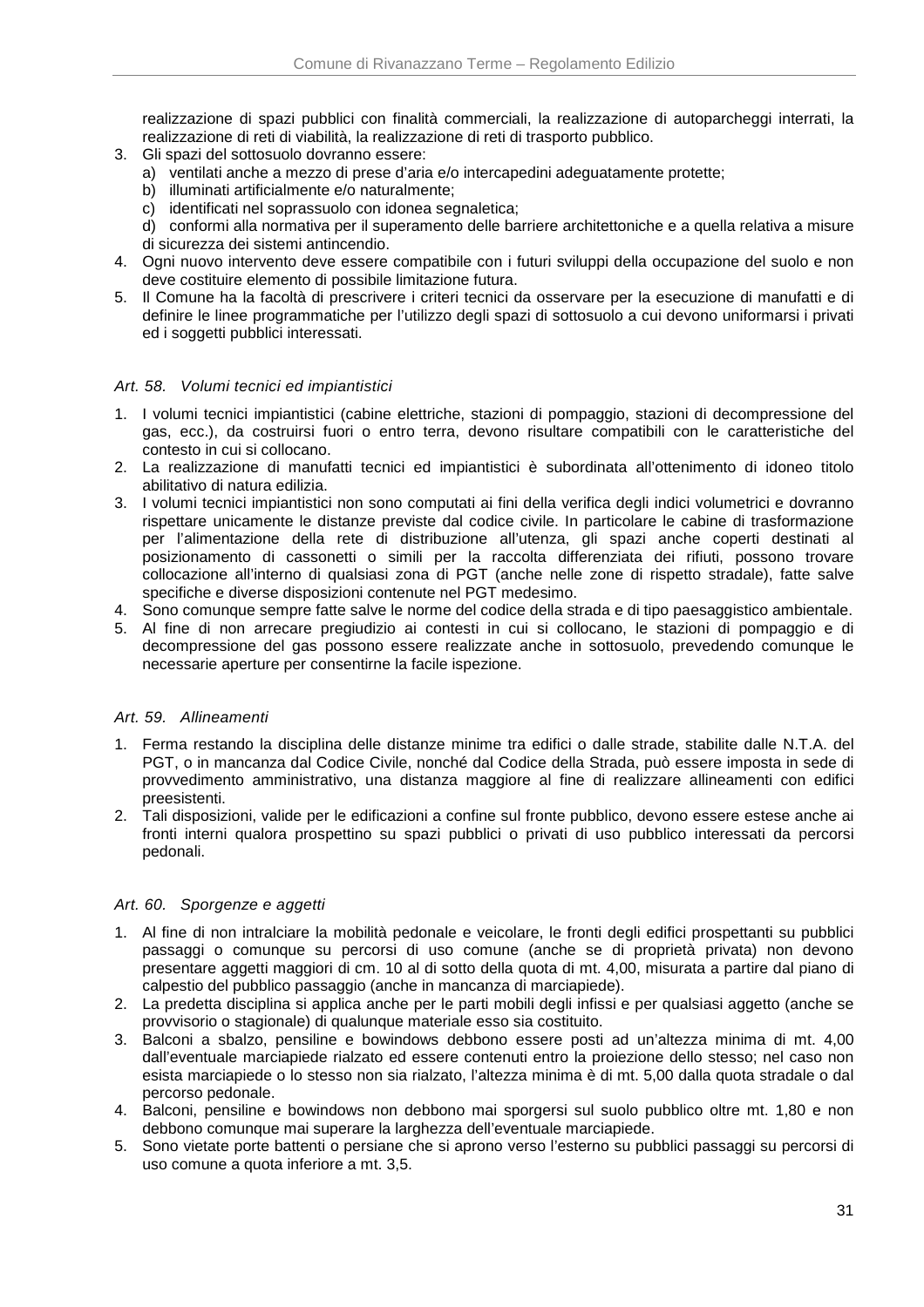realizzazione di spazi pubblici con finalità commerciali, la realizzazione di autoparcheggi interrati, la realizzazione di reti di viabilità, la realizzazione di reti di trasporto pubblico.

- 3. Gli spazi del sottosuolo dovranno essere:
	- a) ventilati anche a mezzo di prese d'aria e/o intercapedini adeguatamente protette;
	- b) illuminati artificialmente e/o naturalmente;
	- c) identificati nel soprassuolo con idonea segnaletica;

d) conformi alla normativa per il superamento delle barriere architettoniche e a quella relativa a misure di sicurezza dei sistemi antincendio.

- 4. Ogni nuovo intervento deve essere compatibile con i futuri sviluppi della occupazione del suolo e non deve costituire elemento di possibile limitazione futura.
- 5. Il Comune ha la facoltà di prescrivere i criteri tecnici da osservare per la esecuzione di manufatti e di definire le linee programmatiche per l'utilizzo degli spazi di sottosuolo a cui devono uniformarsi i privati ed i soggetti pubblici interessati.

### Art. 58. Volumi tecnici ed impiantistici

- 1. I volumi tecnici impiantistici (cabine elettriche, stazioni di pompaggio, stazioni di decompressione del gas, ecc.), da costruirsi fuori o entro terra, devono risultare compatibili con le caratteristiche del contesto in cui si collocano.
- 2. La realizzazione di manufatti tecnici ed impiantistici è subordinata all'ottenimento di idoneo titolo abilitativo di natura edilizia.
- 3. I volumi tecnici impiantistici non sono computati ai fini della verifica degli indici volumetrici e dovranno rispettare unicamente le distanze previste dal codice civile. In particolare le cabine di trasformazione per l'alimentazione della rete di distribuzione all'utenza, gli spazi anche coperti destinati al posizionamento di cassonetti o simili per la raccolta differenziata dei rifiuti, possono trovare collocazione all'interno di qualsiasi zona di PGT (anche nelle zone di rispetto stradale), fatte salve specifiche e diverse disposizioni contenute nel PGT medesimo.
- 4. Sono comunque sempre fatte salve le norme del codice della strada e di tipo paesaggistico ambientale.
- 5. Al fine di non arrecare pregiudizio ai contesti in cui si collocano, le stazioni di pompaggio e di decompressione del gas possono essere realizzate anche in sottosuolo, prevedendo comunque le necessarie aperture per consentirne la facile ispezione.

### Art. 59. Allineamenti

- 1. Ferma restando la disciplina delle distanze minime tra edifici o dalle strade, stabilite dalle N.T.A. del PGT, o in mancanza dal Codice Civile, nonché dal Codice della Strada, può essere imposta in sede di provvedimento amministrativo, una distanza maggiore al fine di realizzare allineamenti con edifici preesistenti.
- 2. Tali disposizioni, valide per le edificazioni a confine sul fronte pubblico, devono essere estese anche ai fronti interni qualora prospettino su spazi pubblici o privati di uso pubblico interessati da percorsi pedonali.

### Art. 60. Sporgenze e aggetti

- 1. Al fine di non intralciare la mobilità pedonale e veicolare, le fronti degli edifici prospettanti su pubblici passaggi o comunque su percorsi di uso comune (anche se di proprietà privata) non devono presentare aggetti maggiori di cm. 10 al di sotto della quota di mt. 4,00, misurata a partire dal piano di calpestio del pubblico passaggio (anche in mancanza di marciapiede).
- 2. La predetta disciplina si applica anche per le parti mobili degli infissi e per qualsiasi aggetto (anche se provvisorio o stagionale) di qualunque materiale esso sia costituito.
- 3. Balconi a sbalzo, pensiline e bowindows debbono essere posti ad un'altezza minima di mt. 4,00 dall'eventuale marciapiede rialzato ed essere contenuti entro la proiezione dello stesso; nel caso non esista marciapiede o lo stesso non sia rialzato, l'altezza minima è di mt. 5,00 dalla quota stradale o dal percorso pedonale.
- 4. Balconi, pensiline e bowindows non debbono mai sporgersi sul suolo pubblico oltre mt. 1,80 e non debbono comunque mai superare la larghezza dell'eventuale marciapiede.
- 5. Sono vietate porte battenti o persiane che si aprono verso l'esterno su pubblici passaggi su percorsi di uso comune a quota inferiore a mt. 3,5.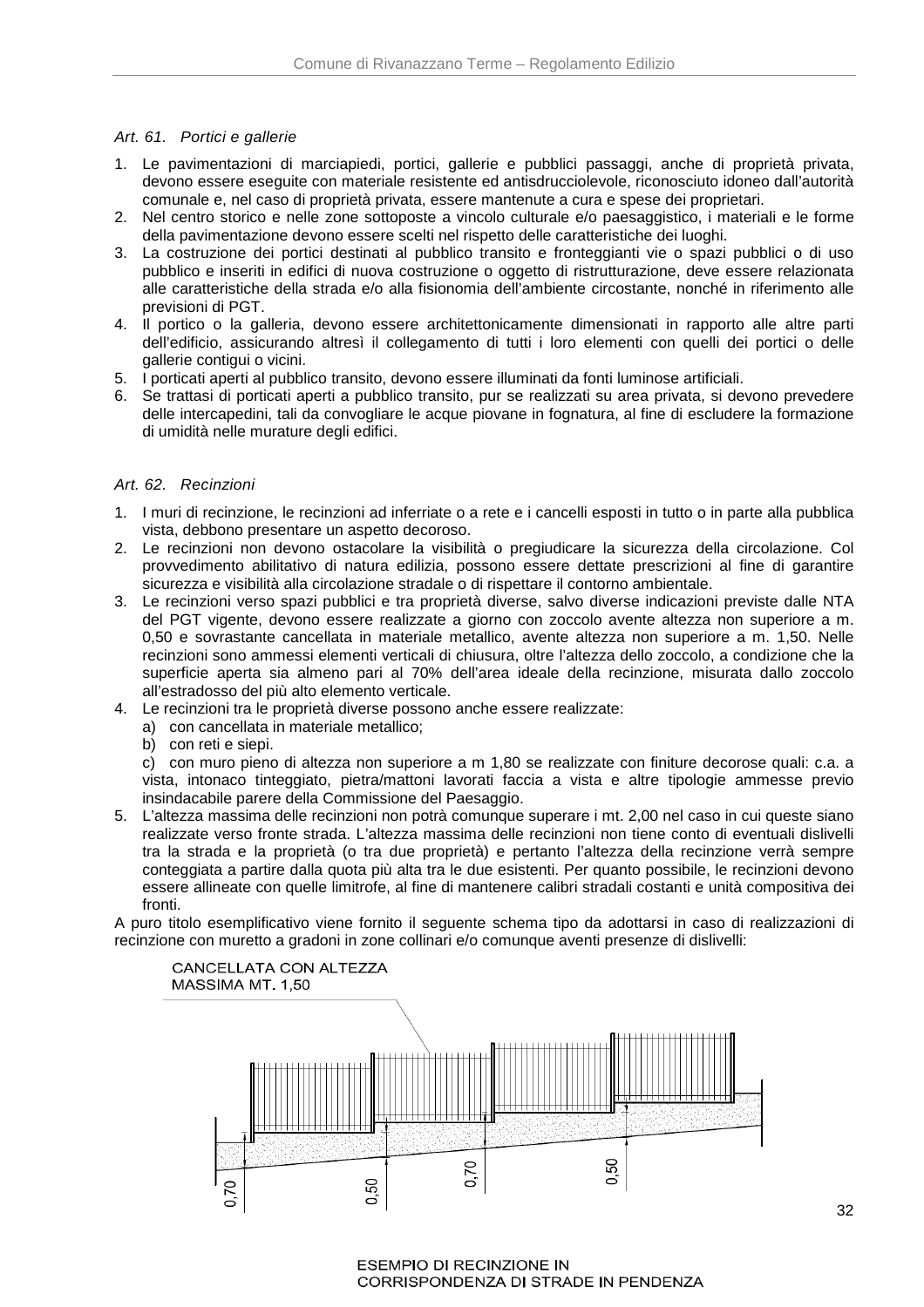### Art. 61. Portici e gallerie

- 1. Le pavimentazioni di marciapiedi, portici, gallerie e pubblici passaggi, anche di proprietà privata, devono essere eseguite con materiale resistente ed antisdrucciolevole, riconosciuto idoneo dall'autorità comunale e, nel caso di proprietà privata, essere mantenute a cura e spese dei proprietari.
- 2. Nel centro storico e nelle zone sottoposte a vincolo culturale e/o paesaggistico, i materiali e le forme della pavimentazione devono essere scelti nel rispetto delle caratteristiche dei luoghi.
- 3. La costruzione dei portici destinati al pubblico transito e fronteggianti vie o spazi pubblici o di uso pubblico e inseriti in edifici di nuova costruzione o oggetto di ristrutturazione, deve essere relazionata alle caratteristiche della strada e/o alla fisionomia dell'ambiente circostante, nonché in riferimento alle previsioni di PGT.
- 4. Il portico o la galleria, devono essere architettonicamente dimensionati in rapporto alle altre parti dell'edificio, assicurando altresì il collegamento di tutti i loro elementi con quelli dei portici o delle gallerie contigui o vicini.
- 5. I porticati aperti al pubblico transito, devono essere illuminati da fonti luminose artificiali.
- 6. Se trattasi di porticati aperti a pubblico transito, pur se realizzati su area privata, si devono prevedere delle intercapedini, tali da convogliare le acque piovane in fognatura, al fine di escludere la formazione di umidità nelle murature degli edifici.

### Art. 62. Recinzioni

- 1. I muri di recinzione, le recinzioni ad inferriate o a rete e i cancelli esposti in tutto o in parte alla pubblica vista, debbono presentare un aspetto decoroso.
- 2. Le recinzioni non devono ostacolare la visibilità o pregiudicare la sicurezza della circolazione. Col provvedimento abilitativo di natura edilizia, possono essere dettate prescrizioni al fine di garantire sicurezza e visibilità alla circolazione stradale o di rispettare il contorno ambientale.
- 3. Le recinzioni verso spazi pubblici e tra proprietà diverse, salvo diverse indicazioni previste dalle NTA del PGT vigente, devono essere realizzate a giorno con zoccolo avente altezza non superiore a m. 0,50 e sovrastante cancellata in materiale metallico, avente altezza non superiore a m. 1,50. Nelle recinzioni sono ammessi elementi verticali di chiusura, oltre l'altezza dello zoccolo, a condizione che la superficie aperta sia almeno pari al 70% dell'area ideale della recinzione, misurata dallo zoccolo all'estradosso del più alto elemento verticale.
- 4. Le recinzioni tra le proprietà diverse possono anche essere realizzate:
	- a) con cancellata in materiale metallico;
	- b) con reti e siepi.

c) con muro pieno di altezza non superiore a m 1,80 se realizzate con finiture decorose quali: c.a. a vista, intonaco tinteggiato, pietra/mattoni lavorati faccia a vista e altre tipologie ammesse previo insindacabile parere della Commissione del Paesaggio.

5. L'altezza massima delle recinzioni non potrà comunque superare i mt. 2,00 nel caso in cui queste siano realizzate verso fronte strada. L'altezza massima delle recinzioni non tiene conto di eventuali dislivelli tra la strada e la proprietà (o tra due proprietà) e pertanto l'altezza della recinzione verrà sempre conteggiata a partire dalla quota più alta tra le due esistenti. Per quanto possibile, le recinzioni devono essere allineate con quelle limitrofe, al fine di mantenere calibri stradali costanti e unità compositiva dei fronti.

A puro titolo esemplificativo viene fornito il seguente schema tipo da adottarsi in caso di realizzazioni di recinzione con muretto a gradoni in zone collinari e/o comunque aventi presenze di dislivelli:



**ESEMPIO DI RECINZIONE IN** CORRISPONDENZA DI STRADE IN PENDENZA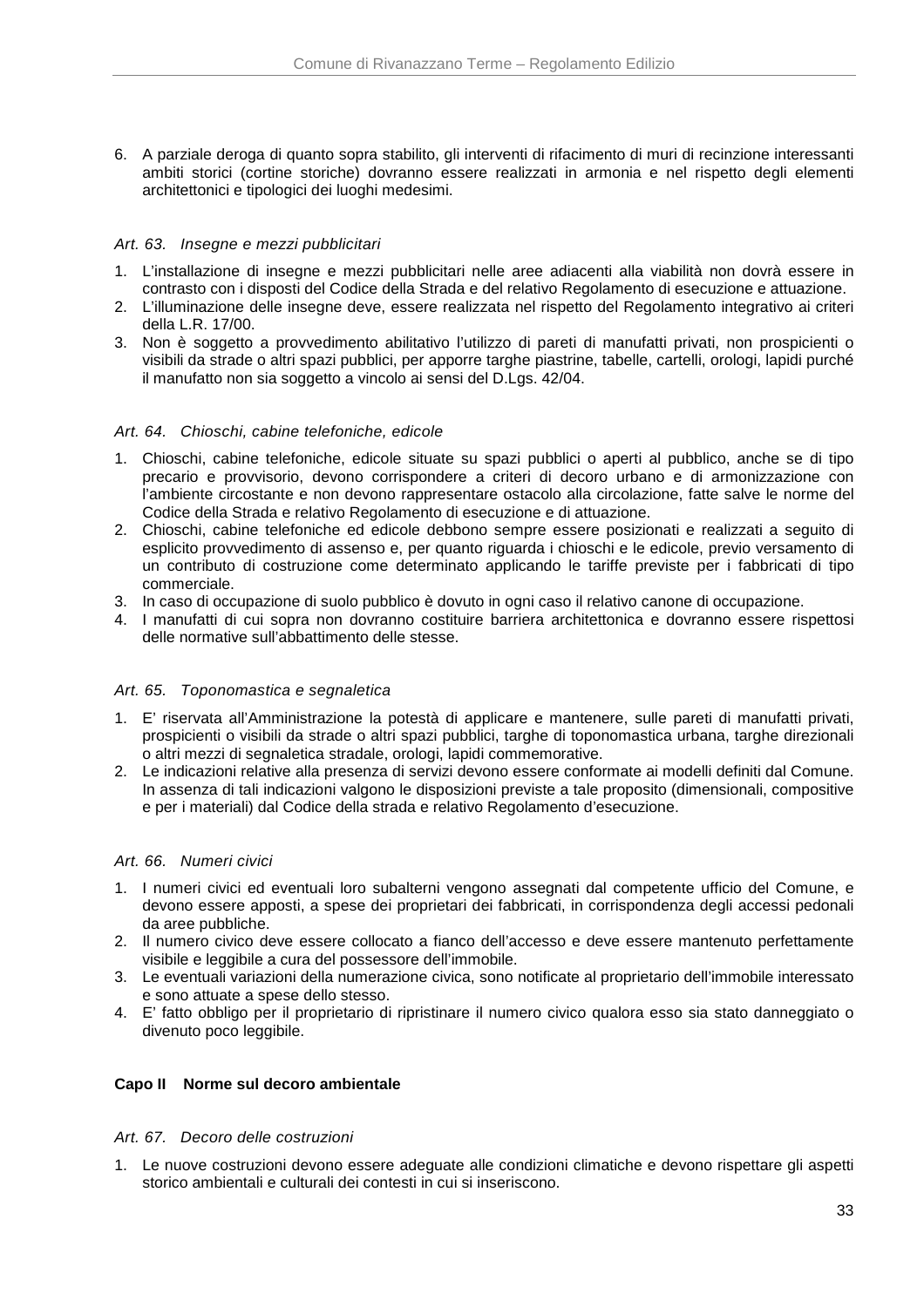6. A parziale deroga di quanto sopra stabilito, gli interventi di rifacimento di muri di recinzione interessanti ambiti storici (cortine storiche) dovranno essere realizzati in armonia e nel rispetto degli elementi architettonici e tipologici dei luoghi medesimi.

## Art. 63. Insegne e mezzi pubblicitari

- 1. L'installazione di insegne e mezzi pubblicitari nelle aree adiacenti alla viabilità non dovrà essere in contrasto con i disposti del Codice della Strada e del relativo Regolamento di esecuzione e attuazione.
- 2. L'illuminazione delle insegne deve, essere realizzata nel rispetto del Regolamento integrativo ai criteri della L.R. 17/00.
- 3. Non è soggetto a provvedimento abilitativo l'utilizzo di pareti di manufatti privati, non prospicienti o visibili da strade o altri spazi pubblici, per apporre targhe piastrine, tabelle, cartelli, orologi, lapidi purché il manufatto non sia soggetto a vincolo ai sensi del D.Lgs. 42/04.

### Art. 64. Chioschi, cabine telefoniche, edicole

- 1. Chioschi, cabine telefoniche, edicole situate su spazi pubblici o aperti al pubblico, anche se di tipo precario e provvisorio, devono corrispondere a criteri di decoro urbano e di armonizzazione con l'ambiente circostante e non devono rappresentare ostacolo alla circolazione, fatte salve le norme del Codice della Strada e relativo Regolamento di esecuzione e di attuazione.
- 2. Chioschi, cabine telefoniche ed edicole debbono sempre essere posizionati e realizzati a seguito di esplicito provvedimento di assenso e, per quanto riguarda i chioschi e le edicole, previo versamento di un contributo di costruzione come determinato applicando le tariffe previste per i fabbricati di tipo commerciale.
- 3. In caso di occupazione di suolo pubblico è dovuto in ogni caso il relativo canone di occupazione.
- 4. I manufatti di cui sopra non dovranno costituire barriera architettonica e dovranno essere rispettosi delle normative sull'abbattimento delle stesse.

### Art. 65. Toponomastica e segnaletica

- 1. E' riservata all'Amministrazione la potestà di applicare e mantenere, sulle pareti di manufatti privati, prospicienti o visibili da strade o altri spazi pubblici, targhe di toponomastica urbana, targhe direzionali o altri mezzi di segnaletica stradale, orologi, lapidi commemorative.
- 2. Le indicazioni relative alla presenza di servizi devono essere conformate ai modelli definiti dal Comune. In assenza di tali indicazioni valgono le disposizioni previste a tale proposito (dimensionali, compositive e per i materiali) dal Codice della strada e relativo Regolamento d'esecuzione.

### Art. 66. Numeri civici

- 1. I numeri civici ed eventuali loro subalterni vengono assegnati dal competente ufficio del Comune, e devono essere apposti, a spese dei proprietari dei fabbricati, in corrispondenza degli accessi pedonali da aree pubbliche.
- 2. Il numero civico deve essere collocato a fianco dell'accesso e deve essere mantenuto perfettamente visibile e leggibile a cura del possessore dell'immobile.
- 3. Le eventuali variazioni della numerazione civica, sono notificate al proprietario dell'immobile interessato e sono attuate a spese dello stesso.
- 4. E' fatto obbligo per il proprietario di ripristinare il numero civico qualora esso sia stato danneggiato o divenuto poco leggibile.

### **Capo II Norme sul decoro ambientale**

### Art. 67. Decoro delle costruzioni

1. Le nuove costruzioni devono essere adeguate alle condizioni climatiche e devono rispettare gli aspetti storico ambientali e culturali dei contesti in cui si inseriscono.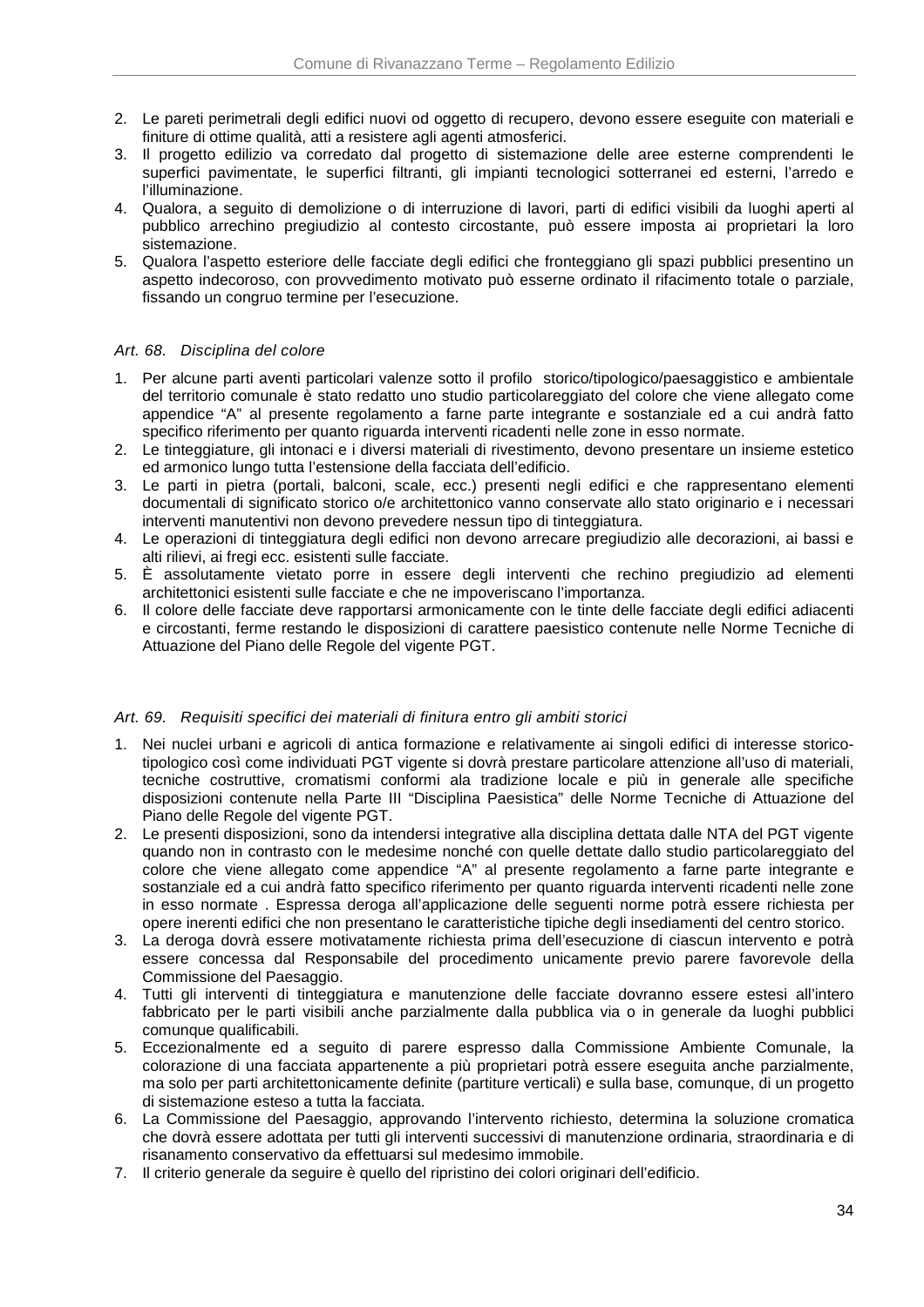- 2. Le pareti perimetrali degli edifici nuovi od oggetto di recupero, devono essere eseguite con materiali e finiture di ottime qualità, atti a resistere agli agenti atmosferici.
- 3. Il progetto edilizio va corredato dal progetto di sistemazione delle aree esterne comprendenti le superfici pavimentate, le superfici filtranti, gli impianti tecnologici sotterranei ed esterni, l'arredo e l'illuminazione.
- 4. Qualora, a seguito di demolizione o di interruzione di lavori, parti di edifici visibili da luoghi aperti al pubblico arrechino pregiudizio al contesto circostante, può essere imposta ai proprietari la loro sistemazione.
- 5. Qualora l'aspetto esteriore delle facciate degli edifici che fronteggiano gli spazi pubblici presentino un aspetto indecoroso, con provvedimento motivato può esserne ordinato il rifacimento totale o parziale, fissando un congruo termine per l'esecuzione.

### Art. 68. Disciplina del colore

- 1. Per alcune parti aventi particolari valenze sotto il profilo storico/tipologico/paesaggistico e ambientale del territorio comunale è stato redatto uno studio particolareggiato del colore che viene allegato come appendice "A" al presente regolamento a farne parte integrante e sostanziale ed a cui andrà fatto specifico riferimento per quanto riguarda interventi ricadenti nelle zone in esso normate.
- 2. Le tinteggiature, gli intonaci e i diversi materiali di rivestimento, devono presentare un insieme estetico ed armonico lungo tutta l'estensione della facciata dell'edificio.
- 3. Le parti in pietra (portali, balconi, scale, ecc.) presenti negli edifici e che rappresentano elementi documentali di significato storico o/e architettonico vanno conservate allo stato originario e i necessari interventi manutentivi non devono prevedere nessun tipo di tinteggiatura.
- 4. Le operazioni di tinteggiatura degli edifici non devono arrecare pregiudizio alle decorazioni, ai bassi e alti rilievi, ai fregi ecc. esistenti sulle facciate.
- 5. È assolutamente vietato porre in essere degli interventi che rechino pregiudizio ad elementi architettonici esistenti sulle facciate e che ne impoveriscano l'importanza.
- 6. Il colore delle facciate deve rapportarsi armonicamente con le tinte delle facciate degli edifici adiacenti e circostanti, ferme restando le disposizioni di carattere paesistico contenute nelle Norme Tecniche di Attuazione del Piano delle Regole del vigente PGT.

### Art. 69. Requisiti specifici dei materiali di finitura entro gli ambiti storici

- 1. Nei nuclei urbani e agricoli di antica formazione e relativamente ai singoli edifici di interesse storicotipologico così come individuati PGT vigente si dovrà prestare particolare attenzione all'uso di materiali, tecniche costruttive, cromatismi conformi ala tradizione locale e più in generale alle specifiche disposizioni contenute nella Parte III "Disciplina Paesistica" delle Norme Tecniche di Attuazione del Piano delle Regole del vigente PGT.
- 2. Le presenti disposizioni, sono da intendersi integrative alla disciplina dettata dalle NTA del PGT vigente quando non in contrasto con le medesime nonché con quelle dettate dallo studio particolareggiato del colore che viene allegato come appendice "A" al presente regolamento a farne parte integrante e sostanziale ed a cui andrà fatto specifico riferimento per quanto riguarda interventi ricadenti nelle zone in esso normate . Espressa deroga all'applicazione delle seguenti norme potrà essere richiesta per opere inerenti edifici che non presentano le caratteristiche tipiche degli insediamenti del centro storico.
- 3. La deroga dovrà essere motivatamente richiesta prima dell'esecuzione di ciascun intervento e potrà essere concessa dal Responsabile del procedimento unicamente previo parere favorevole della Commissione del Paesaggio.
- 4. Tutti gli interventi di tinteggiatura e manutenzione delle facciate dovranno essere estesi all'intero fabbricato per le parti visibili anche parzialmente dalla pubblica via o in generale da luoghi pubblici comunque qualificabili.
- 5. Eccezionalmente ed a seguito di parere espresso dalla Commissione Ambiente Comunale, la colorazione di una facciata appartenente a più proprietari potrà essere eseguita anche parzialmente, ma solo per parti architettonicamente definite (partiture verticali) e sulla base, comunque, di un progetto di sistemazione esteso a tutta la facciata.
- 6. La Commissione del Paesaggio, approvando l'intervento richiesto, determina la soluzione cromatica che dovrà essere adottata per tutti gli interventi successivi di manutenzione ordinaria, straordinaria e di risanamento conservativo da effettuarsi sul medesimo immobile.
- 7. Il criterio generale da seguire è quello del ripristino dei colori originari dell'edificio.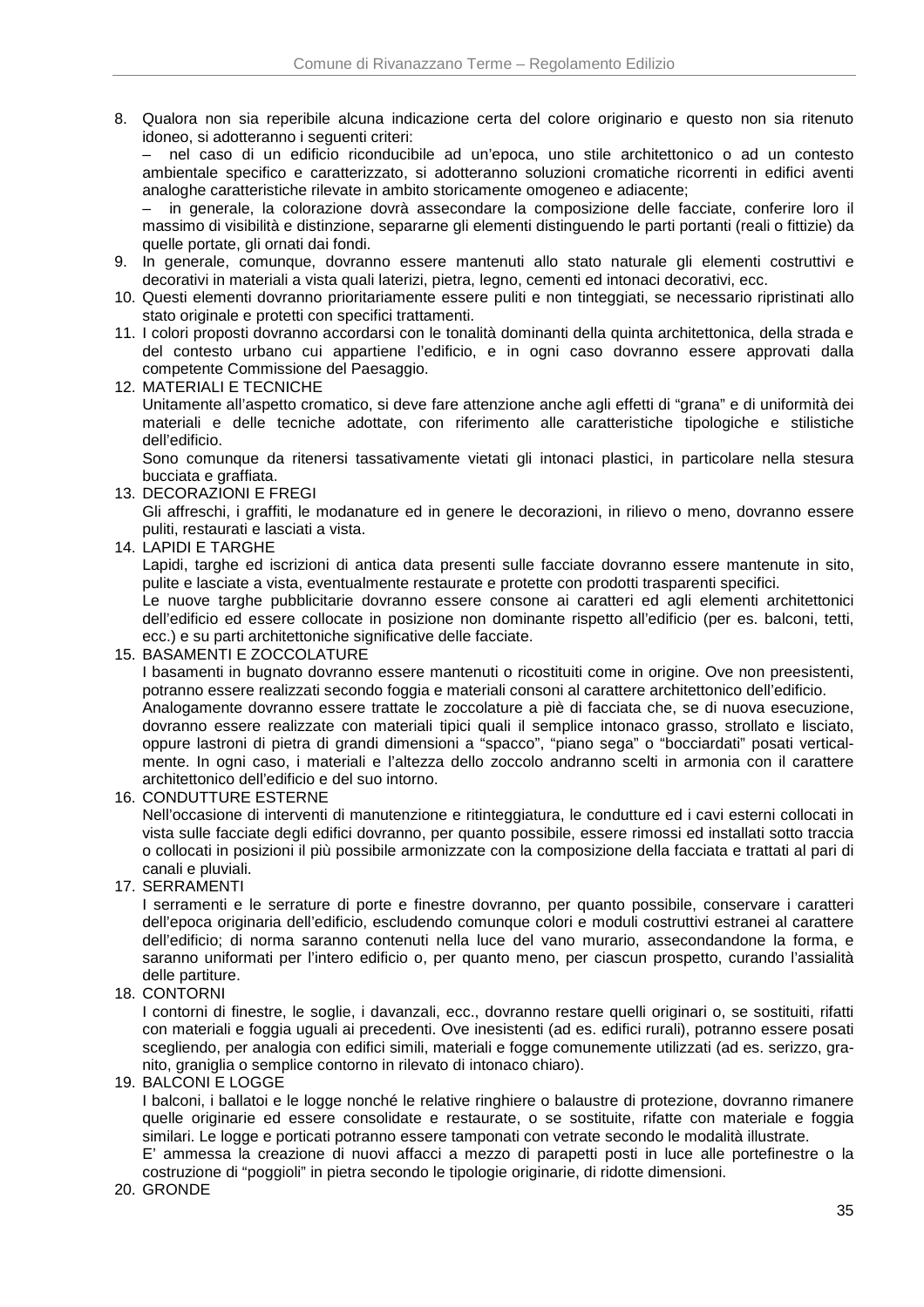8. Qualora non sia reperibile alcuna indicazione certa del colore originario e questo non sia ritenuto idoneo, si adotteranno i seguenti criteri:

– nel caso di un edificio riconducibile ad un'epoca, uno stile architettonico o ad un contesto ambientale specifico e caratterizzato, si adotteranno soluzioni cromatiche ricorrenti in edifici aventi analoghe caratteristiche rilevate in ambito storicamente omogeneo e adiacente;

– in generale, la colorazione dovrà assecondare la composizione delle facciate, conferire loro il massimo di visibilità e distinzione, separarne gli elementi distinguendo le parti portanti (reali o fittizie) da quelle portate, gli ornati dai fondi.

- 9. In generale, comunque, dovranno essere mantenuti allo stato naturale gli elementi costruttivi e decorativi in materiali a vista quali laterizi, pietra, legno, cementi ed intonaci decorativi, ecc.
- 10. Questi elementi dovranno prioritariamente essere puliti e non tinteggiati, se necessario ripristinati allo stato originale e protetti con specifici trattamenti.
- 11. I colori proposti dovranno accordarsi con le tonalità dominanti della quinta architettonica, della strada e del contesto urbano cui appartiene l'edificio, e in ogni caso dovranno essere approvati dalla competente Commissione del Paesaggio.
- 12. MATERIALI E TECNICHE

Unitamente all'aspetto cromatico, si deve fare attenzione anche agli effetti di "grana" e di uniformità dei materiali e delle tecniche adottate, con riferimento alle caratteristiche tipologiche e stilistiche dell'edificio.

Sono comunque da ritenersi tassativamente vietati gli intonaci plastici, in particolare nella stesura bucciata e graffiata.

13. DECORAZIONI E FREGI

Gli affreschi, i graffiti, le modanature ed in genere le decorazioni, in rilievo o meno, dovranno essere puliti, restaurati e lasciati a vista.

14. LAPIDI E TARGHE

Lapidi, targhe ed iscrizioni di antica data presenti sulle facciate dovranno essere mantenute in sito, pulite e lasciate a vista, eventualmente restaurate e protette con prodotti trasparenti specifici.

Le nuove targhe pubblicitarie dovranno essere consone ai caratteri ed agli elementi architettonici dell'edificio ed essere collocate in posizione non dominante rispetto all'edificio (per es. balconi, tetti, ecc.) e su parti architettoniche significative delle facciate.

15. BASAMENTI E ZOCCOLATURE

I basamenti in bugnato dovranno essere mantenuti o ricostituiti come in origine. Ove non preesistenti, potranno essere realizzati secondo foggia e materiali consoni al carattere architettonico dell'edificio. Analogamente dovranno essere trattate le zoccolature a piè di facciata che, se di nuova esecuzione, dovranno essere realizzate con materiali tipici quali il semplice intonaco grasso, strollato e lisciato, oppure lastroni di pietra di grandi dimensioni a "spacco", "piano sega" o "bocciardati" posati verticalmente. In ogni caso, i materiali e l'altezza dello zoccolo andranno scelti in armonia con il carattere architettonico dell'edificio e del suo intorno.

16. CONDUTTURE ESTERNE

Nell'occasione di interventi di manutenzione e ritinteggiatura, le condutture ed i cavi esterni collocati in vista sulle facciate degli edifici dovranno, per quanto possibile, essere rimossi ed installati sotto traccia o collocati in posizioni il più possibile armonizzate con la composizione della facciata e trattati al pari di canali e pluviali.

17. SERRAMENTI

I serramenti e le serrature di porte e finestre dovranno, per quanto possibile, conservare i caratteri dell'epoca originaria dell'edificio, escludendo comunque colori e moduli costruttivi estranei al carattere dell'edificio; di norma saranno contenuti nella luce del vano murario, assecondandone la forma, e saranno uniformati per l'intero edificio o, per quanto meno, per ciascun prospetto, curando l'assialità delle partiture.

18. CONTORNI

I contorni di finestre, le soglie, i davanzali, ecc., dovranno restare quelli originari o, se sostituiti, rifatti con materiali e foggia uguali ai precedenti. Ove inesistenti (ad es. edifici rurali), potranno essere posati scegliendo, per analogia con edifici simili, materiali e fogge comunemente utilizzati (ad es. serizzo, granito, graniglia o semplice contorno in rilevato di intonaco chiaro).

19. BALCONI E LOGGE

I balconi, i ballatoi e le logge nonché le relative ringhiere o balaustre di protezione, dovranno rimanere quelle originarie ed essere consolidate e restaurate, o se sostituite, rifatte con materiale e foggia similari. Le logge e porticati potranno essere tamponati con vetrate secondo le modalità illustrate.

E' ammessa la creazione di nuovi affacci a mezzo di parapetti posti in luce alle portefinestre o la costruzione di "poggioli" in pietra secondo le tipologie originarie, di ridotte dimensioni.

20. GRONDE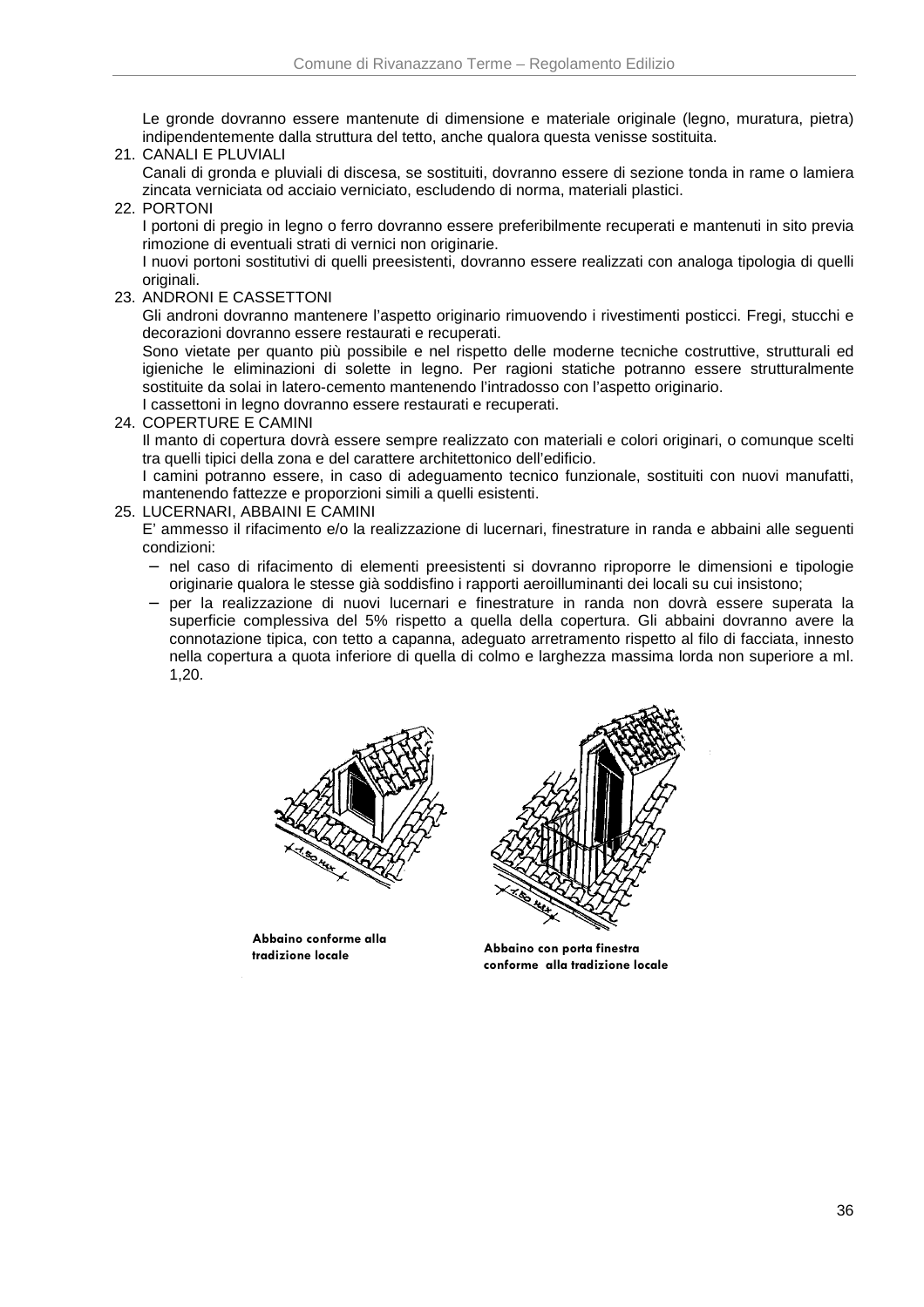Le gronde dovranno essere mantenute di dimensione e materiale originale (legno, muratura, pietra) indipendentemente dalla struttura del tetto, anche qualora questa venisse sostituita.

21. CANALI E PLUVIALI

Canali di gronda e pluviali di discesa, se sostituiti, dovranno essere di sezione tonda in rame o lamiera zincata verniciata od acciaio verniciato, escludendo di norma, materiali plastici.

22. PORTONI

I portoni di pregio in legno o ferro dovranno essere preferibilmente recuperati e mantenuti in sito previa rimozione di eventuali strati di vernici non originarie.

I nuovi portoni sostitutivi di quelli preesistenti, dovranno essere realizzati con analoga tipologia di quelli originali.

23. ANDRONI E CASSETTONI

Gli androni dovranno mantenere l'aspetto originario rimuovendo i rivestimenti posticci. Fregi, stucchi e decorazioni dovranno essere restaurati e recuperati.

Sono vietate per quanto più possibile e nel rispetto delle moderne tecniche costruttive, strutturali ed igieniche le eliminazioni di solette in legno. Per ragioni statiche potranno essere strutturalmente sostituite da solai in latero-cemento mantenendo l'intradosso con l'aspetto originario.

I cassettoni in legno dovranno essere restaurati e recuperati.

24. COPERTURE E CAMINI

Il manto di copertura dovrà essere sempre realizzato con materiali e colori originari, o comunque scelti tra quelli tipici della zona e del carattere architettonico dell'edificio.

I camini potranno essere, in caso di adeguamento tecnico funzionale, sostituiti con nuovi manufatti, mantenendo fattezze e proporzioni simili a quelli esistenti.

25. LUCERNARI, ABBAINI E CAMINI

E' ammesso il rifacimento e/o la realizzazione di lucernari, finestrature in randa e abbaini alle seguenti condizioni:

- − nel caso di rifacimento di elementi preesistenti si dovranno riproporre le dimensioni e tipologie originarie qualora le stesse già soddisfino i rapporti aeroilluminanti dei locali su cui insistono;
- − per la realizzazione di nuovi lucernari e finestrature in randa non dovrà essere superata la superficie complessiva del 5% rispetto a quella della copertura. Gli abbaini dovranno avere la connotazione tipica, con tetto a capanna, adeguato arretramento rispetto al filo di facciata, innesto nella copertura a quota inferiore di quella di colmo e larghezza massima lorda non superiore a ml. 1,20.



**Abbaino conforme alla** 



**tradizione locale Abbaino con porta finestra conforme alla tradizione locale**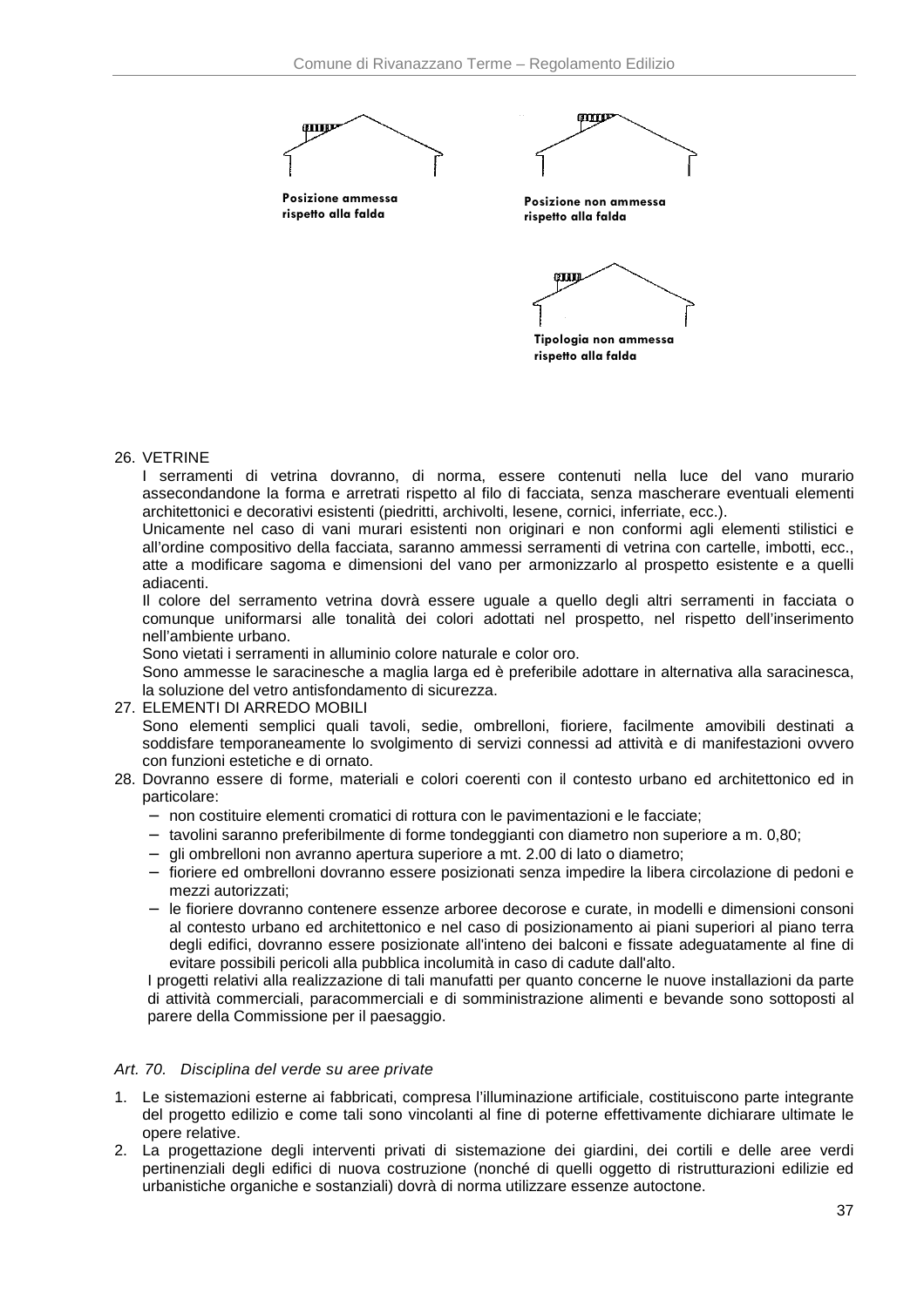



**Posizione non ammessa rispetto alla falda**



### 26. VETRINE

I serramenti di vetrina dovranno, di norma, essere contenuti nella luce del vano murario assecondandone la forma e arretrati rispetto al filo di facciata, senza mascherare eventuali elementi architettonici e decorativi esistenti (piedritti, archivolti, lesene, cornici, inferriate, ecc.).

Unicamente nel caso di vani murari esistenti non originari e non conformi agli elementi stilistici e all'ordine compositivo della facciata, saranno ammessi serramenti di vetrina con cartelle, imbotti, ecc., atte a modificare sagoma e dimensioni del vano per armonizzarlo al prospetto esistente e a quelli adiacenti.

Il colore del serramento vetrina dovrà essere uguale a quello degli altri serramenti in facciata o comunque uniformarsi alle tonalità dei colori adottati nel prospetto, nel rispetto dell'inserimento nell'ambiente urbano.

Sono vietati i serramenti in alluminio colore naturale e color oro.

Sono ammesse le saracinesche a maglia larga ed è preferibile adottare in alternativa alla saracinesca, la soluzione del vetro antisfondamento di sicurezza.

27. ELEMENTI DI ARREDO MOBILI

Sono elementi semplici quali tavoli, sedie, ombrelloni, fioriere, facilmente amovibili destinati a soddisfare temporaneamente lo svolgimento di servizi connessi ad attività e di manifestazioni ovvero con funzioni estetiche e di ornato.

- 28. Dovranno essere di forme, materiali e colori coerenti con il contesto urbano ed architettonico ed in particolare:
	- − non costituire elementi cromatici di rottura con le pavimentazioni e le facciate;
	- − tavolini saranno preferibilmente di forme tondeggianti con diametro non superiore a m. 0,80;
	- − gli ombrelloni non avranno apertura superiore a mt. 2.00 di lato o diametro;
	- − fioriere ed ombrelloni dovranno essere posizionati senza impedire la libera circolazione di pedoni e mezzi autorizzati;
	- − le fioriere dovranno contenere essenze arboree decorose e curate, in modelli e dimensioni consoni al contesto urbano ed architettonico e nel caso di posizionamento ai piani superiori al piano terra degli edifici, dovranno essere posizionate all'inteno dei balconi e fissate adeguatamente al fine di evitare possibili pericoli alla pubblica incolumità in caso di cadute dall'alto.

I progetti relativi alla realizzazione di tali manufatti per quanto concerne le nuove installazioni da parte di attività commerciali, paracommerciali e di somministrazione alimenti e bevande sono sottoposti al parere della Commissione per il paesaggio.

#### Art. 70. Disciplina del verde su aree private

- 1. Le sistemazioni esterne ai fabbricati, compresa l'illuminazione artificiale, costituiscono parte integrante del progetto edilizio e come tali sono vincolanti al fine di poterne effettivamente dichiarare ultimate le opere relative.
- 2. La progettazione degli interventi privati di sistemazione dei giardini, dei cortili e delle aree verdi pertinenziali degli edifici di nuova costruzione (nonché di quelli oggetto di ristrutturazioni edilizie ed urbanistiche organiche e sostanziali) dovrà di norma utilizzare essenze autoctone.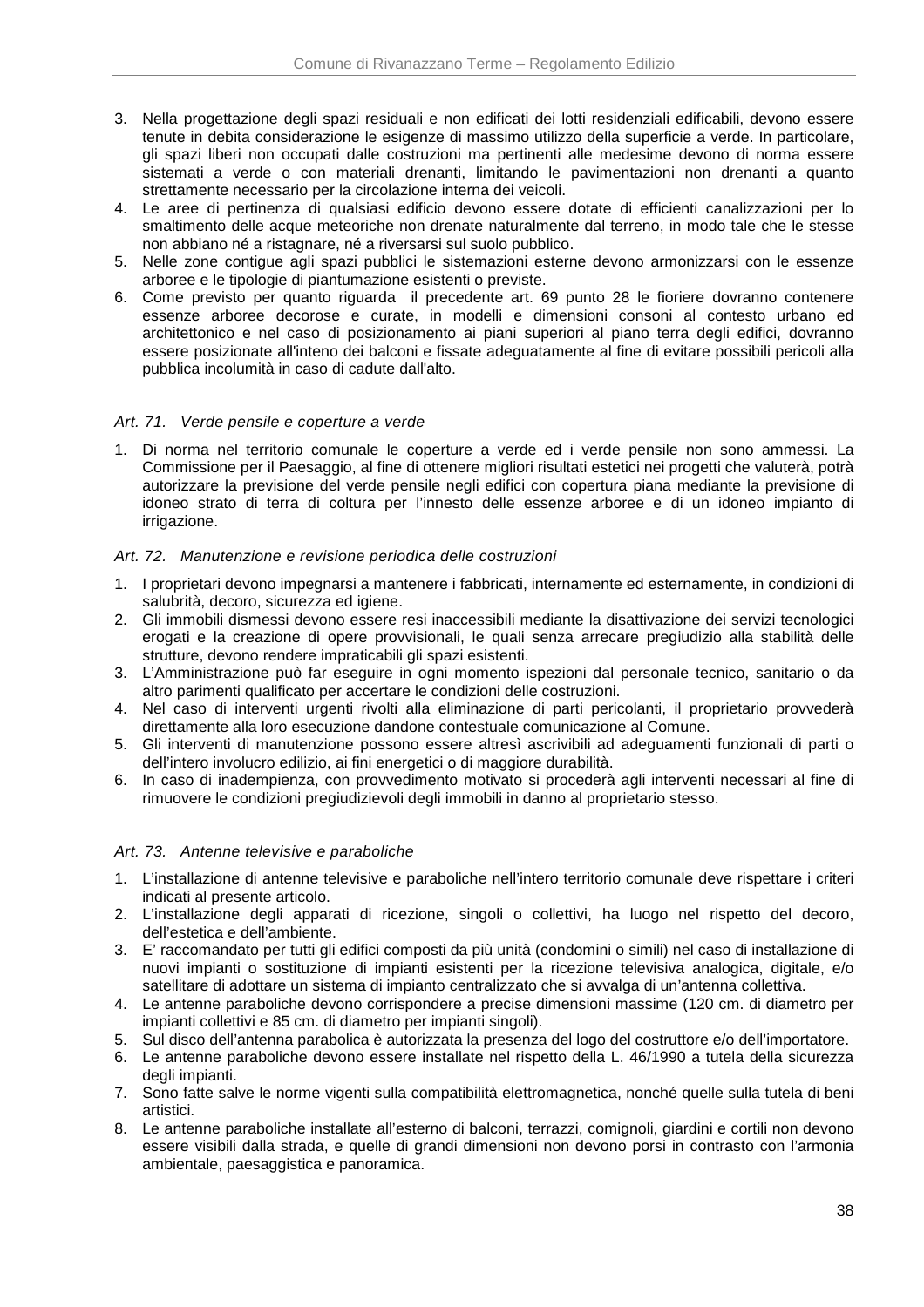- 3. Nella progettazione degli spazi residuali e non edificati dei lotti residenziali edificabili, devono essere tenute in debita considerazione le esigenze di massimo utilizzo della superficie a verde. In particolare, gli spazi liberi non occupati dalle costruzioni ma pertinenti alle medesime devono di norma essere sistemati a verde o con materiali drenanti, limitando le pavimentazioni non drenanti a quanto strettamente necessario per la circolazione interna dei veicoli.
- 4. Le aree di pertinenza di qualsiasi edificio devono essere dotate di efficienti canalizzazioni per lo smaltimento delle acque meteoriche non drenate naturalmente dal terreno, in modo tale che le stesse non abbiano né a ristagnare, né a riversarsi sul suolo pubblico.
- 5. Nelle zone contigue agli spazi pubblici le sistemazioni esterne devono armonizzarsi con le essenze arboree e le tipologie di piantumazione esistenti o previste.
- 6. Come previsto per quanto riguarda il precedente art. 69 punto 28 le fioriere dovranno contenere essenze arboree decorose e curate, in modelli e dimensioni consoni al contesto urbano ed architettonico e nel caso di posizionamento ai piani superiori al piano terra degli edifici, dovranno essere posizionate all'inteno dei balconi e fissate adeguatamente al fine di evitare possibili pericoli alla pubblica incolumità in caso di cadute dall'alto.

### Art. 71. Verde pensile e coperture a verde

1. Di norma nel territorio comunale le coperture a verde ed i verde pensile non sono ammessi. La Commissione per il Paesaggio, al fine di ottenere migliori risultati estetici nei progetti che valuterà, potrà autorizzare la previsione del verde pensile negli edifici con copertura piana mediante la previsione di idoneo strato di terra di coltura per l'innesto delle essenze arboree e di un idoneo impianto di irrigazione.

### Art. 72. Manutenzione e revisione periodica delle costruzioni

- 1. I proprietari devono impegnarsi a mantenere i fabbricati, internamente ed esternamente, in condizioni di salubrità, decoro, sicurezza ed igiene.
- 2. Gli immobili dismessi devono essere resi inaccessibili mediante la disattivazione dei servizi tecnologici erogati e la creazione di opere provvisionali, le quali senza arrecare pregiudizio alla stabilità delle strutture, devono rendere impraticabili gli spazi esistenti.
- 3. L'Amministrazione può far eseguire in ogni momento ispezioni dal personale tecnico, sanitario o da altro parimenti qualificato per accertare le condizioni delle costruzioni.
- 4. Nel caso di interventi urgenti rivolti alla eliminazione di parti pericolanti, il proprietario provvederà direttamente alla loro esecuzione dandone contestuale comunicazione al Comune.
- 5. Gli interventi di manutenzione possono essere altresì ascrivibili ad adeguamenti funzionali di parti o dell'intero involucro edilizio, ai fini energetici o di maggiore durabilità.
- 6. In caso di inadempienza, con provvedimento motivato si procederà agli interventi necessari al fine di rimuovere le condizioni pregiudizievoli degli immobili in danno al proprietario stesso.

### Art. 73. Antenne televisive e paraboliche

- 1. L'installazione di antenne televisive e paraboliche nell'intero territorio comunale deve rispettare i criteri indicati al presente articolo.
- 2. L'installazione degli apparati di ricezione, singoli o collettivi, ha luogo nel rispetto del decoro, dell'estetica e dell'ambiente.
- 3. E' raccomandato per tutti gli edifici composti da più unità (condomini o simili) nel caso di installazione di nuovi impianti o sostituzione di impianti esistenti per la ricezione televisiva analogica, digitale, e/o satellitare di adottare un sistema di impianto centralizzato che si avvalga di un'antenna collettiva.
- 4. Le antenne paraboliche devono corrispondere a precise dimensioni massime (120 cm. di diametro per impianti collettivi e 85 cm. di diametro per impianti singoli).
- 5. Sul disco dell'antenna parabolica è autorizzata la presenza del logo del costruttore e/o dell'importatore.
- 6. Le antenne paraboliche devono essere installate nel rispetto della L. 46/1990 a tutela della sicurezza degli impianti.
- 7. Sono fatte salve le norme vigenti sulla compatibilità elettromagnetica, nonché quelle sulla tutela di beni artistici.
- 8. Le antenne paraboliche installate all'esterno di balconi, terrazzi, comignoli, giardini e cortili non devono essere visibili dalla strada, e quelle di grandi dimensioni non devono porsi in contrasto con l'armonia ambientale, paesaggistica e panoramica.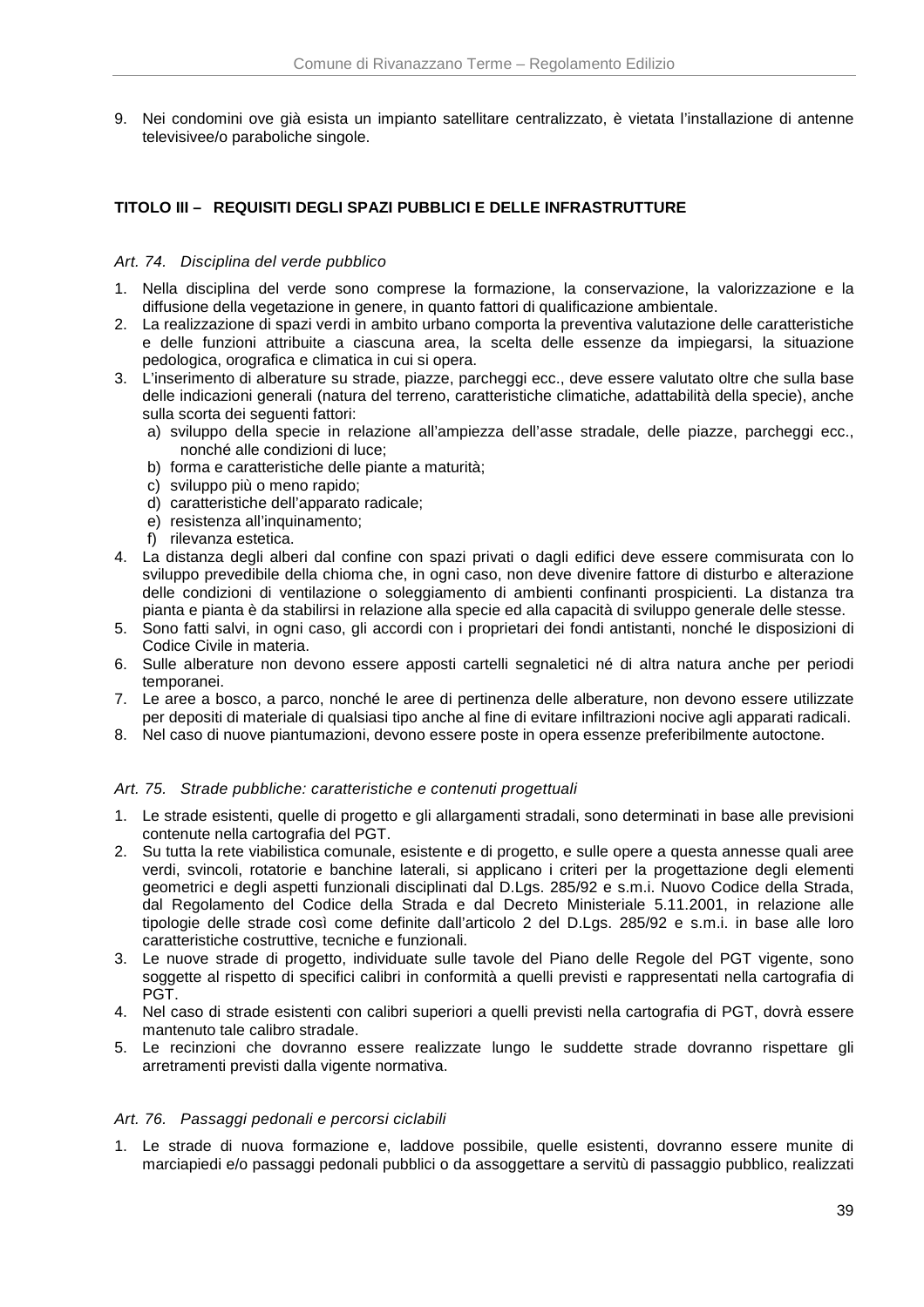9. Nei condomini ove già esista un impianto satellitare centralizzato, è vietata l'installazione di antenne televisivee/o paraboliche singole.

# **TITOLO III – REQUISITI DEGLI SPAZI PUBBLICI E DELLE INFRASTRUTTURE**

### Art. 74. Disciplina del verde pubblico

- 1. Nella disciplina del verde sono comprese la formazione, la conservazione, la valorizzazione e la diffusione della vegetazione in genere, in quanto fattori di qualificazione ambientale.
- 2. La realizzazione di spazi verdi in ambito urbano comporta la preventiva valutazione delle caratteristiche e delle funzioni attribuite a ciascuna area, la scelta delle essenze da impiegarsi, la situazione pedologica, orografica e climatica in cui si opera.
- 3. L'inserimento di alberature su strade, piazze, parcheggi ecc., deve essere valutato oltre che sulla base delle indicazioni generali (natura del terreno, caratteristiche climatiche, adattabilità della specie), anche sulla scorta dei seguenti fattori:
	- a) sviluppo della specie in relazione all'ampiezza dell'asse stradale, delle piazze, parcheggi ecc., nonché alle condizioni di luce;
	- b) forma e caratteristiche delle piante a maturità;
	- c) sviluppo più o meno rapido;
	- d) caratteristiche dell'apparato radicale;
	- e) resistenza all'inquinamento:
	- f) rilevanza estetica.
- 4. La distanza degli alberi dal confine con spazi privati o dagli edifici deve essere commisurata con lo sviluppo prevedibile della chioma che, in ogni caso, non deve divenire fattore di disturbo e alterazione delle condizioni di ventilazione o soleggiamento di ambienti confinanti prospicienti. La distanza tra pianta e pianta è da stabilirsi in relazione alla specie ed alla capacità di sviluppo generale delle stesse.
- 5. Sono fatti salvi, in ogni caso, gli accordi con i proprietari dei fondi antistanti, nonché le disposizioni di Codice Civile in materia.
- 6. Sulle alberature non devono essere apposti cartelli segnaletici né di altra natura anche per periodi temporanei.
- 7. Le aree a bosco, a parco, nonché le aree di pertinenza delle alberature, non devono essere utilizzate per depositi di materiale di qualsiasi tipo anche al fine di evitare infiltrazioni nocive agli apparati radicali.
- 8. Nel caso di nuove piantumazioni, devono essere poste in opera essenze preferibilmente autoctone.

### Art. 75. Strade pubbliche: caratteristiche e contenuti progettuali

- 1. Le strade esistenti, quelle di progetto e gli allargamenti stradali, sono determinati in base alle previsioni contenute nella cartografia del PGT.
- 2. Su tutta la rete viabilistica comunale, esistente e di progetto, e sulle opere a questa annesse quali aree verdi, svincoli, rotatorie e banchine laterali, si applicano i criteri per la progettazione degli elementi geometrici e degli aspetti funzionali disciplinati dal D.Lgs. 285/92 e s.m.i. Nuovo Codice della Strada, dal Regolamento del Codice della Strada e dal Decreto Ministeriale 5.11.2001, in relazione alle tipologie delle strade così come definite dall'articolo 2 del D.Lgs. 285/92 e s.m.i. in base alle loro caratteristiche costruttive, tecniche e funzionali.
- 3. Le nuove strade di progetto, individuate sulle tavole del Piano delle Regole del PGT vigente, sono soggette al rispetto di specifici calibri in conformità a quelli previsti e rappresentati nella cartografia di PGT.
- 4. Nel caso di strade esistenti con calibri superiori a quelli previsti nella cartografia di PGT, dovrà essere mantenuto tale calibro stradale.
- 5. Le recinzioni che dovranno essere realizzate lungo le suddette strade dovranno rispettare gli arretramenti previsti dalla vigente normativa.

#### Art. 76. Passaggi pedonali e percorsi ciclabili

1. Le strade di nuova formazione e, laddove possibile, quelle esistenti, dovranno essere munite di marciapiedi e/o passaggi pedonali pubblici o da assoggettare a servitù di passaggio pubblico, realizzati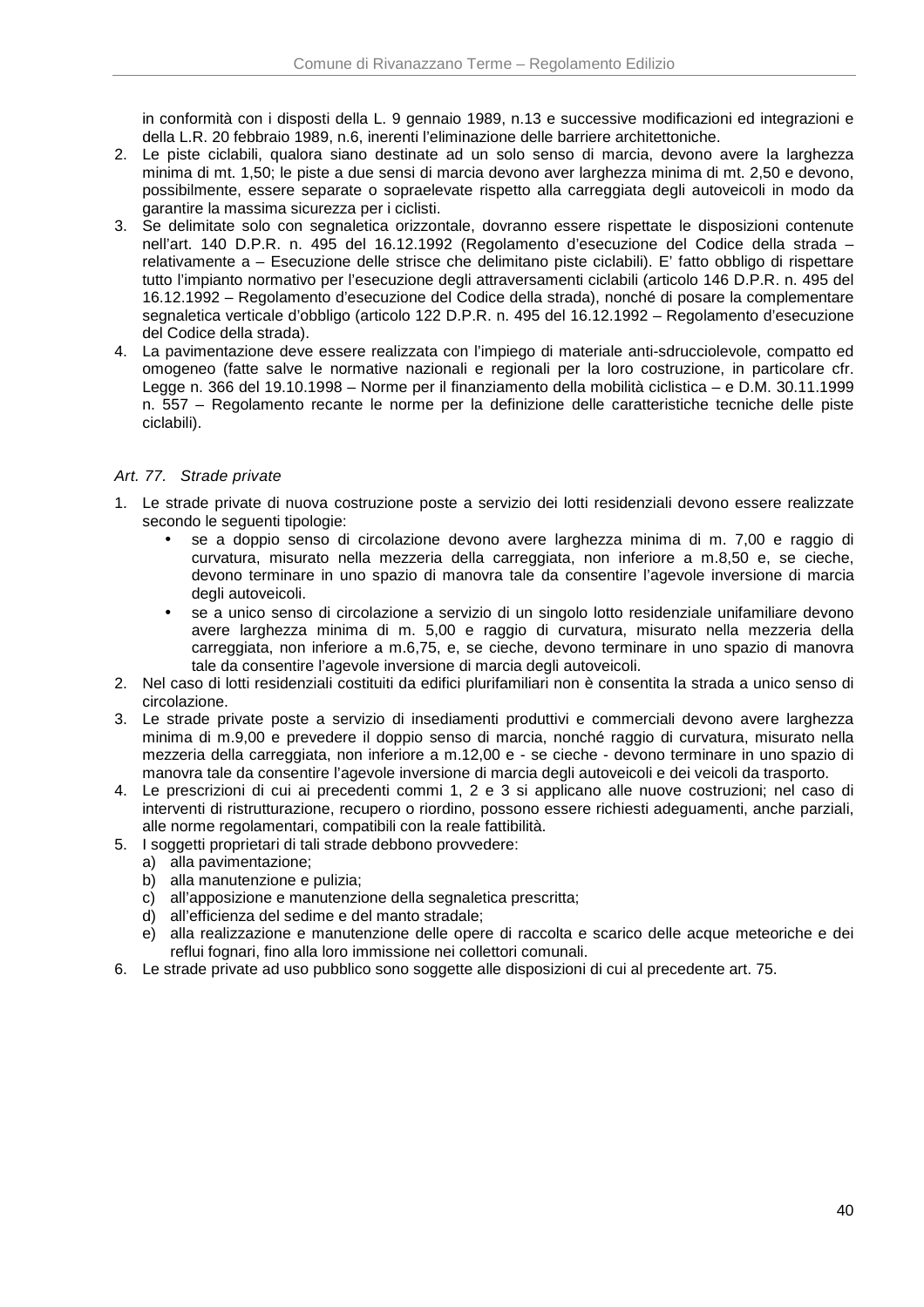in conformità con i disposti della L. 9 gennaio 1989, n.13 e successive modificazioni ed integrazioni e della L.R. 20 febbraio 1989, n.6, inerenti l'eliminazione delle barriere architettoniche.

- 2. Le piste ciclabili, qualora siano destinate ad un solo senso di marcia, devono avere la larghezza minima di mt. 1,50; le piste a due sensi di marcia devono aver larghezza minima di mt. 2,50 e devono, possibilmente, essere separate o sopraelevate rispetto alla carreggiata degli autoveicoli in modo da garantire la massima sicurezza per i ciclisti.
- 3. Se delimitate solo con segnaletica orizzontale, dovranno essere rispettate le disposizioni contenute nell'art. 140 D.P.R. n. 495 del 16.12.1992 (Regolamento d'esecuzione del Codice della strada – relativamente a – Esecuzione delle strisce che delimitano piste ciclabili). E' fatto obbligo di rispettare tutto l'impianto normativo per l'esecuzione degli attraversamenti ciclabili (articolo 146 D.P.R. n. 495 del 16.12.1992 – Regolamento d'esecuzione del Codice della strada), nonché di posare la complementare segnaletica verticale d'obbligo (articolo 122 D.P.R. n. 495 del 16.12.1992 – Regolamento d'esecuzione del Codice della strada).
- 4. La pavimentazione deve essere realizzata con l'impiego di materiale anti-sdrucciolevole, compatto ed omogeneo (fatte salve le normative nazionali e regionali per la loro costruzione, in particolare cfr. Legge n. 366 del 19.10.1998 – Norme per il finanziamento della mobilità ciclistica – e D.M. 30.11.1999 n. 557 – Regolamento recante le norme per la definizione delle caratteristiche tecniche delle piste ciclabili).

# Art. 77. Strade private

- 1. Le strade private di nuova costruzione poste a servizio dei lotti residenziali devono essere realizzate secondo le seguenti tipologie:
	- se a doppio senso di circolazione devono avere larghezza minima di m. 7,00 e raggio di curvatura, misurato nella mezzeria della carreggiata, non inferiore a m.8,50 e, se cieche, devono terminare in uno spazio di manovra tale da consentire l'agevole inversione di marcia degli autoveicoli.
	- se a unico senso di circolazione a servizio di un singolo lotto residenziale unifamiliare devono avere larghezza minima di m. 5,00 e raggio di curvatura, misurato nella mezzeria della carreggiata, non inferiore a m.6,75, e, se cieche, devono terminare in uno spazio di manovra tale da consentire l'agevole inversione di marcia degli autoveicoli.
- 2. Nel caso di lotti residenziali costituiti da edifici plurifamiliari non è consentita la strada a unico senso di circolazione.
- 3. Le strade private poste a servizio di insediamenti produttivi e commerciali devono avere larghezza minima di m.9,00 e prevedere il doppio senso di marcia, nonché raggio di curvatura, misurato nella mezzeria della carreggiata, non inferiore a m.12,00 e - se cieche - devono terminare in uno spazio di manovra tale da consentire l'agevole inversione di marcia degli autoveicoli e dei veicoli da trasporto.
- 4. Le prescrizioni di cui ai precedenti commi 1, 2 e 3 si applicano alle nuove costruzioni; nel caso di interventi di ristrutturazione, recupero o riordino, possono essere richiesti adeguamenti, anche parziali, alle norme regolamentari, compatibili con la reale fattibilità.
- 5. I soggetti proprietari di tali strade debbono provvedere:
- a) alla pavimentazione;
	- b) alla manutenzione e pulizia;
	- c) all'apposizione e manutenzione della segnaletica prescritta;
	- d) all'efficienza del sedime e del manto stradale;
	- e) alla realizzazione e manutenzione delle opere di raccolta e scarico delle acque meteoriche e dei reflui fognari, fino alla loro immissione nei collettori comunali.
- 6. Le strade private ad uso pubblico sono soggette alle disposizioni di cui al precedente art. 75.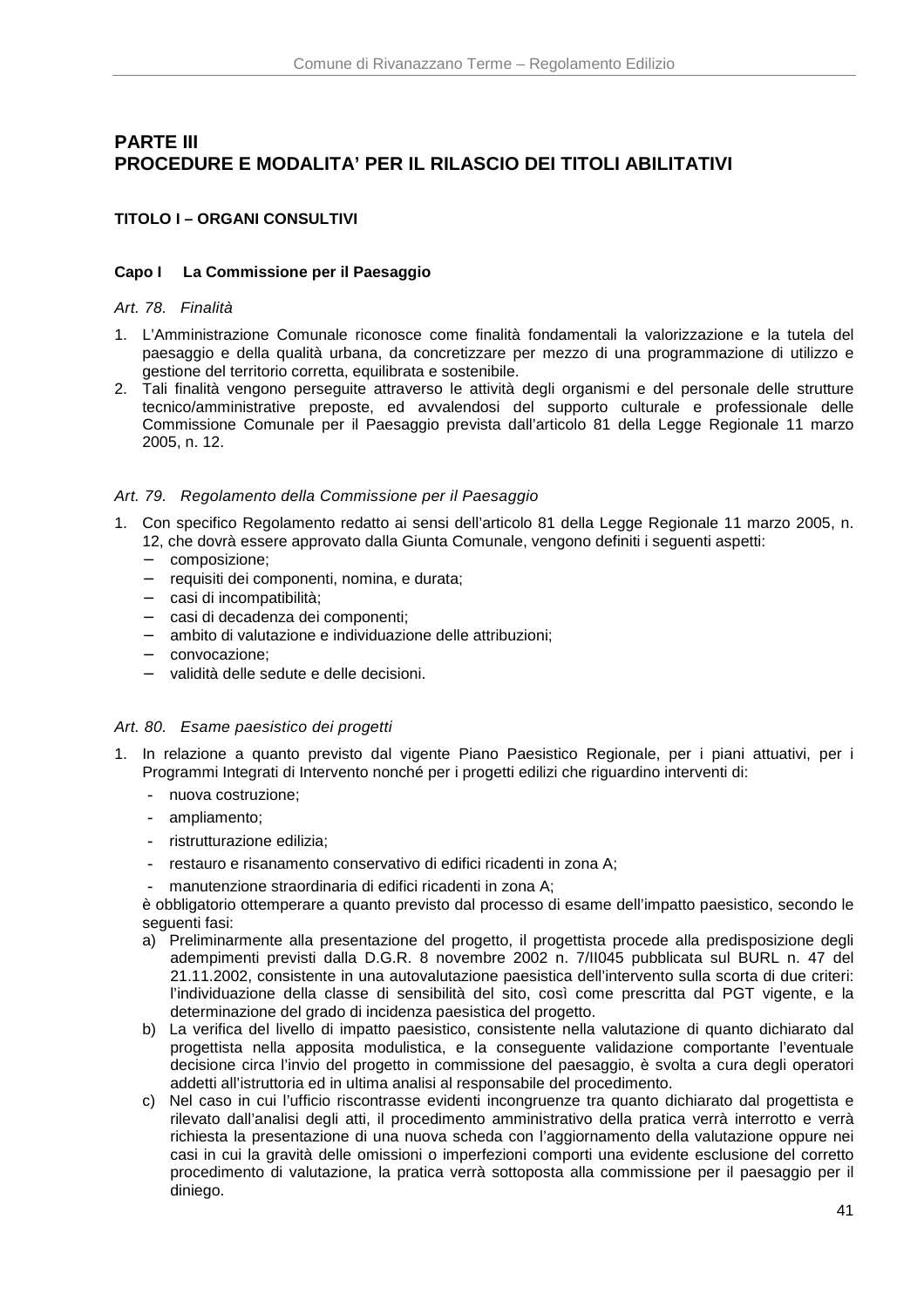# **PARTE III PROCEDURE E MODALITA' PER IL RILASCIO DEI TITOLI ABILITATIVI**

# **TITOLO I – ORGANI CONSULTIVI**

# **Capo I La Commissione per il Paesaggio**

### Art. 78. Finalità

- 1. L'Amministrazione Comunale riconosce come finalità fondamentali la valorizzazione e la tutela del paesaggio e della qualità urbana, da concretizzare per mezzo di una programmazione di utilizzo e gestione del territorio corretta, equilibrata e sostenibile.
- 2. Tali finalità vengono perseguite attraverso le attività degli organismi e del personale delle strutture tecnico/amministrative preposte, ed avvalendosi del supporto culturale e professionale delle Commissione Comunale per il Paesaggio prevista dall'articolo 81 della Legge Regionale 11 marzo 2005, n. 12.

### Art. 79. Regolamento della Commissione per il Paesaggio

- 1. Con specifico Regolamento redatto ai sensi dell'articolo 81 della Legge Regionale 11 marzo 2005, n. 12, che dovrà essere approvato dalla Giunta Comunale, vengono definiti i seguenti aspetti:
	- − composizione;
	- − requisiti dei componenti, nomina, e durata;
	- − casi di incompatibilità;
	- casi di decadenza dei componenti;
	- − ambito di valutazione e individuazione delle attribuzioni;
	- − convocazione;
	- − validità delle sedute e delle decisioni.

### Art. 80. Esame paesistico dei progetti

- 1. In relazione a quanto previsto dal vigente Piano Paesistico Regionale, per i piani attuativi, per i Programmi Integrati di Intervento nonché per i progetti edilizi che riguardino interventi di:
	- nuova costruzione;
	- ampliamento;
	- ristrutturazione edilizia:
	- restauro e risanamento conservativo di edifici ricadenti in zona A;
	- manutenzione straordinaria di edifici ricadenti in zona A;

è obbligatorio ottemperare a quanto previsto dal processo di esame dell'impatto paesistico, secondo le seguenti fasi:

- a) Preliminarmente alla presentazione del progetto, il progettista procede alla predisposizione degli adempimenti previsti dalla D.G.R. 8 novembre 2002 n. 7/II045 pubblicata sul BURL n. 47 del 21.11.2002, consistente in una autovalutazione paesistica dell'intervento sulla scorta di due criteri: l'individuazione della classe di sensibilità del sito, così come prescritta dal PGT vigente, e la determinazione del grado di incidenza paesistica del progetto.
- b) La verifica del livello di impatto paesistico, consistente nella valutazione di quanto dichiarato dal progettista nella apposita modulistica, e la conseguente validazione comportante l'eventuale decisione circa l'invio del progetto in commissione del paesaggio, è svolta a cura degli operatori addetti all'istruttoria ed in ultima analisi al responsabile del procedimento.
- c) Nel caso in cui l'ufficio riscontrasse evidenti incongruenze tra quanto dichiarato dal progettista e rilevato dall'analisi degli atti, il procedimento amministrativo della pratica verrà interrotto e verrà richiesta la presentazione di una nuova scheda con l'aggiornamento della valutazione oppure nei casi in cui la gravità delle omissioni o imperfezioni comporti una evidente esclusione del corretto procedimento di valutazione, la pratica verrà sottoposta alla commissione per il paesaggio per il diniego.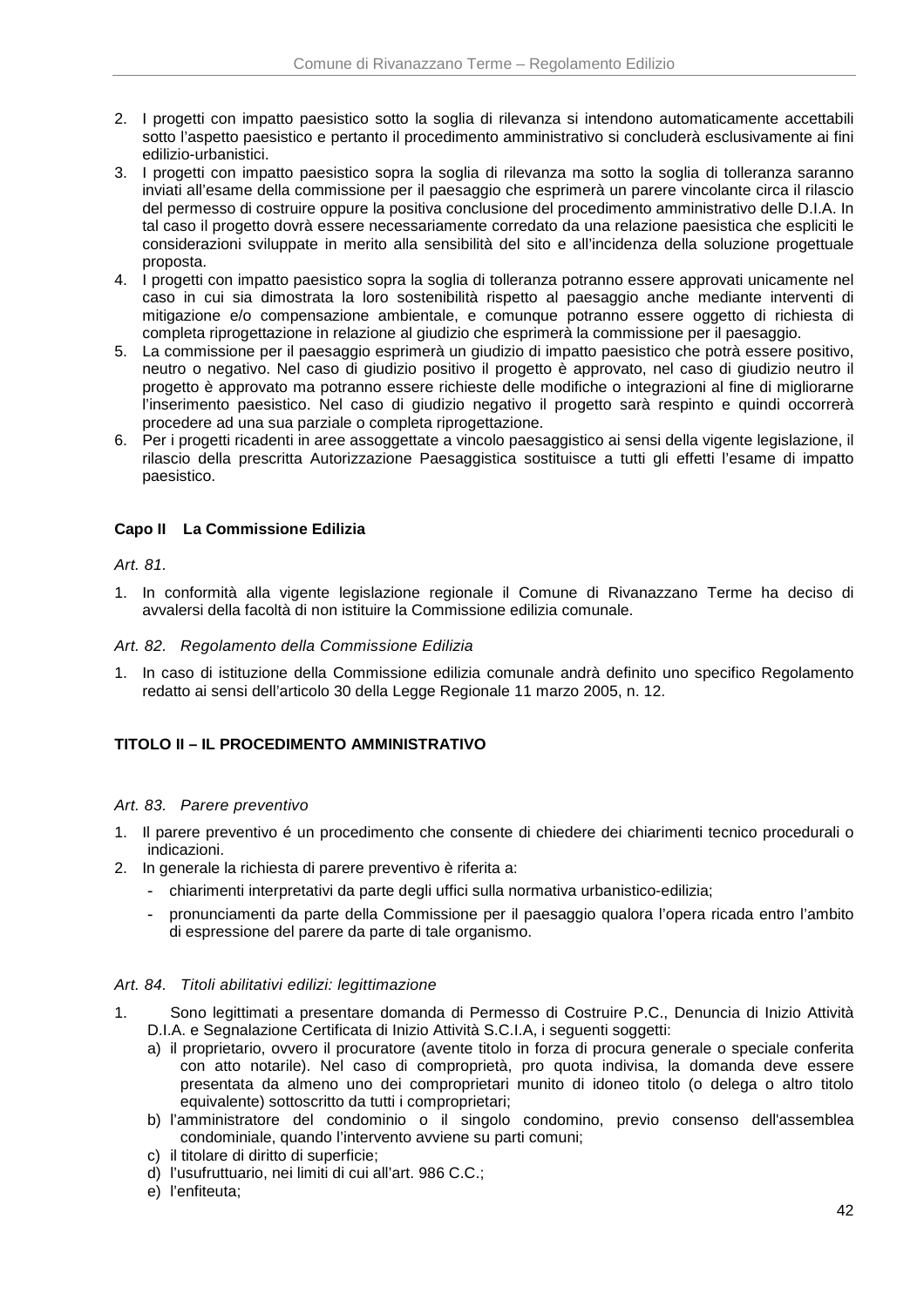- 2. I progetti con impatto paesistico sotto la soglia di rilevanza si intendono automaticamente accettabili sotto l'aspetto paesistico e pertanto il procedimento amministrativo si concluderà esclusivamente ai fini edilizio-urbanistici.
- 3. I progetti con impatto paesistico sopra la soglia di rilevanza ma sotto la soglia di tolleranza saranno inviati all'esame della commissione per il paesaggio che esprimerà un parere vincolante circa il rilascio del permesso di costruire oppure la positiva conclusione del procedimento amministrativo delle D.I.A. In tal caso il progetto dovrà essere necessariamente corredato da una relazione paesistica che espliciti le considerazioni sviluppate in merito alla sensibilità del sito e all'incidenza della soluzione progettuale proposta.
- 4. I progetti con impatto paesistico sopra la soglia di tolleranza potranno essere approvati unicamente nel caso in cui sia dimostrata la loro sostenibilità rispetto al paesaggio anche mediante interventi di mitigazione e/o compensazione ambientale, e comunque potranno essere oggetto di richiesta di completa riprogettazione in relazione al giudizio che esprimerà la commissione per il paesaggio.
- 5. La commissione per il paesaggio esprimerà un giudizio di impatto paesistico che potrà essere positivo, neutro o negativo. Nel caso di giudizio positivo il progetto è approvato, nel caso di giudizio neutro il progetto è approvato ma potranno essere richieste delle modifiche o integrazioni al fine di migliorarne l'inserimento paesistico. Nel caso di giudizio negativo il progetto sarà respinto e quindi occorrerà procedere ad una sua parziale o completa riprogettazione.
- 6. Per i progetti ricadenti in aree assoggettate a vincolo paesaggistico ai sensi della vigente legislazione, il rilascio della prescritta Autorizzazione Paesaggistica sostituisce a tutti gli effetti l'esame di impatto paesistico.

# **Capo II La Commissione Edilizia**

# Art. 81.

1. In conformità alla vigente legislazione regionale il Comune di Rivanazzano Terme ha deciso di avvalersi della facoltà di non istituire la Commissione edilizia comunale.

### Art. 82. Regolamento della Commissione Edilizia

1. In caso di istituzione della Commissione edilizia comunale andrà definito uno specifico Regolamento redatto ai sensi dell'articolo 30 della Legge Regionale 11 marzo 2005, n. 12.

### **TITOLO II – IL PROCEDIMENTO AMMINISTRATIVO**

### Art. 83. Parere preventivo

- 1. Il parere preventivo é un procedimento che consente di chiedere dei chiarimenti tecnico procedurali o indicazioni.
- 2. In generale la richiesta di parere preventivo è riferita a:
	- chiarimenti interpretativi da parte degli uffici sulla normativa urbanistico-edilizia;
	- pronunciamenti da parte della Commissione per il paesaggio qualora l'opera ricada entro l'ambito di espressione del parere da parte di tale organismo.

### Art. 84. Titoli abilitativi edilizi: legittimazione

- 1. Sono legittimati a presentare domanda di Permesso di Costruire P.C., Denuncia di Inizio Attività D.I.A. e Segnalazione Certificata di Inizio Attività S.C.I.A, i seguenti soggetti:
	- a) il proprietario, ovvero il procuratore (avente titolo in forza di procura generale o speciale conferita con atto notarile). Nel caso di comproprietà, pro quota indivisa, la domanda deve essere presentata da almeno uno dei comproprietari munito di idoneo titolo (o delega o altro titolo equivalente) sottoscritto da tutti i comproprietari;
	- b) l'amministratore del condominio o il singolo condomino, previo consenso dell'assemblea condominiale, quando l'intervento avviene su parti comuni;
	- c) il titolare di diritto di superficie;
	- d) l'usufruttuario, nei limiti di cui all'art. 986 C.C.;
	- e) l'enfiteuta;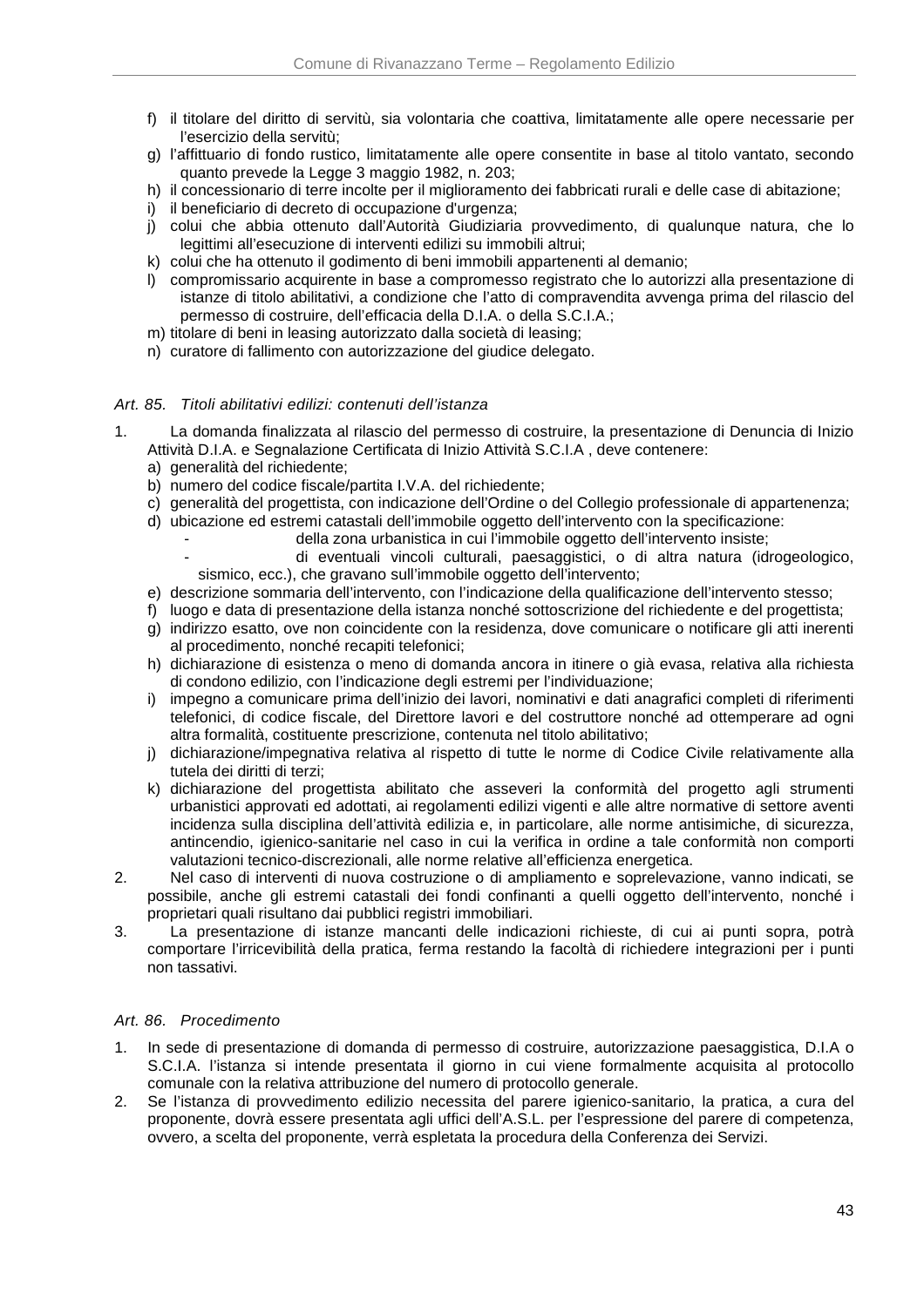- f) il titolare del diritto di servitù, sia volontaria che coattiva, limitatamente alle opere necessarie per l'esercizio della servitù;
- g) l'affittuario di fondo rustico, limitatamente alle opere consentite in base al titolo vantato, secondo quanto prevede la Legge 3 maggio 1982, n. 203;
- h) il concessionario di terre incolte per il miglioramento dei fabbricati rurali e delle case di abitazione;
- i) il beneficiario di decreto di occupazione d'urgenza;
- j) colui che abbia ottenuto dall'Autorità Giudiziaria provvedimento, di qualunque natura, che lo legittimi all'esecuzione di interventi edilizi su immobili altrui;
- k) colui che ha ottenuto il godimento di beni immobili appartenenti al demanio;
- l) compromissario acquirente in base a compromesso registrato che lo autorizzi alla presentazione di istanze di titolo abilitativi, a condizione che l'atto di compravendita avvenga prima del rilascio del permesso di costruire, dell'efficacia della D.I.A. o della S.C.I.A.;
- m) titolare di beni in leasing autorizzato dalla società di leasing;
- n) curatore di fallimento con autorizzazione del giudice delegato.

### Art. 85. Titoli abilitativi edilizi: contenuti dell'istanza

- 1. La domanda finalizzata al rilascio del permesso di costruire, la presentazione di Denuncia di Inizio Attività D.I.A. e Segnalazione Certificata di Inizio Attività S.C.I.A , deve contenere:
	- a) generalità del richiedente;
	- b) numero del codice fiscale/partita I.V.A. del richiedente;
	- c) generalità del progettista, con indicazione dell'Ordine o del Collegio professionale di appartenenza;
	- d) ubicazione ed estremi catastali dell'immobile oggetto dell'intervento con la specificazione:
		- della zona urbanistica in cui l'immobile oggetto dell'intervento insiste;
		- di eventuali vincoli culturali, paesaggistici, o di altra natura (idrogeologico, sismico, ecc.), che gravano sull'immobile oggetto dell'intervento;
	- e) descrizione sommaria dell'intervento, con l'indicazione della qualificazione dell'intervento stesso;
	- f) luogo e data di presentazione della istanza nonché sottoscrizione del richiedente e del progettista;
	- g) indirizzo esatto, ove non coincidente con la residenza, dove comunicare o notificare gli atti inerenti al procedimento, nonché recapiti telefonici;
	- h) dichiarazione di esistenza o meno di domanda ancora in itinere o già evasa, relativa alla richiesta di condono edilizio, con l'indicazione degli estremi per l'individuazione;
	- i) impegno a comunicare prima dell'inizio dei lavori, nominativi e dati anagrafici completi di riferimenti telefonici, di codice fiscale, del Direttore lavori e del costruttore nonché ad ottemperare ad ogni altra formalità, costituente prescrizione, contenuta nel titolo abilitativo;
	- j) dichiarazione/impegnativa relativa al rispetto di tutte le norme di Codice Civile relativamente alla tutela dei diritti di terzi;
	- k) dichiarazione del progettista abilitato che asseveri la conformità del progetto agli strumenti urbanistici approvati ed adottati, ai regolamenti edilizi vigenti e alle altre normative di settore aventi incidenza sulla disciplina dell'attività edilizia e, in particolare, alle norme antisimiche, di sicurezza, antincendio, igienico-sanitarie nel caso in cui la verifica in ordine a tale conformità non comporti valutazioni tecnico-discrezionali, alle norme relative all'efficienza energetica.
- 2. Nel caso di interventi di nuova costruzione o di ampliamento e soprelevazione, vanno indicati, se possibile, anche gli estremi catastali dei fondi confinanti a quelli oggetto dell'intervento, nonché i proprietari quali risultano dai pubblici registri immobiliari.
- 3. La presentazione di istanze mancanti delle indicazioni richieste, di cui ai punti sopra, potrà comportare l'irricevibilità della pratica, ferma restando la facoltà di richiedere integrazioni per i punti non tassativi.

### Art. 86. Procedimento

- 1. In sede di presentazione di domanda di permesso di costruire, autorizzazione paesaggistica, D.I.A o S.C.I.A. l'istanza si intende presentata il giorno in cui viene formalmente acquisita al protocollo comunale con la relativa attribuzione del numero di protocollo generale.
- 2. Se l'istanza di provvedimento edilizio necessita del parere igienico-sanitario, la pratica, a cura del proponente, dovrà essere presentata agli uffici dell'A.S.L. per l'espressione del parere di competenza, ovvero, a scelta del proponente, verrà espletata la procedura della Conferenza dei Servizi.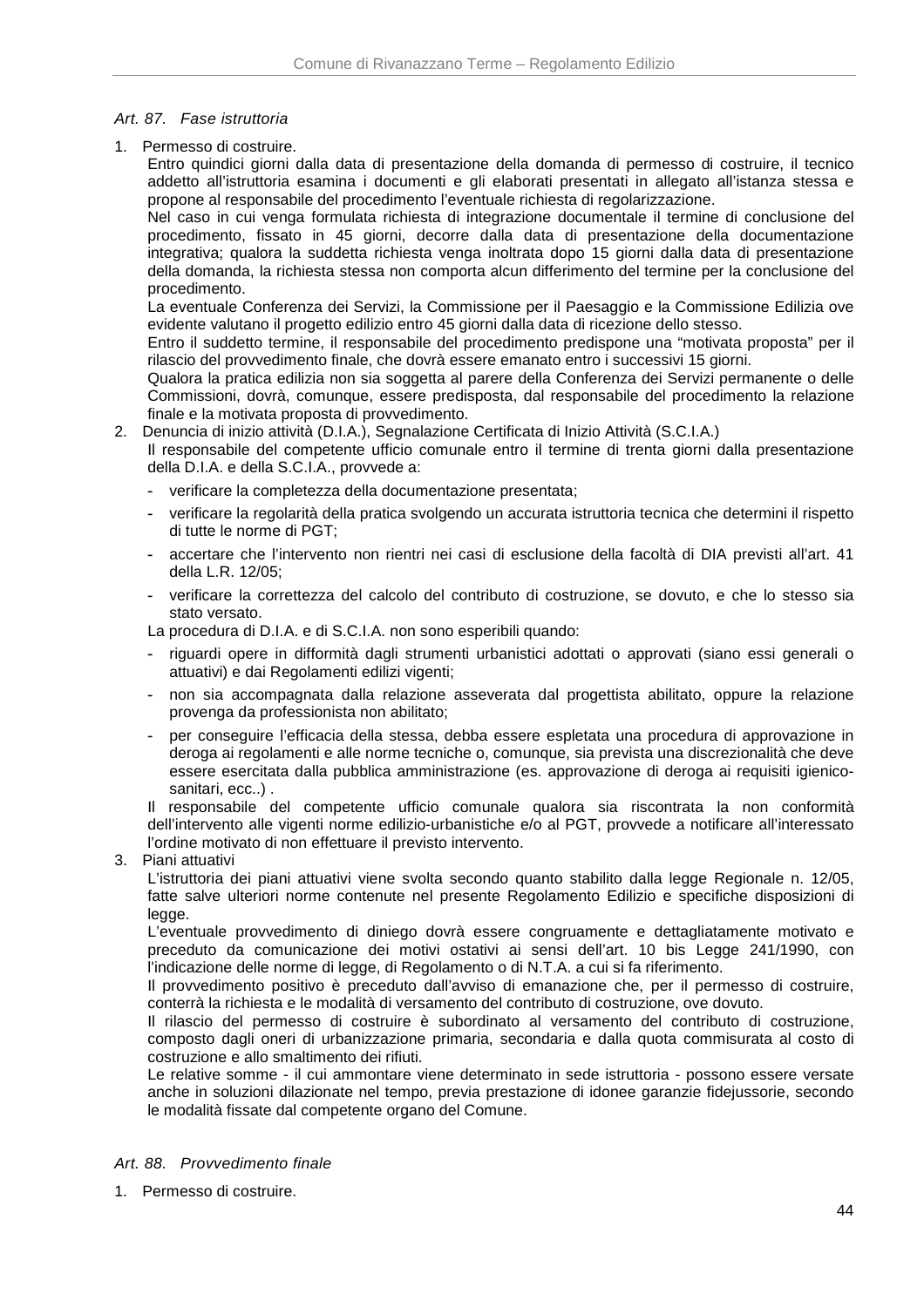## Art. 87. Fase istruttoria

1. Permesso di costruire.

Entro quindici giorni dalla data di presentazione della domanda di permesso di costruire, il tecnico addetto all'istruttoria esamina i documenti e gli elaborati presentati in allegato all'istanza stessa e propone al responsabile del procedimento l'eventuale richiesta di regolarizzazione.

Nel caso in cui venga formulata richiesta di integrazione documentale il termine di conclusione del procedimento, fissato in 45 giorni, decorre dalla data di presentazione della documentazione integrativa; qualora la suddetta richiesta venga inoltrata dopo 15 giorni dalla data di presentazione della domanda, la richiesta stessa non comporta alcun differimento del termine per la conclusione del procedimento.

La eventuale Conferenza dei Servizi, la Commissione per il Paesaggio e la Commissione Edilizia ove evidente valutano il progetto edilizio entro 45 giorni dalla data di ricezione dello stesso.

Entro il suddetto termine, il responsabile del procedimento predispone una "motivata proposta" per il rilascio del provvedimento finale, che dovrà essere emanato entro i successivi 15 giorni.

Qualora la pratica edilizia non sia soggetta al parere della Conferenza dei Servizi permanente o delle Commissioni, dovrà, comunque, essere predisposta, dal responsabile del procedimento la relazione finale e la motivata proposta di provvedimento.

2. Denuncia di inizio attività (D.I.A.), Segnalazione Certificata di Inizio Attività (S.C.I.A.)

Il responsabile del competente ufficio comunale entro il termine di trenta giorni dalla presentazione della D.I.A. e della S.C.I.A., provvede a:

- verificare la completezza della documentazione presentata;
- verificare la regolarità della pratica svolgendo un accurata istruttoria tecnica che determini il rispetto di tutte le norme di PGT;
- accertare che l'intervento non rientri nei casi di esclusione della facoltà di DIA previsti all'art. 41 della L.R. 12/05;
- verificare la correttezza del calcolo del contributo di costruzione, se dovuto, e che lo stesso sia stato versato.

La procedura di D.I.A. e di S.C.I.A. non sono esperibili quando:

- riguardi opere in difformità dagli strumenti urbanistici adottati o approvati (siano essi generali o attuativi) e dai Regolamenti edilizi vigenti;
- non sia accompagnata dalla relazione asseverata dal progettista abilitato, oppure la relazione provenga da professionista non abilitato;
- per conseguire l'efficacia della stessa, debba essere espletata una procedura di approvazione in deroga ai regolamenti e alle norme tecniche o, comunque, sia prevista una discrezionalità che deve essere esercitata dalla pubblica amministrazione (es. approvazione di deroga ai requisiti igienicosanitari, ecc..) .

Il responsabile del competente ufficio comunale qualora sia riscontrata la non conformità dell'intervento alle vigenti norme edilizio-urbanistiche e/o al PGT, provvede a notificare all'interessato l'ordine motivato di non effettuare il previsto intervento.

3. Piani attuativi

L'istruttoria dei piani attuativi viene svolta secondo quanto stabilito dalla legge Regionale n. 12/05, fatte salve ulteriori norme contenute nel presente Regolamento Edilizio e specifiche disposizioni di legge.

L'eventuale provvedimento di diniego dovrà essere congruamente e dettagliatamente motivato e preceduto da comunicazione dei motivi ostativi ai sensi dell'art. 10 bis Legge 241/1990, con l'indicazione delle norme di legge, di Regolamento o di N.T.A. a cui si fa riferimento.

Il provvedimento positivo è preceduto dall'avviso di emanazione che, per il permesso di costruire, conterrà la richiesta e le modalità di versamento del contributo di costruzione, ove dovuto.

Il rilascio del permesso di costruire è subordinato al versamento del contributo di costruzione, composto dagli oneri di urbanizzazione primaria, secondaria e dalla quota commisurata al costo di costruzione e allo smaltimento dei rifiuti.

Le relative somme - il cui ammontare viene determinato in sede istruttoria - possono essere versate anche in soluzioni dilazionate nel tempo, previa prestazione di idonee garanzie fidejussorie, secondo le modalità fissate dal competente organo del Comune.

### Art. 88. Provvedimento finale

1. Permesso di costruire.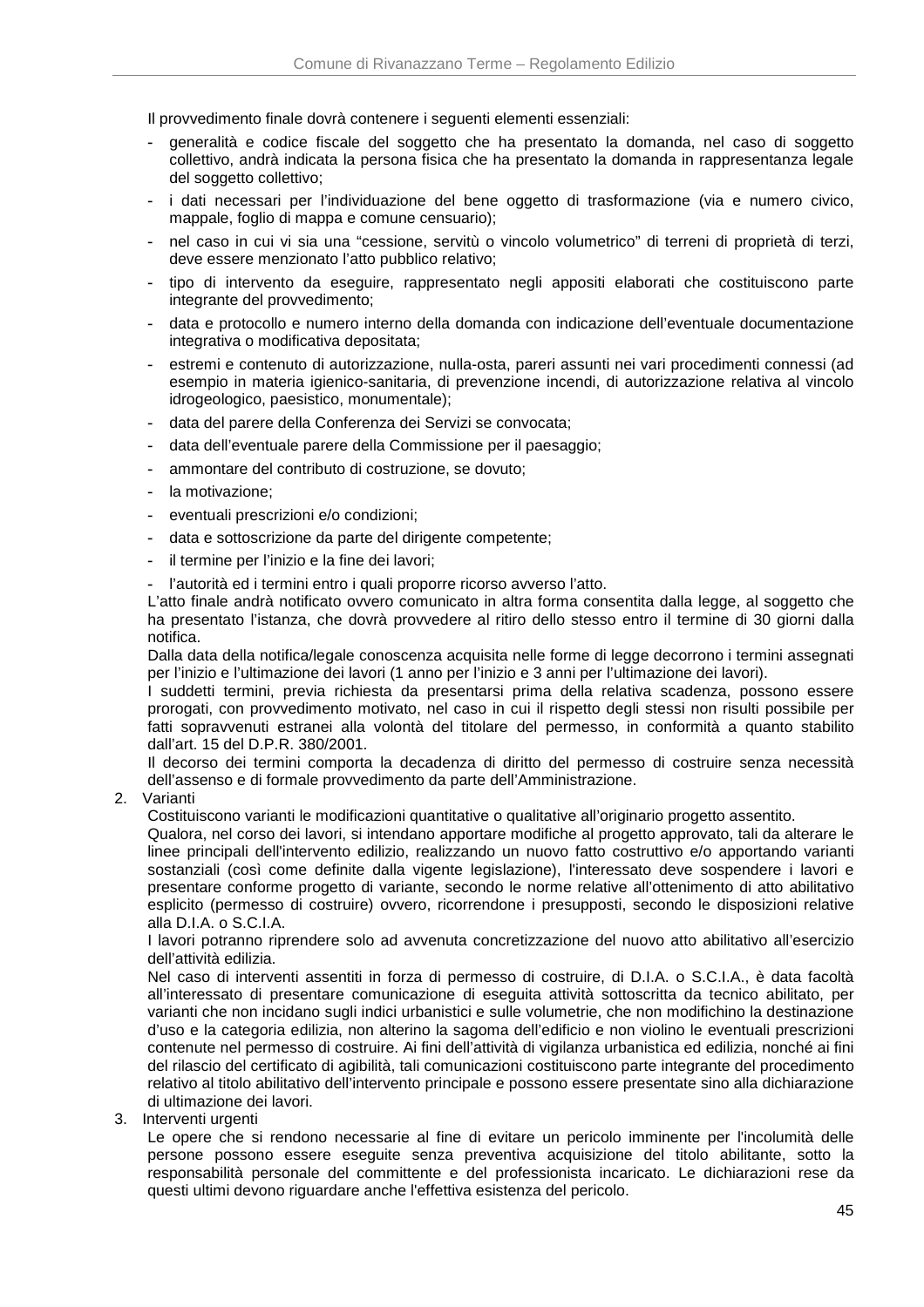Il provvedimento finale dovrà contenere i seguenti elementi essenziali:

- generalità e codice fiscale del soggetto che ha presentato la domanda, nel caso di soggetto collettivo, andrà indicata la persona fisica che ha presentato la domanda in rappresentanza legale del soggetto collettivo;
- i dati necessari per l'individuazione del bene oggetto di trasformazione (via e numero civico, mappale, foglio di mappa e comune censuario);
- nel caso in cui vi sia una "cessione, servitù o vincolo volumetrico" di terreni di proprietà di terzi, deve essere menzionato l'atto pubblico relativo;
- tipo di intervento da eseguire, rappresentato negli appositi elaborati che costituiscono parte integrante del provvedimento;
- data e protocollo e numero interno della domanda con indicazione dell'eventuale documentazione integrativa o modificativa depositata;
- estremi e contenuto di autorizzazione, nulla-osta, pareri assunti nei vari procedimenti connessi (ad esempio in materia igienico-sanitaria, di prevenzione incendi, di autorizzazione relativa al vincolo idrogeologico, paesistico, monumentale);
- data del parere della Conferenza dei Servizi se convocata;
- data dell'eventuale parere della Commissione per il paesaggio;
- ammontare del contributo di costruzione, se dovuto;
- la motivazione;
- eventuali prescrizioni e/o condizioni;
- data e sottoscrizione da parte del dirigente competente;
- il termine per l'inizio e la fine dei lavori;
- l'autorità ed i termini entro i quali proporre ricorso avverso l'atto.

L'atto finale andrà notificato ovvero comunicato in altra forma consentita dalla legge, al soggetto che ha presentato l'istanza, che dovrà provvedere al ritiro dello stesso entro il termine di 30 giorni dalla notifica.

Dalla data della notifica/legale conoscenza acquisita nelle forme di legge decorrono i termini assegnati per l'inizio e l'ultimazione dei lavori (1 anno per l'inizio e 3 anni per l'ultimazione dei lavori).

I suddetti termini, previa richiesta da presentarsi prima della relativa scadenza, possono essere prorogati, con provvedimento motivato, nel caso in cui il rispetto degli stessi non risulti possibile per fatti sopravvenuti estranei alla volontà del titolare del permesso, in conformità a quanto stabilito dall'art. 15 del D.P.R. 380/2001.

Il decorso dei termini comporta la decadenza di diritto del permesso di costruire senza necessità dell'assenso e di formale provvedimento da parte dell'Amministrazione.

2. Varianti

Costituiscono varianti le modificazioni quantitative o qualitative all'originario progetto assentito.

Qualora, nel corso dei lavori, si intendano apportare modifiche al progetto approvato, tali da alterare le linee principali dell'intervento edilizio, realizzando un nuovo fatto costruttivo e/o apportando varianti sostanziali (così come definite dalla vigente legislazione), l'interessato deve sospendere i lavori e presentare conforme progetto di variante, secondo le norme relative all'ottenimento di atto abilitativo esplicito (permesso di costruire) ovvero, ricorrendone i presupposti, secondo le disposizioni relative alla D.I.A. o S.C.I.A.

I lavori potranno riprendere solo ad avvenuta concretizzazione del nuovo atto abilitativo all'esercizio dell'attività edilizia.

Nel caso di interventi assentiti in forza di permesso di costruire, di D.I.A. o S.C.I.A., è data facoltà all'interessato di presentare comunicazione di eseguita attività sottoscritta da tecnico abilitato, per varianti che non incidano sugli indici urbanistici e sulle volumetrie, che non modifichino la destinazione d'uso e la categoria edilizia, non alterino la sagoma dell'edificio e non violino le eventuali prescrizioni contenute nel permesso di costruire. Ai fini dell'attività di vigilanza urbanistica ed edilizia, nonché ai fini del rilascio del certificato di agibilità, tali comunicazioni costituiscono parte integrante del procedimento relativo al titolo abilitativo dell'intervento principale e possono essere presentate sino alla dichiarazione di ultimazione dei lavori.

#### 3. Interventi urgenti

Le opere che si rendono necessarie al fine di evitare un pericolo imminente per l'incolumità delle persone possono essere eseguite senza preventiva acquisizione del titolo abilitante, sotto la responsabilità personale del committente e del professionista incaricato. Le dichiarazioni rese da questi ultimi devono riguardare anche l'effettiva esistenza del pericolo.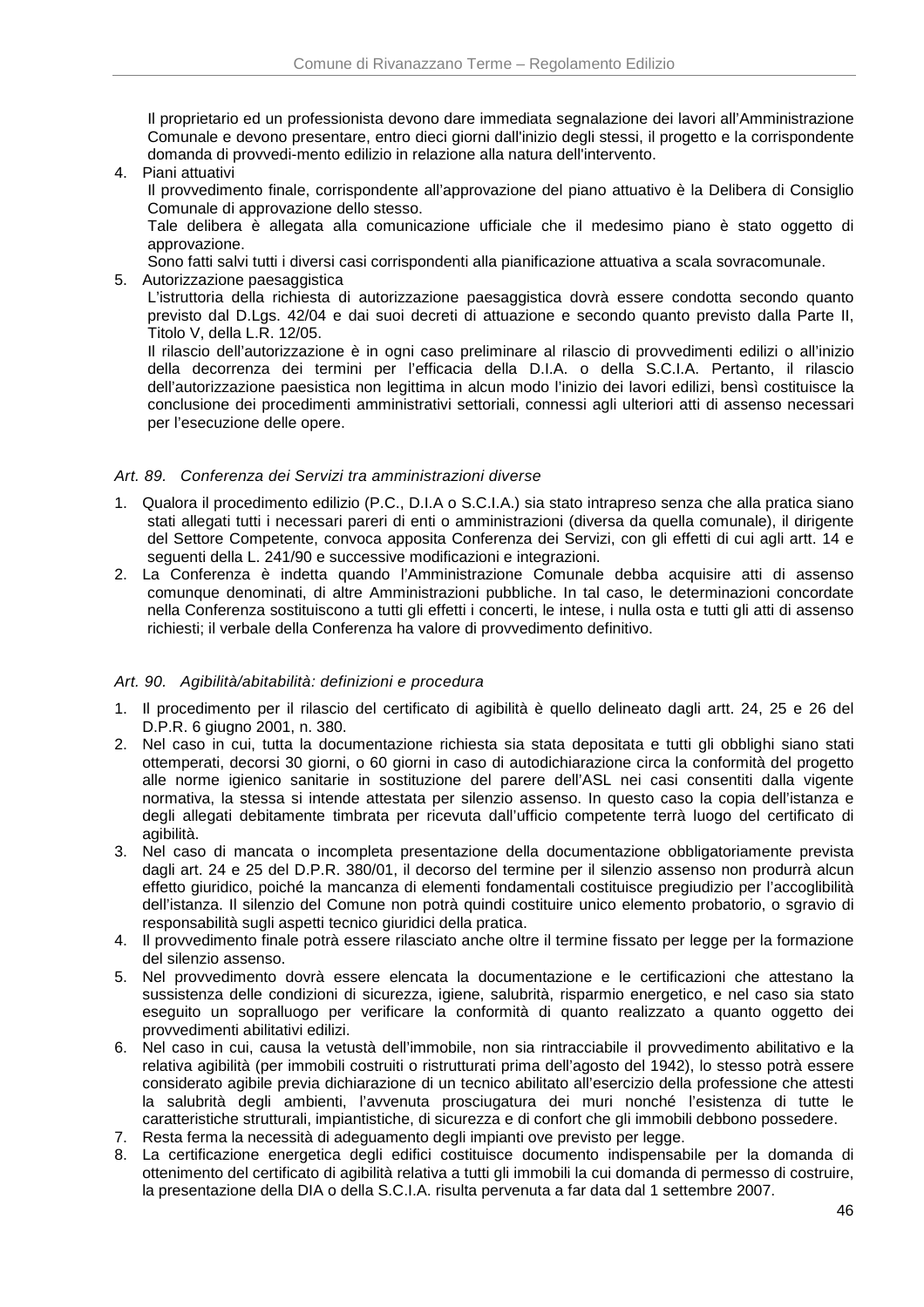Il proprietario ed un professionista devono dare immediata segnalazione dei lavori all'Amministrazione Comunale e devono presentare, entro dieci giorni dall'inizio degli stessi, il progetto e la corrispondente domanda di provvedi-mento edilizio in relazione alla natura dell'intervento.

4. Piani attuativi

Il provvedimento finale, corrispondente all'approvazione del piano attuativo è la Delibera di Consiglio Comunale di approvazione dello stesso.

Tale delibera è allegata alla comunicazione ufficiale che il medesimo piano è stato oggetto di approvazione.

Sono fatti salvi tutti i diversi casi corrispondenti alla pianificazione attuativa a scala sovracomunale.

5. Autorizzazione paesaggistica

L'istruttoria della richiesta di autorizzazione paesaggistica dovrà essere condotta secondo quanto previsto dal D.Lgs. 42/04 e dai suoi decreti di attuazione e secondo quanto previsto dalla Parte II, Titolo V, della L.R. 12/05.

Il rilascio dell'autorizzazione è in ogni caso preliminare al rilascio di provvedimenti edilizi o all'inizio della decorrenza dei termini per l'efficacia della D.I.A. o della S.C.I.A. Pertanto, il rilascio dell'autorizzazione paesistica non legittima in alcun modo l'inizio dei lavori edilizi, bensì costituisce la conclusione dei procedimenti amministrativi settoriali, connessi agli ulteriori atti di assenso necessari per l'esecuzione delle opere.

### Art. 89. Conferenza dei Servizi tra amministrazioni diverse

- 1. Qualora il procedimento edilizio (P.C., D.I.A o S.C.I.A.) sia stato intrapreso senza che alla pratica siano stati allegati tutti i necessari pareri di enti o amministrazioni (diversa da quella comunale), il dirigente del Settore Competente, convoca apposita Conferenza dei Servizi, con gli effetti di cui agli artt. 14 e seguenti della L. 241/90 e successive modificazioni e integrazioni.
- 2. La Conferenza è indetta quando l'Amministrazione Comunale debba acquisire atti di assenso comunque denominati, di altre Amministrazioni pubbliche. In tal caso, le determinazioni concordate nella Conferenza sostituiscono a tutti gli effetti i concerti, le intese, i nulla osta e tutti gli atti di assenso richiesti; il verbale della Conferenza ha valore di provvedimento definitivo.

#### Art. 90. Agibilità/abitabilità: definizioni e procedura

- 1. Il procedimento per il rilascio del certificato di agibilità è quello delineato dagli artt. 24, 25 e 26 del D.P.R. 6 giugno 2001, n. 380.
- 2. Nel caso in cui, tutta la documentazione richiesta sia stata depositata e tutti gli obblighi siano stati ottemperati, decorsi 30 giorni, o 60 giorni in caso di autodichiarazione circa la conformità del progetto alle norme igienico sanitarie in sostituzione del parere dell'ASL nei casi consentiti dalla vigente normativa, la stessa si intende attestata per silenzio assenso. In questo caso la copia dell'istanza e degli allegati debitamente timbrata per ricevuta dall'ufficio competente terrà luogo del certificato di agibilità.
- 3. Nel caso di mancata o incompleta presentazione della documentazione obbligatoriamente prevista dagli art. 24 e 25 del D.P.R. 380/01, il decorso del termine per il silenzio assenso non produrrà alcun effetto giuridico, poiché la mancanza di elementi fondamentali costituisce pregiudizio per l'accoglibilità dell'istanza. Il silenzio del Comune non potrà quindi costituire unico elemento probatorio, o sgravio di responsabilità sugli aspetti tecnico giuridici della pratica.
- 4. Il provvedimento finale potrà essere rilasciato anche oltre il termine fissato per legge per la formazione del silenzio assenso.
- 5. Nel provvedimento dovrà essere elencata la documentazione e le certificazioni che attestano la sussistenza delle condizioni di sicurezza, igiene, salubrità, risparmio energetico, e nel caso sia stato eseguito un sopralluogo per verificare la conformità di quanto realizzato a quanto oggetto dei provvedimenti abilitativi edilizi.
- 6. Nel caso in cui, causa la vetustà dell'immobile, non sia rintracciabile il provvedimento abilitativo e la relativa agibilità (per immobili costruiti o ristrutturati prima dell'agosto del 1942), lo stesso potrà essere considerato agibile previa dichiarazione di un tecnico abilitato all'esercizio della professione che attesti la salubrità degli ambienti, l'avvenuta prosciugatura dei muri nonché l'esistenza di tutte le caratteristiche strutturali, impiantistiche, di sicurezza e di confort che gli immobili debbono possedere.
- 7. Resta ferma la necessità di adeguamento degli impianti ove previsto per legge.
- 8. La certificazione energetica degli edifici costituisce documento indispensabile per la domanda di ottenimento del certificato di agibilità relativa a tutti gli immobili la cui domanda di permesso di costruire, la presentazione della DIA o della S.C.I.A. risulta pervenuta a far data dal 1 settembre 2007.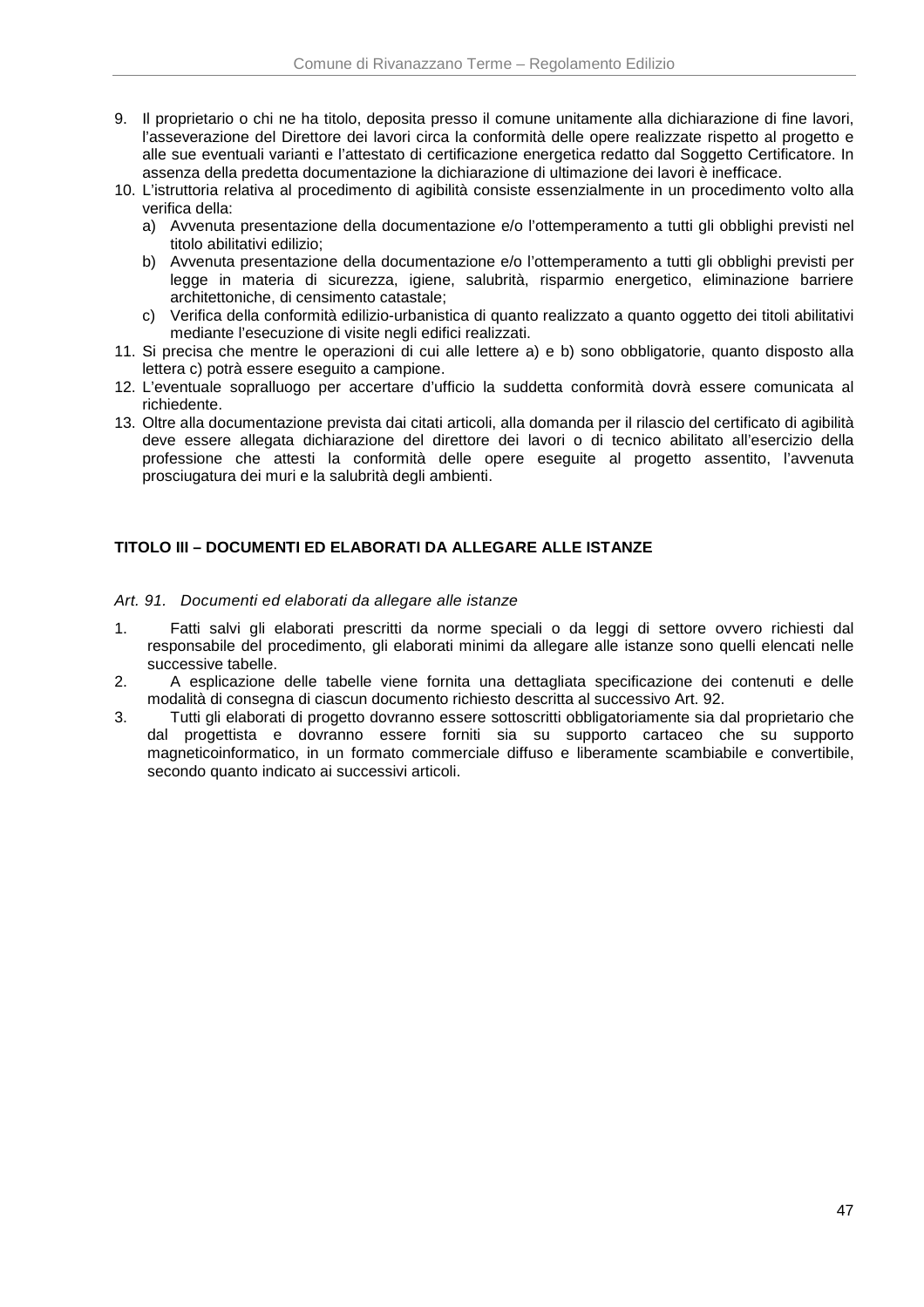- 9. Il proprietario o chi ne ha titolo, deposita presso il comune unitamente alla dichiarazione di fine lavori, l'asseverazione del Direttore dei lavori circa la conformità delle opere realizzate rispetto al progetto e alle sue eventuali varianti e l'attestato di certificazione energetica redatto dal Soggetto Certificatore. In assenza della predetta documentazione la dichiarazione di ultimazione dei lavori è inefficace.
- 10. L'istruttoria relativa al procedimento di agibilità consiste essenzialmente in un procedimento volto alla verifica della:
	- a) Avvenuta presentazione della documentazione e/o l'ottemperamento a tutti gli obblighi previsti nel titolo abilitativi edilizio;
	- b) Avvenuta presentazione della documentazione e/o l'ottemperamento a tutti gli obblighi previsti per legge in materia di sicurezza, igiene, salubrità, risparmio energetico, eliminazione barriere architettoniche, di censimento catastale;
	- c) Verifica della conformità edilizio-urbanistica di quanto realizzato a quanto oggetto dei titoli abilitativi mediante l'esecuzione di visite negli edifici realizzati.
- 11. Si precisa che mentre le operazioni di cui alle lettere a) e b) sono obbligatorie, quanto disposto alla lettera c) potrà essere eseguito a campione.
- 12. L'eventuale sopralluogo per accertare d'ufficio la suddetta conformità dovrà essere comunicata al richiedente.
- 13. Oltre alla documentazione prevista dai citati articoli, alla domanda per il rilascio del certificato di agibilità deve essere allegata dichiarazione del direttore dei lavori o di tecnico abilitato all'esercizio della professione che attesti la conformità delle opere eseguite al progetto assentito, l'avvenuta prosciugatura dei muri e la salubrità degli ambienti.

# **TITOLO III – DOCUMENTI ED ELABORATI DA ALLEGARE ALLE ISTANZE**

### Art. 91. Documenti ed elaborati da allegare alle istanze

- 1. Fatti salvi gli elaborati prescritti da norme speciali o da leggi di settore ovvero richiesti dal responsabile del procedimento, gli elaborati minimi da allegare alle istanze sono quelli elencati nelle successive tabelle.
- 2. A esplicazione delle tabelle viene fornita una dettagliata specificazione dei contenuti e delle modalità di consegna di ciascun documento richiesto descritta al successivo Art. 92.
- 3. Tutti gli elaborati di progetto dovranno essere sottoscritti obbligatoriamente sia dal proprietario che dal progettista e dovranno essere forniti sia su supporto cartaceo che su supporto magneticoinformatico, in un formato commerciale diffuso e liberamente scambiabile e convertibile, secondo quanto indicato ai successivi articoli.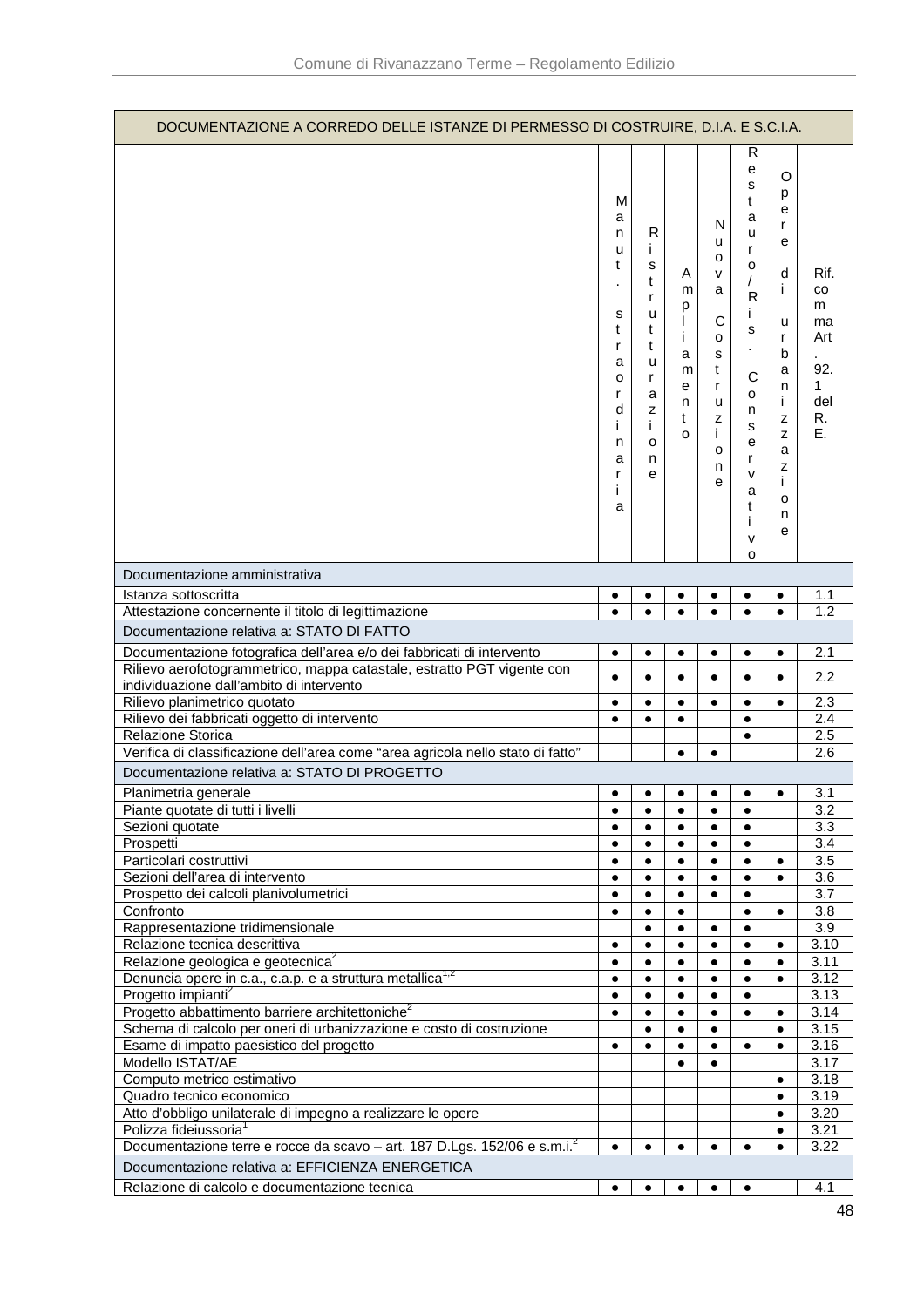| DOCUMENTAZIONE A CORREDO DELLE ISTANZE DI PERMESSO DI COSTRUIRE, D.I.A. E S.C.I.A.                               |                                                                                         |                                                                                     |                                                     |                                                                               |                                                                                                                        |                                                                                                          |                                                             |
|------------------------------------------------------------------------------------------------------------------|-----------------------------------------------------------------------------------------|-------------------------------------------------------------------------------------|-----------------------------------------------------|-------------------------------------------------------------------------------|------------------------------------------------------------------------------------------------------------------------|----------------------------------------------------------------------------------------------------------|-------------------------------------------------------------|
|                                                                                                                  | м<br>a<br>n<br>u<br>t<br>s<br>t<br>r<br>а<br>о<br>r<br>d<br>Ĺ<br>n<br>a<br>r<br>i.<br>a | R<br>Ť<br>s<br>t<br>r<br>u<br>t<br>t<br>u<br>r<br>a<br>z<br>İ.<br>$\circ$<br>n<br>е | Α<br>m<br>р<br>L<br>i<br>a<br>m<br>е<br>n<br>t<br>o | N<br>u<br>о<br>v<br>a<br>С<br>о<br>s<br>t<br>r<br>u<br>z<br>i.<br>o<br>n<br>e | R<br>е<br>s<br>t<br>a<br>u<br>r<br>о<br>R<br>j.<br>s<br>$\cdot$<br>C<br>0<br>n<br>s<br>е<br>r<br>v<br>a<br>t<br>i<br>V | O<br>p<br>е<br>r<br>е<br>d<br>i.<br>u<br>r<br>b<br>a<br>n<br>İ.<br>z<br>z<br>a<br>z<br>İ.<br>o<br>n<br>е | Rif.<br>CO<br>m<br>ma<br>Art<br>92.<br>1<br>del<br>R.<br>Е. |
| Documentazione amministrativa                                                                                    |                                                                                         |                                                                                     |                                                     |                                                                               | o                                                                                                                      |                                                                                                          |                                                             |
| Istanza sottoscritta                                                                                             | ٠                                                                                       | ٠                                                                                   | $\bullet$                                           | ٠                                                                             | $\bullet$                                                                                                              | ٠                                                                                                        | 1.1                                                         |
| Attestazione concernente il titolo di legittimazione                                                             | $\bullet$                                                                               | $\bullet$                                                                           | $\bullet$                                           | $\bullet$                                                                     | $\bullet$                                                                                                              | $\bullet$                                                                                                | 1.2                                                         |
| Documentazione relativa a: STATO DI FATTO                                                                        |                                                                                         |                                                                                     |                                                     |                                                                               |                                                                                                                        |                                                                                                          |                                                             |
| Documentazione fotografica dell'area e/o dei fabbricati di intervento                                            | $\bullet$                                                                               | $\bullet$                                                                           | $\bullet$                                           | $\bullet$                                                                     | $\bullet$                                                                                                              | $\bullet$                                                                                                | 2.1                                                         |
| Rilievo aerofotogrammetrico, mappa catastale, estratto PGT vigente con                                           |                                                                                         | $\bullet$                                                                           | $\bullet$                                           |                                                                               | $\bullet$                                                                                                              | $\bullet$                                                                                                | 2.2                                                         |
| individuazione dall'ambito di intervento                                                                         |                                                                                         |                                                                                     |                                                     |                                                                               |                                                                                                                        |                                                                                                          |                                                             |
| Rilievo planimetrico quotato                                                                                     | $\bullet$                                                                               | $\bullet$                                                                           | $\bullet$                                           | $\bullet$                                                                     | $\bullet$                                                                                                              | $\bullet$                                                                                                | 2.3                                                         |
| Rilievo dei fabbricati oggetto di intervento<br>Relazione Storica                                                | $\bullet$                                                                               | $\bullet$                                                                           | $\bullet$                                           |                                                                               | $\bullet$<br>$\bullet$                                                                                                 |                                                                                                          | 2.4<br>2.5                                                  |
| Verifica di classificazione dell'area come "area agricola nello stato di fatto"                                  |                                                                                         |                                                                                     | $\bullet$                                           | $\bullet$                                                                     |                                                                                                                        |                                                                                                          | 2.6                                                         |
| Documentazione relativa a: STATO DI PROGETTO                                                                     |                                                                                         |                                                                                     |                                                     |                                                                               |                                                                                                                        |                                                                                                          |                                                             |
|                                                                                                                  |                                                                                         |                                                                                     |                                                     |                                                                               | ٠                                                                                                                      | $\bullet$                                                                                                | 3.1                                                         |
| Planimetria generale<br>Piante quotate di tutti i livelli                                                        |                                                                                         | ٠                                                                                   | ٠<br>٠                                              |                                                                               | ٠                                                                                                                      |                                                                                                          | $\overline{3.2}$                                            |
| Sezioni quotate                                                                                                  | $\bullet$                                                                               | $\bullet$                                                                           | $\bullet$                                           | $\bullet$                                                                     | $\bullet$                                                                                                              |                                                                                                          | 3.3                                                         |
| Prospetti                                                                                                        | $\bullet$                                                                               | $\bullet$                                                                           | $\bullet$                                           | $\bullet$                                                                     | $\bullet$                                                                                                              |                                                                                                          | 3.4                                                         |
| Particolari costruttivi                                                                                          | $\bullet$                                                                               | $\bullet$                                                                           | $\bullet$                                           | $\bullet$                                                                     | $\bullet$                                                                                                              | $\bullet$                                                                                                | 3.5                                                         |
| Sezioni dell'area di intervento                                                                                  |                                                                                         | ٠                                                                                   | $\bullet$                                           | $\bullet$                                                                     | ٠                                                                                                                      | $\bullet$                                                                                                | 3.6                                                         |
| Prospetto dei calcoli planivolumetrici                                                                           | $\bullet$                                                                               | $\bullet$                                                                           | $\bullet$                                           | $\bullet$                                                                     | $\bullet$                                                                                                              |                                                                                                          | 3.7                                                         |
| Confronto<br>Rappresentazione tridimensionale                                                                    | $\bullet$                                                                               | $\bullet$<br>$\bullet$                                                              | $\bullet$<br>$\bullet$                              | $\bullet$                                                                     | $\bullet$<br>$\bullet$                                                                                                 | $\bullet$                                                                                                | 3.8<br>3.9                                                  |
| Relazione tecnica descrittiva                                                                                    | $\bullet$                                                                               | $\bullet$                                                                           | $\bullet$                                           | $\bullet$                                                                     | $\bullet$                                                                                                              | $\bullet$                                                                                                | 3.10                                                        |
| Relazione geologica e geotecnica <sup>2</sup>                                                                    | $\bullet$                                                                               | $\bullet$                                                                           | $\bullet$                                           | $\bullet$                                                                     | $\bullet$                                                                                                              | $\bullet$                                                                                                | 3.11                                                        |
| Denuncia opere in c.a., c.a.p. e a struttura metallica <sup>1,2</sup>                                            | $\bullet$                                                                               | $\bullet$                                                                           | $\bullet$                                           | $\bullet$                                                                     | $\bullet$                                                                                                              | $\bullet$                                                                                                | 3.12                                                        |
| Progetto impianti <sup>2</sup>                                                                                   | $\bullet$                                                                               | $\bullet$                                                                           | $\bullet$                                           | $\bullet$                                                                     | $\bullet$                                                                                                              |                                                                                                          | 3.13                                                        |
| Progetto abbattimento barriere architettoniche <sup>2</sup>                                                      | $\bullet$                                                                               | $\bullet$                                                                           | $\bullet$                                           | $\bullet$                                                                     | $\bullet$                                                                                                              | $\bullet$                                                                                                | 3.14                                                        |
| Schema di calcolo per oneri di urbanizzazione e costo di costruzione<br>Esame di impatto paesistico del progetto | $\bullet$                                                                               | $\bullet$<br>$\bullet$                                                              | $\bullet$<br>$\bullet$                              | $\bullet$<br>$\bullet$                                                        | $\bullet$                                                                                                              | $\bullet$<br>$\bullet$                                                                                   | 3.15<br>3.16                                                |
| Modello ISTAT/AE                                                                                                 |                                                                                         |                                                                                     |                                                     | $\bullet$                                                                     |                                                                                                                        |                                                                                                          | 3.17                                                        |
| Computo metrico estimativo                                                                                       |                                                                                         |                                                                                     |                                                     |                                                                               |                                                                                                                        | $\bullet$                                                                                                | 3.18                                                        |
| Quadro tecnico economico                                                                                         |                                                                                         |                                                                                     |                                                     |                                                                               |                                                                                                                        | $\bullet$                                                                                                | 3.19                                                        |
| Atto d'obbligo unilaterale di impegno a realizzare le opere                                                      |                                                                                         |                                                                                     |                                                     |                                                                               |                                                                                                                        | $\bullet$                                                                                                | 3.20                                                        |
| Polizza fideiussoria <sup>1</sup>                                                                                |                                                                                         |                                                                                     |                                                     |                                                                               |                                                                                                                        |                                                                                                          |                                                             |
|                                                                                                                  |                                                                                         |                                                                                     |                                                     |                                                                               |                                                                                                                        | $\bullet$                                                                                                | 3.21                                                        |
| Documentazione terre e rocce da scavo - art. 187 D.Lgs. 152/06 e s.m.i. $^2$                                     | $\bullet$                                                                               | $\bullet$                                                                           | $\bullet$                                           | $\bullet$                                                                     | $\bullet$                                                                                                              | $\bullet$                                                                                                | 3.22                                                        |
| Documentazione relativa a: EFFICIENZA ENERGETICA<br>Relazione di calcolo e documentazione tecnica                | $\bullet$                                                                               | $\bullet$                                                                           | $\bullet$                                           | $\bullet$                                                                     | $\bullet$                                                                                                              |                                                                                                          | 4.1                                                         |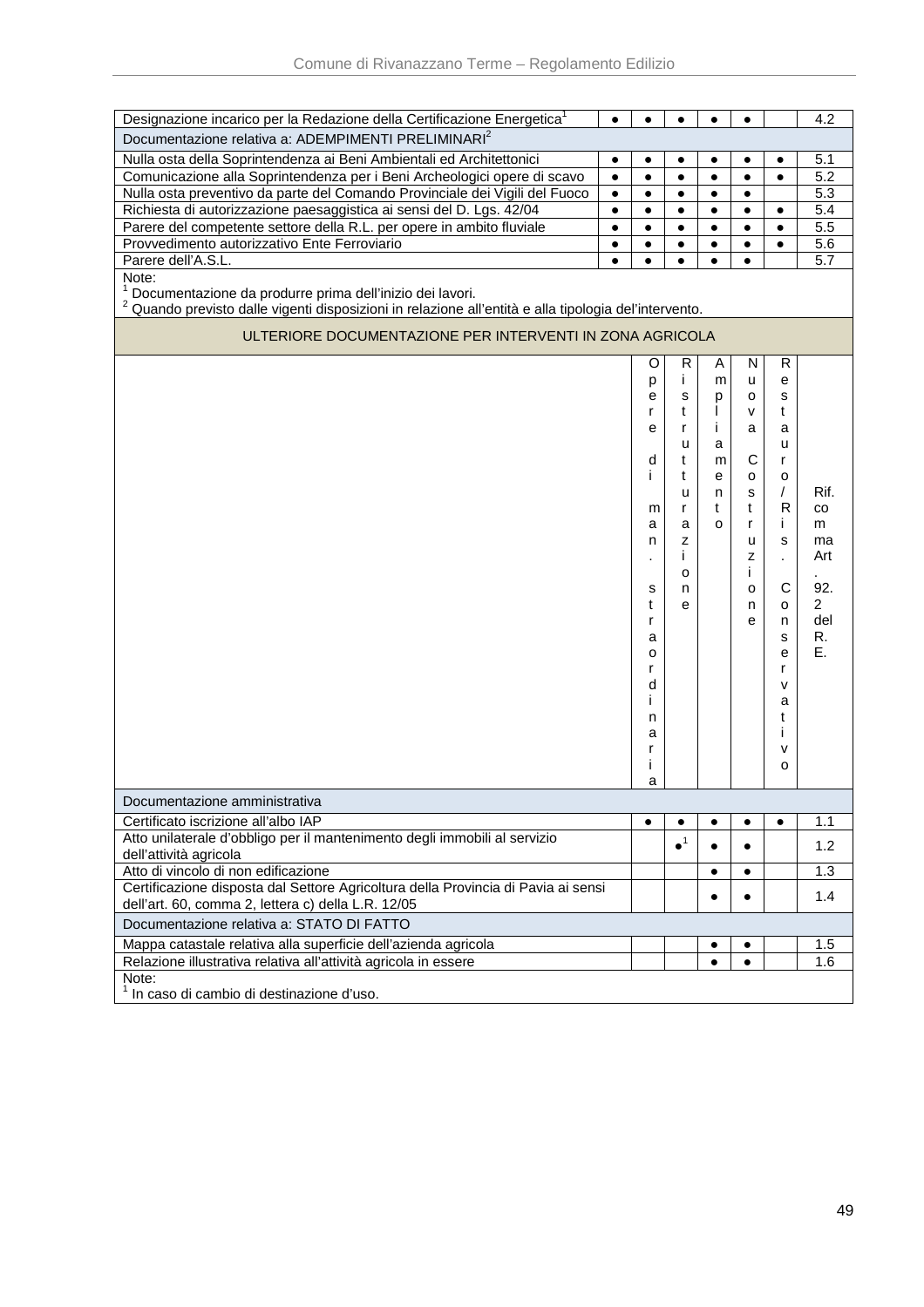| Designazione incarico per la Redazione della Certificazione Energetica <sup>1</sup>                              |           | $\bullet$ |                        |           | $\bullet$    |           | 4.2            |
|------------------------------------------------------------------------------------------------------------------|-----------|-----------|------------------------|-----------|--------------|-----------|----------------|
| Documentazione relativa a: ADEMPIMENTI PRELIMINARI <sup>2</sup>                                                  |           |           |                        |           |              |           |                |
| Nulla osta della Soprintendenza ai Beni Ambientali ed Architettonici                                             | $\bullet$ | $\bullet$ | $\bullet$              | ٠         | $\bullet$    | $\bullet$ | 5.1            |
| Comunicazione alla Soprintendenza per i Beni Archeologici opere di scavo                                         | $\bullet$ | $\bullet$ | $\bullet$              | $\bullet$ | $\bullet$    | $\bullet$ | 5.2            |
| Nulla osta preventivo da parte del Comando Provinciale dei Vigili del Fuoco                                      | $\bullet$ | $\bullet$ | $\bullet$              | $\bullet$ | $\bullet$    |           | 5.3            |
| Richiesta di autorizzazione paesaggistica ai sensi del D. Lgs. 42/04                                             | $\bullet$ | $\bullet$ | $\bullet$              | $\bullet$ | $\bullet$    | $\bullet$ | 5.4            |
| Parere del competente settore della R.L. per opere in ambito fluviale                                            | $\bullet$ | $\bullet$ | $\bullet$              | $\bullet$ | $\bullet$    | $\bullet$ | 5.5            |
| Provvedimento autorizzativo Ente Ferroviario                                                                     | $\bullet$ | $\bullet$ | $\bullet$              | $\bullet$ | $\bullet$    | $\bullet$ | 5.6            |
| Parere dell'A.S.L.                                                                                               |           | $\bullet$ | $\bullet$              | ٠         | $\bullet$    |           | 5.7            |
| Note:                                                                                                            |           |           |                        |           |              |           |                |
| Documentazione da produrre prima dell'inizio dei lavori.                                                         |           |           |                        |           |              |           |                |
| <sup>2</sup> Quando previsto dalle vigenti disposizioni in relazione all'entità e alla tipologia del'intervento. |           |           |                        |           |              |           |                |
|                                                                                                                  |           |           |                        |           |              |           |                |
| ULTERIORE DOCUMENTAZIONE PER INTERVENTI IN ZONA AGRICOLA                                                         |           |           |                        |           |              |           |                |
|                                                                                                                  |           | O         | R                      | A         | N            | R         |                |
|                                                                                                                  |           | р         | i.                     | m         | u            | е         |                |
|                                                                                                                  |           | е         | S                      | p         | 0            | s         |                |
|                                                                                                                  |           | r         | t                      | L         | $\mathsf{V}$ | t         |                |
|                                                                                                                  |           | е         | r                      | i.        | a            | a         |                |
|                                                                                                                  |           |           | u                      | a         |              | u         |                |
|                                                                                                                  |           | d         | t                      | m         | C            | r         |                |
|                                                                                                                  |           | j.        | t                      | e         | o            | o         |                |
|                                                                                                                  |           |           | u                      | n         | s            | $\prime$  | Rif.           |
|                                                                                                                  |           | m         | r                      | t         | t            | R         | CO             |
|                                                                                                                  |           | a         | a                      | O         | r            | i.        | m              |
|                                                                                                                  |           | n         | Z                      |           | u            | s         | ma             |
|                                                                                                                  |           |           | L                      |           | z            | ä,        | Art            |
|                                                                                                                  |           |           | o                      |           | Ť            |           |                |
|                                                                                                                  |           | s         | n                      |           | o            | C         | 92.            |
|                                                                                                                  |           | t         | е                      |           | n            | o         | $\overline{2}$ |
|                                                                                                                  |           | r         |                        |           | е            | n         | del            |
|                                                                                                                  |           | a         |                        |           |              | s         | R.             |
|                                                                                                                  |           | o         |                        |           |              | e         | E.             |
|                                                                                                                  |           | r         |                        |           |              | r         |                |
|                                                                                                                  |           | d         |                        |           |              | v         |                |
|                                                                                                                  |           | Ť         |                        |           |              | а         |                |
|                                                                                                                  |           | n         |                        |           |              | t         |                |
|                                                                                                                  |           | а         |                        |           |              | L         |                |
|                                                                                                                  |           | r         |                        |           |              | v         |                |
|                                                                                                                  |           | Ť         |                        |           |              | o         |                |
|                                                                                                                  |           | a         |                        |           |              |           |                |
| Documentazione amministrativa                                                                                    |           |           |                        |           |              |           |                |
| Certificato iscrizione all'albo IAP                                                                              |           | $\bullet$ |                        |           |              | $\bullet$ | 1.1            |
| Atto unilaterale d'obbligo per il mantenimento degli immobili al servizio                                        |           |           | $\bullet$ <sup>1</sup> |           |              |           |                |
| dell'attività agricola                                                                                           |           |           |                        |           | $\bullet$    |           | 1.2            |
| Atto di vincolo di non edificazione                                                                              |           |           |                        |           | ٠            |           | 1.3            |
| Certificazione disposta dal Settore Agricoltura della Provincia di Pavia ai sensi                                |           |           |                        |           |              |           |                |
| dell'art. 60, comma 2, lettera c) della L.R. 12/05                                                               |           |           |                        |           | $\bullet$    |           | 1.4            |
| Documentazione relativa a: STATO DI FATTO                                                                        |           |           |                        |           |              |           |                |
| Mappa catastale relativa alla superficie dell'azienda agricola                                                   |           |           |                        |           |              |           | 1.5            |
| Relazione illustrativa relativa all'attività agricola in essere                                                  |           |           |                        | $\bullet$ | $\bullet$    |           | 1.6            |
| Note:                                                                                                            |           |           |                        |           |              |           |                |
| In caso di cambio di destinazione d'uso.                                                                         |           |           |                        |           |              |           |                |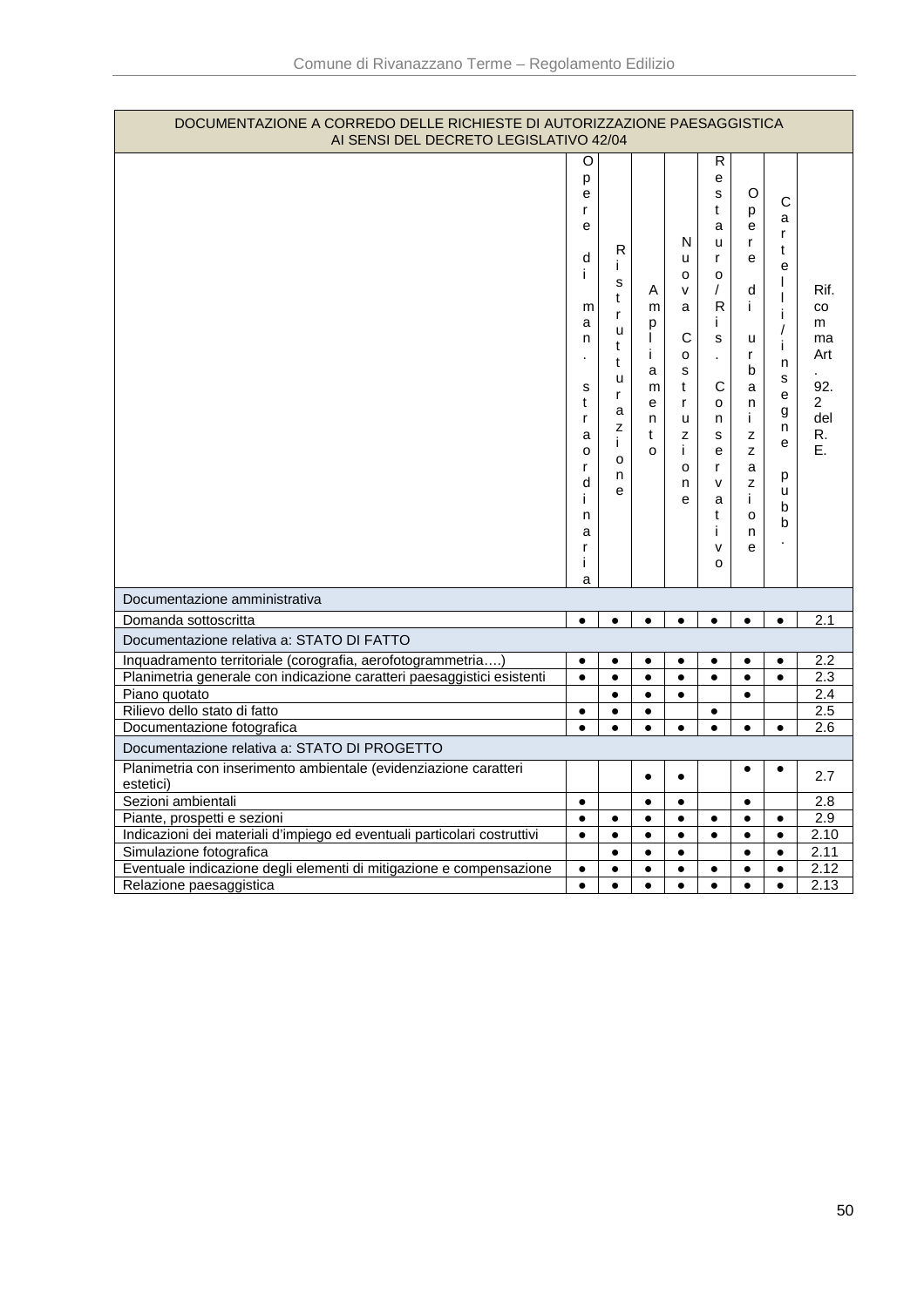| DOCUMENTAZIONE A CORREDO DELLE RICHIESTE DI AUTORIZZAZIONE PAESAGGISTICA<br>AI SENSI DEL DECRETO LEGISLATIVO 42/04 |                                                                                                                   |                                                                                |                                                                 |                                                                                                    |                                                                                                                              |                                                                                                          |                                                                                                                                            |                                                                          |
|--------------------------------------------------------------------------------------------------------------------|-------------------------------------------------------------------------------------------------------------------|--------------------------------------------------------------------------------|-----------------------------------------------------------------|----------------------------------------------------------------------------------------------------|------------------------------------------------------------------------------------------------------------------------------|----------------------------------------------------------------------------------------------------------|--------------------------------------------------------------------------------------------------------------------------------------------|--------------------------------------------------------------------------|
|                                                                                                                    | O<br>p<br>е<br>r<br>e<br>d<br>j.<br>m<br>a<br>n<br>s<br>t<br>r<br>a<br>o<br>r<br>d<br>Ť<br>n<br>a<br>r<br>j.<br>a | R<br>i.<br>S<br>t<br>r<br>u<br>t<br>t<br>u<br>r<br>a<br>Z<br>i.<br>o<br>n<br>e | A<br>m<br>p<br>$\mathsf{I}$<br>i.<br>a<br>m<br>e<br>n<br>t<br>o | N<br>u<br>o<br>$\mathsf{v}$<br>a<br>$\mathsf C$<br>o<br>s<br>t<br>r<br>u<br>z<br>i.<br>o<br>n<br>e | R<br>е<br>S<br>t<br>a<br>u<br>r<br>о<br>T<br>R<br>Ť.<br>s<br>÷.<br>C<br>o<br>n.<br>s<br>е<br>r<br>v<br>a<br>t<br>i<br>v<br>o | O<br>p<br>е<br>r<br>e<br>d<br>i.<br>u<br>r<br>b<br>a<br>n<br>i.<br>z<br>z<br>a<br>z<br>i.<br>o<br>n<br>e | $\mathsf{C}$<br>a<br>r<br>t<br>e<br>$\mathbf{I}$<br>$\mathbf{I}$<br>j.<br>$\prime$<br>j.<br>n<br>s<br>e<br>g<br>n<br>e<br>р<br>u<br>b<br>b | Rif.<br>CO<br>m<br>ma<br>Art<br>92.<br>$\overline{2}$<br>del<br>R.<br>E. |
| Documentazione amministrativa                                                                                      |                                                                                                                   |                                                                                |                                                                 |                                                                                                    |                                                                                                                              |                                                                                                          |                                                                                                                                            |                                                                          |
| Domanda sottoscritta                                                                                               | $\bullet$                                                                                                         | $\bullet$                                                                      | $\bullet$                                                       | $\bullet$                                                                                          | $\bullet$                                                                                                                    | $\bullet$                                                                                                | $\bullet$                                                                                                                                  | 2.1                                                                      |
| Documentazione relativa a: STATO DI FATTO                                                                          |                                                                                                                   |                                                                                |                                                                 |                                                                                                    |                                                                                                                              |                                                                                                          |                                                                                                                                            |                                                                          |
| Inquadramento territoriale (corografia, aerofotogrammetria)                                                        | $\bullet$                                                                                                         | $\bullet$                                                                      | $\bullet$                                                       | $\bullet$                                                                                          | $\bullet$                                                                                                                    | $\bullet$                                                                                                | $\bullet$                                                                                                                                  | 2.2                                                                      |
| Planimetria generale con indicazione caratteri paesaggistici esistenti                                             | $\bullet$                                                                                                         | $\bullet$                                                                      | $\bullet$                                                       | $\bullet$                                                                                          | $\bullet$                                                                                                                    | $\bullet$                                                                                                | $\bullet$                                                                                                                                  | 2.3                                                                      |
| Piano quotato                                                                                                      |                                                                                                                   | $\bullet$                                                                      | $\bullet$                                                       | $\bullet$                                                                                          |                                                                                                                              | $\bullet$                                                                                                |                                                                                                                                            | $\overline{2.4}$                                                         |
| Rilievo dello stato di fatto                                                                                       | ٠                                                                                                                 | $\bullet$                                                                      | $\bullet$                                                       |                                                                                                    | $\bullet$                                                                                                                    |                                                                                                          |                                                                                                                                            | 2.5                                                                      |
| Documentazione fotografica                                                                                         | $\bullet$                                                                                                         | $\bullet$                                                                      | $\bullet$                                                       | $\bullet$                                                                                          | $\bullet$                                                                                                                    | $\bullet$                                                                                                | $\bullet$                                                                                                                                  | 2.6                                                                      |
| Documentazione relativa a: STATO DI PROGETTO                                                                       |                                                                                                                   |                                                                                |                                                                 |                                                                                                    |                                                                                                                              |                                                                                                          |                                                                                                                                            |                                                                          |
| Planimetria con inserimento ambientale (evidenziazione caratteri<br>estetici)                                      |                                                                                                                   |                                                                                | $\bullet$                                                       | $\bullet$                                                                                          |                                                                                                                              | ٠                                                                                                        | ٠                                                                                                                                          | 2.7                                                                      |
| Sezioni ambientali                                                                                                 | $\bullet$                                                                                                         |                                                                                | $\bullet$                                                       | $\bullet$                                                                                          |                                                                                                                              | $\bullet$                                                                                                |                                                                                                                                            | 2.8                                                                      |
| Piante, prospetti e sezioni                                                                                        | $\bullet$                                                                                                         | $\bullet$                                                                      | $\bullet$                                                       | $\bullet$                                                                                          | $\bullet$                                                                                                                    | $\bullet$                                                                                                | $\bullet$                                                                                                                                  | 2.9                                                                      |
| Indicazioni dei materiali d'impiego ed eventuali particolari costruttivi                                           | $\bullet$                                                                                                         | $\bullet$                                                                      | $\bullet$                                                       | $\bullet$                                                                                          | $\bullet$                                                                                                                    | $\bullet$                                                                                                | $\bullet$                                                                                                                                  | 2.10                                                                     |
| Simulazione fotografica                                                                                            |                                                                                                                   | $\bullet$                                                                      | $\bullet$                                                       | $\bullet$                                                                                          |                                                                                                                              | $\bullet$                                                                                                | $\bullet$                                                                                                                                  | 2.11                                                                     |
| Eventuale indicazione degli elementi di mitigazione e compensazione                                                | $\bullet$                                                                                                         | $\bullet$                                                                      | $\bullet$                                                       | $\bullet$                                                                                          | $\bullet$                                                                                                                    | $\bullet$                                                                                                | $\bullet$                                                                                                                                  | 2.12<br>2.13                                                             |
| Relazione paesaggistica                                                                                            | $\bullet$                                                                                                         | $\bullet$                                                                      | $\bullet$                                                       | $\bullet$                                                                                          | $\bullet$                                                                                                                    | $\bullet$                                                                                                | $\bullet$                                                                                                                                  |                                                                          |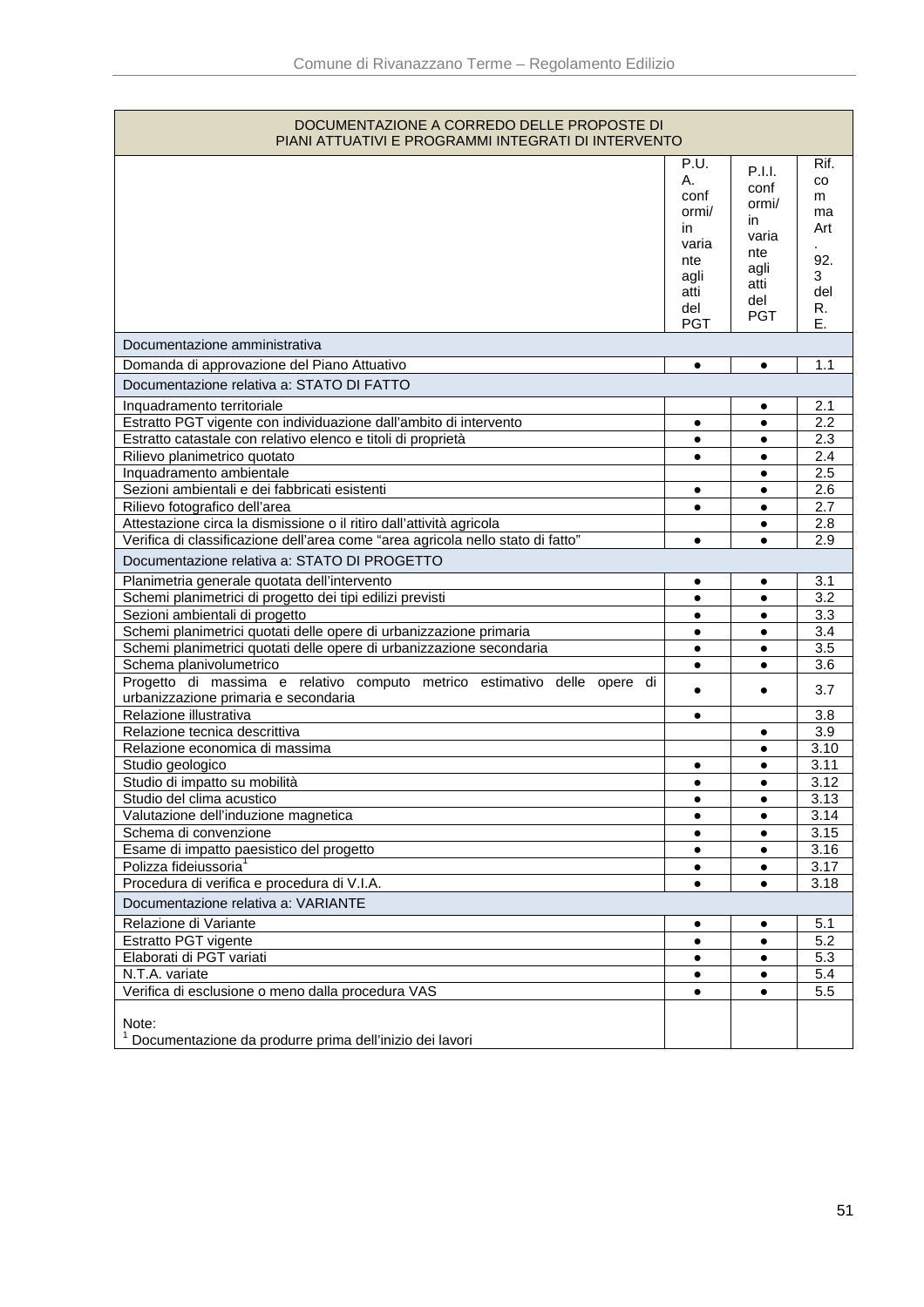| DOCUMENTAZIONE A CORREDO DELLE PROPOSTE DI                                                                       |                                                    |                                                       |                                      |
|------------------------------------------------------------------------------------------------------------------|----------------------------------------------------|-------------------------------------------------------|--------------------------------------|
| PIANI ATTUATIVI E PROGRAMMI INTEGRATI DI INTERVENTO                                                              |                                                    |                                                       |                                      |
|                                                                                                                  | P.U.<br>А.<br>conf<br>ormi/<br>in.<br>varia<br>nte | P.I.I.<br>conf<br>ormi/<br>in<br>varia<br>nte<br>agli | Rif.<br>CO.<br>m<br>ma<br>Art<br>92. |
|                                                                                                                  | agli<br>atti<br>del<br><b>PGT</b>                  | atti<br>del<br><b>PGT</b>                             | 3<br>del<br>R.<br>Е.                 |
| Documentazione amministrativa                                                                                    |                                                    |                                                       |                                      |
| Domanda di approvazione del Piano Attuativo                                                                      | ٠                                                  | $\bullet$                                             | 1.1                                  |
| Documentazione relativa a: STATO DI FATTO                                                                        |                                                    |                                                       |                                      |
| Inquadramento territoriale                                                                                       |                                                    | $\bullet$                                             | 2.1                                  |
| Estratto PGT vigente con individuazione dall'ambito di intervento                                                | ٠                                                  |                                                       | 2.2                                  |
| Estratto catastale con relativo elenco e titoli di proprietà                                                     | $\bullet$                                          | ٠                                                     | 2.3                                  |
| Rilievo planimetrico quotato                                                                                     | $\bullet$                                          | $\bullet$                                             | 2.4                                  |
| Inquadramento ambientale                                                                                         |                                                    | $\bullet$                                             | 2.5                                  |
| Sezioni ambientali e dei fabbricati esistenti                                                                    | ٠                                                  | ٠                                                     | 2.6                                  |
| Rilievo fotografico dell'area                                                                                    | $\bullet$                                          | $\bullet$                                             | 2.7                                  |
| Attestazione circa la dismissione o il ritiro dall'attività agricola                                             |                                                    |                                                       | 2.8                                  |
| Verifica di classificazione dell'area come "area agricola nello stato di fatto"                                  | $\bullet$                                          | $\bullet$                                             | 2.9                                  |
| Documentazione relativa a: STATO DI PROGETTO                                                                     |                                                    |                                                       |                                      |
| Planimetria generale quotata dell'intervento                                                                     | $\bullet$                                          | ٠                                                     | 3.1                                  |
| Schemi planimetrici di progetto dei tipi edilizi previsti                                                        | $\bullet$                                          |                                                       | 3.2                                  |
| Sezioni ambientali di progetto                                                                                   | $\bullet$                                          | $\bullet$                                             | 3.3                                  |
| Schemi planimetrici quotati delle opere di urbanizzazione primaria                                               | $\bullet$                                          | $\bullet$                                             | 3.4                                  |
| Schemi planimetrici quotati delle opere di urbanizzazione secondaria                                             | ٠                                                  | $\bullet$                                             | 3.5                                  |
| Schema planivolumetrico                                                                                          | $\bullet$                                          | $\bullet$                                             | 3.6                                  |
| Progetto di massima e relativo computo metrico estimativo delle opere di<br>urbanizzazione primaria e secondaria | ٠                                                  | $\bullet$                                             | 3.7                                  |
| Relazione illustrativa                                                                                           | $\bullet$                                          |                                                       | 3.8                                  |
| Relazione tecnica descrittiva                                                                                    |                                                    | ٠                                                     | 3.9                                  |
| Relazione economica di massima                                                                                   |                                                    |                                                       | 3.10                                 |
| Studio geologico                                                                                                 |                                                    |                                                       | 3.11                                 |
| Studio di impatto su mobilità                                                                                    | ٠                                                  | $\bullet$                                             | 3.12                                 |
| Studio del clima acustico<br>Valutazione dell'induzione magnetica                                                | ٠                                                  | $\bullet$                                             | 3.13<br>3.14                         |
| Schema di convenzione                                                                                            |                                                    |                                                       | 3.15                                 |
| Esame di impatto paesistico del progetto                                                                         |                                                    |                                                       | 3.16                                 |
| Polizza fideiussoria <sup>1</sup>                                                                                | $\bullet$                                          | $\bullet$                                             | 3.17                                 |
| Procedura di verifica e procedura di V.I.A.                                                                      | $\bullet$                                          | $\bullet$                                             | 3.18                                 |
| Documentazione relativa a: VARIANTE                                                                              |                                                    |                                                       |                                      |
| Relazione di Variante                                                                                            | ٠                                                  |                                                       | 5.1                                  |
| Estratto PGT vigente                                                                                             | $\bullet$                                          | $\bullet$                                             | 5.2                                  |
| Elaborati di PGT variati                                                                                         | $\bullet$                                          |                                                       | 5.3                                  |
| N.T.A. variate                                                                                                   | $\bullet$                                          | ٠                                                     | 5.4                                  |
| Verifica di esclusione o meno dalla procedura VAS                                                                | $\bullet$                                          | ٠                                                     | 5.5                                  |
| Note:<br>Documentazione da produrre prima dell'inizio dei lavori                                                 |                                                    |                                                       |                                      |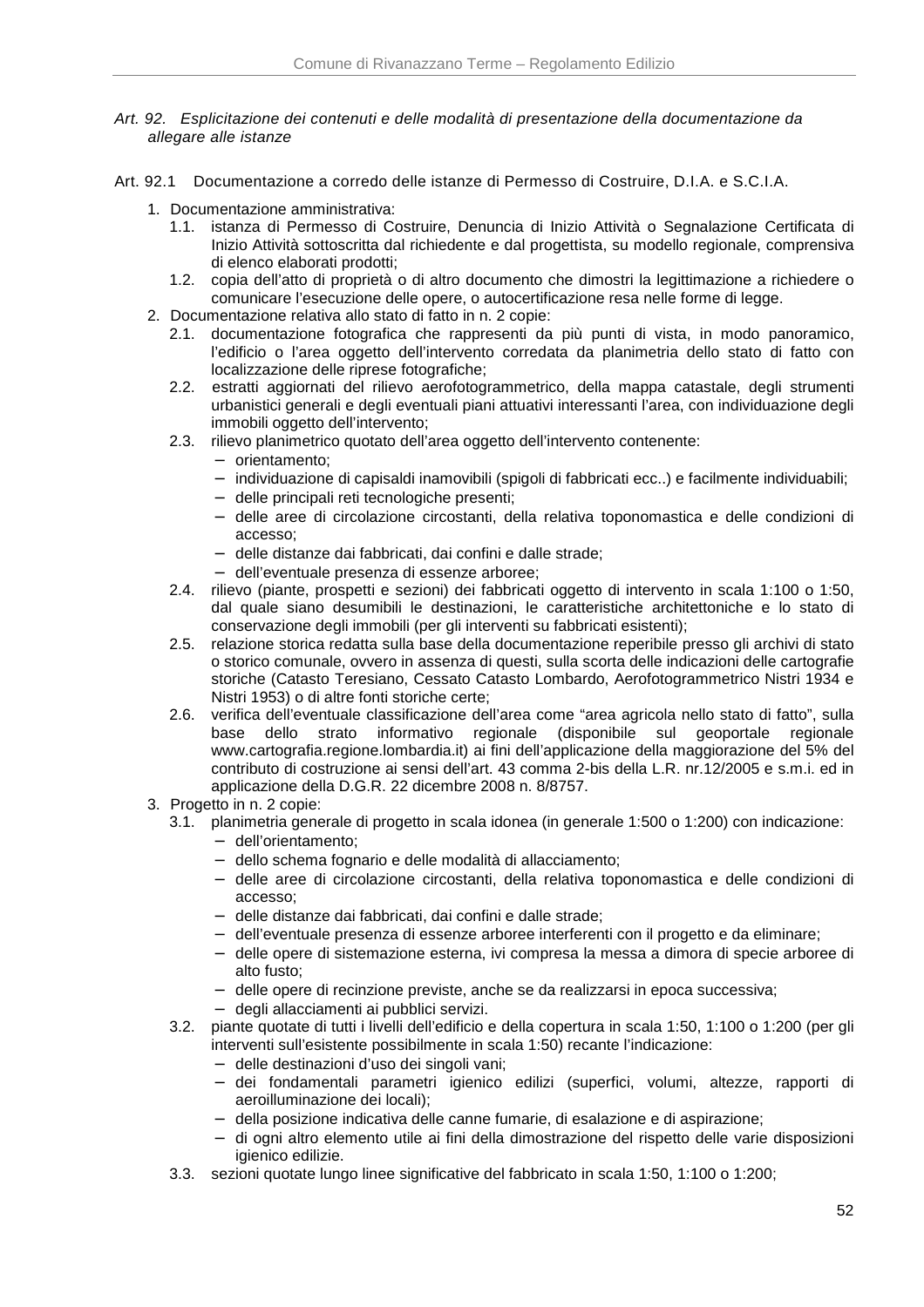- Art. 92. Esplicitazione dei contenuti e delle modalità di presentazione della documentazione da allegare alle istanze
- Art. 92.1 Documentazione a corredo delle istanze di Permesso di Costruire, D.I.A. e S.C.I.A.
	- 1. Documentazione amministrativa:
		- 1.1. istanza di Permesso di Costruire, Denuncia di Inizio Attività o Segnalazione Certificata di Inizio Attività sottoscritta dal richiedente e dal progettista, su modello regionale, comprensiva di elenco elaborati prodotti;
		- 1.2. copia dell'atto di proprietà o di altro documento che dimostri la legittimazione a richiedere o comunicare l'esecuzione delle opere, o autocertificazione resa nelle forme di legge.
	- 2. Documentazione relativa allo stato di fatto in n. 2 copie:
		- 2.1. documentazione fotografica che rappresenti da più punti di vista, in modo panoramico, l'edificio o l'area oggetto dell'intervento corredata da planimetria dello stato di fatto con localizzazione delle riprese fotografiche;
		- 2.2. estratti aggiornati del rilievo aerofotogrammetrico, della mappa catastale, degli strumenti urbanistici generali e degli eventuali piani attuativi interessanti l'area, con individuazione degli immobili oggetto dell'intervento;
		- 2.3. rilievo planimetrico quotato dell'area oggetto dell'intervento contenente:
			- − orientamento;
			- − individuazione di capisaldi inamovibili (spigoli di fabbricati ecc..) e facilmente individuabili;
			- − delle principali reti tecnologiche presenti;
			- − delle aree di circolazione circostanti, della relativa toponomastica e delle condizioni di accesso;
			- − delle distanze dai fabbricati, dai confini e dalle strade;
			- − dell'eventuale presenza di essenze arboree;
		- 2.4. rilievo (piante, prospetti e sezioni) dei fabbricati oggetto di intervento in scala 1:100 o 1:50, dal quale siano desumibili le destinazioni, le caratteristiche architettoniche e lo stato di conservazione degli immobili (per gli interventi su fabbricati esistenti);
		- 2.5. relazione storica redatta sulla base della documentazione reperibile presso gli archivi di stato o storico comunale, ovvero in assenza di questi, sulla scorta delle indicazioni delle cartografie storiche (Catasto Teresiano, Cessato Catasto Lombardo, Aerofotogrammetrico Nistri 1934 e Nistri 1953) o di altre fonti storiche certe;
		- 2.6. verifica dell'eventuale classificazione dell'area come "area agricola nello stato di fatto", sulla base dello strato informativo regionale (disponibile sul geoportale regionale www.cartografia.regione.lombardia.it) ai fini dell'applicazione della maggiorazione del 5% del contributo di costruzione ai sensi dell'art. 43 comma 2-bis della L.R. nr.12/2005 e s.m.i. ed in applicazione della D.G.R. 22 dicembre 2008 n. 8/8757.
	- 3. Progetto in n. 2 copie:
		- 3.1. planimetria generale di progetto in scala idonea (in generale 1:500 o 1:200) con indicazione:
			- − dell'orientamento;
			- − dello schema fognario e delle modalità di allacciamento;
			- − delle aree di circolazione circostanti, della relativa toponomastica e delle condizioni di accesso;
			- − delle distanze dai fabbricati, dai confini e dalle strade;
			- − dell'eventuale presenza di essenze arboree interferenti con il progetto e da eliminare;
			- − delle opere di sistemazione esterna, ivi compresa la messa a dimora di specie arboree di alto fusto;
			- − delle opere di recinzione previste, anche se da realizzarsi in epoca successiva;
			- − degli allacciamenti ai pubblici servizi.
		- 3.2. piante quotate di tutti i livelli dell'edificio e della copertura in scala 1:50, 1:100 o 1:200 (per gli interventi sull'esistente possibilmente in scala 1:50) recante l'indicazione:
			- − delle destinazioni d'uso dei singoli vani;
			- − dei fondamentali parametri igienico edilizi (superfici, volumi, altezze, rapporti di aeroilluminazione dei locali);
			- − della posizione indicativa delle canne fumarie, di esalazione e di aspirazione;
			- − di ogni altro elemento utile ai fini della dimostrazione del rispetto delle varie disposizioni igienico edilizie.
		- 3.3. sezioni quotate lungo linee significative del fabbricato in scala 1:50, 1:100 o 1:200;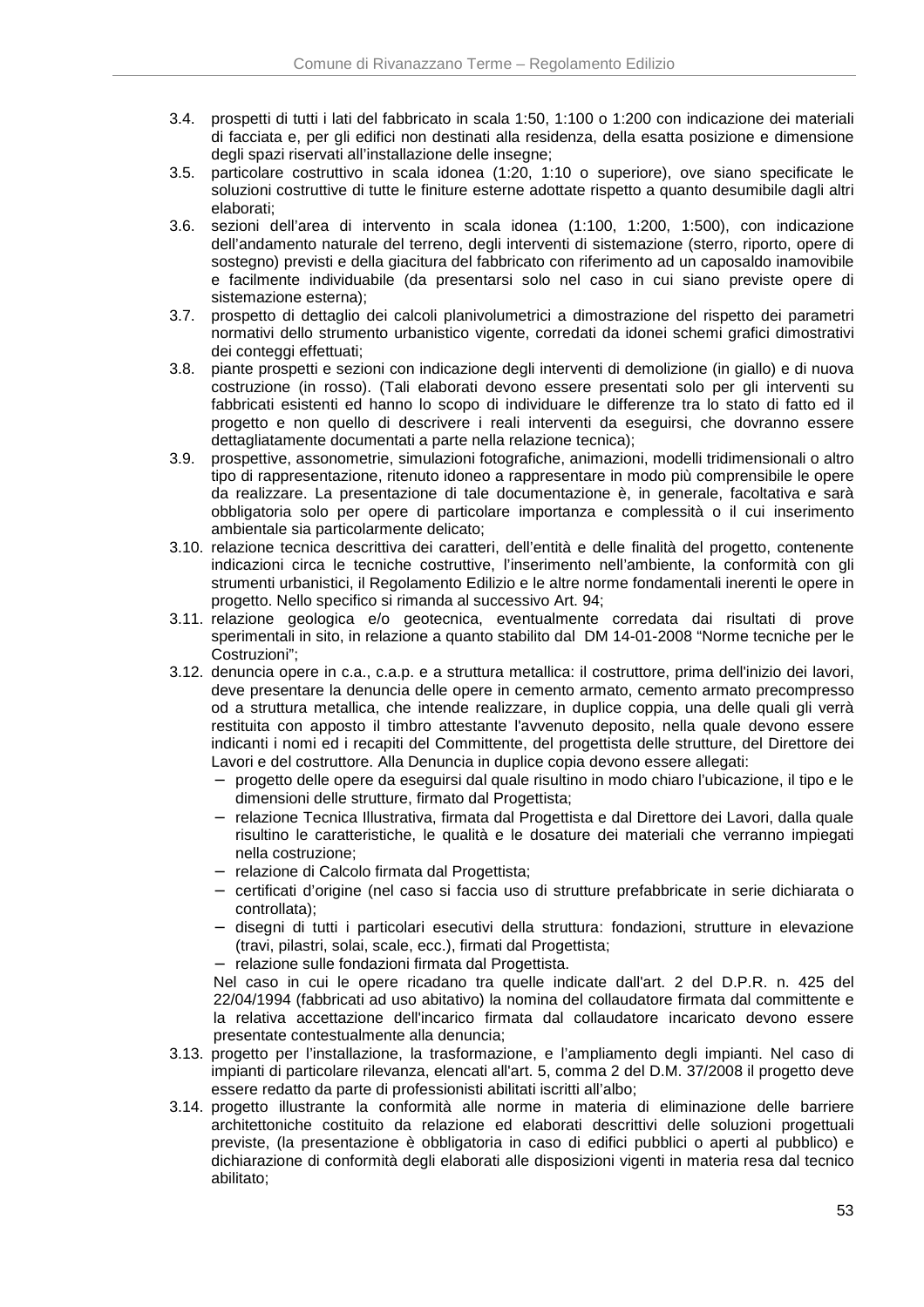- 3.4. prospetti di tutti i lati del fabbricato in scala 1:50, 1:100 o 1:200 con indicazione dei materiali di facciata e, per gli edifici non destinati alla residenza, della esatta posizione e dimensione degli spazi riservati all'installazione delle insegne;
- 3.5. particolare costruttivo in scala idonea (1:20, 1:10 o superiore), ove siano specificate le soluzioni costruttive di tutte le finiture esterne adottate rispetto a quanto desumibile dagli altri elaborati;
- 3.6. sezioni dell'area di intervento in scala idonea (1:100, 1:200, 1:500), con indicazione dell'andamento naturale del terreno, degli interventi di sistemazione (sterro, riporto, opere di sostegno) previsti e della giacitura del fabbricato con riferimento ad un caposaldo inamovibile e facilmente individuabile (da presentarsi solo nel caso in cui siano previste opere di sistemazione esterna);
- 3.7. prospetto di dettaglio dei calcoli planivolumetrici a dimostrazione del rispetto dei parametri normativi dello strumento urbanistico vigente, corredati da idonei schemi grafici dimostrativi dei conteggi effettuati:
- 3.8. piante prospetti e sezioni con indicazione degli interventi di demolizione (in giallo) e di nuova costruzione (in rosso). (Tali elaborati devono essere presentati solo per gli interventi su fabbricati esistenti ed hanno lo scopo di individuare le differenze tra lo stato di fatto ed il progetto e non quello di descrivere i reali interventi da eseguirsi, che dovranno essere dettagliatamente documentati a parte nella relazione tecnica);
- 3.9. prospettive, assonometrie, simulazioni fotografiche, animazioni, modelli tridimensionali o altro tipo di rappresentazione, ritenuto idoneo a rappresentare in modo più comprensibile le opere da realizzare. La presentazione di tale documentazione è, in generale, facoltativa e sarà obbligatoria solo per opere di particolare importanza e complessità o il cui inserimento ambientale sia particolarmente delicato;
- 3.10. relazione tecnica descrittiva dei caratteri, dell'entità e delle finalità del progetto, contenente indicazioni circa le tecniche costruttive, l'inserimento nell'ambiente, la conformità con gli strumenti urbanistici, il Regolamento Edilizio e le altre norme fondamentali inerenti le opere in progetto. Nello specifico si rimanda al successivo Art. 94;
- 3.11. relazione geologica e/o geotecnica, eventualmente corredata dai risultati di prove sperimentali in sito, in relazione a quanto stabilito dal DM 14-01-2008 "Norme tecniche per le Costruzioni";
- 3.12. denuncia opere in c.a., c.a.p. e a struttura metallica: il costruttore, prima dell'inizio dei lavori, deve presentare la denuncia delle opere in cemento armato, cemento armato precompresso od a struttura metallica, che intende realizzare, in duplice coppia, una delle quali gli verrà restituita con apposto il timbro attestante l'avvenuto deposito, nella quale devono essere indicanti i nomi ed i recapiti del Committente, del progettista delle strutture, del Direttore dei Lavori e del costruttore. Alla Denuncia in duplice copia devono essere allegati:
	- − progetto delle opere da eseguirsi dal quale risultino in modo chiaro l'ubicazione, il tipo e le dimensioni delle strutture, firmato dal Progettista;
	- − relazione Tecnica Illustrativa, firmata dal Progettista e dal Direttore dei Lavori, dalla quale risultino le caratteristiche, le qualità e le dosature dei materiali che verranno impiegati nella costruzione;
	- − relazione di Calcolo firmata dal Progettista;
	- − certificati d'origine (nel caso si faccia uso di strutture prefabbricate in serie dichiarata o controllata);
	- − disegni di tutti i particolari esecutivi della struttura: fondazioni, strutture in elevazione (travi, pilastri, solai, scale, ecc.), firmati dal Progettista;
	- − relazione sulle fondazioni firmata dal Progettista.

Nel caso in cui le opere ricadano tra quelle indicate dall'art. 2 del D.P.R. n. 425 del 22/04/1994 (fabbricati ad uso abitativo) la nomina del collaudatore firmata dal committente e la relativa accettazione dell'incarico firmata dal collaudatore incaricato devono essere presentate contestualmente alla denuncia;

- 3.13. progetto per l'installazione, la trasformazione, e l'ampliamento degli impianti. Nel caso di impianti di particolare rilevanza, elencati all'art. 5, comma 2 del D.M. 37/2008 il progetto deve essere redatto da parte di professionisti abilitati iscritti all'albo;
- 3.14. progetto illustrante la conformità alle norme in materia di eliminazione delle barriere architettoniche costituito da relazione ed elaborati descrittivi delle soluzioni progettuali previste, (la presentazione è obbligatoria in caso di edifici pubblici o aperti al pubblico) e dichiarazione di conformità degli elaborati alle disposizioni vigenti in materia resa dal tecnico abilitato;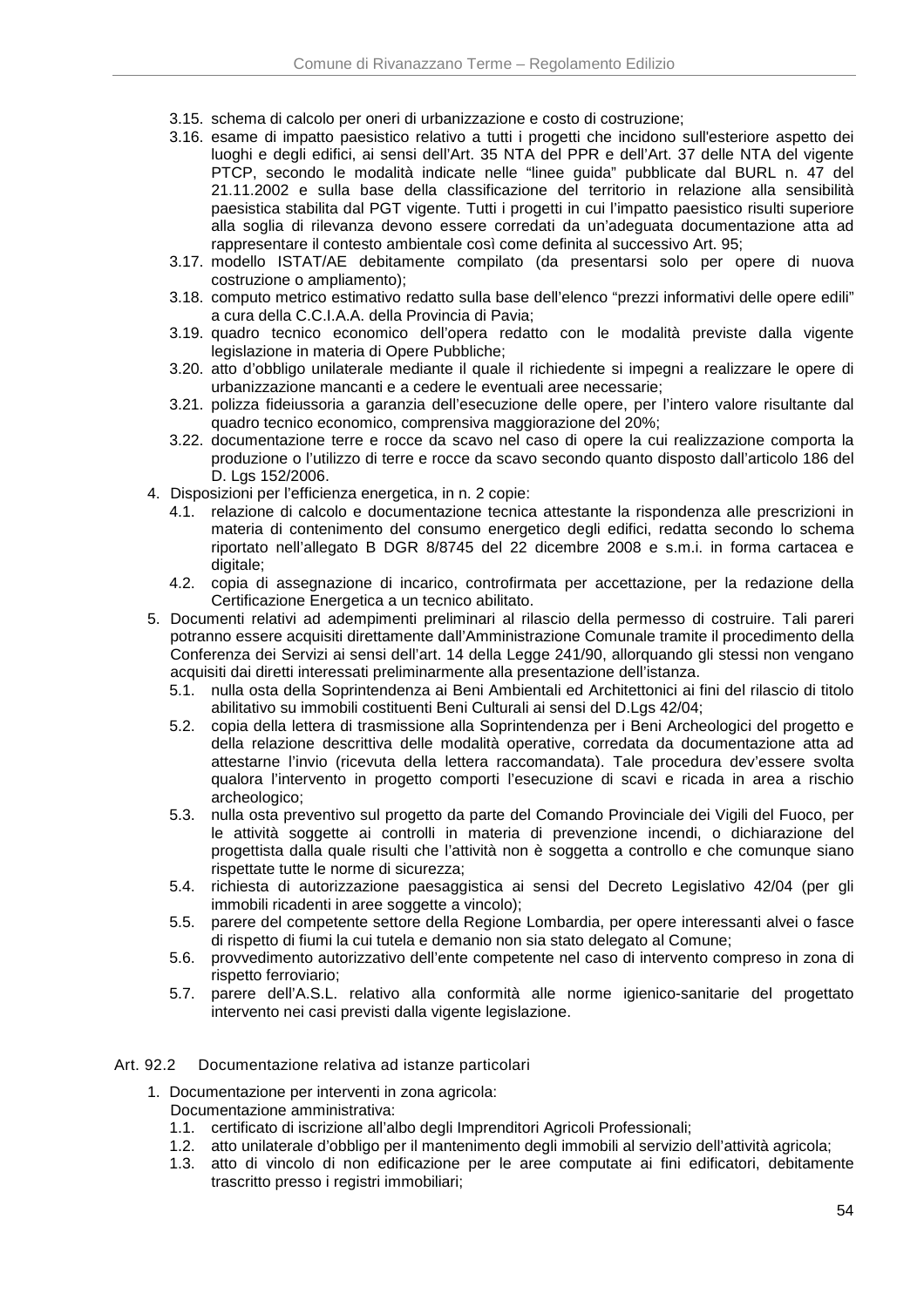- 3.15. schema di calcolo per oneri di urbanizzazione e costo di costruzione;
- 3.16. esame di impatto paesistico relativo a tutti i progetti che incidono sull'esteriore aspetto dei luoghi e degli edifici, ai sensi dell'Art. 35 NTA del PPR e dell'Art. 37 delle NTA del vigente PTCP, secondo le modalità indicate nelle "linee guida" pubblicate dal BURL n. 47 del 21.11.2002 e sulla base della classificazione del territorio in relazione alla sensibilità paesistica stabilita dal PGT vigente. Tutti i progetti in cui l'impatto paesistico risulti superiore alla soglia di rilevanza devono essere corredati da un'adeguata documentazione atta ad rappresentare il contesto ambientale così come definita al successivo Art. 95;
- 3.17. modello ISTAT/AE debitamente compilato (da presentarsi solo per opere di nuova costruzione o ampliamento);
- 3.18. computo metrico estimativo redatto sulla base dell'elenco "prezzi informativi delle opere edili" a cura della C.C.I.A.A. della Provincia di Pavia;
- 3.19. quadro tecnico economico dell'opera redatto con le modalità previste dalla vigente legislazione in materia di Opere Pubbliche;
- 3.20. atto d'obbligo unilaterale mediante il quale il richiedente si impegni a realizzare le opere di urbanizzazione mancanti e a cedere le eventuali aree necessarie;
- 3.21. polizza fideiussoria a garanzia dell'esecuzione delle opere, per l'intero valore risultante dal quadro tecnico economico, comprensiva maggiorazione del 20%;
- 3.22. documentazione terre e rocce da scavo nel caso di opere la cui realizzazione comporta la produzione o l'utilizzo di terre e rocce da scavo secondo quanto disposto dall'articolo 186 del D. Lgs 152/2006.
- 4. Disposizioni per l'efficienza energetica, in n. 2 copie:
	- 4.1. relazione di calcolo e documentazione tecnica attestante la rispondenza alle prescrizioni in materia di contenimento del consumo energetico degli edifici, redatta secondo lo schema riportato nell'allegato B DGR 8/8745 del 22 dicembre 2008 e s.m.i. in forma cartacea e digitale;
	- 4.2. copia di assegnazione di incarico, controfirmata per accettazione, per la redazione della Certificazione Energetica a un tecnico abilitato.
- 5. Documenti relativi ad adempimenti preliminari al rilascio della permesso di costruire. Tali pareri potranno essere acquisiti direttamente dall'Amministrazione Comunale tramite il procedimento della Conferenza dei Servizi ai sensi dell'art. 14 della Legge 241/90, allorquando gli stessi non vengano acquisiti dai diretti interessati preliminarmente alla presentazione dell'istanza.
	- 5.1. nulla osta della Soprintendenza ai Beni Ambientali ed Architettonici ai fini del rilascio di titolo abilitativo su immobili costituenti Beni Culturali ai sensi del D.Lgs 42/04;
	- 5.2. copia della lettera di trasmissione alla Soprintendenza per i Beni Archeologici del progetto e della relazione descrittiva delle modalità operative, corredata da documentazione atta ad attestarne l'invio (ricevuta della lettera raccomandata). Tale procedura dev'essere svolta qualora l'intervento in progetto comporti l'esecuzione di scavi e ricada in area a rischio archeologico;
	- 5.3. nulla osta preventivo sul progetto da parte del Comando Provinciale dei Vigili del Fuoco, per le attività soggette ai controlli in materia di prevenzione incendi, o dichiarazione del progettista dalla quale risulti che l'attività non è soggetta a controllo e che comunque siano rispettate tutte le norme di sicurezza;
	- 5.4. richiesta di autorizzazione paesaggistica ai sensi del Decreto Legislativo 42/04 (per gli immobili ricadenti in aree soggette a vincolo);
	- 5.5. parere del competente settore della Regione Lombardia, per opere interessanti alvei o fasce di rispetto di fiumi la cui tutela e demanio non sia stato delegato al Comune;
	- 5.6. provvedimento autorizzativo dell'ente competente nel caso di intervento compreso in zona di rispetto ferroviario;
	- 5.7. parere dell'A.S.L. relativo alla conformità alle norme igienico-sanitarie del progettato intervento nei casi previsti dalla vigente legislazione.

#### Art. 92.2 Documentazione relativa ad istanze particolari

- 1. Documentazione per interventi in zona agricola:
	- Documentazione amministrativa:
	- 1.1. certificato di iscrizione all'albo degli Imprenditori Agricoli Professionali;
	- 1.2. atto unilaterale d'obbligo per il mantenimento degli immobili al servizio dell'attività agricola;
	- 1.3. atto di vincolo di non edificazione per le aree computate ai fini edificatori, debitamente trascritto presso i registri immobiliari;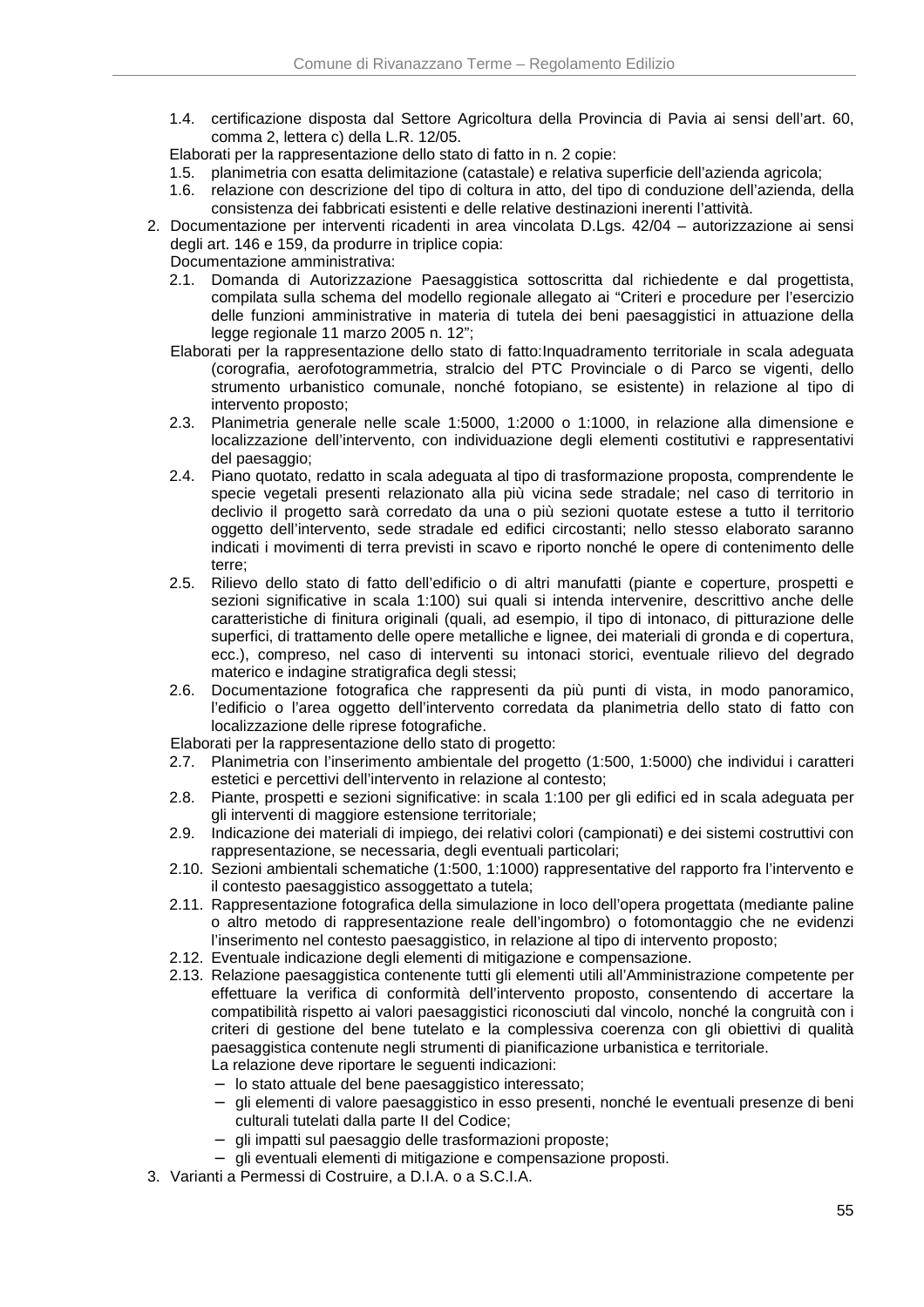- 1.4. certificazione disposta dal Settore Agricoltura della Provincia di Pavia ai sensi dell'art. 60, comma 2, lettera c) della L.R. 12/05.
- Elaborati per la rappresentazione dello stato di fatto in n. 2 copie:
- 1.5. planimetria con esatta delimitazione (catastale) e relativa superficie dell'azienda agricola;
- 1.6. relazione con descrizione del tipo di coltura in atto, del tipo di conduzione dell'azienda, della consistenza dei fabbricati esistenti e delle relative destinazioni inerenti l'attività.
- 2. Documentazione per interventi ricadenti in area vincolata D.Lgs. 42/04 autorizzazione ai sensi degli art. 146 e 159, da produrre in triplice copia:
	- Documentazione amministrativa:
	- 2.1. Domanda di Autorizzazione Paesaggistica sottoscritta dal richiedente e dal progettista, compilata sulla schema del modello regionale allegato ai "Criteri e procedure per l'esercizio delle funzioni amministrative in materia di tutela dei beni paesaggistici in attuazione della legge regionale 11 marzo 2005 n. 12";
	- Elaborati per la rappresentazione dello stato di fatto:Inquadramento territoriale in scala adeguata (corografia, aerofotogrammetria, stralcio del PTC Provinciale o di Parco se vigenti, dello strumento urbanistico comunale, nonché fotopiano, se esistente) in relazione al tipo di intervento proposto;
	- 2.3. Planimetria generale nelle scale 1:5000, 1:2000 o 1:1000, in relazione alla dimensione e localizzazione dell'intervento, con individuazione degli elementi costitutivi e rappresentativi del paesaggio;
	- 2.4. Piano quotato, redatto in scala adeguata al tipo di trasformazione proposta, comprendente le specie vegetali presenti relazionato alla più vicina sede stradale; nel caso di territorio in declivio il progetto sarà corredato da una o più sezioni quotate estese a tutto il territorio oggetto dell'intervento, sede stradale ed edifici circostanti; nello stesso elaborato saranno indicati i movimenti di terra previsti in scavo e riporto nonché le opere di contenimento delle terre;
	- 2.5. Rilievo dello stato di fatto dell'edificio o di altri manufatti (piante e coperture, prospetti e sezioni significative in scala 1:100) sui quali si intenda intervenire, descrittivo anche delle caratteristiche di finitura originali (quali, ad esempio, il tipo di intonaco, di pitturazione delle superfici, di trattamento delle opere metalliche e lignee, dei materiali di gronda e di copertura, ecc.), compreso, nel caso di interventi su intonaci storici, eventuale rilievo del degrado materico e indagine stratigrafica degli stessi;
	- 2.6. Documentazione fotografica che rappresenti da più punti di vista, in modo panoramico, l'edificio o l'area oggetto dell'intervento corredata da planimetria dello stato di fatto con localizzazione delle riprese fotografiche.
	- Elaborati per la rappresentazione dello stato di progetto:
	- 2.7. Planimetria con l'inserimento ambientale del progetto (1:500, 1:5000) che individui i caratteri estetici e percettivi dell'intervento in relazione al contesto;
	- 2.8. Piante, prospetti e sezioni significative: in scala 1:100 per gli edifici ed in scala adeguata per gli interventi di maggiore estensione territoriale;
	- 2.9. Indicazione dei materiali di impiego, dei relativi colori (campionati) e dei sistemi costruttivi con rappresentazione, se necessaria, degli eventuali particolari;
	- 2.10. Sezioni ambientali schematiche (1:500, 1:1000) rappresentative del rapporto fra l'intervento e il contesto paesaggistico assoggettato a tutela;
	- 2.11. Rappresentazione fotografica della simulazione in loco dell'opera progettata (mediante paline o altro metodo di rappresentazione reale dell'ingombro) o fotomontaggio che ne evidenzi l'inserimento nel contesto paesaggistico, in relazione al tipo di intervento proposto;
	- 2.12. Eventuale indicazione degli elementi di mitigazione e compensazione.
	- 2.13. Relazione paesaggistica contenente tutti gli elementi utili all'Amministrazione competente per effettuare la verifica di conformità dell'intervento proposto, consentendo di accertare la compatibilità rispetto ai valori paesaggistici riconosciuti dal vincolo, nonché la congruità con i criteri di gestione del bene tutelato e la complessiva coerenza con gli obiettivi di qualità paesaggistica contenute negli strumenti di pianificazione urbanistica e territoriale.
		- La relazione deve riportare le seguenti indicazioni:
		- − lo stato attuale del bene paesaggistico interessato;
		- − gli elementi di valore paesaggistico in esso presenti, nonché le eventuali presenze di beni culturali tutelati dalla parte II del Codice;
		- − gli impatti sul paesaggio delle trasformazioni proposte;
		- − gli eventuali elementi di mitigazione e compensazione proposti.
- 3. Varianti a Permessi di Costruire, a D.I.A. o a S.C.I.A.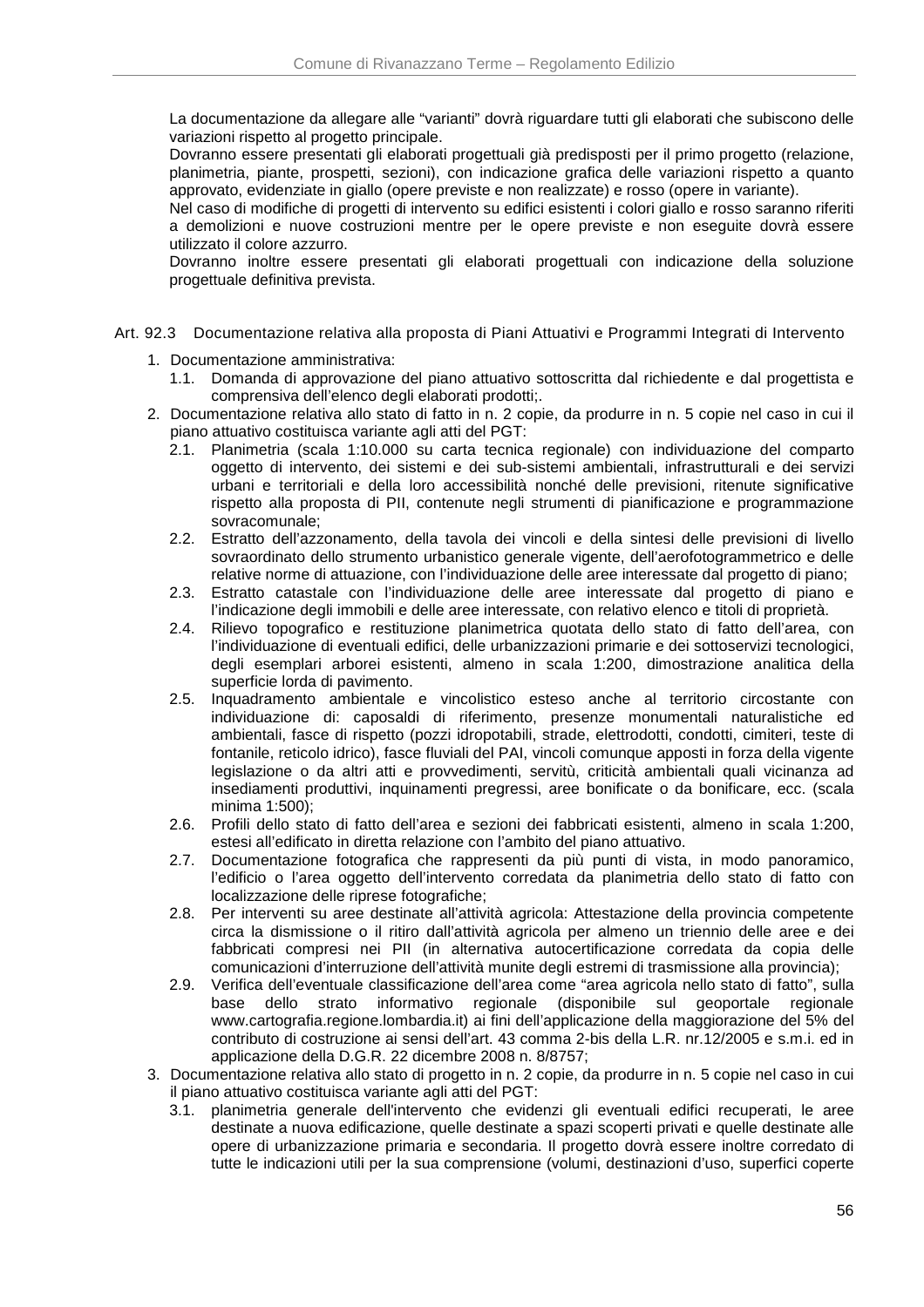La documentazione da allegare alle "varianti" dovrà riguardare tutti gli elaborati che subiscono delle variazioni rispetto al progetto principale.

Dovranno essere presentati gli elaborati progettuali già predisposti per il primo progetto (relazione, planimetria, piante, prospetti, sezioni), con indicazione grafica delle variazioni rispetto a quanto approvato, evidenziate in giallo (opere previste e non realizzate) e rosso (opere in variante).

Nel caso di modifiche di progetti di intervento su edifici esistenti i colori giallo e rosso saranno riferiti a demolizioni e nuove costruzioni mentre per le opere previste e non eseguite dovrà essere utilizzato il colore azzurro.

Dovranno inoltre essere presentati gli elaborati progettuali con indicazione della soluzione progettuale definitiva prevista.

- Art. 92.3 Documentazione relativa alla proposta di Piani Attuativi e Programmi Integrati di Intervento
	- 1. Documentazione amministrativa:
		- 1.1. Domanda di approvazione del piano attuativo sottoscritta dal richiedente e dal progettista e comprensiva dell'elenco degli elaborati prodotti;.
	- 2. Documentazione relativa allo stato di fatto in n. 2 copie, da produrre in n. 5 copie nel caso in cui il piano attuativo costituisca variante agli atti del PGT:
		- 2.1. Planimetria (scala 1:10.000 su carta tecnica regionale) con individuazione del comparto oggetto di intervento, dei sistemi e dei sub-sistemi ambientali, infrastrutturali e dei servizi urbani e territoriali e della loro accessibilità nonché delle previsioni, ritenute significative rispetto alla proposta di PII, contenute negli strumenti di pianificazione e programmazione sovracomunale;
		- 2.2. Estratto dell'azzonamento, della tavola dei vincoli e della sintesi delle previsioni di livello sovraordinato dello strumento urbanistico generale vigente, dell'aerofotogrammetrico e delle relative norme di attuazione, con l'individuazione delle aree interessate dal progetto di piano;
		- 2.3. Estratto catastale con l'individuazione delle aree interessate dal progetto di piano e l'indicazione degli immobili e delle aree interessate, con relativo elenco e titoli di proprietà.
		- 2.4. Rilievo topografico e restituzione planimetrica quotata dello stato di fatto dell'area, con l'individuazione di eventuali edifici, delle urbanizzazioni primarie e dei sottoservizi tecnologici, degli esemplari arborei esistenti, almeno in scala 1:200, dimostrazione analitica della superficie lorda di pavimento.
		- 2.5. Inquadramento ambientale e vincolistico esteso anche al territorio circostante con individuazione di: caposaldi di riferimento, presenze monumentali naturalistiche ed ambientali, fasce di rispetto (pozzi idropotabili, strade, elettrodotti, condotti, cimiteri, teste di fontanile, reticolo idrico), fasce fluviali del PAI, vincoli comunque apposti in forza della vigente legislazione o da altri atti e provvedimenti, servitù, criticità ambientali quali vicinanza ad insediamenti produttivi, inquinamenti pregressi, aree bonificate o da bonificare, ecc. (scala minima 1:500);
		- 2.6. Profili dello stato di fatto dell'area e sezioni dei fabbricati esistenti, almeno in scala 1:200, estesi all'edificato in diretta relazione con l'ambito del piano attuativo.
		- 2.7. Documentazione fotografica che rappresenti da più punti di vista, in modo panoramico, l'edificio o l'area oggetto dell'intervento corredata da planimetria dello stato di fatto con localizzazione delle riprese fotografiche;
		- 2.8. Per interventi su aree destinate all'attività agricola: Attestazione della provincia competente circa la dismissione o il ritiro dall'attività agricola per almeno un triennio delle aree e dei fabbricati compresi nei PII (in alternativa autocertificazione corredata da copia delle comunicazioni d'interruzione dell'attività munite degli estremi di trasmissione alla provincia);
		- 2.9. Verifica dell'eventuale classificazione dell'area come "area agricola nello stato di fatto", sulla base dello strato informativo regionale (disponibile sul geoportale regionale www.cartografia.regione.lombardia.it) ai fini dell'applicazione della maggiorazione del 5% del contributo di costruzione ai sensi dell'art. 43 comma 2-bis della L.R. nr.12/2005 e s.m.i. ed in applicazione della D.G.R. 22 dicembre 2008 n. 8/8757;
	- 3. Documentazione relativa allo stato di progetto in n. 2 copie, da produrre in n. 5 copie nel caso in cui il piano attuativo costituisca variante agli atti del PGT:
		- 3.1. planimetria generale dell'intervento che evidenzi gli eventuali edifici recuperati, le aree destinate a nuova edificazione, quelle destinate a spazi scoperti privati e quelle destinate alle opere di urbanizzazione primaria e secondaria. Il progetto dovrà essere inoltre corredato di tutte le indicazioni utili per la sua comprensione (volumi, destinazioni d'uso, superfici coperte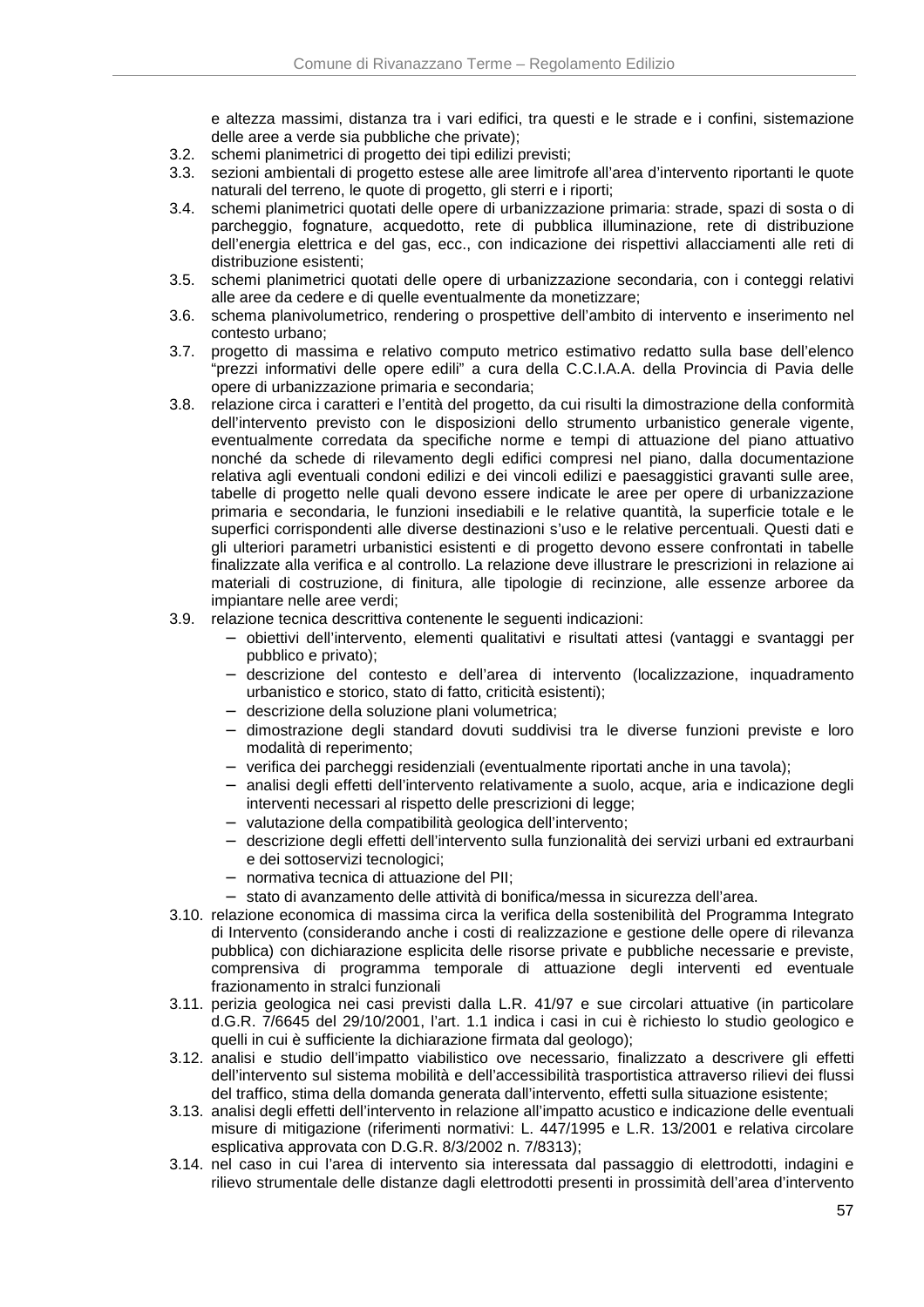e altezza massimi, distanza tra i vari edifici, tra questi e le strade e i confini, sistemazione delle aree a verde sia pubbliche che private);

- 3.2. schemi planimetrici di progetto dei tipi edilizi previsti;
- 3.3. sezioni ambientali di progetto estese alle aree limitrofe all'area d'intervento riportanti le quote naturali del terreno, le quote di progetto, gli sterri e i riporti;
- 3.4. schemi planimetrici quotati delle opere di urbanizzazione primaria: strade, spazi di sosta o di parcheggio, fognature, acquedotto, rete di pubblica illuminazione, rete di distribuzione dell'energia elettrica e del gas, ecc., con indicazione dei rispettivi allacciamenti alle reti di distribuzione esistenti;
- 3.5. schemi planimetrici quotati delle opere di urbanizzazione secondaria, con i conteggi relativi alle aree da cedere e di quelle eventualmente da monetizzare;
- 3.6. schema planivolumetrico, rendering o prospettive dell'ambito di intervento e inserimento nel contesto urbano;
- 3.7. progetto di massima e relativo computo metrico estimativo redatto sulla base dell'elenco "prezzi informativi delle opere edili" a cura della C.C.I.A.A. della Provincia di Pavia delle opere di urbanizzazione primaria e secondaria;
- 3.8. relazione circa i caratteri e l'entità del progetto, da cui risulti la dimostrazione della conformità dell'intervento previsto con le disposizioni dello strumento urbanistico generale vigente, eventualmente corredata da specifiche norme e tempi di attuazione del piano attuativo nonché da schede di rilevamento degli edifici compresi nel piano, dalla documentazione relativa agli eventuali condoni edilizi e dei vincoli edilizi e paesaggistici gravanti sulle aree, tabelle di progetto nelle quali devono essere indicate le aree per opere di urbanizzazione primaria e secondaria, le funzioni insediabili e le relative quantità, la superficie totale e le superfici corrispondenti alle diverse destinazioni s'uso e le relative percentuali. Questi dati e gli ulteriori parametri urbanistici esistenti e di progetto devono essere confrontati in tabelle finalizzate alla verifica e al controllo. La relazione deve illustrare le prescrizioni in relazione ai materiali di costruzione, di finitura, alle tipologie di recinzione, alle essenze arboree da impiantare nelle aree verdi;
- 3.9. relazione tecnica descrittiva contenente le seguenti indicazioni:
	- − obiettivi dell'intervento, elementi qualitativi e risultati attesi (vantaggi e svantaggi per pubblico e privato);
	- − descrizione del contesto e dell'area di intervento (localizzazione, inquadramento urbanistico e storico, stato di fatto, criticità esistenti);
	- − descrizione della soluzione plani volumetrica;
	- − dimostrazione degli standard dovuti suddivisi tra le diverse funzioni previste e loro modalità di reperimento;
	- − verifica dei parcheggi residenziali (eventualmente riportati anche in una tavola);
	- − analisi degli effetti dell'intervento relativamente a suolo, acque, aria e indicazione degli interventi necessari al rispetto delle prescrizioni di legge;
	- − valutazione della compatibilità geologica dell'intervento;
	- − descrizione degli effetti dell'intervento sulla funzionalità dei servizi urbani ed extraurbani e dei sottoservizi tecnologici;
	- − normativa tecnica di attuazione del PII;
	- − stato di avanzamento delle attività di bonifica/messa in sicurezza dell'area.
- 3.10. relazione economica di massima circa la verifica della sostenibilità del Programma Integrato di Intervento (considerando anche i costi di realizzazione e gestione delle opere di rilevanza pubblica) con dichiarazione esplicita delle risorse private e pubbliche necessarie e previste, comprensiva di programma temporale di attuazione degli interventi ed eventuale frazionamento in stralci funzionali
- 3.11. perizia geologica nei casi previsti dalla L.R. 41/97 e sue circolari attuative (in particolare d.G.R. 7/6645 del 29/10/2001, l'art. 1.1 indica i casi in cui è richiesto lo studio geologico e quelli in cui è sufficiente la dichiarazione firmata dal geologo);
- 3.12. analisi e studio dell'impatto viabilistico ove necessario, finalizzato a descrivere gli effetti dell'intervento sul sistema mobilità e dell'accessibilità trasportistica attraverso rilievi dei flussi del traffico, stima della domanda generata dall'intervento, effetti sulla situazione esistente;
- 3.13. analisi degli effetti dell'intervento in relazione all'impatto acustico e indicazione delle eventuali misure di mitigazione (riferimenti normativi: L. 447/1995 e L.R. 13/2001 e relativa circolare esplicativa approvata con D.G.R. 8/3/2002 n. 7/8313);
- 3.14. nel caso in cui l'area di intervento sia interessata dal passaggio di elettrodotti, indagini e rilievo strumentale delle distanze dagli elettrodotti presenti in prossimità dell'area d'intervento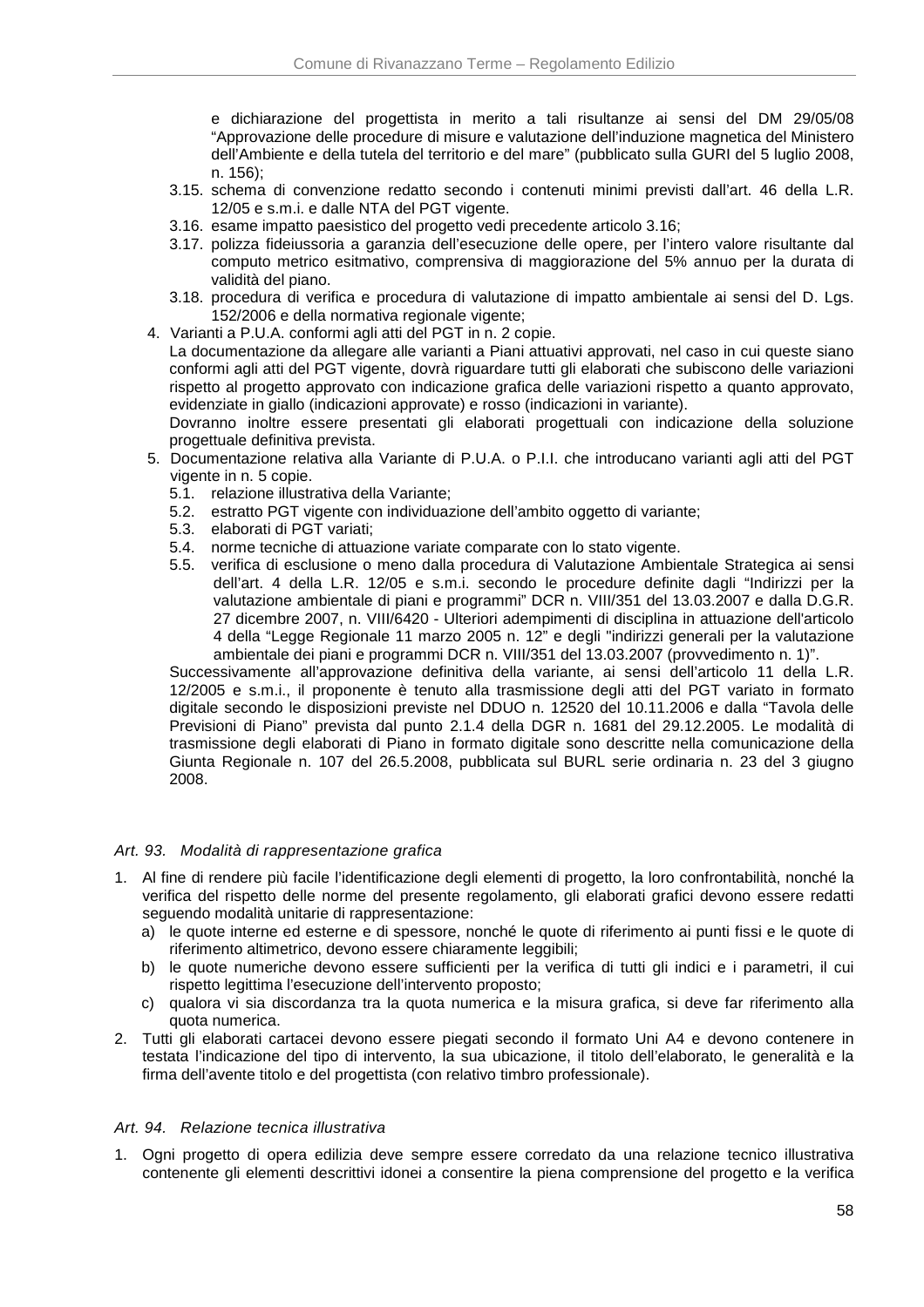e dichiarazione del progettista in merito a tali risultanze ai sensi del DM 29/05/08 "Approvazione delle procedure di misure e valutazione dell'induzione magnetica del Ministero dell'Ambiente e della tutela del territorio e del mare" (pubblicato sulla GURI del 5 luglio 2008, n. 156);

- 3.15. schema di convenzione redatto secondo i contenuti minimi previsti dall'art. 46 della L.R. 12/05 e s.m.i. e dalle NTA del PGT vigente.
- 3.16. esame impatto paesistico del progetto vedi precedente articolo 3.16;
- 3.17. polizza fideiussoria a garanzia dell'esecuzione delle opere, per l'intero valore risultante dal computo metrico esitmativo, comprensiva di maggiorazione del 5% annuo per la durata di validità del piano.
- 3.18. procedura di verifica e procedura di valutazione di impatto ambientale ai sensi del D. Lgs. 152/2006 e della normativa regionale vigente;
- 4. Varianti a P.U.A. conformi agli atti del PGT in n. 2 copie.

La documentazione da allegare alle varianti a Piani attuativi approvati, nel caso in cui queste siano conformi agli atti del PGT vigente, dovrà riguardare tutti gli elaborati che subiscono delle variazioni rispetto al progetto approvato con indicazione grafica delle variazioni rispetto a quanto approvato, evidenziate in giallo (indicazioni approvate) e rosso (indicazioni in variante).

Dovranno inoltre essere presentati gli elaborati progettuali con indicazione della soluzione progettuale definitiva prevista.

- 5. Documentazione relativa alla Variante di P.U.A. o P.I.I. che introducano varianti agli atti del PGT vigente in n. 5 copie.
	- 5.1. relazione illustrativa della Variante;
	- 5.2. estratto PGT vigente con individuazione dell'ambito oggetto di variante;
	- 5.3. elaborati di PGT variati;
	- 5.4. norme tecniche di attuazione variate comparate con lo stato vigente.
	- 5.5. verifica di esclusione o meno dalla procedura di Valutazione Ambientale Strategica ai sensi dell'art. 4 della L.R. 12/05 e s.m.i. secondo le procedure definite dagli "Indirizzi per la valutazione ambientale di piani e programmi" DCR n. VIII/351 del 13.03.2007 e dalla D.G.R. 27 dicembre 2007, n. VIII/6420 - Ulteriori adempimenti di disciplina in attuazione dell'articolo 4 della "Legge Regionale 11 marzo 2005 n. 12" e degli "indirizzi generali per la valutazione ambientale dei piani e programmi DCR n. VIII/351 del 13.03.2007 (provvedimento n. 1)".

Successivamente all'approvazione definitiva della variante, ai sensi dell'articolo 11 della L.R. 12/2005 e s.m.i., il proponente è tenuto alla trasmissione degli atti del PGT variato in formato digitale secondo le disposizioni previste nel DDUO n. 12520 del 10.11.2006 e dalla "Tavola delle Previsioni di Piano" prevista dal punto 2.1.4 della DGR n. 1681 del 29.12.2005. Le modalità di trasmissione degli elaborati di Piano in formato digitale sono descritte nella comunicazione della Giunta Regionale n. 107 del 26.5.2008, pubblicata sul BURL serie ordinaria n. 23 del 3 giugno 2008.

#### Art. 93. Modalità di rappresentazione grafica

- 1. Al fine di rendere più facile l'identificazione degli elementi di progetto, la loro confrontabilità, nonché la verifica del rispetto delle norme del presente regolamento, gli elaborati grafici devono essere redatti seguendo modalità unitarie di rappresentazione:
	- a) le quote interne ed esterne e di spessore, nonché le quote di riferimento ai punti fissi e le quote di riferimento altimetrico, devono essere chiaramente leggibili;
	- b) le quote numeriche devono essere sufficienti per la verifica di tutti gli indici e i parametri, il cui rispetto legittima l'esecuzione dell'intervento proposto;
	- c) qualora vi sia discordanza tra la quota numerica e la misura grafica, si deve far riferimento alla quota numerica.
- 2. Tutti gli elaborati cartacei devono essere piegati secondo il formato Uni A4 e devono contenere in testata l'indicazione del tipo di intervento, la sua ubicazione, il titolo dell'elaborato, le generalità e la firma dell'avente titolo e del progettista (con relativo timbro professionale).

#### Art. 94. Relazione tecnica illustrativa

1. Ogni progetto di opera edilizia deve sempre essere corredato da una relazione tecnico illustrativa contenente gli elementi descrittivi idonei a consentire la piena comprensione del progetto e la verifica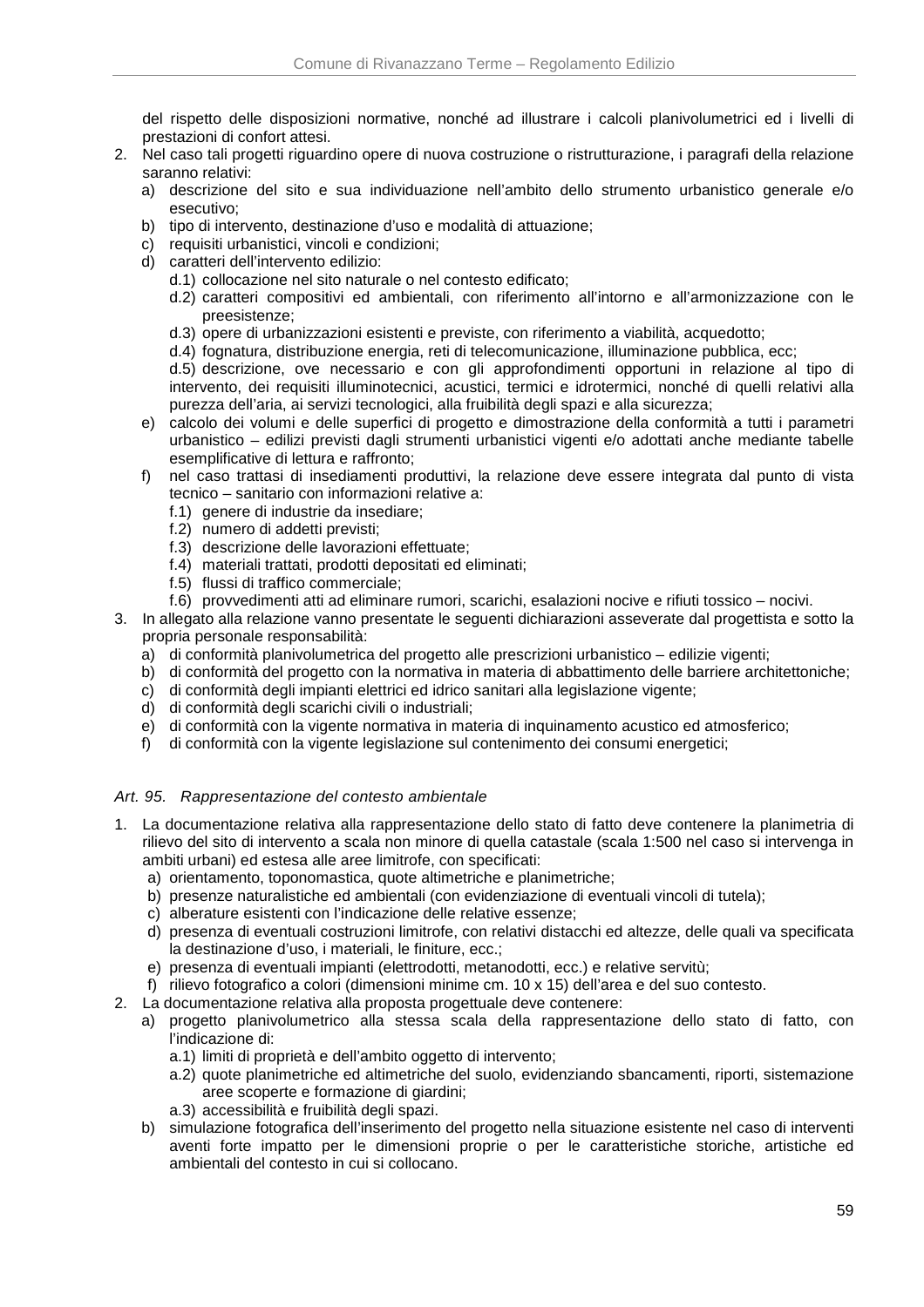del rispetto delle disposizioni normative, nonché ad illustrare i calcoli planivolumetrici ed i livelli di prestazioni di confort attesi.

- 2. Nel caso tali progetti riguardino opere di nuova costruzione o ristrutturazione, i paragrafi della relazione saranno relativi:
	- a) descrizione del sito e sua individuazione nell'ambito dello strumento urbanistico generale e/o esecutivo;
	- b) tipo di intervento, destinazione d'uso e modalità di attuazione;
	- c) requisiti urbanistici, vincoli e condizioni;
	- d) caratteri dell'intervento edilizio:
		- d.1) collocazione nel sito naturale o nel contesto edificato;
		- d.2) caratteri compositivi ed ambientali, con riferimento all'intorno e all'armonizzazione con le preesistenze;
		- d.3) opere di urbanizzazioni esistenti e previste, con riferimento a viabilità, acquedotto;
		- d.4) fognatura, distribuzione energia, reti di telecomunicazione, illuminazione pubblica, ecc;
		- d.5) descrizione, ove necessario e con gli approfondimenti opportuni in relazione al tipo di intervento, dei requisiti illuminotecnici, acustici, termici e idrotermici, nonché di quelli relativi alla purezza dell'aria, ai servizi tecnologici, alla fruibilità degli spazi e alla sicurezza;
	- e) calcolo dei volumi e delle superfici di progetto e dimostrazione della conformità a tutti i parametri urbanistico – edilizi previsti dagli strumenti urbanistici vigenti e/o adottati anche mediante tabelle esemplificative di lettura e raffronto;
	- f) nel caso trattasi di insediamenti produttivi, la relazione deve essere integrata dal punto di vista tecnico – sanitario con informazioni relative a:
		- f.1) genere di industrie da insediare;
		- f.2) numero di addetti previsti;
		- f.3) descrizione delle lavorazioni effettuate;
		- f.4) materiali trattati, prodotti depositati ed eliminati;
		- f.5) flussi di traffico commerciale;
		- f.6) provvedimenti atti ad eliminare rumori, scarichi, esalazioni nocive e rifiuti tossico nocivi.
- 3. In allegato alla relazione vanno presentate le seguenti dichiarazioni asseverate dal progettista e sotto la propria personale responsabilità:
	- a) di conformità planivolumetrica del progetto alle prescrizioni urbanistico edilizie vigenti:
	- b) di conformità del progetto con la normativa in materia di abbattimento delle barriere architettoniche;
	- c) di conformità degli impianti elettrici ed idrico sanitari alla legislazione vigente;
	- d) di conformità degli scarichi civili o industriali;
	- e) di conformità con la vigente normativa in materia di inquinamento acustico ed atmosferico;
	- f) di conformità con la vigente legislazione sul contenimento dei consumi energetici;

### Art. 95. Rappresentazione del contesto ambientale

- 1. La documentazione relativa alla rappresentazione dello stato di fatto deve contenere la planimetria di rilievo del sito di intervento a scala non minore di quella catastale (scala 1:500 nel caso si intervenga in ambiti urbani) ed estesa alle aree limitrofe, con specificati:
	- a) orientamento, toponomastica, quote altimetriche e planimetriche;
	- b) presenze naturalistiche ed ambientali (con evidenziazione di eventuali vincoli di tutela);
	- c) alberature esistenti con l'indicazione delle relative essenze;
	- d) presenza di eventuali costruzioni limitrofe, con relativi distacchi ed altezze, delle quali va specificata la destinazione d'uso, i materiali, le finiture, ecc.;
	- e) presenza di eventuali impianti (elettrodotti, metanodotti, ecc.) e relative servitù;
	- f) rilievo fotografico a colori (dimensioni minime cm. 10 x 15) dell'area e del suo contesto.
- 2. La documentazione relativa alla proposta progettuale deve contenere:
	- a) progetto planivolumetrico alla stessa scala della rappresentazione dello stato di fatto, con l'indicazione di:
		- a.1) limiti di proprietà e dell'ambito oggetto di intervento;
		- a.2) quote planimetriche ed altimetriche del suolo, evidenziando sbancamenti, riporti, sistemazione aree scoperte e formazione di giardini;
		- a.3) accessibilità e fruibilità degli spazi.
		- b) simulazione fotografica dell'inserimento del progetto nella situazione esistente nel caso di interventi aventi forte impatto per le dimensioni proprie o per le caratteristiche storiche, artistiche ed ambientali del contesto in cui si collocano.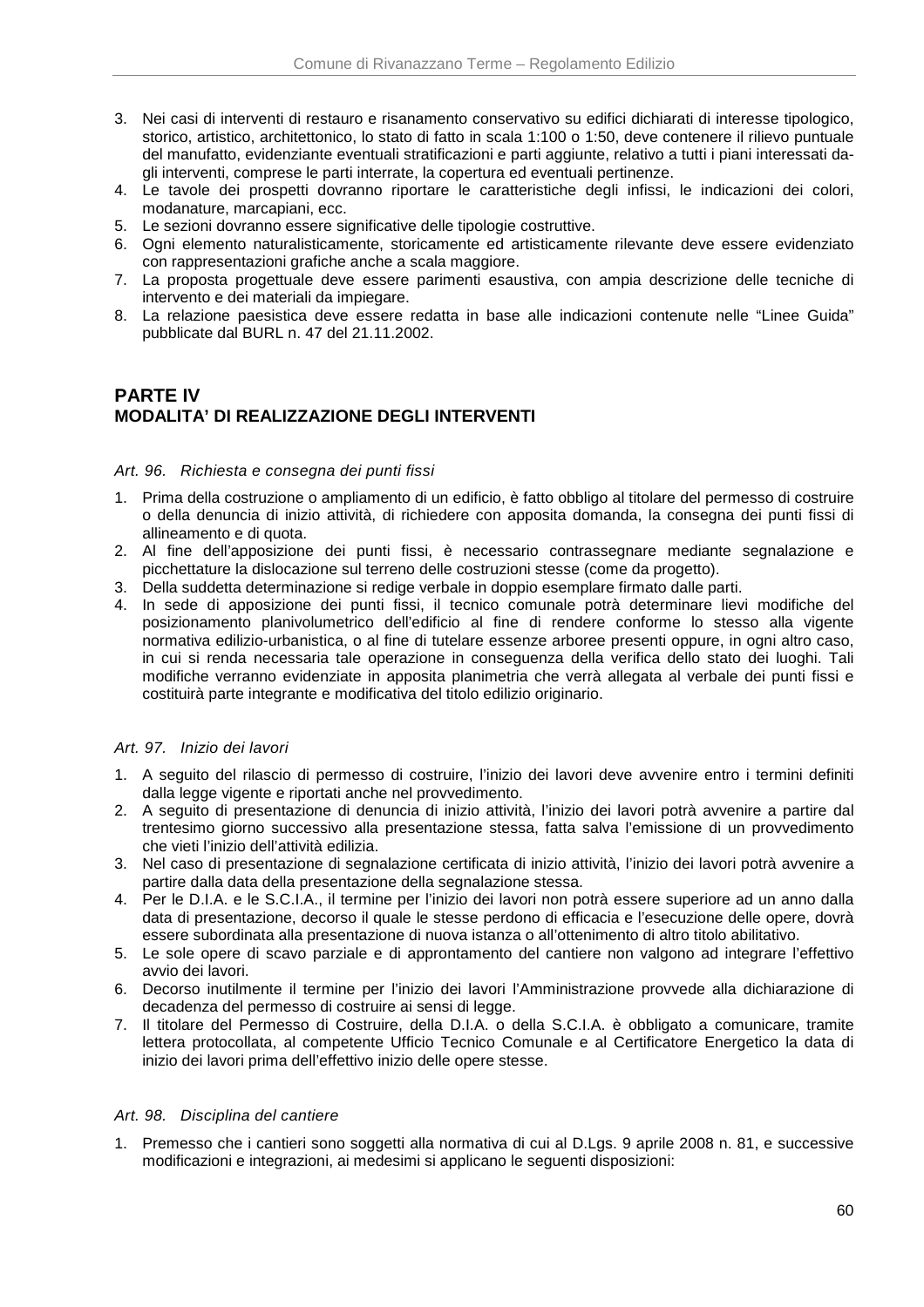- 3. Nei casi di interventi di restauro e risanamento conservativo su edifici dichiarati di interesse tipologico, storico, artistico, architettonico, lo stato di fatto in scala 1:100 o 1:50, deve contenere il rilievo puntuale del manufatto, evidenziante eventuali stratificazioni e parti aggiunte, relativo a tutti i piani interessati dagli interventi, comprese le parti interrate, la copertura ed eventuali pertinenze.
- 4. Le tavole dei prospetti dovranno riportare le caratteristiche degli infissi, le indicazioni dei colori, modanature, marcapiani, ecc.
- 5. Le sezioni dovranno essere significative delle tipologie costruttive.
- 6. Ogni elemento naturalisticamente, storicamente ed artisticamente rilevante deve essere evidenziato con rappresentazioni grafiche anche a scala maggiore.
- 7. La proposta progettuale deve essere parimenti esaustiva, con ampia descrizione delle tecniche di intervento e dei materiali da impiegare.
- 8. La relazione paesistica deve essere redatta in base alle indicazioni contenute nelle "Linee Guida" pubblicate dal BURL n. 47 del 21.11.2002.

# **PARTE IV MODALITA' DI REALIZZAZIONE DEGLI INTERVENTI**

### Art. 96. Richiesta e consegna dei punti fissi

- 1. Prima della costruzione o ampliamento di un edificio, è fatto obbligo al titolare del permesso di costruire o della denuncia di inizio attività, di richiedere con apposita domanda, la consegna dei punti fissi di allineamento e di quota.
- 2. Al fine dell'apposizione dei punti fissi, è necessario contrassegnare mediante segnalazione e picchettature la dislocazione sul terreno delle costruzioni stesse (come da progetto).
- 3. Della suddetta determinazione si redige verbale in doppio esemplare firmato dalle parti.
- 4. In sede di apposizione dei punti fissi, il tecnico comunale potrà determinare lievi modifiche del posizionamento planivolumetrico dell'edificio al fine di rendere conforme lo stesso alla vigente normativa edilizio-urbanistica, o al fine di tutelare essenze arboree presenti oppure, in ogni altro caso, in cui si renda necessaria tale operazione in conseguenza della verifica dello stato dei luoghi. Tali modifiche verranno evidenziate in apposita planimetria che verrà allegata al verbale dei punti fissi e costituirà parte integrante e modificativa del titolo edilizio originario.

### Art. 97. Inizio dei lavori

- 1. A seguito del rilascio di permesso di costruire, l'inizio dei lavori deve avvenire entro i termini definiti dalla legge vigente e riportati anche nel provvedimento.
- 2. A seguito di presentazione di denuncia di inizio attività, l'inizio dei lavori potrà avvenire a partire dal trentesimo giorno successivo alla presentazione stessa, fatta salva l'emissione di un provvedimento che vieti l'inizio dell'attività edilizia.
- 3. Nel caso di presentazione di segnalazione certificata di inizio attività, l'inizio dei lavori potrà avvenire a partire dalla data della presentazione della segnalazione stessa.
- 4. Per le D.I.A. e le S.C.I.A., il termine per l'inizio dei lavori non potrà essere superiore ad un anno dalla data di presentazione, decorso il quale le stesse perdono di efficacia e l'esecuzione delle opere, dovrà essere subordinata alla presentazione di nuova istanza o all'ottenimento di altro titolo abilitativo.
- 5. Le sole opere di scavo parziale e di approntamento del cantiere non valgono ad integrare l'effettivo avvio dei lavori.
- 6. Decorso inutilmente il termine per l'inizio dei lavori l'Amministrazione provvede alla dichiarazione di decadenza del permesso di costruire ai sensi di legge.
- 7. Il titolare del Permesso di Costruire, della D.I.A. o della S.C.I.A. è obbligato a comunicare, tramite lettera protocollata, al competente Ufficio Tecnico Comunale e al Certificatore Energetico la data di inizio dei lavori prima dell'effettivo inizio delle opere stesse.

### Art. 98. Disciplina del cantiere

1. Premesso che i cantieri sono soggetti alla normativa di cui al D.Lgs. 9 aprile 2008 n. 81, e successive modificazioni e integrazioni, ai medesimi si applicano le seguenti disposizioni: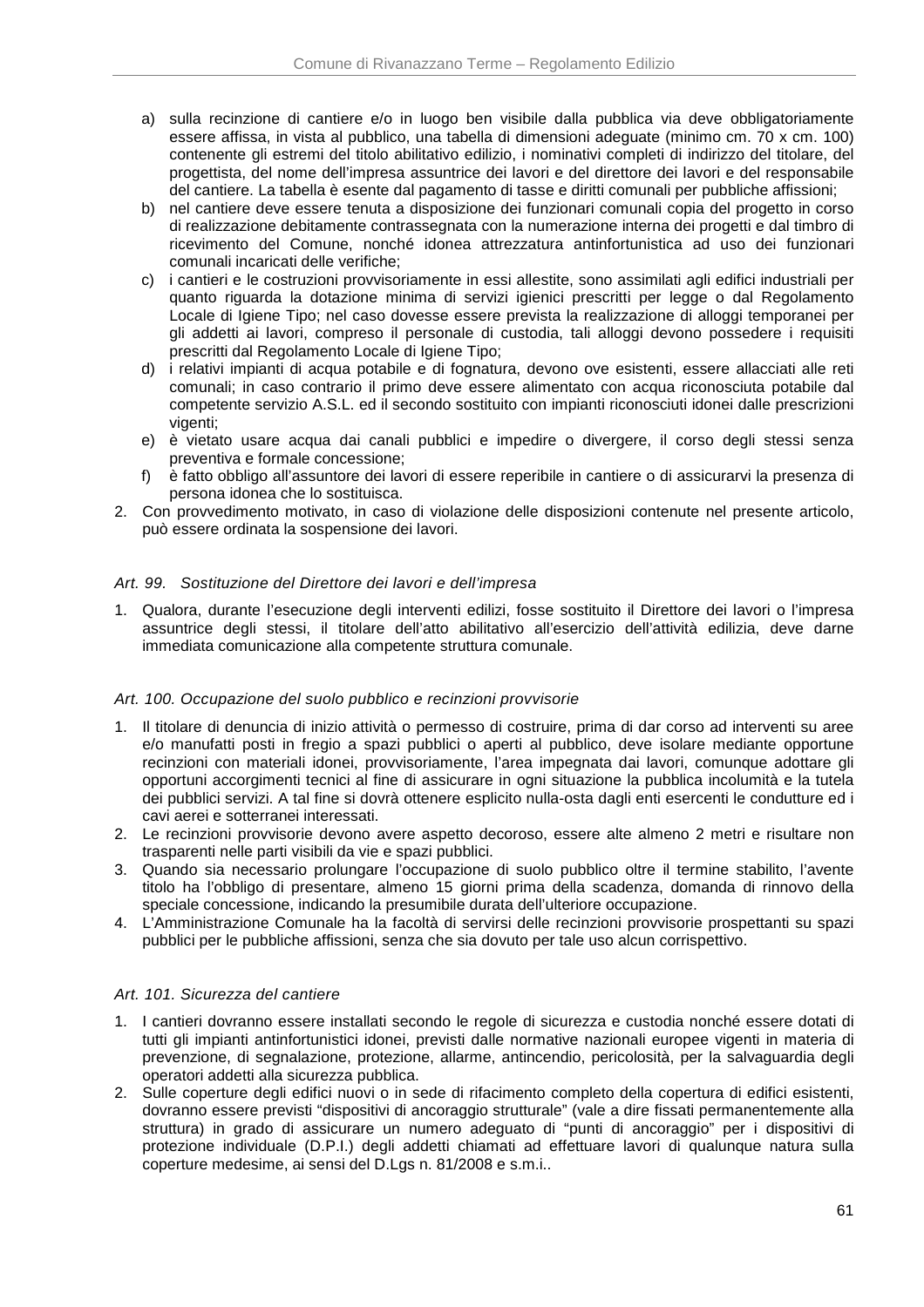- a) sulla recinzione di cantiere e/o in luogo ben visibile dalla pubblica via deve obbligatoriamente essere affissa, in vista al pubblico, una tabella di dimensioni adeguate (minimo cm. 70 x cm. 100) contenente gli estremi del titolo abilitativo edilizio, i nominativi completi di indirizzo del titolare, del progettista, del nome dell'impresa assuntrice dei lavori e del direttore dei lavori e del responsabile del cantiere. La tabella è esente dal pagamento di tasse e diritti comunali per pubbliche affissioni;
- b) nel cantiere deve essere tenuta a disposizione dei funzionari comunali copia del progetto in corso di realizzazione debitamente contrassegnata con la numerazione interna dei progetti e dal timbro di ricevimento del Comune, nonché idonea attrezzatura antinfortunistica ad uso dei funzionari comunali incaricati delle verifiche;
- c) i cantieri e le costruzioni provvisoriamente in essi allestite, sono assimilati agli edifici industriali per quanto riguarda la dotazione minima di servizi igienici prescritti per legge o dal Regolamento Locale di Igiene Tipo; nel caso dovesse essere prevista la realizzazione di alloggi temporanei per gli addetti ai lavori, compreso il personale di custodia, tali alloggi devono possedere i requisiti prescritti dal Regolamento Locale di Igiene Tipo;
- d) i relativi impianti di acqua potabile e di fognatura, devono ove esistenti, essere allacciati alle reti comunali; in caso contrario il primo deve essere alimentato con acqua riconosciuta potabile dal competente servizio A.S.L. ed il secondo sostituito con impianti riconosciuti idonei dalle prescrizioni vigenti:
- e) è vietato usare acqua dai canali pubblici e impedire o divergere, il corso degli stessi senza preventiva e formale concessione;
- f) è fatto obbligo all'assuntore dei lavori di essere reperibile in cantiere o di assicurarvi la presenza di persona idonea che lo sostituisca.
- 2. Con provvedimento motivato, in caso di violazione delle disposizioni contenute nel presente articolo, può essere ordinata la sospensione dei lavori.

### Art. 99. Sostituzione del Direttore dei lavori e dell'impresa

1. Qualora, durante l'esecuzione degli interventi edilizi, fosse sostituito il Direttore dei lavori o l'impresa assuntrice degli stessi, il titolare dell'atto abilitativo all'esercizio dell'attività edilizia, deve darne immediata comunicazione alla competente struttura comunale.

### Art. 100. Occupazione del suolo pubblico e recinzioni provvisorie

- 1. Il titolare di denuncia di inizio attività o permesso di costruire, prima di dar corso ad interventi su aree e/o manufatti posti in fregio a spazi pubblici o aperti al pubblico, deve isolare mediante opportune recinzioni con materiali idonei, provvisoriamente, l'area impegnata dai lavori, comunque adottare gli opportuni accorgimenti tecnici al fine di assicurare in ogni situazione la pubblica incolumità e la tutela dei pubblici servizi. A tal fine si dovrà ottenere esplicito nulla-osta dagli enti esercenti le condutture ed i cavi aerei e sotterranei interessati.
- 2. Le recinzioni provvisorie devono avere aspetto decoroso, essere alte almeno 2 metri e risultare non trasparenti nelle parti visibili da vie e spazi pubblici.
- 3. Quando sia necessario prolungare l'occupazione di suolo pubblico oltre il termine stabilito, l'avente titolo ha l'obbligo di presentare, almeno 15 giorni prima della scadenza, domanda di rinnovo della speciale concessione, indicando la presumibile durata dell'ulteriore occupazione.
- 4. L'Amministrazione Comunale ha la facoltà di servirsi delle recinzioni provvisorie prospettanti su spazi pubblici per le pubbliche affissioni, senza che sia dovuto per tale uso alcun corrispettivo.

### Art. 101. Sicurezza del cantiere

- 1. I cantieri dovranno essere installati secondo le regole di sicurezza e custodia nonché essere dotati di tutti gli impianti antinfortunistici idonei, previsti dalle normative nazionali europee vigenti in materia di prevenzione, di segnalazione, protezione, allarme, antincendio, pericolosità, per la salvaguardia degli operatori addetti alla sicurezza pubblica.
- 2. Sulle coperture degli edifici nuovi o in sede di rifacimento completo della copertura di edifici esistenti, dovranno essere previsti "dispositivi di ancoraggio strutturale" (vale a dire fissati permanentemente alla struttura) in grado di assicurare un numero adeguato di "punti di ancoraggio" per i dispositivi di protezione individuale (D.P.I.) degli addetti chiamati ad effettuare lavori di qualunque natura sulla coperture medesime, ai sensi del D.Lgs n. 81/2008 e s.m.i..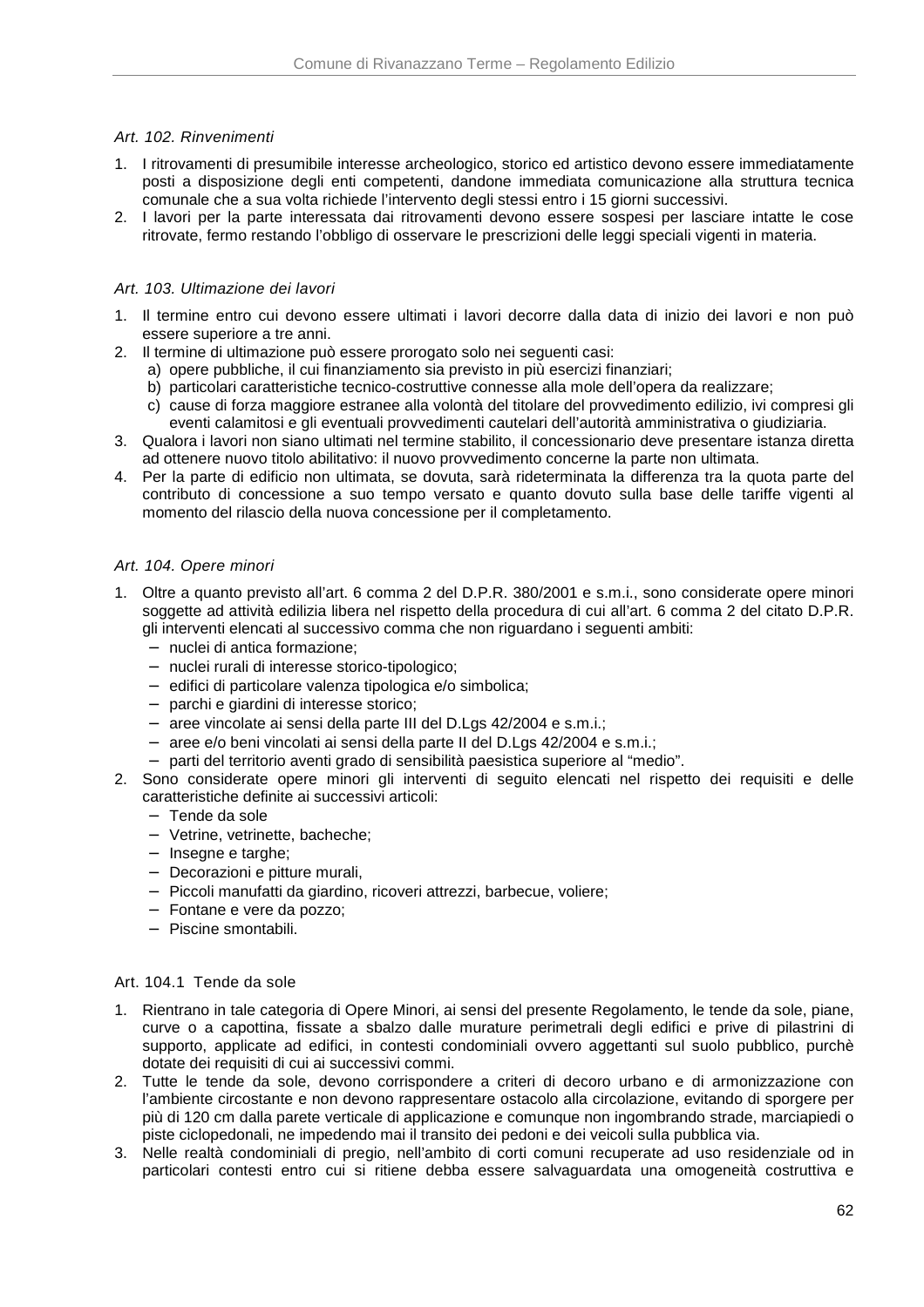### Art. 102. Rinvenimenti

- 1. I ritrovamenti di presumibile interesse archeologico, storico ed artistico devono essere immediatamente posti a disposizione degli enti competenti, dandone immediata comunicazione alla struttura tecnica comunale che a sua volta richiede l'intervento degli stessi entro i 15 giorni successivi.
- 2. I lavori per la parte interessata dai ritrovamenti devono essere sospesi per lasciare intatte le cose ritrovate, fermo restando l'obbligo di osservare le prescrizioni delle leggi speciali vigenti in materia.

### Art. 103. Ultimazione dei lavori

- 1. Il termine entro cui devono essere ultimati i lavori decorre dalla data di inizio dei lavori e non può essere superiore a tre anni.
- 2. Il termine di ultimazione può essere prorogato solo nei seguenti casi:
	- a) opere pubbliche, il cui finanziamento sia previsto in più esercizi finanziari;
	- b) particolari caratteristiche tecnico-costruttive connesse alla mole dell'opera da realizzare;
	- c) cause di forza maggiore estranee alla volontà del titolare del provvedimento edilizio, ivi compresi gli eventi calamitosi e gli eventuali provvedimenti cautelari dell'autorità amministrativa o giudiziaria.
- 3. Qualora i lavori non siano ultimati nel termine stabilito, il concessionario deve presentare istanza diretta ad ottenere nuovo titolo abilitativo: il nuovo provvedimento concerne la parte non ultimata.
- 4. Per la parte di edificio non ultimata, se dovuta, sarà rideterminata la differenza tra la quota parte del contributo di concessione a suo tempo versato e quanto dovuto sulla base delle tariffe vigenti al momento del rilascio della nuova concessione per il completamento.

#### Art. 104. Opere minori

- 1. Oltre a quanto previsto all'art. 6 comma 2 del D.P.R. 380/2001 e s.m.i., sono considerate opere minori soggette ad attività edilizia libera nel rispetto della procedura di cui all'art. 6 comma 2 del citato D.P.R. gli interventi elencati al successivo comma che non riguardano i seguenti ambiti:
	- − nuclei di antica formazione;
	- − nuclei rurali di interesse storico-tipologico;
	- − edifici di particolare valenza tipologica e/o simbolica;
	- − parchi e giardini di interesse storico;
	- − aree vincolate ai sensi della parte III del D.Lgs 42/2004 e s.m.i.;
	- − aree e/o beni vincolati ai sensi della parte II del D.Lgs 42/2004 e s.m.i.;
	- − parti del territorio aventi grado di sensibilità paesistica superiore al "medio".
- 2. Sono considerate opere minori gli interventi di seguito elencati nel rispetto dei requisiti e delle caratteristiche definite ai successivi articoli:
	- − Tende da sole
	- − Vetrine, vetrinette, bacheche;
	- − Insegne e targhe;
	- − Decorazioni e pitture murali,
	- − Piccoli manufatti da giardino, ricoveri attrezzi, barbecue, voliere;
	- − Fontane e vere da pozzo;
	- − Piscine smontabili.

#### Art. 104.1 Tende da sole

- 1. Rientrano in tale categoria di Opere Minori, ai sensi del presente Regolamento, le tende da sole, piane, curve o a capottina, fissate a sbalzo dalle murature perimetrali degli edifici e prive di pilastrini di supporto, applicate ad edifici, in contesti condominiali ovvero aggettanti sul suolo pubblico, purchè dotate dei requisiti di cui ai successivi commi.
- 2. Tutte le tende da sole, devono corrispondere a criteri di decoro urbano e di armonizzazione con l'ambiente circostante e non devono rappresentare ostacolo alla circolazione, evitando di sporgere per più di 120 cm dalla parete verticale di applicazione e comunque non ingombrando strade, marciapiedi o piste ciclopedonali, ne impedendo mai il transito dei pedoni e dei veicoli sulla pubblica via.
- 3. Nelle realtà condominiali di pregio, nell'ambito di corti comuni recuperate ad uso residenziale od in particolari contesti entro cui si ritiene debba essere salvaguardata una omogeneità costruttiva e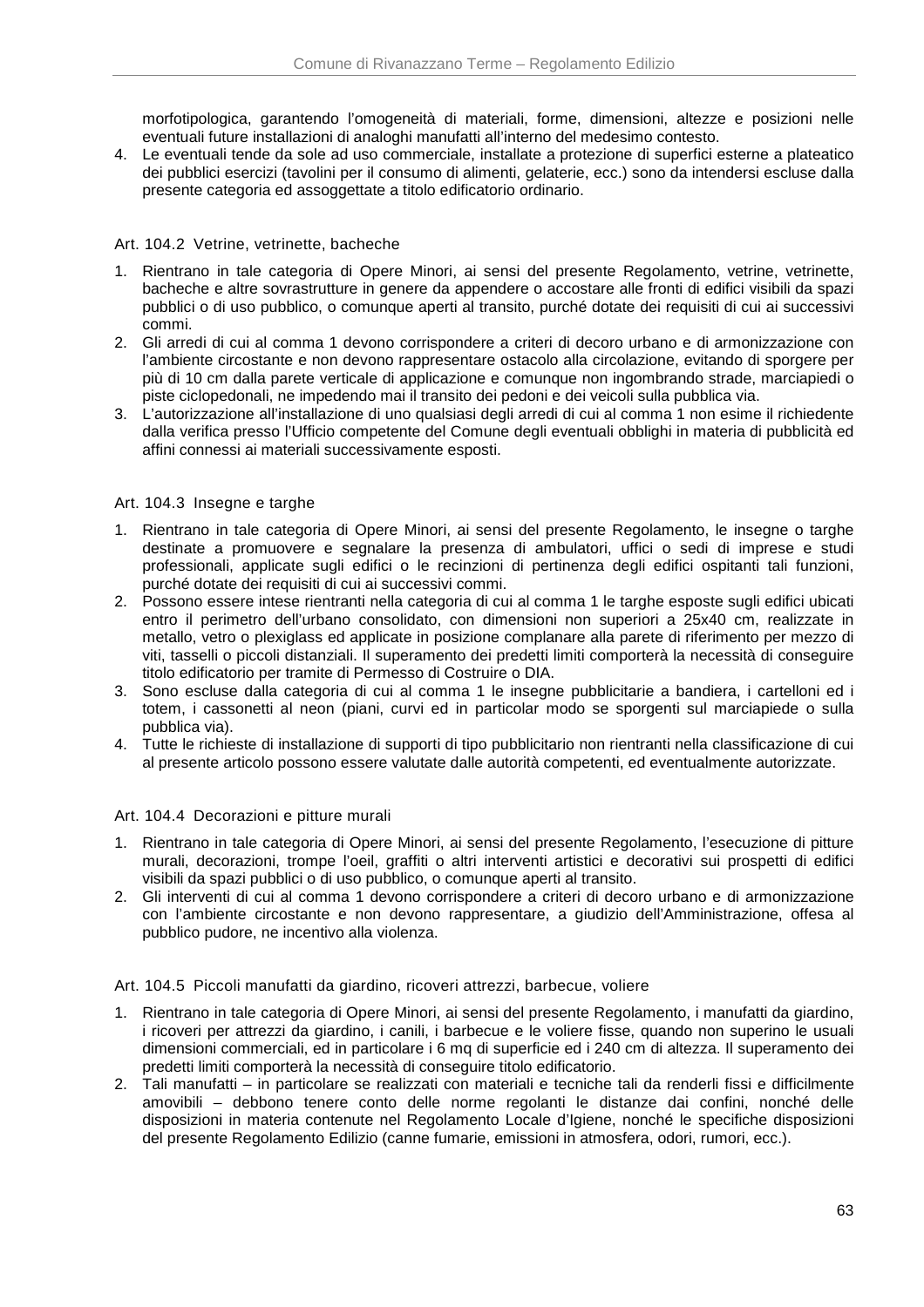morfotipologica, garantendo l'omogeneità di materiali, forme, dimensioni, altezze e posizioni nelle eventuali future installazioni di analoghi manufatti all'interno del medesimo contesto.

4. Le eventuali tende da sole ad uso commerciale, installate a protezione di superfici esterne a plateatico dei pubblici esercizi (tavolini per il consumo di alimenti, gelaterie, ecc.) sono da intendersi escluse dalla presente categoria ed assoggettate a titolo edificatorio ordinario.

### Art. 104.2 Vetrine, vetrinette, bacheche

- 1. Rientrano in tale categoria di Opere Minori, ai sensi del presente Regolamento, vetrine, vetrinette, bacheche e altre sovrastrutture in genere da appendere o accostare alle fronti di edifici visibili da spazi pubblici o di uso pubblico, o comunque aperti al transito, purché dotate dei requisiti di cui ai successivi commi.
- 2. Gli arredi di cui al comma 1 devono corrispondere a criteri di decoro urbano e di armonizzazione con l'ambiente circostante e non devono rappresentare ostacolo alla circolazione, evitando di sporgere per più di 10 cm dalla parete verticale di applicazione e comunque non ingombrando strade, marciapiedi o piste ciclopedonali, ne impedendo mai il transito dei pedoni e dei veicoli sulla pubblica via.
- 3. L'autorizzazione all'installazione di uno qualsiasi degli arredi di cui al comma 1 non esime il richiedente dalla verifica presso l'Ufficio competente del Comune degli eventuali obblighi in materia di pubblicità ed affini connessi ai materiali successivamente esposti.

### Art. 104.3 Insegne e targhe

- 1. Rientrano in tale categoria di Opere Minori, ai sensi del presente Regolamento, le insegne o targhe destinate a promuovere e segnalare la presenza di ambulatori, uffici o sedi di imprese e studi professionali, applicate sugli edifici o le recinzioni di pertinenza degli edifici ospitanti tali funzioni, purché dotate dei requisiti di cui ai successivi commi.
- 2. Possono essere intese rientranti nella categoria di cui al comma 1 le targhe esposte sugli edifici ubicati entro il perimetro dell'urbano consolidato, con dimensioni non superiori a 25x40 cm, realizzate in metallo, vetro o plexiglass ed applicate in posizione complanare alla parete di riferimento per mezzo di viti, tasselli o piccoli distanziali. Il superamento dei predetti limiti comporterà la necessità di conseguire titolo edificatorio per tramite di Permesso di Costruire o DIA.
- 3. Sono escluse dalla categoria di cui al comma 1 le insegne pubblicitarie a bandiera, i cartelloni ed i totem, i cassonetti al neon (piani, curvi ed in particolar modo se sporgenti sul marciapiede o sulla pubblica via).
- 4. Tutte le richieste di installazione di supporti di tipo pubblicitario non rientranti nella classificazione di cui al presente articolo possono essere valutate dalle autorità competenti, ed eventualmente autorizzate.

### Art. 104.4 Decorazioni e pitture murali

- 1. Rientrano in tale categoria di Opere Minori, ai sensi del presente Regolamento, l'esecuzione di pitture murali, decorazioni, trompe l'oeil, graffiti o altri interventi artistici e decorativi sui prospetti di edifici visibili da spazi pubblici o di uso pubblico, o comunque aperti al transito.
- 2. Gli interventi di cui al comma 1 devono corrispondere a criteri di decoro urbano e di armonizzazione con l'ambiente circostante e non devono rappresentare, a giudizio dell'Amministrazione, offesa al pubblico pudore, ne incentivo alla violenza.

Art. 104.5 Piccoli manufatti da giardino, ricoveri attrezzi, barbecue, voliere

- 1. Rientrano in tale categoria di Opere Minori, ai sensi del presente Regolamento, i manufatti da giardino, i ricoveri per attrezzi da giardino, i canili, i barbecue e le voliere fisse, quando non superino le usuali dimensioni commerciali, ed in particolare i 6 mq di superficie ed i 240 cm di altezza. Il superamento dei predetti limiti comporterà la necessità di conseguire titolo edificatorio.
- 2. Tali manufatti in particolare se realizzati con materiali e tecniche tali da renderli fissi e difficilmente amovibili – debbono tenere conto delle norme regolanti le distanze dai confini, nonché delle disposizioni in materia contenute nel Regolamento Locale d'Igiene, nonché le specifiche disposizioni del presente Regolamento Edilizio (canne fumarie, emissioni in atmosfera, odori, rumori, ecc.).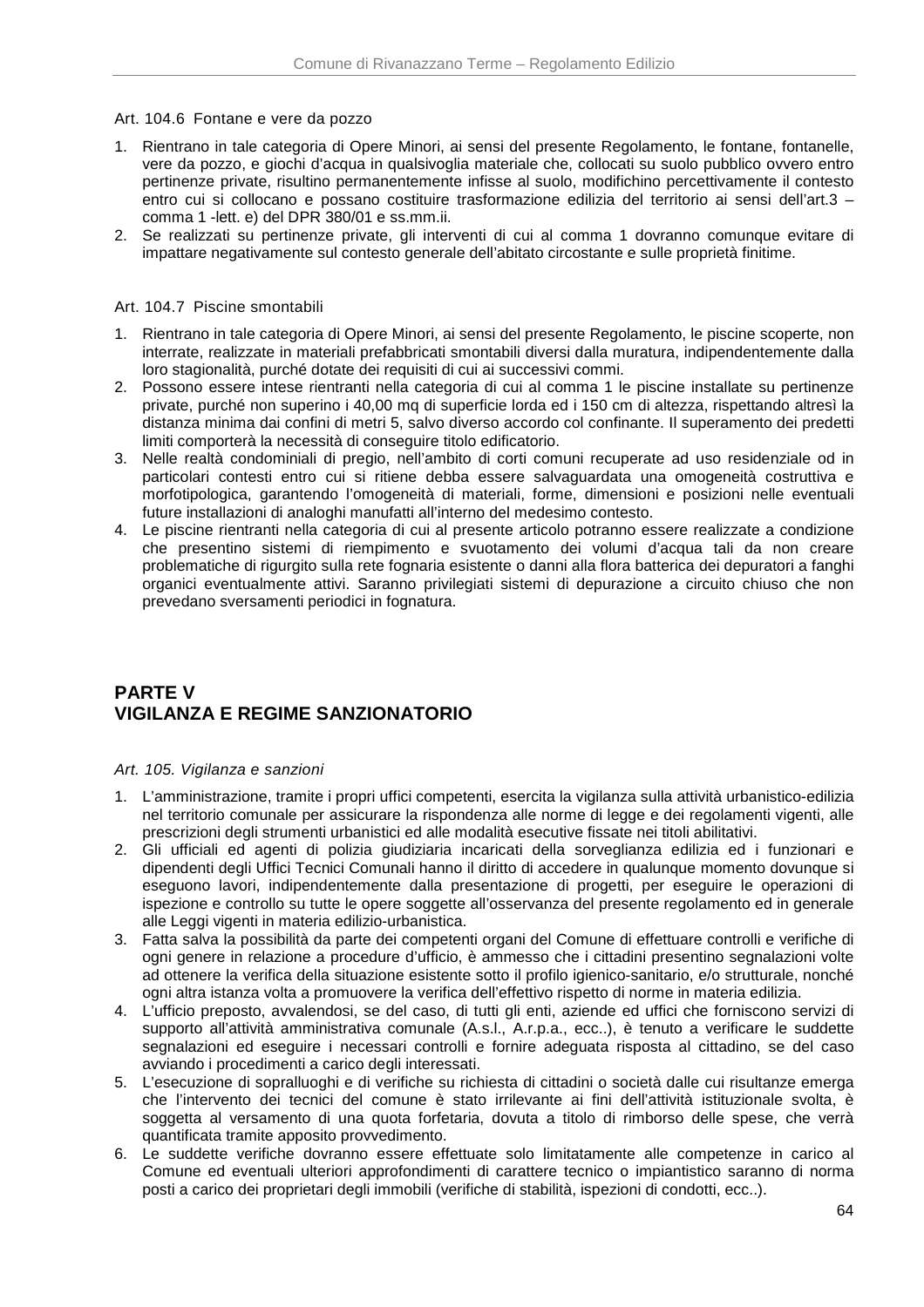Art. 104.6 Fontane e vere da pozzo

- 1. Rientrano in tale categoria di Opere Minori, ai sensi del presente Regolamento, le fontane, fontanelle, vere da pozzo, e giochi d'acqua in qualsivoglia materiale che, collocati su suolo pubblico ovvero entro pertinenze private, risultino permanentemente infisse al suolo, modifichino percettivamente il contesto entro cui si collocano e possano costituire trasformazione edilizia del territorio ai sensi dell'art.3 – comma 1 -lett. e) del DPR 380/01 e ss.mm.ii.
- 2. Se realizzati su pertinenze private, gli interventi di cui al comma 1 dovranno comunque evitare di impattare negativamente sul contesto generale dell'abitato circostante e sulle proprietà finitime.

### Art. 104.7 Piscine smontabili

- 1. Rientrano in tale categoria di Opere Minori, ai sensi del presente Regolamento, le piscine scoperte, non interrate, realizzate in materiali prefabbricati smontabili diversi dalla muratura, indipendentemente dalla loro stagionalità, purché dotate dei requisiti di cui ai successivi commi.
- 2. Possono essere intese rientranti nella categoria di cui al comma 1 le piscine installate su pertinenze private, purché non superino i 40,00 mq di superficie lorda ed i 150 cm di altezza, rispettando altresì la distanza minima dai confini di metri 5, salvo diverso accordo col confinante. Il superamento dei predetti limiti comporterà la necessità di conseguire titolo edificatorio.
- 3. Nelle realtà condominiali di pregio, nell'ambito di corti comuni recuperate ad uso residenziale od in particolari contesti entro cui si ritiene debba essere salvaguardata una omogeneità costruttiva e morfotipologica, garantendo l'omogeneità di materiali, forme, dimensioni e posizioni nelle eventuali future installazioni di analoghi manufatti all'interno del medesimo contesto.
- 4. Le piscine rientranti nella categoria di cui al presente articolo potranno essere realizzate a condizione che presentino sistemi di riempimento e svuotamento dei volumi d'acqua tali da non creare problematiche di rigurgito sulla rete fognaria esistente o danni alla flora batterica dei depuratori a fanghi organici eventualmente attivi. Saranno privilegiati sistemi di depurazione a circuito chiuso che non prevedano sversamenti periodici in fognatura.

# **PARTE V VIGILANZA E REGIME SANZIONATORIO**

#### Art. 105. Vigilanza e sanzioni

- 1. L'amministrazione, tramite i propri uffici competenti, esercita la vigilanza sulla attività urbanistico-edilizia nel territorio comunale per assicurare la rispondenza alle norme di legge e dei regolamenti vigenti, alle prescrizioni degli strumenti urbanistici ed alle modalità esecutive fissate nei titoli abilitativi.
- 2. Gli ufficiali ed agenti di polizia giudiziaria incaricati della sorveglianza edilizia ed i funzionari e dipendenti degli Uffici Tecnici Comunali hanno il diritto di accedere in qualunque momento dovunque si eseguono lavori, indipendentemente dalla presentazione di progetti, per eseguire le operazioni di ispezione e controllo su tutte le opere soggette all'osservanza del presente regolamento ed in generale alle Leggi vigenti in materia edilizio-urbanistica.
- 3. Fatta salva la possibilità da parte dei competenti organi del Comune di effettuare controlli e verifiche di ogni genere in relazione a procedure d'ufficio, è ammesso che i cittadini presentino segnalazioni volte ad ottenere la verifica della situazione esistente sotto il profilo igienico-sanitario, e/o strutturale, nonché ogni altra istanza volta a promuovere la verifica dell'effettivo rispetto di norme in materia edilizia.
- 4. L'ufficio preposto, avvalendosi, se del caso, di tutti gli enti, aziende ed uffici che forniscono servizi di supporto all'attività amministrativa comunale (A.s.l., A.r.p.a., ecc..), è tenuto a verificare le suddette segnalazioni ed eseguire i necessari controlli e fornire adeguata risposta al cittadino, se del caso avviando i procedimenti a carico degli interessati.
- 5. L'esecuzione di sopralluoghi e di verifiche su richiesta di cittadini o società dalle cui risultanze emerga che l'intervento dei tecnici del comune è stato irrilevante ai fini dell'attività istituzionale svolta, è soggetta al versamento di una quota forfetaria, dovuta a titolo di rimborso delle spese, che verrà quantificata tramite apposito provvedimento.
- 6. Le suddette verifiche dovranno essere effettuate solo limitatamente alle competenze in carico al Comune ed eventuali ulteriori approfondimenti di carattere tecnico o impiantistico saranno di norma posti a carico dei proprietari degli immobili (verifiche di stabilità, ispezioni di condotti, ecc..).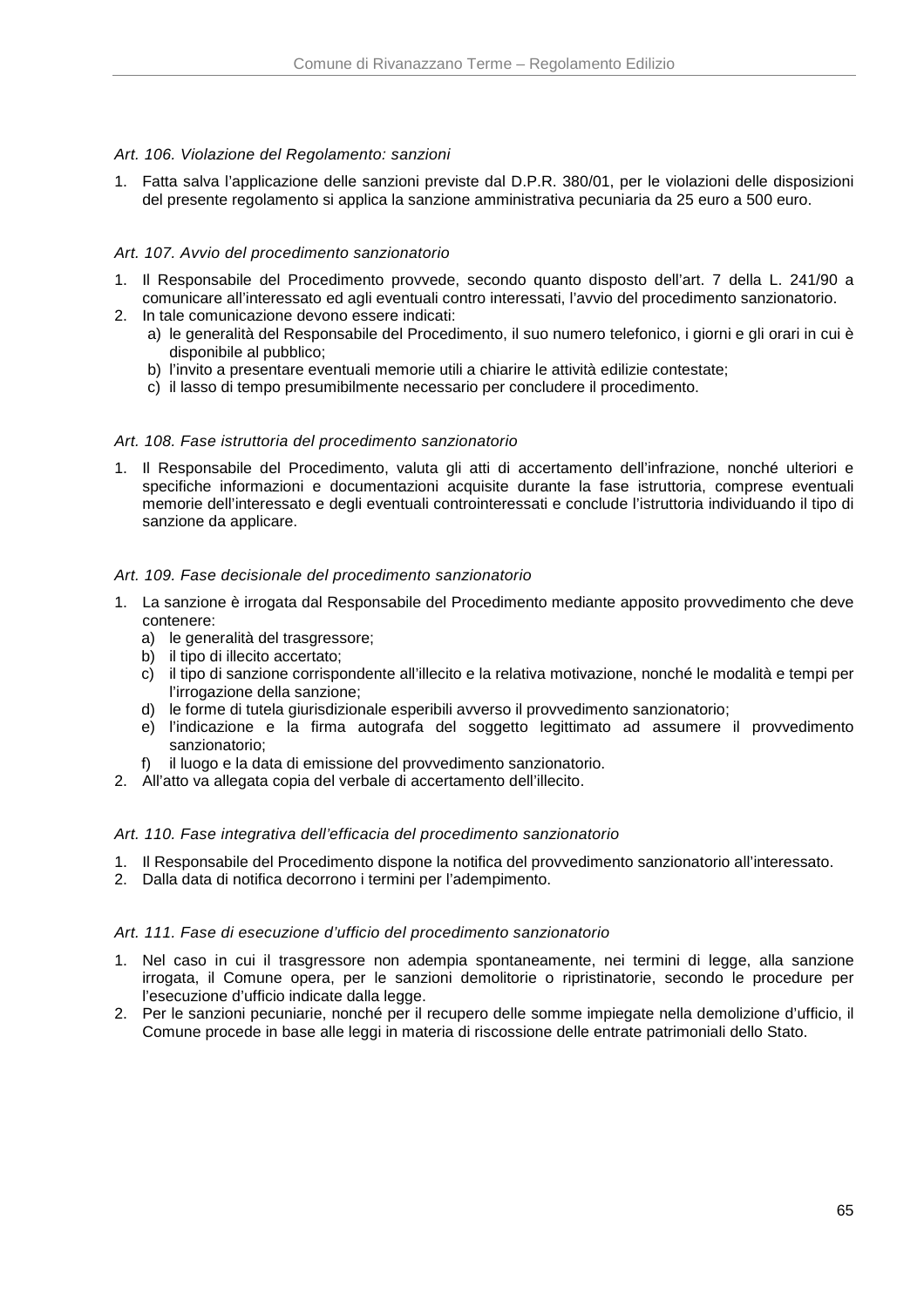### Art. 106. Violazione del Regolamento: sanzioni

1. Fatta salva l'applicazione delle sanzioni previste dal D.P.R. 380/01, per le violazioni delle disposizioni del presente regolamento si applica la sanzione amministrativa pecuniaria da 25 euro a 500 euro.

## Art. 107. Avvio del procedimento sanzionatorio

- 1. Il Responsabile del Procedimento provvede, secondo quanto disposto dell'art. 7 della L. 241/90 a comunicare all'interessato ed agli eventuali contro interessati, l'avvio del procedimento sanzionatorio.
- 2. In tale comunicazione devono essere indicati:
	- a) le generalità del Responsabile del Procedimento, il suo numero telefonico, i giorni e gli orari in cui è disponibile al pubblico;
	- b) l'invito a presentare eventuali memorie utili a chiarire le attività edilizie contestate;
	- c) il lasso di tempo presumibilmente necessario per concludere il procedimento.

### Art. 108. Fase istruttoria del procedimento sanzionatorio

1. Il Responsabile del Procedimento, valuta gli atti di accertamento dell'infrazione, nonché ulteriori e specifiche informazioni e documentazioni acquisite durante la fase istruttoria, comprese eventuali memorie dell'interessato e degli eventuali controinteressati e conclude l'istruttoria individuando il tipo di sanzione da applicare.

### Art. 109. Fase decisionale del procedimento sanzionatorio

- 1. La sanzione è irrogata dal Responsabile del Procedimento mediante apposito provvedimento che deve contenere:
	- a) le generalità del trasgressore;
	- b) il tipo di illecito accertato;
	- c) il tipo di sanzione corrispondente all'illecito e la relativa motivazione, nonché le modalità e tempi per l'irrogazione della sanzione;
	- d) le forme di tutela giurisdizionale esperibili avverso il provvedimento sanzionatorio;
	- e) l'indicazione e la firma autografa del soggetto legittimato ad assumere il provvedimento sanzionatorio;
	- f) il luogo e la data di emissione del provvedimento sanzionatorio.
- 2. All'atto va allegata copia del verbale di accertamento dell'illecito.

### Art. 110. Fase integrativa dell'efficacia del procedimento sanzionatorio

- 1. Il Responsabile del Procedimento dispone la notifica del provvedimento sanzionatorio all'interessato.
- 2. Dalla data di notifica decorrono i termini per l'adempimento.

### Art. 111. Fase di esecuzione d'ufficio del procedimento sanzionatorio

- 1. Nel caso in cui il trasgressore non adempia spontaneamente, nei termini di legge, alla sanzione irrogata, il Comune opera, per le sanzioni demolitorie o ripristinatorie, secondo le procedure per l'esecuzione d'ufficio indicate dalla legge.
- 2. Per le sanzioni pecuniarie, nonché per il recupero delle somme impiegate nella demolizione d'ufficio, il Comune procede in base alle leggi in materia di riscossione delle entrate patrimoniali dello Stato.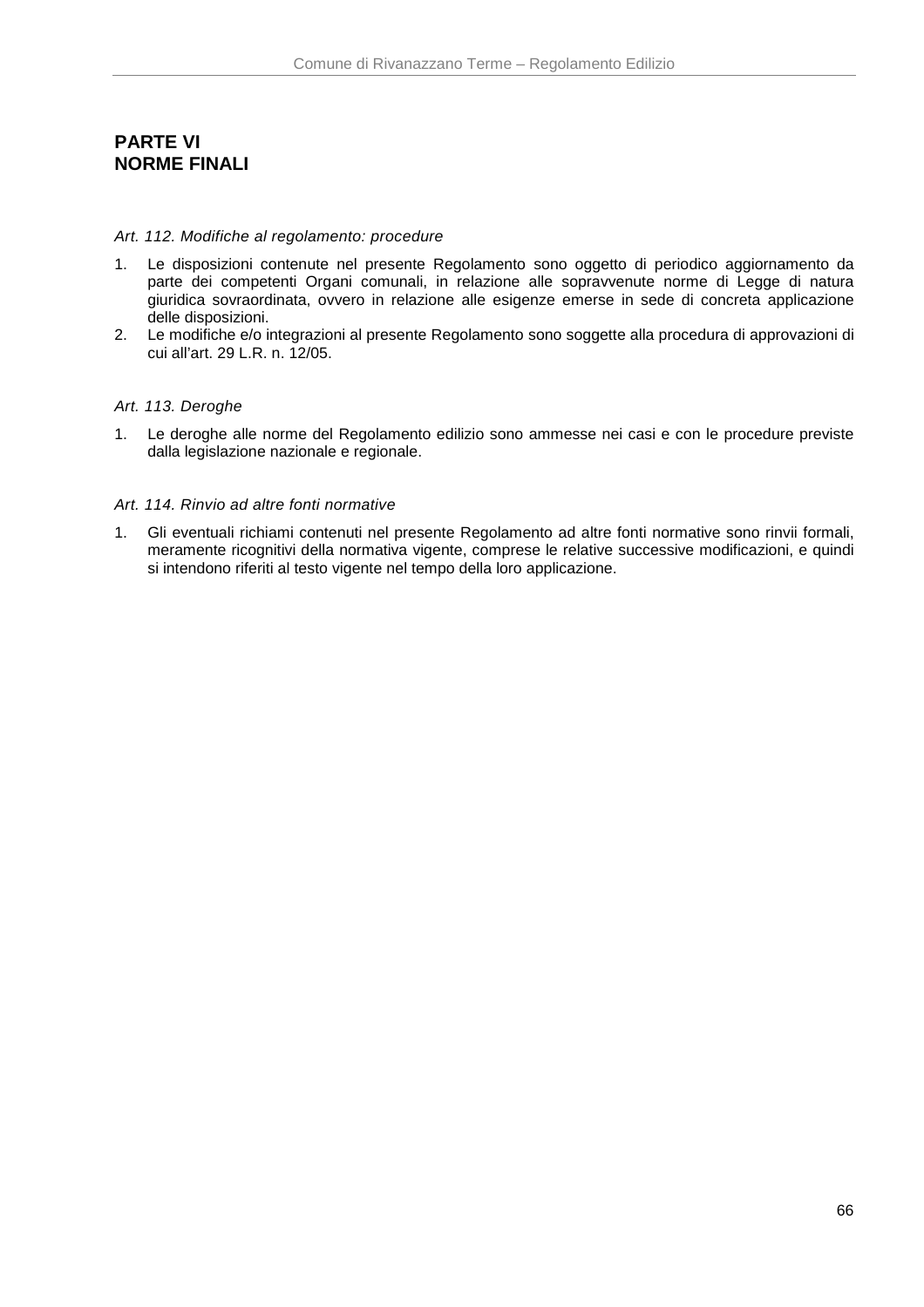# **PARTE VI NORME FINALI**

#### Art. 112. Modifiche al regolamento: procedure

- 1. Le disposizioni contenute nel presente Regolamento sono oggetto di periodico aggiornamento da parte dei competenti Organi comunali, in relazione alle sopravvenute norme di Legge di natura giuridica sovraordinata, ovvero in relazione alle esigenze emerse in sede di concreta applicazione delle disposizioni.
- 2. Le modifiche e/o integrazioni al presente Regolamento sono soggette alla procedura di approvazioni di cui all'art. 29 L.R. n. 12/05.

### Art. 113. Deroghe

1. Le deroghe alle norme del Regolamento edilizio sono ammesse nei casi e con le procedure previste dalla legislazione nazionale e regionale.

#### Art. 114. Rinvio ad altre fonti normative

1. Gli eventuali richiami contenuti nel presente Regolamento ad altre fonti normative sono rinvii formali, meramente ricognitivi della normativa vigente, comprese le relative successive modificazioni, e quindi si intendono riferiti al testo vigente nel tempo della loro applicazione.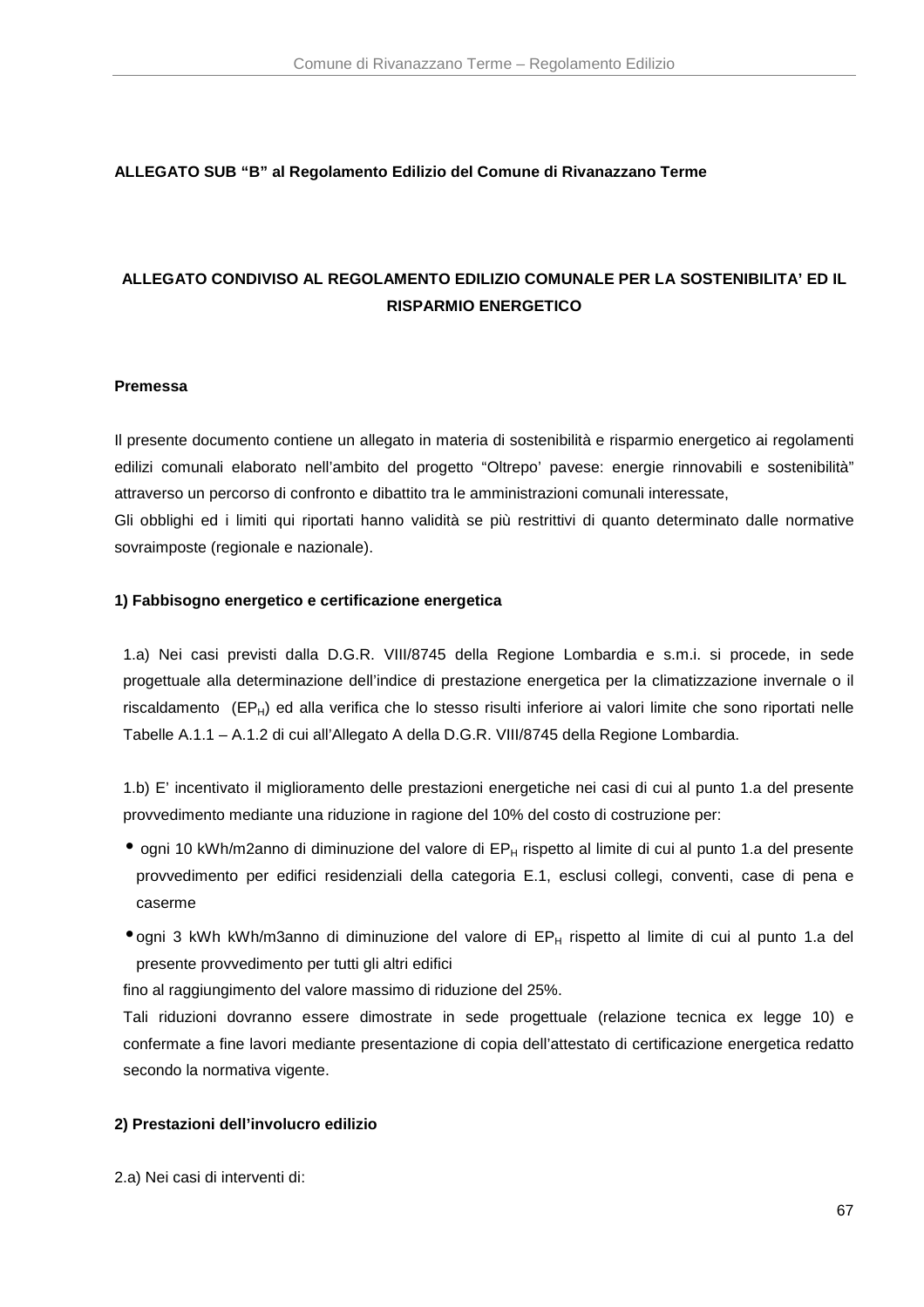### **ALLEGATO SUB "B" al Regolamento Edilizio del Comune di Rivanazzano Terme**

# **ALLEGATO CONDIVISO AL REGOLAMENTO EDILIZIO COMUNALE PER LA SOSTENIBILITA' ED IL RISPARMIO ENERGETICO**

#### **Premessa**

Il presente documento contiene un allegato in materia di sostenibilità e risparmio energetico ai regolamenti edilizi comunali elaborato nell'ambito del progetto "Oltrepo' pavese: energie rinnovabili e sostenibilità" attraverso un percorso di confronto e dibattito tra le amministrazioni comunali interessate, Gli obblighi ed i limiti qui riportati hanno validità se più restrittivi di quanto determinato dalle normative sovraimposte (regionale e nazionale).

#### **1) Fabbisogno energetico e certificazione energetica**

1.a) Nei casi previsti dalla D.G.R. VIII/8745 della Regione Lombardia e s.m.i. si procede, in sede progettuale alla determinazione dell'indice di prestazione energetica per la climatizzazione invernale o il riscaldamento (EP<sub>H</sub>) ed alla verifica che lo stesso risulti inferiore ai valori limite che sono riportati nelle Tabelle A.1.1 – A.1.2 di cui all'Allegato A della D.G.R. VIII/8745 della Regione Lombardia.

1.b) E' incentivato il miglioramento delle prestazioni energetiche nei casi di cui al punto 1.a del presente provvedimento mediante una riduzione in ragione del 10% del costo di costruzione per:

- $\bullet$  ogni 10 kWh/m2anno di diminuzione del valore di EP $_H$  rispetto al limite di cui al punto 1.a del presente provvedimento per edifici residenziali della categoria E.1, esclusi collegi, conventi, case di pena e caserme
- ogni 3 kWh kWh/m3anno di diminuzione del valore di EP<sub>H</sub> rispetto al limite di cui al punto 1.a del presente provvedimento per tutti gli altri edifici

fino al raggiungimento del valore massimo di riduzione del 25%.

Tali riduzioni dovranno essere dimostrate in sede progettuale (relazione tecnica ex legge 10) e confermate a fine lavori mediante presentazione di copia dell'attestato di certificazione energetica redatto secondo la normativa vigente.

#### **2) Prestazioni dell'involucro edilizio**

2.a) Nei casi di interventi di: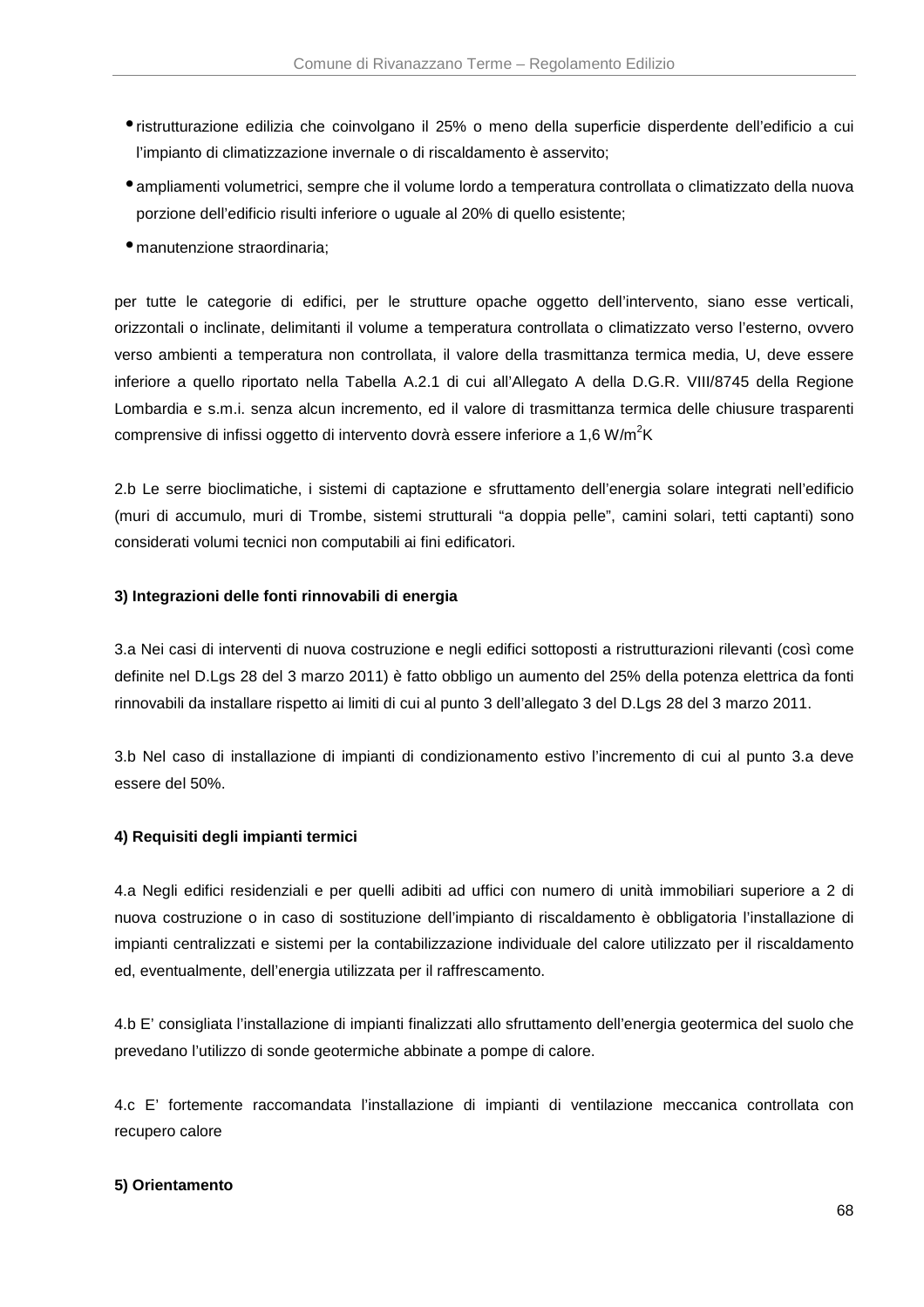- ristrutturazione edilizia che coinvolgano il 25% o meno della superficie disperdente dell'edificio a cui l'impianto di climatizzazione invernale o di riscaldamento è asservito;
- ampliamenti volumetrici, sempre che il volume lordo a temperatura controllata o climatizzato della nuova porzione dell'edificio risulti inferiore o uguale al 20% di quello esistente;
- manutenzione straordinaria;

per tutte le categorie di edifici, per le strutture opache oggetto dell'intervento, siano esse verticali, orizzontali o inclinate, delimitanti il volume a temperatura controllata o climatizzato verso l'esterno, ovvero verso ambienti a temperatura non controllata, il valore della trasmittanza termica media, U, deve essere inferiore a quello riportato nella Tabella A.2.1 di cui all'Allegato A della D.G.R. VIII/8745 della Regione Lombardia e s.m.i. senza alcun incremento, ed il valore di trasmittanza termica delle chiusure trasparenti comprensive di infissi oggetto di intervento dovrà essere inferiore a 1,6 W/m<sup>2</sup>K

2.b Le serre bioclimatiche, i sistemi di captazione e sfruttamento dell'energia solare integrati nell'edificio (muri di accumulo, muri di Trombe, sistemi strutturali "a doppia pelle", camini solari, tetti captanti) sono considerati volumi tecnici non computabili ai fini edificatori.

### **3) Integrazioni delle fonti rinnovabili di energia**

3.a Nei casi di interventi di nuova costruzione e negli edifici sottoposti a ristrutturazioni rilevanti (così come definite nel D.Lgs 28 del 3 marzo 2011) è fatto obbligo un aumento del 25% della potenza elettrica da fonti rinnovabili da installare rispetto ai limiti di cui al punto 3 dell'allegato 3 del D.Lgs 28 del 3 marzo 2011.

3.b Nel caso di installazione di impianti di condizionamento estivo l'incremento di cui al punto 3.a deve essere del 50%.

### **4) Requisiti degli impianti termici**

4.a Negli edifici residenziali e per quelli adibiti ad uffici con numero di unità immobiliari superiore a 2 di nuova costruzione o in caso di sostituzione dell'impianto di riscaldamento è obbligatoria l'installazione di impianti centralizzati e sistemi per la contabilizzazione individuale del calore utilizzato per il riscaldamento ed, eventualmente, dell'energia utilizzata per il raffrescamento.

4.b E' consigliata l'installazione di impianti finalizzati allo sfruttamento dell'energia geotermica del suolo che prevedano l'utilizzo di sonde geotermiche abbinate a pompe di calore.

4.c E' fortemente raccomandata l'installazione di impianti di ventilazione meccanica controllata con recupero calore

### **5) Orientamento**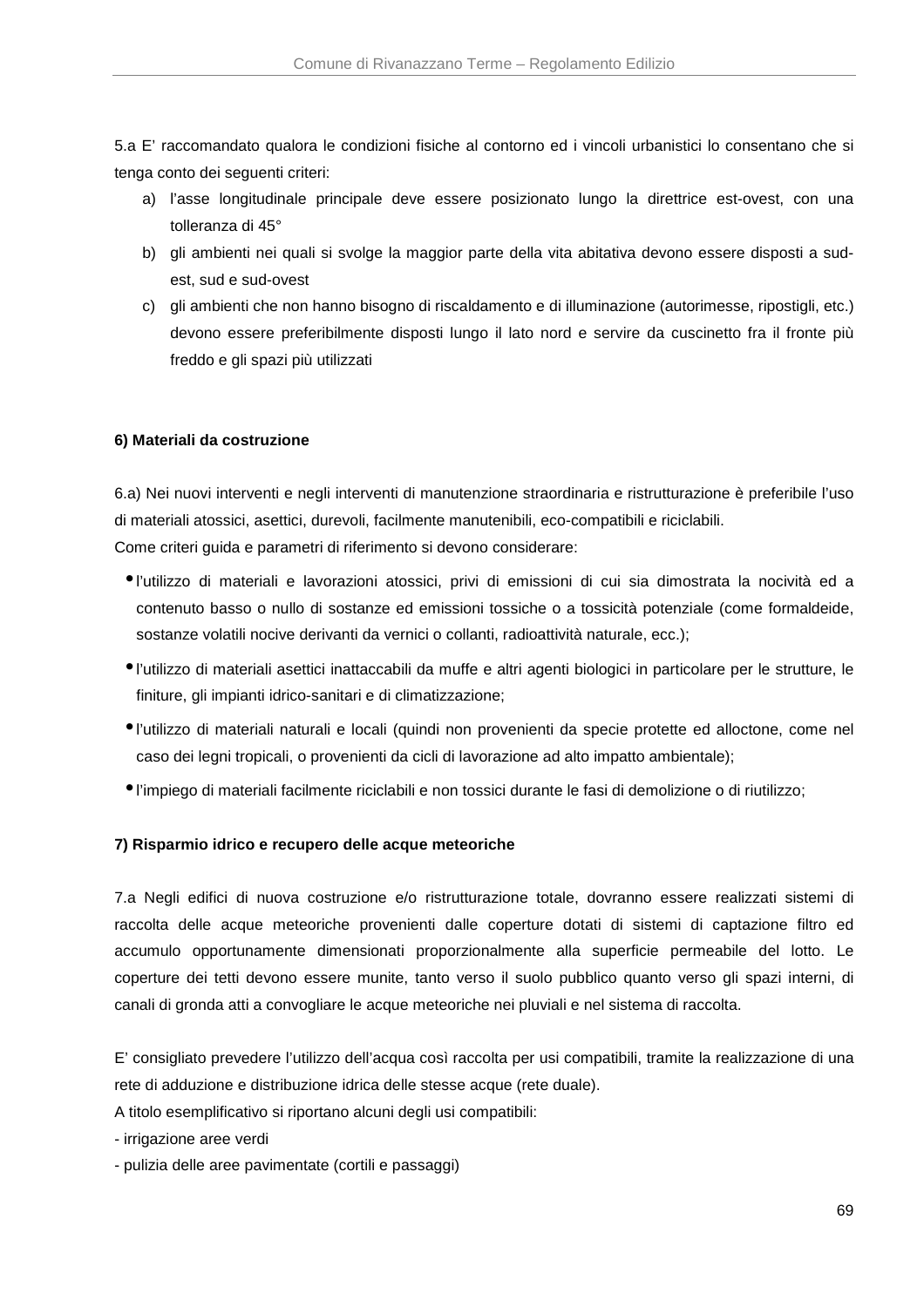5.a E' raccomandato qualora le condizioni fisiche al contorno ed i vincoli urbanistici lo consentano che si tenga conto dei seguenti criteri:

- a) l'asse longitudinale principale deve essere posizionato lungo la direttrice est-ovest, con una tolleranza di 45°
- b) gli ambienti nei quali si svolge la maggior parte della vita abitativa devono essere disposti a sudest, sud e sud-ovest
- c) gli ambienti che non hanno bisogno di riscaldamento e di illuminazione (autorimesse, ripostigli, etc.) devono essere preferibilmente disposti lungo il lato nord e servire da cuscinetto fra il fronte più freddo e gli spazi più utilizzati

# **6) Materiali da costruzione**

6.a) Nei nuovi interventi e negli interventi di manutenzione straordinaria e ristrutturazione è preferibile l'uso di materiali atossici, asettici, durevoli, facilmente manutenibili, eco-compatibili e riciclabili. Come criteri guida e parametri di riferimento si devono considerare:

- l'utilizzo di materiali e lavorazioni atossici, privi di emissioni di cui sia dimostrata la nocività ed a contenuto basso o nullo di sostanze ed emissioni tossiche o a tossicità potenziale (come formaldeide, sostanze volatili nocive derivanti da vernici o collanti, radioattività naturale, ecc.);
- l'utilizzo di materiali asettici inattaccabili da muffe e altri agenti biologici in particolare per le strutture, le finiture, gli impianti idrico-sanitari e di climatizzazione;
- l'utilizzo di materiali naturali e locali (quindi non provenienti da specie protette ed alloctone, come nel caso dei legni tropicali, o provenienti da cicli di lavorazione ad alto impatto ambientale);
- l'impiego di materiali facilmente riciclabili e non tossici durante le fasi di demolizione o di riutilizzo;

### **7) Risparmio idrico e recupero delle acque meteoriche**

7.a Negli edifici di nuova costruzione e/o ristrutturazione totale, dovranno essere realizzati sistemi di raccolta delle acque meteoriche provenienti dalle coperture dotati di sistemi di captazione filtro ed accumulo opportunamente dimensionati proporzionalmente alla superficie permeabile del lotto. Le coperture dei tetti devono essere munite, tanto verso il suolo pubblico quanto verso gli spazi interni, di canali di gronda atti a convogliare le acque meteoriche nei pluviali e nel sistema di raccolta.

E' consigliato prevedere l'utilizzo dell'acqua così raccolta per usi compatibili, tramite la realizzazione di una rete di adduzione e distribuzione idrica delle stesse acque (rete duale).

- A titolo esemplificativo si riportano alcuni degli usi compatibili:
- irrigazione aree verdi
- pulizia delle aree pavimentate (cortili e passaggi)